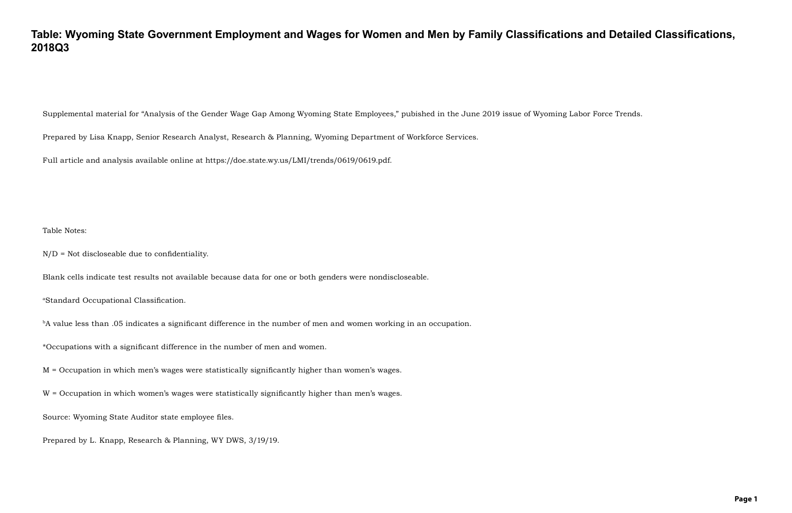## **Table: Wyoming State Government Employment and Wages for Women and Men by Family Classifications and Detailed Classifications, 2018Q3**

Supplemental material for "Analysis of the Gender Wage Gap Among Wyoming State Employees," pubished in the June 2019 issue of Wyoming Labor Force Trends.

Prepared by Lisa Knapp, Senior Research Analyst, Research & Planning, Wyoming Department of Workforce Services.

Full article and analysis available online at https://doe.state.wy.us/LMI/trends/0619/0619.pdf.

Table Notes:

N/D = Not discloseable due to confidentiality.

Blank cells indicate test results not available because data for one or both genders were nondiscloseable.

<sup>a</sup>Standard Occupational Classification.

bA value less than .05 indicates a significant difference in the number of men and women working in an occupation.

\*Occupations with a significant difference in the number of men and women.

M = Occupation in which men's wages were statistically significantly higher than women's wages.

W = Occupation in which women's wages were statistically significantly higher than men's wages.

Source: Wyoming State Auditor state employee files.

Prepared by L. Knapp, Research & Planning, WY DWS, 3/19/19.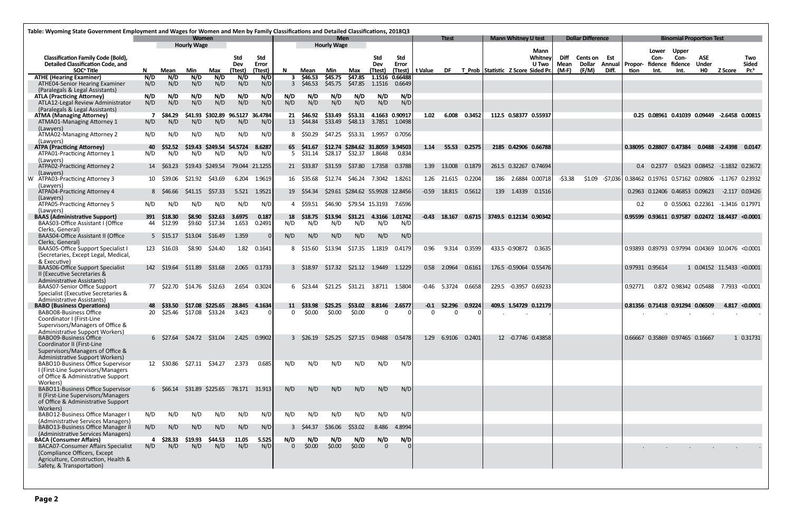|                                                                                                                                                                                 | Table: Wyoming State Government Employment and Wages for Women and Men by Family Classifications and Detailed Classifications, 2018Q3<br><b>Women</b> |                |                    |                                          |                      |                                |                       |                  |                                         |                |                                  |                         |         |                    |        |        |                                    |                          |                         |                                        |                 |                                                          |                       |                                                       |                                   |                                |                                        |
|---------------------------------------------------------------------------------------------------------------------------------------------------------------------------------|-------------------------------------------------------------------------------------------------------------------------------------------------------|----------------|--------------------|------------------------------------------|----------------------|--------------------------------|-----------------------|------------------|-----------------------------------------|----------------|----------------------------------|-------------------------|---------|--------------------|--------|--------|------------------------------------|--------------------------|-------------------------|----------------------------------------|-----------------|----------------------------------------------------------|-----------------------|-------------------------------------------------------|-----------------------------------|--------------------------------|----------------------------------------|
|                                                                                                                                                                                 |                                                                                                                                                       |                | <b>Hourly Wage</b> |                                          |                      |                                |                       |                  | <b>Men</b><br><b>Hourly Wage</b>        |                |                                  |                         |         | <b>Ttest</b>       |        |        | <b>Mann Whitney U test</b>         |                          |                         | <b>Dollar Difference</b>               |                 |                                                          |                       | <b>Binomial Proportion Test</b>                       |                                   |                                |                                        |
| <b>Classification Family Code (Bold),</b><br><b>Detailed Classification Code, and</b><br>SOC <sup>ª</sup> Title                                                                 | N.                                                                                                                                                    | Mean           |                    | Max                                      | Std<br>Dev<br>(Ttest | <b>Std</b><br>Error<br>(Ttest) | N.                    | Mean             | Min                                     | Max            | Std<br>Dev<br>(Ttest)            | Std<br>Error<br>(Ttest) | t Value | DF                 |        |        | T Prob Statistic Z Score Sided Pr. | Mann<br>Whitney<br>U Two | Diff<br>Mean<br>$(M-F)$ | <b>Cents on Est</b><br>Dollar<br>(F/M) | Annual<br>Diff. | Propor-<br>tion                                          | Lower<br>Con-<br>Int. | <b>Upper</b><br>Con-<br>fidence fidence<br>Int.       | <b>ASE</b><br><b>Under</b><br>HO. | <b>Z</b> Score                 | Two<br><b>Sided</b><br>Pr <sup>b</sup> |
| <b>ATHE (Hearing Examiner)</b>                                                                                                                                                  | N/D                                                                                                                                                   | N/D            | Min<br>N/D         | N/D                                      | N/D                  | N/D                            | 3                     | \$46.53          | \$45.75                                 | \$47.85        |                                  | 1.1516 0.66488          |         |                    |        |        |                                    |                          |                         |                                        |                 |                                                          |                       |                                                       |                                   |                                |                                        |
| ATHE04-Senior Hearing Examiner<br>(Paralegals & Legal Assistants)                                                                                                               | N/D                                                                                                                                                   | N/D            | N/D                | N/D                                      | N/D                  | N/D                            | $\overline{3}$        | \$46.53          | \$45.75                                 | \$47.85        | 1.1516                           | 0.6649                  |         |                    |        |        |                                    |                          |                         |                                        |                 |                                                          |                       |                                                       |                                   |                                |                                        |
| <b>ATLA (Practicing Attorney)</b><br>ATLA12-Legal Review Administrator                                                                                                          | N/D<br>N/D                                                                                                                                            | N/D<br>N/D     | N/D<br>N/D         | N/D<br>N/D                               | N/D<br>N/D           | N/D<br>N/D                     | N/D<br>N/D            | N/D<br>N/D       | N/D<br>N/D                              | N/D<br>N/D     | N/D<br>N/D                       | N/D<br>N/D              |         |                    |        |        |                                    |                          |                         |                                        |                 |                                                          |                       |                                                       |                                   |                                |                                        |
| (Paralegals & Legal Assistants)<br><b>ATMA (Managing Attorney)</b>                                                                                                              |                                                                                                                                                       | \$84.29        |                    | \$41.93 \$302.89 96.5127 36.4784         |                      |                                | 21                    | \$46.92          | \$33.49                                 | \$53.31        | 4.1663 0.90917                   |                         | 1.02    | 6.008              | 0.3452 |        | 112.5 0.58377 0.55937              |                          |                         |                                        |                 |                                                          |                       | 0.25 0.08961 0.41039 0.09449 -2.6458 0.00815          |                                   |                                |                                        |
| ATMA01-Managing Attorney 1<br>(Lawyers)                                                                                                                                         | N/D                                                                                                                                                   | N/D            | N/D                | N/D                                      | N/D                  | N/D                            |                       | 13 \$44.84       | \$33.49                                 | \$48.13        | 3.7851                           | 1.0498                  |         |                    |        |        |                                    |                          |                         |                                        |                 |                                                          |                       |                                                       |                                   |                                |                                        |
| ATMA02-Managing Attorney 2<br>(Lawyers)                                                                                                                                         | N/D                                                                                                                                                   | N/D            | N/D                | N/D                                      | N/D                  | N/D                            | 8                     | S50.29           | \$47.25                                 | \$53.31 1.9957 |                                  | 0.7056                  |         |                    |        |        |                                    |                          |                         |                                        |                 |                                                          |                       |                                                       |                                   |                                |                                        |
| <b>ATPA (Practicing Attorney)</b>                                                                                                                                               | 40                                                                                                                                                    | S52.52         |                    | \$19.43 \$249.54 54.5724                 |                      | 8.6287                         |                       | 65 \$41.67       |                                         |                | \$12.74 \$284.62 31.8059 3.94503 |                         | 1.14    | 55.53              | 0.2575 |        | 2185 0.42906 0.66788               |                          |                         |                                        |                 |                                                          |                       | 0.38095 0.28807 0.47384                               |                                   | 0.0488 -2.4398                 | 0.0147                                 |
| ATPA01-Practicing Attorney 1<br>(Lawvers)                                                                                                                                       | N/D                                                                                                                                                   | N/D            | N/D                | N/D                                      | N/D                  | N/D                            |                       | 5 \$31.14        | \$28.17                                 |                | \$32.37 1.8648                   | 0.834                   |         |                    |        |        |                                    |                          |                         |                                        |                 |                                                          |                       |                                                       |                                   |                                |                                        |
| ATPA02-Practicing Attorney 2<br>(Lawyers)                                                                                                                                       | 14                                                                                                                                                    | S63.23         |                    | \$19.43 \$249.54                         |                      | 79.044 21.1255                 |                       | 21 \$33.87       | \$31.59                                 | \$37.80        | 1.7358                           | 0.3788                  | 1.39    | 13.008             | 0.1879 |        | 261.5 0.32267 0.74694              |                          |                         |                                        |                 | $0.4^{\circ}$                                            | 0.2377                |                                                       |                                   | 0.5623 0.08452 -1.1832 0.23672 |                                        |
| W ATPA03-Practicing Attorney 3<br>(Lawyers)                                                                                                                                     |                                                                                                                                                       | 10 \$39.06     | S21.92             | \$43.69                                  | 6.204                | 1.9619                         |                       | 16 \$35.68       | \$12.74                                 |                | \$46.24 7.3042                   | 1.8261                  |         | 1.26 21.615        | 0.2204 |        | 186 2.6884 0.00718                 |                          | $-53.38$                | \$1.09                                 |                 | -\$7,036 0.38462 0.19761 0.57162 0.09806 -1.1767 0.23932 |                       |                                                       |                                   |                                |                                        |
| ATPA04-Practicing Attorney 4<br>(Lawyers)                                                                                                                                       |                                                                                                                                                       | 8 \$46.66      | \$41.15            | \$57.33                                  | 5.521                | 1.9521                         |                       | 19 \$54.34       | \$29.61                                 |                | \$284.62 55.9928 12.8456         |                         | -0.59   | 18.815             | 0.5612 |        | 139 1.4339                         | 0.1516                   |                         |                                        |                 |                                                          |                       | 0.2963 0.12406 0.46853 0.09623                        |                                   | $-2.117$ 0.03426               |                                        |
| ATPA05-Practicing Attorney 5<br>(Lawyers)                                                                                                                                       | N/D                                                                                                                                                   | N/D            | N/D                | N/D                                      | N/D                  | N/D                            |                       | 4 S59.51         | \$46.90                                 |                | \$79.54 15.3193                  | 7.6596                  |         |                    |        |        |                                    |                          |                         |                                        |                 | 0.2                                                      |                       | 0 0.55061 0.22361 -1.3416 0.17971                     |                                   |                                |                                        |
| <b>BAAS (Administrative Support)</b>                                                                                                                                            | 391                                                                                                                                                   | \$18.30        | \$8.90             | \$32.63                                  | 3.6975               | 0.187                          |                       | 18 \$18.75       | S13.94                                  | \$31.21        | 4.3166 1.01742                   |                         |         | $-0.43$ 18.167     | 0.6715 |        | 3749.5 0.12134 0.90342             |                          |                         |                                        |                 |                                                          |                       | 0.95599 0.93611 0.97587 0.02472 18.4437 <0.0001       |                                   |                                |                                        |
| BAAS03-Office Assistant I (Office                                                                                                                                               | 44                                                                                                                                                    | \$12.99        | \$9.60             | \$17.34                                  | 1.653                | 0.2491                         | N/D                   | N/D              | N/D                                     | N/D            | N/D                              | N/D                     |         |                    |        |        |                                    |                          |                         |                                        |                 |                                                          |                       |                                                       |                                   |                                |                                        |
| Clerks, General)<br><b>BAAS04-Office Assistant II (Office</b><br>Clerks, General)                                                                                               |                                                                                                                                                       | 5 \$15.17      | \$13.04            | \$16.49                                  | 1.359                | $\Omega$                       | N/D                   | N/D              | N/D                                     | N/D            | N/D                              | N/D                     |         |                    |        |        |                                    |                          |                         |                                        |                 |                                                          |                       |                                                       |                                   |                                |                                        |
| BAAS05-Office Support Specialist I<br>(Secretaries, Except Legal, Medical,                                                                                                      |                                                                                                                                                       | 123 \$16.03    | \$8.90             | \$24.40                                  | 1.82                 | 0.1641                         |                       | 8 \$15.60        | \$13.94                                 | \$17.35        | 1.1819                           | 0.4179                  | 0.96    | 9.314              | 0.3599 |        | 433.5 -0.90872                     | 0.3635                   |                         |                                        |                 |                                                          |                       | 0.93893  0.89793  0.97994  0.04369  10.0476  < 0.0001 |                                   |                                |                                        |
| & Executive)<br><b>BAAS06-Office Support Specialist</b><br>II (Executive Secretaries &                                                                                          |                                                                                                                                                       | 142 \$19.64    | \$11.89            | \$31.68                                  |                      | 2.065 0.1733                   |                       | 3 \$18.97        | \$17.32                                 |                | \$21.12 1.9449                   | 1.1229                  | 0.58    | 2.0964             | 0.6161 |        | 176.5 -0.59064 0.55476             |                          |                         |                                        |                 | 0.97931 0.95614                                          |                       |                                                       |                                   | 1 0.04152 11.5433 <0.0001      |                                        |
| <b>Administrative Assistants)</b><br><b>BAAS07-Senior Office Support</b><br>Specialist (Executive Secretaries &                                                                 |                                                                                                                                                       | 77 \$22.70     | \$14.76            | \$32.63                                  | 2.654                | 0.3024                         |                       | 6 S23.44         | \$21.25                                 |                |                                  |                         |         | $-0.46$ 5.3724     | 0.6658 |        | 229.5 -0.3957 0.69233              |                          |                         |                                        |                 | 0.92771                                                  |                       | 0.872 0.98342 0.05488 7.7933 <0.0001                  |                                   |                                |                                        |
| <b>Administrative Assistants)</b><br><b>BABO</b> (Business Operations)                                                                                                          |                                                                                                                                                       | S33.50         |                    | \$17.08 \$225.65                         | 28.845 4.1634        |                                |                       | 11 \$33.98       | \$25.25                                 | \$53.02        | 8.8146                           | 2.6577                  |         | $-0.1$ 52.296      | 0.9224 |        | 409.5 1.54729 0.12179              |                          |                         |                                        |                 |                                                          |                       | 0.81356 0.71418 0.91294 0.06509                       |                                   | 4.817                          | < 0.0001                               |
| <b>BABO08-Business Office</b><br>Coordinator I (First-Line<br>Supervisors/Managers of Office &<br><b>Administrative Support Workers)</b>                                        | 20                                                                                                                                                    | \$25.46        | \$17.08            | \$33.24                                  | 3.423                | 0 I                            | $\mathbf{0}$          | \$0.00           | \$0.00                                  | \$0.00         | $\Omega$                         |                         | 0       | $\Omega$           |        | $\sim$ | $\blacksquare$                     |                          |                         |                                        |                 |                                                          | $\sim$                | $\sim$                                                | $\sim$                            | $\sim$                         |                                        |
| <b>BABO09-Business Office</b><br>Coordinator II (First-Line<br>Supervisors/Managers of Office &<br>Administrative Support Workers)                                              |                                                                                                                                                       |                |                    | 6 \$27.64 \$24.72 \$31.04 2.425 0.9902   |                      |                                |                       |                  | 3 \$26.19 \$25.25 \$27.15 0.9488 0.5478 |                |                                  |                         |         | 1.29 6.9106 0.2401 |        |        | 12 -0.7746 0.43858                 |                          |                         |                                        |                 |                                                          |                       | 0.66667 0.35869 0.97465 0.16667                       |                                   |                                | 1 0.31731                              |
| BABO10-Business Office Supervisor<br>I (First-Line Supervisors/Managers<br>of Office & Administrative Support                                                                   |                                                                                                                                                       |                |                    | 12 \$30.86 \$27.11 \$34.27               | 2.373                | 0.685                          | N/D                   | N/D              | N/D                                     | N/D            | N/D                              | N/D                     |         |                    |        |        |                                    |                          |                         |                                        |                 |                                                          |                       |                                                       |                                   |                                |                                        |
| Workers)<br><b>BABO11-Business Office Supervisor</b><br>II (First-Line Supervisors/Managers<br>of Office & Administrative Support                                               |                                                                                                                                                       |                |                    | 6 \$66.14 \$31.89 \$225.65 78.171 31.913 |                      |                                | N/D                   | N/D              | N/D                                     | N/D            | N/D                              | N/D                     |         |                    |        |        |                                    |                          |                         |                                        |                 |                                                          |                       |                                                       |                                   |                                |                                        |
| Workers)                                                                                                                                                                        |                                                                                                                                                       |                |                    |                                          |                      |                                |                       |                  |                                         |                |                                  |                         |         |                    |        |        |                                    |                          |                         |                                        |                 |                                                          |                       |                                                       |                                   |                                |                                        |
| <b>BABO12-Business Office Manager I</b><br>(Administrative Services Managers)                                                                                                   | N/D                                                                                                                                                   | N/D            | N/D                | N/D                                      | N/D                  | N/D                            | N/D                   | N/D              | N/D                                     | N/D            | N/D                              | N/D                     |         |                    |        |        |                                    |                          |                         |                                        |                 |                                                          |                       |                                                       |                                   |                                |                                        |
| <b>BABO13-Business Office Manager II</b><br>(Administrative Services Managers)                                                                                                  | N/D                                                                                                                                                   | N/D            | N/D                | N/D                                      | N/D                  | N/D                            |                       | $3\quad$ \$44.37 | \$36.06                                 | \$53.02        | 8.486                            | 4.8994                  |         |                    |        |        |                                    |                          |                         |                                        |                 |                                                          |                       |                                                       |                                   |                                |                                        |
| <b>BACA (Consumer Affairs)</b><br><b>BACA07-Consumer Affairs Specialist</b><br>(Compliance Officers, Except<br>Agriculture, Construction, Health &<br>Safety, & Transportation) | 4<br>N/D                                                                                                                                              | \$28.33<br>N/D | \$19.93<br>N/D     | \$44.53<br>N/D                           | 11.05<br>N/D         | 5.525<br>N/D                   | N/D<br>$\overline{0}$ | N/D<br>\$0.00    | N/D<br>\$0.00                           | N/D<br>\$0.00  | N/D<br>$\Omega$                  | N/D                     |         |                    |        |        |                                    |                          |                         |                                        |                 |                                                          |                       |                                                       |                                   |                                |                                        |
|                                                                                                                                                                                 |                                                                                                                                                       |                |                    |                                          |                      |                                |                       |                  |                                         |                |                                  |                         |         |                    |        |        |                                    |                          |                         |                                        |                 |                                                          |                       |                                                       |                                   |                                |                                        |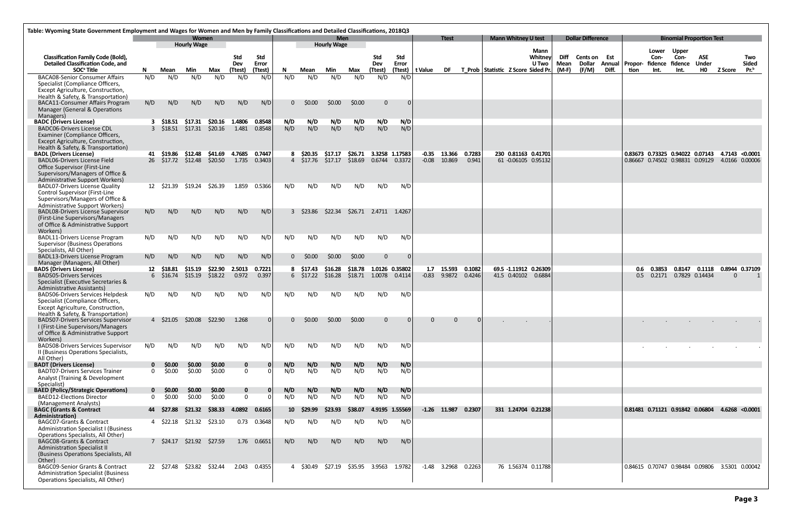| Table: Wyoming State Government Employment and Wages for Women and Men by Family Classifications and Detailed Classifications, 2018Q3 |              |                  |                                    |                            |               |               |                 |                  |                                         |         |                         |          |         |                       |        |                                    |                            |                        |       |                          |       |      |                                |                                                        |              |                         |                  |
|---------------------------------------------------------------------------------------------------------------------------------------|--------------|------------------|------------------------------------|----------------------------|---------------|---------------|-----------------|------------------|-----------------------------------------|---------|-------------------------|----------|---------|-----------------------|--------|------------------------------------|----------------------------|------------------------|-------|--------------------------|-------|------|--------------------------------|--------------------------------------------------------|--------------|-------------------------|------------------|
|                                                                                                                                       |              |                  | <b>Women</b><br><b>Hourly Wage</b> |                            |               |               |                 |                  | <b>Men</b><br><b>Hourly Wage</b>        |         |                         |          |         | <b>Ttest</b>          |        |                                    | <b>Mann Whitney U test</b> |                        |       | <b>Dollar Difference</b> |       |      |                                | <b>Binomial Proportion Test</b>                        |              |                         |                  |
| <b>Classification Family Code (Bold),</b>                                                                                             |              |                  |                                    |                            | Std           | <b>Std</b>    |                 |                  |                                         |         | Std                     | Std      |         |                       |        |                                    |                            | <b>Mann</b><br>Whitney | Diff  | Cents on Est             |       |      | Lower<br>Con-                  | <b>Upper</b><br>Con-                                   | ASE          |                         | Two              |
| <b>Detailed Classification Code, and</b>                                                                                              |              |                  |                                    |                            | Dev           | Error         |                 |                  |                                         |         | Dev                     | Error    |         |                       |        |                                    |                            | <b>U</b> Two           | Mean  | <b>Dollar</b>            |       |      | Annual Propor- fidence fidence |                                                        | <b>Under</b> |                         | <b>Sided</b>     |
| SOC <sup>ª</sup> Title                                                                                                                | N.           | Mean             | Min                                | Max                        | (Ttest)       | (Ttest)       | N.              | Mean             | Min                                     | Max     | (Ttest)                 | (Ttest)  | t Value | <b>DF</b>             |        | T Prob Statistic Z Score Sided Pr. |                            |                        | (M-F) | (F/M)                    | Diff. | tion | Int.                           | Int.                                                   | <b>HO</b>    | <b>Z Score</b>          | Pr. <sup>b</sup> |
| <b>BACA08-Senior Consumer Affairs</b><br>Specialist (Compliance Officers,                                                             | N/D          | N/D              | N/D                                | N/D                        | N/D           | N/D           | N/D             | N/D              | N/D                                     | N/D     | N/D                     | N/D      |         |                       |        |                                    |                            |                        |       |                          |       |      |                                |                                                        |              |                         |                  |
| Except Agriculture, Construction,                                                                                                     |              |                  |                                    |                            |               |               |                 |                  |                                         |         |                         |          |         |                       |        |                                    |                            |                        |       |                          |       |      |                                |                                                        |              |                         |                  |
| Health & Safety, & Transportation)                                                                                                    |              |                  |                                    |                            |               |               |                 |                  |                                         |         |                         |          |         |                       |        |                                    |                            |                        |       |                          |       |      |                                |                                                        |              |                         |                  |
| <b>BACA11-Consumer Affairs Program</b>                                                                                                | N/D          | N/D              | N/D                                | N/D                        | N/D           | N/D           | $\Omega$        | \$0.00           | \$0.00                                  | \$0.00  | $\mathbf 0$             | 0        |         |                       |        |                                    |                            |                        |       |                          |       |      |                                |                                                        |              |                         |                  |
| Manager (General & Operations<br>Managers)                                                                                            |              |                  |                                    |                            |               |               |                 |                  |                                         |         |                         |          |         |                       |        |                                    |                            |                        |       |                          |       |      |                                |                                                        |              |                         |                  |
| <b>BADC</b> (Drivers License)                                                                                                         |              | $3\quad$ \$18.51 | \$17.31                            | \$20.16                    | 1.4806        | 0.8548        | N/D             | N/D              | N/D                                     | N/D     | N/D                     | N/D      |         |                       |        |                                    |                            |                        |       |                          |       |      |                                |                                                        |              |                         |                  |
| <b>BADC06-Drivers License CDL</b>                                                                                                     |              | $3\quad $18.51$  | \$17.31                            | \$20.16                    | 1.481         | 0.8548        | N/D             | N/D              | N/D                                     | N/D     | N/D                     | N/D      |         |                       |        |                                    |                            |                        |       |                          |       |      |                                |                                                        |              |                         |                  |
| Examiner (Compliance Officers,<br>Except Agriculture, Construction,                                                                   |              |                  |                                    |                            |               |               |                 |                  |                                         |         |                         |          |         |                       |        |                                    |                            |                        |       |                          |       |      |                                |                                                        |              |                         |                  |
| Health & Safety, & Transportation)                                                                                                    |              |                  |                                    |                            |               |               |                 |                  |                                         |         |                         |          |         |                       |        |                                    |                            |                        |       |                          |       |      |                                |                                                        |              |                         |                  |
| <b>BADL (Drivers License)</b>                                                                                                         |              | 41 \$19.86       | \$12.48                            | \$41.69                    | 4.7685 0.7447 |               |                 | 8 \$20.35        | \$17.17                                 |         | \$26.71 3.3258 1.17583  |          |         | $-0.35$ 13.366 0.7283 |        |                                    | 230 0.81163 0.41701        |                        |       |                          |       |      |                                | 0.83673  0.73325  0.94022  0.07143  4.7143  <0.0001    |              |                         |                  |
| <b>BADL06-Drivers License Field</b>                                                                                                   |              |                  |                                    | 26 \$17.72 \$12.48 \$20.50 | 1.735 0.3403  |               |                 |                  | 4 \$17.76 \$17.17 \$18.69 0.6744 0.3372 |         |                         |          | $-0.08$ | 10.869                | 0.941  |                                    | 61 -0.06105 0.95132        |                        |       |                          |       |      |                                | 0.86667 0.74502 0.98831 0.09129 4.0166 0.00006         |              |                         |                  |
| Office Supervisor (First-Line<br>Supervisors/Managers of Office &                                                                     |              |                  |                                    |                            |               |               |                 |                  |                                         |         |                         |          |         |                       |        |                                    |                            |                        |       |                          |       |      |                                |                                                        |              |                         |                  |
| Administrative Support Workers)                                                                                                       |              |                  |                                    |                            |               |               |                 |                  |                                         |         |                         |          |         |                       |        |                                    |                            |                        |       |                          |       |      |                                |                                                        |              |                         |                  |
| <b>BADL07-Drivers License Quality</b>                                                                                                 |              |                  | 12 \$21.39 \$19.24                 | \$26.39                    | 1.859         | 0.5366        | N/D             | N/D              | N/D                                     | N/D     | N/D                     | N/D      |         |                       |        |                                    |                            |                        |       |                          |       |      |                                |                                                        |              |                         |                  |
| Control Supervisor (First-Line<br>Supervisors/Managers of Office &                                                                    |              |                  |                                    |                            |               |               |                 |                  |                                         |         |                         |          |         |                       |        |                                    |                            |                        |       |                          |       |      |                                |                                                        |              |                         |                  |
| Administrative Support Workers)                                                                                                       |              |                  |                                    |                            |               |               |                 |                  |                                         |         |                         |          |         |                       |        |                                    |                            |                        |       |                          |       |      |                                |                                                        |              |                         |                  |
| <b>BADL08-Drivers License Supervisor</b>                                                                                              | N/D          | N/D              | N/D                                | N/D                        | N/D           | N/D           |                 | $3\quad$ \$23.86 | \$22.34                                 |         | \$26.71 2.4711 1.4267   |          |         |                       |        |                                    |                            |                        |       |                          |       |      |                                |                                                        |              |                         |                  |
| (First-Line Supervisors/Managers                                                                                                      |              |                  |                                    |                            |               |               |                 |                  |                                         |         |                         |          |         |                       |        |                                    |                            |                        |       |                          |       |      |                                |                                                        |              |                         |                  |
| of Office & Administrative Support<br>Workers)                                                                                        |              |                  |                                    |                            |               |               |                 |                  |                                         |         |                         |          |         |                       |        |                                    |                            |                        |       |                          |       |      |                                |                                                        |              |                         |                  |
| BADL11-Drivers License Program                                                                                                        | N/D          | N/D              | N/D                                | N/D                        | N/D           | N/D           | N/D             | N/D              | N/D                                     | N/D     | N/D                     | N/D      |         |                       |        |                                    |                            |                        |       |                          |       |      |                                |                                                        |              |                         |                  |
| <b>Supervisor (Business Operations</b>                                                                                                |              |                  |                                    |                            |               |               |                 |                  |                                         |         |                         |          |         |                       |        |                                    |                            |                        |       |                          |       |      |                                |                                                        |              |                         |                  |
| Specialists, All Other)<br>BADL13-Drivers License Program                                                                             | N/D          | N/D              | N/D                                | N/D                        | N/D           | N/D           |                 | $0$ \$0.00       | \$0.00                                  | \$0.00  | $\Omega$                | $\Omega$ |         |                       |        |                                    |                            |                        |       |                          |       |      |                                |                                                        |              |                         |                  |
| Manager (Managers, All Other)                                                                                                         |              |                  |                                    |                            |               |               |                 |                  |                                         |         |                         |          |         |                       |        |                                    |                            |                        |       |                          |       |      |                                |                                                        |              |                         |                  |
| <b>BADS (Drivers License)</b>                                                                                                         | 12           | \$18.81          | \$15.19                            | \$22.90                    | 2.5013        | 0.7221        |                 | 8 \$17.43        | \$16.28                                 | \$18.78 | 1.0126 0.35802          |          |         | 1.7 15.593            | 0.1082 |                                    | 69.5 -1.11912 0.26309      |                        |       |                          |       | 0.6  | 0.3853                         | 0.8147                                                 |              | 0.1118  0.8944  0.37109 |                  |
| <b>BADS05-Drivers Services</b><br>Specialist (Executive Secretaries &                                                                 |              | $6\quad $16.74$  | \$15.19                            | \$18.22                    | 0.972         | 0.397         |                 | $6\quad$ \$17.22 | \$16.28                                 |         | \$18.71  1.0078  0.4114 |          |         | $-0.83$ 9.9872 0.4246 |        |                                    | 41.5 0.40102 0.6884        |                        |       |                          |       | 0.5  | 0.2171                         | 0.7829 0.14434                                         |              | 0                       | 1                |
| Administrative Assistants)                                                                                                            |              |                  |                                    |                            |               |               |                 |                  |                                         |         |                         |          |         |                       |        |                                    |                            |                        |       |                          |       |      |                                |                                                        |              |                         |                  |
| <b>BADS06-Drivers Services Helpdesk</b>                                                                                               | N/D          | N/D              | N/D                                | N/D                        | N/D           | N/D           | N/D             | N/D              | N/D                                     | N/D     | N/D                     | N/D      |         |                       |        |                                    |                            |                        |       |                          |       |      |                                |                                                        |              |                         |                  |
| Specialist (Compliance Officers,<br>Except Agriculture, Construction,                                                                 |              |                  |                                    |                            |               |               |                 |                  |                                         |         |                         |          |         |                       |        |                                    |                            |                        |       |                          |       |      |                                |                                                        |              |                         |                  |
| Health & Safety, & Transportation)                                                                                                    |              |                  |                                    |                            |               |               |                 |                  |                                         |         |                         |          |         |                       |        |                                    |                            |                        |       |                          |       |      |                                |                                                        |              |                         |                  |
| <b>BADS07-Drivers Services Supervisor</b>                                                                                             |              | 4 \$21.05        | \$20.08                            | \$22.90                    | 1.268         |               |                 | \$0.00           | \$0.00                                  | \$0.00  | $\Omega$                |          |         | $\Omega$              |        |                                    |                            |                        |       |                          |       |      |                                |                                                        |              |                         |                  |
| I (First-Line Supervisors/Managers<br>of Office & Administrative Support                                                              |              |                  |                                    |                            |               |               |                 |                  |                                         |         |                         |          |         |                       |        |                                    |                            |                        |       |                          |       |      |                                |                                                        |              |                         |                  |
| Workers)                                                                                                                              |              |                  |                                    |                            |               |               |                 |                  |                                         |         |                         |          |         |                       |        |                                    |                            |                        |       |                          |       |      |                                |                                                        |              |                         |                  |
| <b>BADS08-Drivers Services Supervisor</b>                                                                                             | N/D          | N/D              | N/D                                | N/D                        | N/D           | N/D           | N/D             | N/D              | N/D                                     | N/D     | N/D                     | N/D      |         |                       |        |                                    |                            |                        |       |                          |       |      |                                |                                                        |              |                         |                  |
| II (Business Operations Specialists,<br>All Other)                                                                                    |              |                  |                                    |                            |               |               |                 |                  |                                         |         |                         |          |         |                       |        |                                    |                            |                        |       |                          |       |      |                                |                                                        |              |                         |                  |
| <b>BADT</b> (Drivers License)                                                                                                         |              | <b>SO.00</b>     | \$0.00                             | \$0.00                     | $\bf{0}$      | 0             | N/D             | N/D              | N/D                                     | N/D     | N/D                     | N/D      |         |                       |        |                                    |                            |                        |       |                          |       |      |                                |                                                        |              |                         |                  |
| <b>BADT07-Drivers Services Trainer</b>                                                                                                | $\mathbf{0}$ | \$0.00           | \$0.00                             | \$0.00                     | $\bf{0}$      |               | N/D             | N/D              | N/D                                     | N/D     | N/D                     | N/D      |         |                       |        |                                    |                            |                        |       |                          |       |      |                                |                                                        |              |                         |                  |
| Analyst (Training & Development<br>Specialist)                                                                                        |              |                  |                                    |                            |               |               |                 |                  |                                         |         |                         |          |         |                       |        |                                    |                            |                        |       |                          |       |      |                                |                                                        |              |                         |                  |
| <b>BAED (Policy/Strategic Operations)</b>                                                                                             |              | $0$ \$0.00       | \$0.00                             | \$0.00                     | $\mathbf 0$   | 0             | N/D             | N/D              | N/D                                     | N/D     | N/D                     | N/D      |         |                       |        |                                    |                            |                        |       |                          |       |      |                                |                                                        |              |                         |                  |
| <b>BAED12-Elections Director</b>                                                                                                      | $\Omega$     | \$0.00           | \$0.00                             | \$0.00                     | $\mathbf 0$   |               | N/D             | N/D              | N/D                                     | N/D     | N/D                     | N/D      |         |                       |        |                                    |                            |                        |       |                          |       |      |                                |                                                        |              |                         |                  |
| (Management Analysts)<br><b>BAGC (Grants &amp; Contract</b>                                                                           | 44           | S27.88           | <b>S21.32</b>                      | S38.33                     | 4.0892        | 0.6165        | 10 <sup>1</sup> | \$29.99          | \$23.93                                 | \$38.07 | 4.9195 1.55569          |          |         | $-1.26$ 11.987        | 0.2307 |                                    | 331 1.24704 0.21238        |                        |       |                          |       |      |                                | $\vert$ 0.81481 0.71121 0.91842 0.06804 4.6268 <0.0001 |              |                         |                  |
| Administration)                                                                                                                       |              |                  |                                    |                            |               |               |                 |                  |                                         |         |                         |          |         |                       |        |                                    |                            |                        |       |                          |       |      |                                |                                                        |              |                         |                  |
| <b>BAGC07-Grants &amp; Contract</b>                                                                                                   |              |                  | 4 \$22.18 \$21.32                  | \$23.10                    |               | $0.73$ 0.3648 | N/D             | N/D              | N/D                                     | N/D     | N/D                     | N/D      |         |                       |        |                                    |                            |                        |       |                          |       |      |                                |                                                        |              |                         |                  |
| <b>Administration Specialist I (Business</b><br>Operations Specialists, All Other)                                                    |              |                  |                                    |                            |               |               |                 |                  |                                         |         |                         |          |         |                       |        |                                    |                            |                        |       |                          |       |      |                                |                                                        |              |                         |                  |
| <b>BAGC08-Grants &amp; Contract</b>                                                                                                   |              | 7 \$24.17        | \$21.92 \$27.59                    |                            |               | 1.76  0.6651  | N/D             | N/D              | N/D                                     | N/D     | N/D                     | N/D      |         |                       |        |                                    |                            |                        |       |                          |       |      |                                |                                                        |              |                         |                  |
| Administration Specialist II                                                                                                          |              |                  |                                    |                            |               |               |                 |                  |                                         |         |                         |          |         |                       |        |                                    |                            |                        |       |                          |       |      |                                |                                                        |              |                         |                  |
| (Business Operations Specialists, All<br>Other)                                                                                       |              |                  |                                    |                            |               |               |                 |                  |                                         |         |                         |          |         |                       |        |                                    |                            |                        |       |                          |       |      |                                |                                                        |              |                         |                  |
| BAGC09-Senior Grants & Contract                                                                                                       |              | 22 \$27.48       | \$23.82                            | \$32.44                    |               | 2.043 0.4355  |                 | 4 \$30.49        | \$27.19                                 | \$35.95 | 3.9563                  | 1.9782   | $-1.48$ | 3.2968                | 0.2263 |                                    | 76 1.56374 0.11788         |                        |       |                          |       |      |                                | 0.84615 0.70747 0.98484 0.09806 3.5301 0.00042         |              |                         |                  |
| <b>Administration Specialist (Business</b>                                                                                            |              |                  |                                    |                            |               |               |                 |                  |                                         |         |                         |          |         |                       |        |                                    |                            |                        |       |                          |       |      |                                |                                                        |              |                         |                  |
| Operations Specialists, All Other)                                                                                                    |              |                  |                                    |                            |               |               |                 |                  |                                         |         |                         |          |         |                       |        |                                    |                            |                        |       |                          |       |      |                                |                                                        |              |                         |                  |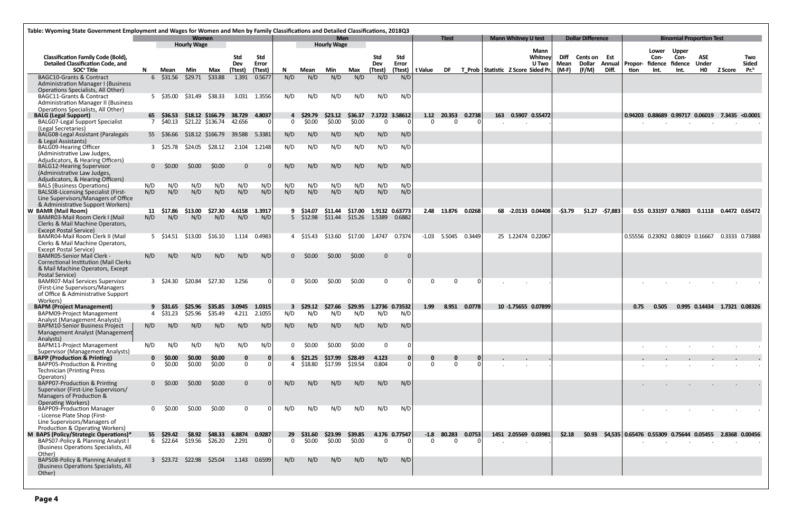|                                                                                       | Table: Wyoming State Government Employment and Wages for Women and Men by Family Classifications and Detailed Classifications, 2018Q3<br><b>Women</b> |                         |                         |                    |                 |              |                |                   |                                  |                        |                |                |                          |                       |                    |                                    |                            |                      |                     |                          |                  |                                                        |                 |                                 |                            |                              |                     |
|---------------------------------------------------------------------------------------|-------------------------------------------------------------------------------------------------------------------------------------------------------|-------------------------|-------------------------|--------------------|-----------------|--------------|----------------|-------------------|----------------------------------|------------------------|----------------|----------------|--------------------------|-----------------------|--------------------|------------------------------------|----------------------------|----------------------|---------------------|--------------------------|------------------|--------------------------------------------------------|-----------------|---------------------------------|----------------------------|------------------------------|---------------------|
|                                                                                       |                                                                                                                                                       |                         | <b>Hourly Wage</b>      |                    |                 |              |                |                   | <b>Men</b><br><b>Hourly Wage</b> |                        |                |                |                          | <b>Ttest</b>          |                    |                                    | <b>Mann Whitney U test</b> |                      |                     | <b>Dollar Difference</b> |                  |                                                        |                 | <b>Binomial Proportion Test</b> |                            |                              |                     |
|                                                                                       |                                                                                                                                                       |                         |                         |                    |                 |              |                |                   |                                  |                        |                |                |                          |                       |                    |                                    |                            | Mann                 |                     |                          |                  |                                                        | Lower           | <b>Upper</b>                    |                            |                              |                     |
| <b>Classification Family Code (Bold),</b><br><b>Detailed Classification Code, and</b> |                                                                                                                                                       |                         |                         |                    | Std<br>Dev      | Std<br>Error |                |                   |                                  |                        | Std<br>Dev     | Std<br>Error   |                          |                       |                    |                                    |                            | Whitney<br>U Two     | Diff<br><b>Mean</b> | Cents on Est<br>Dollar   | Annual           | Propor-                                                | Con-<br>fidence | Con-<br>fidence                 | <b>ASE</b><br><b>Under</b> |                              | Two<br><b>Sided</b> |
| SOC <sup>ª</sup> Title                                                                | N.                                                                                                                                                    | Mean                    | Min                     | Max                | (Ttest)         | (Ttest)      | N.             | Mean              | Min                              | Max                    | (Ttest)        | (Ttest)        | t Value                  | <b>DF</b>             |                    | T Prob Statistic Z Score Sided Pr. |                            |                      | (M-F)               | (F/M)                    | Diff.            | tion                                                   | Int.            | Int.                            | H <sub>0</sub>             | <b>Z Score</b>               | Pr. <sup>b</sup>    |
| <b>BAGC10-Grants &amp; Contract</b>                                                   |                                                                                                                                                       | $6\quad$ \$31.56        | \$29.71                 | \$33.88            | 1.391           | 0.5677       | N/D            | N/D               | N/D                              | N/D                    | N/D            | N/D            |                          |                       |                    |                                    |                            |                      |                     |                          |                  |                                                        |                 |                                 |                            |                              |                     |
| <b>Administration Manager I (Business</b><br>Operations Specialists, All Other)       |                                                                                                                                                       |                         |                         |                    |                 |              |                |                   |                                  |                        |                |                |                          |                       |                    |                                    |                            |                      |                     |                          |                  |                                                        |                 |                                 |                            |                              |                     |
| <b>BAGC11-Grants &amp; Contract</b>                                                   |                                                                                                                                                       | 5 \$35.00               | \$31.49                 | \$38.33            | 3.031           | 1.3556       | N/D            | N/D               | N/D                              | N/D                    | N/D            | N/D            |                          |                       |                    |                                    |                            |                      |                     |                          |                  |                                                        |                 |                                 |                            |                              |                     |
| <b>Administration Manager II (Business</b>                                            |                                                                                                                                                       |                         |                         |                    |                 |              |                |                   |                                  |                        |                |                |                          |                       |                    |                                    |                            |                      |                     |                          |                  |                                                        |                 |                                 |                            |                              |                     |
| Operations Specialists, All Other)<br><b>BALG (Legal Support)</b>                     |                                                                                                                                                       | 65 \$36.53              |                         | \$18.12 \$166.79   | 38.729          | 4.8037       |                | 4 \$29.79         | \$23.12                          | \$36.37                |                | 7.1722 3.58612 | 1.12                     | 20.353                | 0.2738             |                                    |                            | 163  0.5907  0.55472 |                     |                          |                  | $\vert$ 0.94203 0.88689 0.99717 0.06019 7.3435 <0.0001 |                 |                                 |                            |                              |                     |
| <b>BALG07-Legal Support Specialist</b>                                                |                                                                                                                                                       | 7 \$40.13               |                         | \$21.22 \$136.74   | 42.656          |              | $\Omega$       | \$0.00            | \$0.00                           | \$0.00                 | $\overline{0}$ | $\Omega$       | $\Omega$                 | $\Omega$              | $\Omega$           |                                    |                            |                      |                     |                          |                  |                                                        |                 |                                 |                            |                              |                     |
| (Legal Secretaries)                                                                   |                                                                                                                                                       | 55 \$36.66              |                         |                    | 39.588          | 5.3381       | N/D            | N/D               |                                  | N/D                    |                |                |                          |                       |                    |                                    |                            |                      |                     |                          |                  |                                                        |                 |                                 |                            |                              |                     |
| BALG08-Legal Assistant (Paralegals<br>& Legal Assistants)                             |                                                                                                                                                       |                         |                         | \$18.12 \$166.79   |                 |              |                |                   | N/D                              |                        | N/D            | N/D            |                          |                       |                    |                                    |                            |                      |                     |                          |                  |                                                        |                 |                                 |                            |                              |                     |
| BALG09-Hearing Officer                                                                |                                                                                                                                                       | 3 \$25.78               | \$24.05                 | \$28.12            |                 | 2.104 1.2148 | N/D            | N/D               | N/D                              | N/D                    | N/D            | N/D            |                          |                       |                    |                                    |                            |                      |                     |                          |                  |                                                        |                 |                                 |                            |                              |                     |
| (Administrative Law Judges,<br>Adjudicators, & Hearing Officers)                      |                                                                                                                                                       |                         |                         |                    |                 |              |                |                   |                                  |                        |                |                |                          |                       |                    |                                    |                            |                      |                     |                          |                  |                                                        |                 |                                 |                            |                              |                     |
| <b>BALG12-Hearing Supervisor</b>                                                      |                                                                                                                                                       | $0$ \$0.00              | \$0.00                  | \$0.00             | $\Omega$        |              | N/D            | N/D               | N/D                              | N/D                    | N/D            | N/D            |                          |                       |                    |                                    |                            |                      |                     |                          |                  |                                                        |                 |                                 |                            |                              |                     |
| (Administrative Law Judges,                                                           |                                                                                                                                                       |                         |                         |                    |                 |              |                |                   |                                  |                        |                |                |                          |                       |                    |                                    |                            |                      |                     |                          |                  |                                                        |                 |                                 |                            |                              |                     |
| Adjudicators, & Hearing Officers)<br><b>BALS (Business Operations)</b>                | N/D                                                                                                                                                   | N/D                     | N/D                     | N/D                | N/D             | N/D          | N/D            | N/D               | N/D                              | N/D                    | N/D            | N/D            |                          |                       |                    |                                    |                            |                      |                     |                          |                  |                                                        |                 |                                 |                            |                              |                     |
| <b>BALSO8-Licensing Specialist (First-</b>                                            | N/D                                                                                                                                                   | N/D                     | N/D                     | N/D                | N/D             | N/D          | N/D            | N/D               | N/D                              | N/D                    | N/D            | N/D            |                          |                       |                    |                                    |                            |                      |                     |                          |                  |                                                        |                 |                                 |                            |                              |                     |
| Line Supervisors/Managers of Office                                                   |                                                                                                                                                       |                         |                         |                    |                 |              |                |                   |                                  |                        |                |                |                          |                       |                    |                                    |                            |                      |                     |                          |                  |                                                        |                 |                                 |                            |                              |                     |
| & Administrative Support Workers)<br>W BAMR (Mail Room)                               |                                                                                                                                                       | 11 \$17.86              | \$13.00                 | \$27.30            | 4.6158 1.3917   |              |                | 9 \$14.07         | \$11.44                          | \$17.00 1.9132 0.63773 |                |                |                          | 2.48 13.876 0.0268    |                    |                                    |                            | 68 -2.0133 0.04408   | -\$3.79             |                          | \$1.27 - \$7,883 |                                                        |                 | 0.55 0.33197 0.76803            |                            | 0.1118  0.4472  0.65472      |                     |
| BAMR03-Mail Room Clerk I (Mail                                                        | N/D                                                                                                                                                   | N/D                     | N/D                     | N/D                | N/D             | N/D          |                | $5\quad$ \$12.98  | \$11.44                          | \$15.26 1.5389         |                | 0.6882         |                          |                       |                    |                                    |                            |                      |                     |                          |                  |                                                        |                 |                                 |                            |                              |                     |
| Clerks & Mail Machine Operators,                                                      |                                                                                                                                                       |                         |                         |                    |                 |              |                |                   |                                  |                        |                |                |                          |                       |                    |                                    |                            |                      |                     |                          |                  |                                                        |                 |                                 |                            |                              |                     |
| <b>Except Postal Service)</b><br>BAMR04-Mail Room Clerk II (Mail                      |                                                                                                                                                       | 5 \$14.51               | \$13.00                 | \$16.10            | 1.114           | 0.4983       |                | 4 S15.43          | \$13.60                          | \$17.00                | 1.4747         | 0.7374         |                          | $-1.03$ 5.5045 0.3449 |                    |                                    |                            | 25 1.22474 0.22067   |                     |                          |                  | 0.55556 0.23092 0.88019 0.16667                        |                 |                                 |                            | 0.3333 0.73888               |                     |
| Clerks & Mail Machine Operators,                                                      |                                                                                                                                                       |                         |                         |                    |                 |              |                |                   |                                  |                        |                |                |                          |                       |                    |                                    |                            |                      |                     |                          |                  |                                                        |                 |                                 |                            |                              |                     |
| <b>Except Postal Service)</b><br><b>BAMR05-Senior Mail Clerk -</b>                    | N/D                                                                                                                                                   | N/D                     | N/D                     | N/D                | N/D             | N/D          | $\Omega$       | \$0.00            | \$0.00                           | \$0.00                 | $\mathbf{0}$   | $\Omega$       |                          |                       |                    |                                    |                            |                      |                     |                          |                  |                                                        |                 |                                 |                            |                              |                     |
| <b>Correctional Institution (Mail Clerks</b>                                          |                                                                                                                                                       |                         |                         |                    |                 |              |                |                   |                                  |                        |                |                |                          |                       |                    |                                    |                            |                      |                     |                          |                  |                                                        |                 |                                 |                            |                              |                     |
| & Mail Machine Operators, Except                                                      |                                                                                                                                                       |                         |                         |                    |                 |              |                |                   |                                  |                        |                |                |                          |                       |                    |                                    |                            |                      |                     |                          |                  |                                                        |                 |                                 |                            |                              |                     |
| Postal Service)<br><b>BAMR07-Mail Services Supervisor</b>                             |                                                                                                                                                       | 3 \$24.30               | \$20.84                 | \$27.30            | 3.256           | 0            |                | \$0.00            | \$0.00                           | \$0.00                 | $\mathbf 0$    |                | $\Omega$                 | $\Omega$              |                    |                                    |                            |                      |                     |                          |                  |                                                        |                 |                                 |                            |                              |                     |
| (First-Line Supervisors/Managers                                                      |                                                                                                                                                       |                         |                         |                    |                 |              |                |                   |                                  |                        |                |                |                          |                       |                    |                                    |                            |                      |                     |                          |                  |                                                        |                 |                                 |                            |                              |                     |
| of Office & Administrative Support<br>Workers)                                        |                                                                                                                                                       |                         |                         |                    |                 |              |                |                   |                                  |                        |                |                |                          |                       |                    |                                    |                            |                      |                     |                          |                  |                                                        |                 |                                 |                            |                              |                     |
| <b>BAPM (Project Management)</b>                                                      |                                                                                                                                                       | 9 S31.65                | \$25.96                 | \$35.85            | 3.0945          | 1.0315       |                | \$29.12           | \$27.66                          | \$29.95                |                | 1.2736 0.73532 | 1.99                     | 8.951                 | 0.0778             |                                    |                            | 10 -1.75655 0.07899  |                     |                          |                  | 0.75                                                   | 0.505           |                                 |                            | 0.995 0.14434 1.7321 0.08326 |                     |
| <b>BAPM09-Project Management</b>                                                      |                                                                                                                                                       | 4 \$31.23               | \$25.96                 | \$35.49            | 4.211           | 2.1055       | N/D            | N/D               | N/D                              | N/D                    | N/D            | N/D            |                          |                       |                    |                                    |                            |                      |                     |                          |                  |                                                        |                 |                                 |                            |                              |                     |
| <b>Analyst (Management Analysts)</b><br><b>BAPM10-Senior Business Project</b>         | N/D                                                                                                                                                   | N/D                     | N/D                     | N/D                | N/D             | N/D          | N/D            | N/D               | N/D                              | N/D                    | N/D            | N/D            |                          |                       |                    |                                    |                            |                      |                     |                          |                  |                                                        |                 |                                 |                            |                              |                     |
| Management Analyst (Management                                                        |                                                                                                                                                       |                         |                         |                    |                 |              |                |                   |                                  |                        |                |                |                          |                       |                    |                                    |                            |                      |                     |                          |                  |                                                        |                 |                                 |                            |                              |                     |
| Analysts)<br><b>BAPM11-Project Management</b>                                         | N/D                                                                                                                                                   | N/D                     | N/D                     | N/D                | N/D             | N/D          | $\Omega$       | \$0.00            | \$0.00                           | \$0.00                 | $\mathbf 0$    | n              |                          |                       |                    |                                    |                            |                      |                     |                          |                  |                                                        |                 |                                 |                            |                              |                     |
| <b>Supervisor (Management Analysts)</b>                                               |                                                                                                                                                       |                         |                         |                    |                 |              |                |                   |                                  |                        |                |                |                          |                       |                    |                                    |                            |                      |                     |                          |                  |                                                        |                 |                                 |                            |                              |                     |
| <b>BAPP (Production &amp; Printing)</b>                                               | $\mathbf{0}$                                                                                                                                          | \$0.00                  | \$0.00                  | \$0.00             | 0               | 0            |                | $6\quad$ \$21.25  | \$17.99                          | \$28.49                | 4.123          |                |                          | $\bf{0}$              | - 0 I              |                                    |                            |                      |                     |                          |                  |                                                        |                 |                                 |                            |                              |                     |
| BAPP05-Production & Printing<br><b>Technician (Printing Press</b>                     | $\Omega$                                                                                                                                              | \$0.00                  | \$0.00                  | \$0.00             | $\mathbf 0$     |              |                | \$18.80           | \$17.99                          | \$19.54                | 0.804          |                | $\Omega$                 | $\Omega$              | - 0 I              |                                    |                            |                      |                     |                          |                  |                                                        |                 |                                 |                            |                              |                     |
| Operators)                                                                            |                                                                                                                                                       |                         |                         |                    |                 |              |                |                   |                                  |                        |                |                |                          |                       |                    |                                    |                            |                      |                     |                          |                  |                                                        |                 |                                 |                            |                              |                     |
| BAPP07-Production & Printing                                                          |                                                                                                                                                       | $0\quad$ \$0.00         | \$0.00                  | \$0.00             | $\mathbf{0}$    |              | N/D            | N/D               | N/D                              | N/D                    | N/D            | N/D            |                          |                       |                    |                                    |                            |                      |                     |                          |                  |                                                        |                 |                                 |                            |                              |                     |
| Supervisor (First-Line Supervisors/<br>Managers of Production &                       |                                                                                                                                                       |                         |                         |                    |                 |              |                |                   |                                  |                        |                |                |                          |                       |                    |                                    |                            |                      |                     |                          |                  |                                                        |                 |                                 |                            |                              |                     |
| <b>Operating Workers)</b>                                                             |                                                                                                                                                       |                         |                         |                    |                 |              |                |                   |                                  |                        |                |                |                          |                       |                    |                                    |                            |                      |                     |                          |                  |                                                        |                 |                                 |                            |                              |                     |
| <b>BAPP09-Production Manager</b><br>- License Plate Shop (First-                      | $\Omega$                                                                                                                                              | \$0.00                  | \$0.00                  | \$0.00             | $\Omega$        |              | N/D            | N/D               | N/D                              | N/D                    | N/D            | N/D            |                          |                       |                    |                                    |                            |                      |                     |                          |                  |                                                        |                 |                                 |                            |                              |                     |
| Line Supervisors/Managers of                                                          |                                                                                                                                                       |                         |                         |                    |                 |              |                |                   |                                  |                        |                |                |                          |                       |                    |                                    |                            |                      |                     |                          |                  |                                                        |                 |                                 |                            |                              |                     |
| Production & Operating Workers)                                                       |                                                                                                                                                       |                         |                         |                    |                 |              |                |                   |                                  |                        |                |                |                          |                       |                    |                                    |                            |                      |                     |                          |                  |                                                        |                 |                                 |                            |                              |                     |
| M BAPS (Policy/Strategic Operations)*<br>BAPS07-Policy & Planning Analyst I           |                                                                                                                                                       | 55 \$29.42<br>6 \$22.64 | <b>S8.92</b><br>\$19.56 | \$48.33<br>\$26.20 | 6.8874<br>2.291 | 0.9287<br>∩  | 29<br>$\Omega$ | \$31.60<br>\$0.00 | \$23.99<br>\$0.00                | \$39.85<br>\$0.00      | $\mathbf{0}$   | 4.176 0.77547  | $-1.8$<br>$\overline{0}$ | 80.283<br>$\Omega$    | 0.0753<br>$\Omega$ |                                    |                            | 1451 2.05569 0.03981 | \$2.18              | \$0.93                   |                  | \$4,535 0.65476 0.55309 0.75644 0.05455                |                 |                                 |                            | 2.8368 0.00456               |                     |
| (Business Operations Specialists, All                                                 |                                                                                                                                                       |                         |                         |                    |                 |              |                |                   |                                  |                        |                |                |                          |                       |                    |                                    |                            |                      |                     |                          |                  |                                                        |                 |                                 |                            |                              |                     |
| Other)                                                                                |                                                                                                                                                       |                         |                         |                    |                 |              |                |                   |                                  |                        |                |                |                          |                       |                    |                                    |                            |                      |                     |                          |                  |                                                        |                 |                                 |                            |                              |                     |
| BAPS08-Policy & Planning Analyst II<br>(Business Operations Specialists, All          |                                                                                                                                                       | 3 \$23.72               | \$22.98                 | \$25.04            | 1.143           | 0.6599       | N/D            | N/D               | N/D                              | N/D                    | N/D            | N/D            |                          |                       |                    |                                    |                            |                      |                     |                          |                  |                                                        |                 |                                 |                            |                              |                     |
| Other)                                                                                |                                                                                                                                                       |                         |                         |                    |                 |              |                |                   |                                  |                        |                |                |                          |                       |                    |                                    |                            |                      |                     |                          |                  |                                                        |                 |                                 |                            |                              |                     |
|                                                                                       |                                                                                                                                                       |                         |                         |                    |                 |              |                |                   |                                  |                        |                |                |                          |                       |                    |                                    |                            |                      |                     |                          |                  |                                                        |                 |                                 |                            |                              |                     |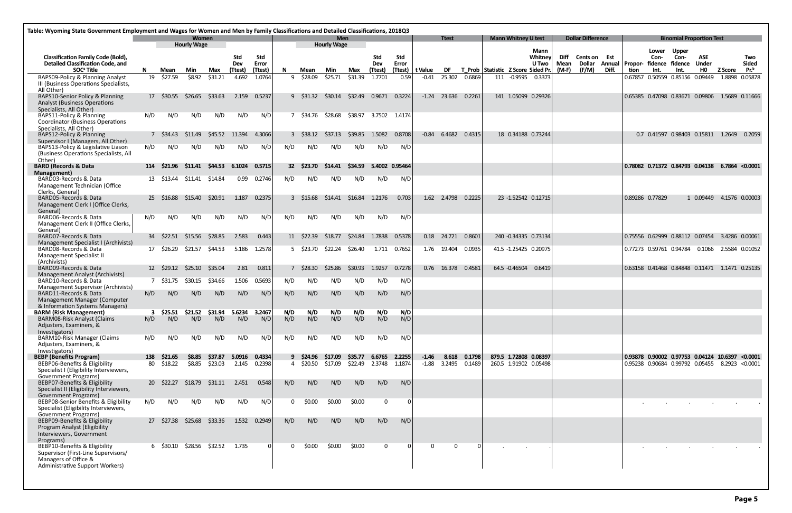| Table: Wyoming State Government Employment and Wages for Women and Men by Family Classifications and Detailed Classifications, 2018Q3 |           |                        |                             |                    |                          |                   |          |                   |                           |                |                       |                     |                    |                      |              |                                           |                            |                          |              |                          |       |                 |                                           |                                 |                                                     |                |                                                      |
|---------------------------------------------------------------------------------------------------------------------------------------|-----------|------------------------|-----------------------------|--------------------|--------------------------|-------------------|----------|-------------------|---------------------------|----------------|-----------------------|---------------------|--------------------|----------------------|--------------|-------------------------------------------|----------------------------|--------------------------|--------------|--------------------------|-------|-----------------|-------------------------------------------|---------------------------------|-----------------------------------------------------|----------------|------------------------------------------------------|
|                                                                                                                                       |           |                        | Women<br><b>Hourly Wage</b> |                    |                          |                   |          |                   | Men<br><b>Hourly Wage</b> |                |                       |                     |                    | <b>Ttest</b>         |              |                                           | <b>Mann Whitney U test</b> |                          |              | <b>Dollar Difference</b> |       |                 |                                           |                                 | <b>Binomial Proportion Test</b>                     |                |                                                      |
| <b>Classification Family Code (Bold),</b><br><b>Detailed Classification Code, and</b>                                                 |           |                        |                             |                    | <b>Std</b><br><b>Dev</b> | Std<br>Error      |          |                   |                           |                | Std<br>Dev            | <b>Std</b><br>Error |                    |                      |              |                                           |                            | Mann<br>Whitney<br>U Two | Diff<br>Mean | Cents on<br>Dollar       | Est   |                 | Lower<br>Con-<br>Annual   Propor- fidence | <b>Upper</b><br>Con-<br>fidence | <b>ASE</b><br><b>Under</b>                          |                | Two<br><b>Sided</b>                                  |
| SOC <sup>ª</sup> Title<br>BAPS09-Policy & Planning Analyst                                                                            | N<br>19   | Mean<br>\$27.59        | Min<br>\$8.92               | Max<br>\$31.21     | (Ttest)<br>4.692         | (Ttest)<br>1.0764 | N<br>9   | Mean<br>\$28.09   | Min<br>\$25.71            | Max<br>\$31.39 | (Ttest<br>1.7701      | (Ttest)<br>0.59     | t Value<br>$-0.41$ | DF.<br>25.302        | 0.6869       | T Prob Statistic Z Score Sided Pr.<br>111 | $-0.9595$                  | 0.3373                   | $(M-F)$      | (F/M)                    | Diff. | tion<br>0.67857 | Int.                                      | Int.<br>0.50559 0.85156 0.09449 | HO.                                                 | <b>Z</b> Score | $Pr.^b$<br>1.8898 0.05878                            |
| III (Business Operations Specialists,<br>All Other)                                                                                   |           |                        |                             |                    |                          |                   |          |                   |                           |                |                       |                     |                    |                      |              |                                           |                            |                          |              |                          |       |                 |                                           |                                 |                                                     |                |                                                      |
| BAPS10-Senior Policy & Planning<br><b>Analyst (Business Operations</b><br>Specialists, All Other)                                     |           | 17 \$30.55             | \$26.65                     | \$33.63            | 2.159                    | 0.5237            |          | 9 \$31.32 \$30.14 |                           | \$32.49        | 0.9671 0.3224         |                     | $-1.24$            | 23.636               | 0.2261       |                                           | 141 1.05099 0.29326        |                          |              |                          |       |                 |                                           |                                 | 0.65385 0.47098 0.83671 0.09806 1.5689 0.11666      |                |                                                      |
| BAPS11-Policy & Planning<br>Coordinator (Business Operations<br>Specialists, All Other)                                               | N/D       | N/D                    | N/D                         | N/D                | N/D                      | N/D               |          | 7 \$34.76         | \$28.68                   |                | \$38.97 3.7502 1.4174 |                     |                    |                      |              |                                           |                            |                          |              |                          |       |                 |                                           |                                 |                                                     |                |                                                      |
| BAPS12-Policy & Planning                                                                                                              |           | 7 S34.43               | S11.49                      | \$45.52            | 11.394                   | 4.3066            |          | 3 \$38.12         | \$37.13                   | \$39.85        | 1.5082                | 0.8708              | $-0.84$            | 6.4682 0.4315        |              |                                           | 18 0.34188 0.73244         |                          |              |                          |       |                 |                                           |                                 | 0.7 0.41597 0.98403 0.15811 1.2649                  |                | 0.2059                                               |
| Supervisor I (Managers, All Other)<br>BAPS13-Policy & Legislative Liason<br>(Business Operations Specialists, All                     | N/D       | N/D                    | N/D                         | N/D                | N/D                      | N/D               | N/D      | N/D               | N/D                       | N/D            | N/D                   | N/D                 |                    |                      |              |                                           |                            |                          |              |                          |       |                 |                                           |                                 |                                                     |                |                                                      |
| Other)<br><b>BARD (Records &amp; Data</b>                                                                                             | 114       | \$21.96                | S11.41                      | \$44.53            | 6.1024                   | 0.5715            |          | 32 \$23.70        | \$14.41                   | \$34.59        | 5.4002 0.95464        |                     |                    |                      |              |                                           |                            |                          |              |                          |       |                 |                                           |                                 | 0.78082 0.71372 0.84793 0.04138 6.7864 <0.0001      |                |                                                      |
| Management)<br>BARD03-Records & Data<br>Management Technician (Office                                                                 |           | 13 \$13.44             | \$11.41                     | \$14.84            | 0.99                     | 0.2746            | N/D      | N/D               | N/D                       | N/D            | N/D                   | N/D                 |                    |                      |              |                                           |                            |                          |              |                          |       |                 |                                           |                                 |                                                     |                |                                                      |
| Clerks, General)<br>BARD05-Records & Data<br>Management Clerk I (Office Clerks,                                                       | <b>25</b> | \$16.88                | \$15.40                     | \$20.91            | 1.187                    | 0.2375            |          | 3 \$15.68         | \$14.41                   | \$16.84        | 1.2176                | 0.703               |                    | 1.62 2.4798          | 0.2225       |                                           | 23 -1.52542 0.12715        |                          |              |                          |       |                 | 0.89286 0.77829                           |                                 | 1 0.09449 4.1576 0.00003                            |                |                                                      |
| General)<br>BARD06-Records & Data<br>Management Clerk II (Office Clerks,                                                              | N/D       | N/D                    | N/D                         | N/D                | N/D                      | N/D               | N/D      | N/D               | N/D                       | N/D            | N/D                   | N/D                 |                    |                      |              |                                           |                            |                          |              |                          |       |                 |                                           |                                 |                                                     |                |                                                      |
| General)<br>BARD07-Records & Data                                                                                                     | 34        | \$22.51                | \$15.56                     | \$28.85            | 2.583                    | 0.443             |          | 11 \$22.39        | \$18.77                   | \$24.84        | 1.7838                | 0.5378              | 0.18               | 24.721               | 0.8601       |                                           | 240 -0.34335 0.73134       |                          |              |                          |       |                 |                                           |                                 | 0.75556  0.62999  0.88112  0.07454  3.4286  0.00061 |                |                                                      |
| Management Specialist I (Archivists)<br>BARD08-Records & Data                                                                         |           | 17 \$26.29             | \$21.57                     | \$44.53            | 5.186                    | 1.2578            |          | 5 \$23.70         | \$22.24                   | \$26.40        |                       | 1.711  0.7652       |                    | 1.76  19.404  0.0935 |              |                                           | 41.5 -1.25425 0.20975      |                          |              |                          |       |                 |                                           |                                 | 0.77273  0.59761  0.94784  0.1066  2.5584  0.01052  |                |                                                      |
| Management Specialist II<br>(Archivists)                                                                                              |           |                        |                             |                    |                          |                   |          |                   |                           |                |                       |                     |                    |                      |              |                                           |                            |                          |              |                          |       |                 |                                           |                                 |                                                     |                |                                                      |
| BARD09-Records & Data<br>Management Analyst (Archivists)<br>BARD10-Records & Data                                                     |           | 12 \$29.12<br>7 S31.75 | \$25.10<br>S30.15           | \$35.04<br>\$34.66 | 2.81<br>1.506            | 0.811<br>0.5693   | N/D      | 7 \$28.30<br>N/D  | \$25.86<br>N/D            | \$30.93<br>N/D | 1.9257<br>N/D         | 0.7278<br>N/D       |                    | 0.76 16.378 0.4581   |              |                                           | 64.5 -0.46504 0.6419       |                          |              |                          |       |                 |                                           |                                 |                                                     |                | 0.63158 0.41468 0.84848 0.11471 1.1471 0.25135       |
| <b>Management Supervisor (Archivists)</b><br>BARD11-Records & Data                                                                    | N/D       | N/D                    | N/D                         | N/D                | N/D                      | N/D               | N/D      | N/D               | N/D                       | N/D            | N/D                   | N/D                 |                    |                      |              |                                           |                            |                          |              |                          |       |                 |                                           |                                 |                                                     |                |                                                      |
| Management Manager (Computer<br>& Information Systems Managers)<br><b>BARM (Risk Management)</b>                                      |           |                        | 3 \$25.51 \$21.52           | \$31.94            | 5.6234                   | 3.2467            | N/D      | N/D               | N/D                       | N/D            | N/D                   | N/D                 |                    |                      |              |                                           |                            |                          |              |                          |       |                 |                                           |                                 |                                                     |                |                                                      |
| <b>BARM08-Risk Analyst (Claims</b><br>Adjusters, Examiners, &<br>Investigators)                                                       | N/D       | N/D                    | N/D                         | N/D                | N/D                      | N/D               | N/D      | N/D               | N/D                       | N/D            | N/D                   | N/D                 |                    |                      |              |                                           |                            |                          |              |                          |       |                 |                                           |                                 |                                                     |                |                                                      |
| BARM10-Risk Manager (Claims<br>Adjusters, Examiners, &                                                                                | N/D       | N/D                    | N/D                         | N/D                | N/D                      | N/D               | N/D      | N/D               | N/D                       | N/D            | N/D                   | N/D                 |                    |                      |              |                                           |                            |                          |              |                          |       |                 |                                           |                                 |                                                     |                |                                                      |
| Investigators)<br><b>BEBP (Benefits Program)</b>                                                                                      | 138       | \$21.65                | \$8.85                      | \$37.87            | 5.0916 0.4334            |                   |          | 9 \$24.96         | \$17.09                   | \$35.77        | 6.6765 2.2255         |                     | $-1.46$            |                      | 8.618 0.1798 |                                           | 879.5 1.72808 0.08397      |                          |              |                          |       |                 |                                           |                                 |                                                     |                | 0.93878 0.90002 0.97753 0.04124 10.6397 <0.0001      |
| BEBP06-Benefits & Eligibility<br>Specialist I (Eligibility Interviewers,<br>Government Programs)                                      | 80        | \$18.22                | \$8.85                      | \$23.03            | 2.145                    | 0.2398            |          | 4 \$20.50         | \$17.09                   | \$22.49        | 2.3748 1.1874         |                     | $-1.88$            | 3.2495 0.1489        |              |                                           | 260.5 1.91902 0.05498      |                          |              |                          |       |                 |                                           |                                 |                                                     |                | 0.95238  0.90684  0.99792  0.05455  8.2923  < 0.0001 |
| BEBP07-Benefits & Eligibility<br>Specialist II (Eligibility Interviewers,                                                             | <b>20</b> | \$22.27                | \$18.79                     | \$31.11            | 2.451                    | 0.548             | N/D      | N/D               | N/D                       | N/D            | N/D                   | N/D                 |                    |                      |              |                                           |                            |                          |              |                          |       |                 |                                           |                                 |                                                     |                |                                                      |
| <b>Government Programs)</b><br>BEBP08-Senior Benefits & Eligibility<br>Specialist (Eligibility Interviewers,                          | N/D       | N/D                    | N/D                         | N/D                | N/D                      | N/D               | $\Omega$ | \$0.00            | \$0.00                    | \$0.00         | $\mathbf 0$           | 0                   |                    |                      |              |                                           |                            |                          |              |                          |       |                 |                                           |                                 |                                                     |                |                                                      |
| <b>Government Programs)</b><br>BEBP09-Benefits & Eligibility<br>Program Analyst (Eligibility<br>Interviewers, Government<br>Programs) |           | 27 \$27.38             | \$25.68                     | \$33.36            | 1.532                    | 0.2949            | N/D      | N/D               | N/D                       | N/D            | N/D                   | N/D                 |                    |                      |              |                                           |                            |                          |              |                          |       |                 |                                           |                                 |                                                     |                |                                                      |
| BEBP10-Benefits & Eligibility<br>Supervisor (First-Line Supervisors/<br>Managers of Office &<br>Administrative Support Workers)       |           |                        | 6 \$30.10 \$28.56 \$32.52   |                    | 1.735                    |                   | $\Omega$ | \$0.00            | \$0.00                    | \$0.00         | $\mathbf{0}$          | 0                   | $\Omega$           | $\Omega$             |              |                                           |                            |                          |              |                          |       |                 |                                           |                                 |                                                     |                |                                                      |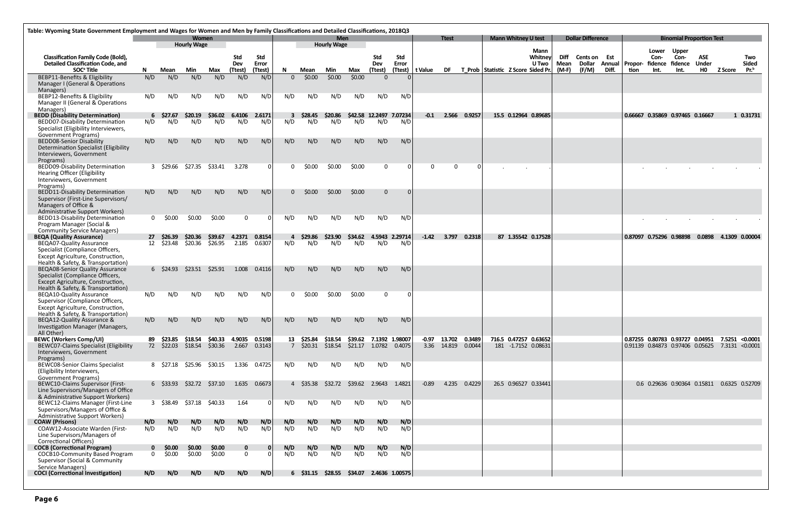| Table: Wyoming State Government Employment and Wages for Women and Men by Family Classifications and Detailed Classifications, 2018Q3 |             |                           | Women                     |                  |                         |              |            |                            | Men                |                         |              |                         |                 | <b>Ttest</b>        |              |                                    | <b>Mann Whitney U test</b> |                 |       | <b>Dollar Difference</b> |       |                                         |                 |                      | <b>Binomial Proportion Test</b>                                                           |         |                  |
|---------------------------------------------------------------------------------------------------------------------------------------|-------------|---------------------------|---------------------------|------------------|-------------------------|--------------|------------|----------------------------|--------------------|-------------------------|--------------|-------------------------|-----------------|---------------------|--------------|------------------------------------|----------------------------|-----------------|-------|--------------------------|-------|-----------------------------------------|-----------------|----------------------|-------------------------------------------------------------------------------------------|---------|------------------|
|                                                                                                                                       |             |                           | <b>Hourly Wage</b>        |                  |                         |              |            |                            | <b>Hourly Wage</b> |                         |              |                         |                 |                     |              |                                    |                            |                 |       |                          |       |                                         |                 |                      |                                                                                           |         |                  |
| <b>Classification Family Code (Bold),</b>                                                                                             |             |                           |                           |                  | <b>Std</b>              | Std          |            |                            |                    |                         | Std          | <b>Std</b>              |                 |                     |              |                                    |                            | Mann<br>Whitney | Diff  | Cents on Est             |       |                                         | Lower<br>Con-   | <b>Upper</b><br>Con- | ASE                                                                                       |         | Two              |
| <b>Detailed Classification Code, and</b>                                                                                              |             |                           |                           |                  | Dev                     | Error        |            |                            |                    |                         | Dev          | Error                   |                 |                     |              |                                    |                            | U Two           | Mean  | <b>Dollar</b>            |       | Annual   Propor-                        | fidence fidence |                      | Under                                                                                     |         | <b>Sided</b>     |
| SOC <sup>ª</sup> Title                                                                                                                | N.          | Mean                      | Min                       | Max              | (Ttest)                 | (Ttest)      | N.         | Mean                       | Min                | Max                     | (Ttest)      |                         | (Ttest) t Value | <b>DF</b>           |              | T Prob Statistic Z Score Sided Pr. |                            |                 | (M-F) | (F/M)                    | Diff. | tion                                    | Int.            | Int.                 | HO                                                                                        | Z Score | Pr. <sup>b</sup> |
| BEBP11-Benefits & Eligibility                                                                                                         | N/D         | N/D                       | N/D                       | N/D              | N/D                     | N/D          | $\Omega$   | \$0.00                     | \$0.00             | \$0.00                  | $\Omega$     |                         |                 |                     |              |                                    |                            |                 |       |                          |       |                                         |                 |                      |                                                                                           |         |                  |
| Manager I (General & Operations<br>Managers)                                                                                          |             |                           |                           |                  |                         |              |            |                            |                    |                         |              |                         |                 |                     |              |                                    |                            |                 |       |                          |       |                                         |                 |                      |                                                                                           |         |                  |
| BEBP12-Benefits & Eligibility                                                                                                         | N/D         | N/D                       | N/D                       | N/D              | N/D                     | N/D          | N/D        | N/D                        | N/D                | N/D                     | N/D          | N/D                     |                 |                     |              |                                    |                            |                 |       |                          |       |                                         |                 |                      |                                                                                           |         |                  |
| Manager II (General & Operations                                                                                                      |             |                           |                           |                  |                         |              |            |                            |                    |                         |              |                         |                 |                     |              |                                    |                            |                 |       |                          |       |                                         |                 |                      |                                                                                           |         |                  |
| Managers)<br><b>BEDD (Disability Determination)</b>                                                                                   |             | $6\quad$ \$27.67          | \$20.19                   | \$36.02          | 6.4106                  | 2.6171       | 3          | \$28.45                    | \$20.86            |                         |              | \$42.58 12.2497 7.07234 |                 | $-0.1$ 2.566 0.9257 |              |                                    | 15.5 0.12964 0.89685       |                 |       |                          |       | $\vert$ 0.66667 0.35869 0.97465 0.16667 |                 |                      |                                                                                           |         | 1 0.31731        |
| <b>BEDD07-Disability Determination</b>                                                                                                | N/D         | N/D                       | N/D                       | N/D              | N/D                     | N/D          | N/D        | N/D                        | N/D                | N/D                     | N/D          | N/D                     |                 |                     |              |                                    |                            |                 |       |                          |       |                                         |                 |                      |                                                                                           |         |                  |
| Specialist (Eligibility Interviewers,                                                                                                 |             |                           |                           |                  |                         |              |            |                            |                    |                         |              |                         |                 |                     |              |                                    |                            |                 |       |                          |       |                                         |                 |                      |                                                                                           |         |                  |
| <b>Government Programs)</b><br><b>BEDD08-Senior Disability</b>                                                                        | N/D         | N/D                       | N/D                       | N/D              | N/D                     | N/D          | N/D        | N/D                        | N/D                | N/D                     | N/D          | N/D                     |                 |                     |              |                                    |                            |                 |       |                          |       |                                         |                 |                      |                                                                                           |         |                  |
| Determination Specialist (Eligibility                                                                                                 |             |                           |                           |                  |                         |              |            |                            |                    |                         |              |                         |                 |                     |              |                                    |                            |                 |       |                          |       |                                         |                 |                      |                                                                                           |         |                  |
| Interviewers, Government                                                                                                              |             |                           |                           |                  |                         |              |            |                            |                    |                         |              |                         |                 |                     |              |                                    |                            |                 |       |                          |       |                                         |                 |                      |                                                                                           |         |                  |
| Programs)<br>BEDD09-Disability Determination                                                                                          |             | 3 \$29.66                 | \$27.35                   | \$33.41          | 3.278                   | ∩            | $\Omega$   | \$0.00                     | \$0.00             | \$0.00                  | $\Omega$     |                         |                 | $\Omega$            | $\Omega$     |                                    |                            |                 |       |                          |       |                                         |                 |                      |                                                                                           |         |                  |
| <b>Hearing Officer (Eligibility</b>                                                                                                   |             |                           |                           |                  |                         |              |            |                            |                    |                         |              |                         |                 |                     |              |                                    |                            |                 |       |                          |       |                                         |                 |                      |                                                                                           |         |                  |
| Interviewers, Government                                                                                                              |             |                           |                           |                  |                         |              |            |                            |                    |                         |              |                         |                 |                     |              |                                    |                            |                 |       |                          |       |                                         |                 |                      |                                                                                           |         |                  |
| Programs)<br><b>BEDD11-Disability Determination</b>                                                                                   |             |                           |                           |                  |                         | N/D          | $\Omega$   |                            | \$0.00             | \$0.00                  |              |                         |                 |                     |              |                                    |                            |                 |       |                          |       |                                         |                 |                      |                                                                                           |         |                  |
| Supervisor (First-Line Supervisors/                                                                                                   | N/D         | N/D                       | N/D                       | N/D              | N/D                     |              |            | \$0.00                     |                    |                         | $\mathbf{0}$ |                         |                 |                     |              |                                    |                            |                 |       |                          |       |                                         |                 |                      |                                                                                           |         |                  |
| Managers of Office &                                                                                                                  |             |                           |                           |                  |                         |              |            |                            |                    |                         |              |                         |                 |                     |              |                                    |                            |                 |       |                          |       |                                         |                 |                      |                                                                                           |         |                  |
| <b>Administrative Support Workers)</b>                                                                                                |             |                           |                           |                  | $\Omega$                |              |            |                            |                    |                         |              |                         |                 |                     |              |                                    |                            |                 |       |                          |       |                                         |                 |                      |                                                                                           |         |                  |
| BEDD13-Disability Determination<br>Program Manager (Social &                                                                          |             | $0\,$ \$0.00              | \$0.00                    | \$0.00           |                         |              | N/D        | N/D                        | N/D                | N/D                     | N/D          | N/D                     |                 |                     |              |                                    |                            |                 |       |                          |       |                                         |                 |                      |                                                                                           |         |                  |
| <b>Community Service Managers)</b>                                                                                                    |             |                           |                           |                  |                         |              |            |                            |                    |                         |              |                         |                 |                     |              |                                    |                            |                 |       |                          |       |                                         |                 |                      |                                                                                           |         |                  |
| <b>BEQA (Quality Assurance)</b>                                                                                                       | 27          | \$26.39                   | \$20.36                   | \$39.67          | 4.2371                  | 0.8154       | 4          | \$29.86                    | \$23.90            | \$34.62                 |              | 4.5943 2.29714          | $-1.42$         | 3.797               | 0.2318       |                                    | 87 1.35542 0.17528         |                 |       |                          |       | $\vert$ 0.87097 0.75296 0.98898         |                 |                      | 0.0898 4.1309 0.00004                                                                     |         |                  |
| <b>BEQA07-Quality Assurance</b><br>Specialist (Compliance Officers,                                                                   | 12          | \$23.48                   | \$20.36                   | \$26.95          | 2.185                   | 0.6307       | N/D        | N/D                        | N/D                | N/D                     | N/D          | N/D                     |                 |                     |              |                                    |                            |                 |       |                          |       |                                         |                 |                      |                                                                                           |         |                  |
| Except Agriculture, Construction,                                                                                                     |             |                           |                           |                  |                         |              |            |                            |                    |                         |              |                         |                 |                     |              |                                    |                            |                 |       |                          |       |                                         |                 |                      |                                                                                           |         |                  |
| Health & Safety, & Transportation)                                                                                                    |             |                           |                           |                  |                         |              |            |                            |                    |                         |              |                         |                 |                     |              |                                    |                            |                 |       |                          |       |                                         |                 |                      |                                                                                           |         |                  |
| <b>BEQA08-Senior Quality Assurance</b><br>Specialist (Compliance Officers,                                                            |             | $6\quad$ \$24.93          | $$23.51$ $$25.91$         |                  | 1.008                   | 0.4116       | N/D        | N/D                        | N/D                | N/D                     | N/D          | N/D                     |                 |                     |              |                                    |                            |                 |       |                          |       |                                         |                 |                      |                                                                                           |         |                  |
| Except Agriculture, Construction,                                                                                                     |             |                           |                           |                  |                         |              |            |                            |                    |                         |              |                         |                 |                     |              |                                    |                            |                 |       |                          |       |                                         |                 |                      |                                                                                           |         |                  |
| Health & Safety, & Transportation)                                                                                                    |             |                           |                           |                  |                         |              |            |                            |                    |                         |              |                         |                 |                     |              |                                    |                            |                 |       |                          |       |                                         |                 |                      |                                                                                           |         |                  |
| <b>BEQA10-Quality Assurance</b><br>Supervisor (Compliance Officers,                                                                   | N/D         | N/D                       | N/D                       | N/D              | N/D                     | N/D          | $\Omega$   | \$0.00                     | \$0.00             | \$0.00                  | $\Omega$     |                         |                 |                     |              |                                    |                            |                 |       |                          |       |                                         |                 |                      |                                                                                           |         |                  |
| Except Agriculture, Construction,                                                                                                     |             |                           |                           |                  |                         |              |            |                            |                    |                         |              |                         |                 |                     |              |                                    |                            |                 |       |                          |       |                                         |                 |                      |                                                                                           |         |                  |
| Health & Safety, & Transportation)                                                                                                    |             |                           |                           |                  |                         |              |            |                            |                    |                         |              |                         |                 |                     |              |                                    |                            |                 |       |                          |       |                                         |                 |                      |                                                                                           |         |                  |
| BEQA12-Quality Assurance &<br>Investigation Manager (Managers,                                                                        | N/D         | N/D                       | N/D                       | N/D              | N/D                     | N/D          | N/D        | N/D                        | N/D                | N/D                     | N/D          | N/D                     |                 |                     |              |                                    |                            |                 |       |                          |       |                                         |                 |                      |                                                                                           |         |                  |
| All Other)                                                                                                                            |             |                           |                           |                  |                         |              |            |                            |                    |                         |              |                         |                 |                     |              |                                    |                            |                 |       |                          |       |                                         |                 |                      |                                                                                           |         |                  |
| <b>BEWC (Workers Comp/UI)</b>                                                                                                         | 89          | \$23.85                   | \$18.54                   | \$40.33          | 4.9035                  | 0.5198       |            | 13 \$25.84                 | \$18.54            | \$39.62 7.1392 1.98007  |              |                         | $-0.97$         | 13.702 0.3489       |              |                                    | 716.5 0.47257 0.63652      |                 |       |                          |       |                                         |                 |                      | 0.87255 0.80783 0.93727 0.04951 7.5251 <0.0001                                            |         |                  |
| <b>BEWC07-Claims Specialist (Eligibility</b><br>Interviewers, Government                                                              |             | 72 \$22.03                | \$18.54 \$30.36           |                  | 2.667                   | 0.3143       |            | $7\frac{\text{ }520.31}{}$ | \$18.54            | \$21.17  1.0782  0.4075 |              |                         |                 | 3.36 14.819 0.0044  |              |                                    | 181 -1.7152 0.08631        |                 |       |                          |       |                                         |                 |                      | $\vert 0.91139 \vert 0.84873 \vert 0.97406 \vert 0.05625 \vert 7.3131 \vert 0.0001 \vert$ |         |                  |
| Programs)                                                                                                                             |             |                           |                           |                  |                         |              |            |                            |                    |                         |              |                         |                 |                     |              |                                    |                            |                 |       |                          |       |                                         |                 |                      |                                                                                           |         |                  |
| BEWC08-Senior Claims Specialist                                                                                                       |             |                           | 8 \$27.18 \$25.96         | \$30.15          |                         | 1.336 0.4725 | N/D        | N/D                        | N/D                | N/D                     | N/D          | N/D                     |                 |                     |              |                                    |                            |                 |       |                          |       |                                         |                 |                      |                                                                                           |         |                  |
| (Eligibility Interviewers,<br><b>Government Programs)</b>                                                                             |             |                           |                           |                  |                         |              |            |                            |                    |                         |              |                         |                 |                     |              |                                    |                            |                 |       |                          |       |                                         |                 |                      |                                                                                           |         |                  |
| BEWC10-Claims Supervisor (First-                                                                                                      |             |                           | 6 \$33.93 \$32.72 \$37.10 |                  |                         | 1.635 0.6673 |            | 4 \$35.38                  | \$32.72            | $$39.62$ 2.9643 1.4821  |              |                         | $-0.89$         |                     | 4.235 0.4229 |                                    | 26.5 0.96527 0.33441       |                 |       |                          |       |                                         |                 |                      | 0.6 0.29636 0.90364 0.15811 0.6325 0.52709                                                |         |                  |
| Line Supervisors/Managers of Office                                                                                                   |             |                           |                           |                  |                         |              |            |                            |                    |                         |              |                         |                 |                     |              |                                    |                            |                 |       |                          |       |                                         |                 |                      |                                                                                           |         |                  |
| & Administrative Support Workers)<br><b>BEWC12-Claims Manager (First-Line</b>                                                         |             |                           | 3 \$38.49 \$37.18 \$40.33 |                  | 1.64                    |              | N/D        | N/D                        | N/D                | N/D                     | N/D          | N/D                     |                 |                     |              |                                    |                            |                 |       |                          |       |                                         |                 |                      |                                                                                           |         |                  |
| Supervisors/Managers of Office &                                                                                                      |             |                           |                           |                  |                         |              |            |                            |                    |                         |              |                         |                 |                     |              |                                    |                            |                 |       |                          |       |                                         |                 |                      |                                                                                           |         |                  |
| <b>Administrative Support Workers)</b>                                                                                                |             |                           |                           |                  |                         |              |            |                            |                    |                         |              |                         |                 |                     |              |                                    |                            |                 |       |                          |       |                                         |                 |                      |                                                                                           |         |                  |
| <b>COAW (Prisons)</b><br>COAW12-Associate Warden (First-                                                                              | N/D<br>N/D  | N/D<br>N/D                | N/D<br>N/D                | N/D<br>N/D       | N/D<br>N/D              | N/D<br>N/D   | N/D<br>N/D | N/D<br>N/D                 | N/D<br>N/D         | N/D<br>N/D              | N/D<br>N/D   | N/D<br>N/D              |                 |                     |              |                                    |                            |                 |       |                          |       |                                         |                 |                      |                                                                                           |         |                  |
| Line Supervisors/Managers of                                                                                                          |             |                           |                           |                  |                         |              |            |                            |                    |                         |              |                         |                 |                     |              |                                    |                            |                 |       |                          |       |                                         |                 |                      |                                                                                           |         |                  |
| Correctional Officers)                                                                                                                |             |                           |                           |                  |                         |              |            |                            |                    |                         |              |                         |                 |                     |              |                                    |                            |                 |       |                          |       |                                         |                 |                      |                                                                                           |         |                  |
| <b>COCB</b> (Correctional Program)<br>COCB10-Community Based Program                                                                  | $\mathbf 0$ | \$0.00<br>$0 \quad 50.00$ | \$0.00<br>\$0.00          | \$0.00<br>\$0.00 | $\mathbf 0$<br>$\Omega$ |              | N/D<br>N/D | N/D<br>N/D                 | N/D<br>N/D         | N/D<br>N/D              | N/D<br>N/D   | N/D<br>N/D              |                 |                     |              |                                    |                            |                 |       |                          |       |                                         |                 |                      |                                                                                           |         |                  |
| <b>Supervisor (Social &amp; Community</b>                                                                                             |             |                           |                           |                  |                         |              |            |                            |                    |                         |              |                         |                 |                     |              |                                    |                            |                 |       |                          |       |                                         |                 |                      |                                                                                           |         |                  |
| Service Managers)                                                                                                                     |             |                           |                           |                  |                         |              |            |                            |                    |                         |              |                         |                 |                     |              |                                    |                            |                 |       |                          |       |                                         |                 |                      |                                                                                           |         |                  |
| <b>COCI</b> (Correctional Investigation)                                                                                              | N/D         | N/D                       | N/D                       | N/D              | N/D                     | N/D          |            | $6\quad$ \$31.15 \$28.55   |                    | \$34.07                 |              | 2.4636 1.00575          |                 |                     |              |                                    |                            |                 |       |                          |       |                                         |                 |                      |                                                                                           |         |                  |
|                                                                                                                                       |             |                           |                           |                  |                         |              |            |                            |                    |                         |              |                         |                 |                     |              |                                    |                            |                 |       |                          |       |                                         |                 |                      |                                                                                           |         |                  |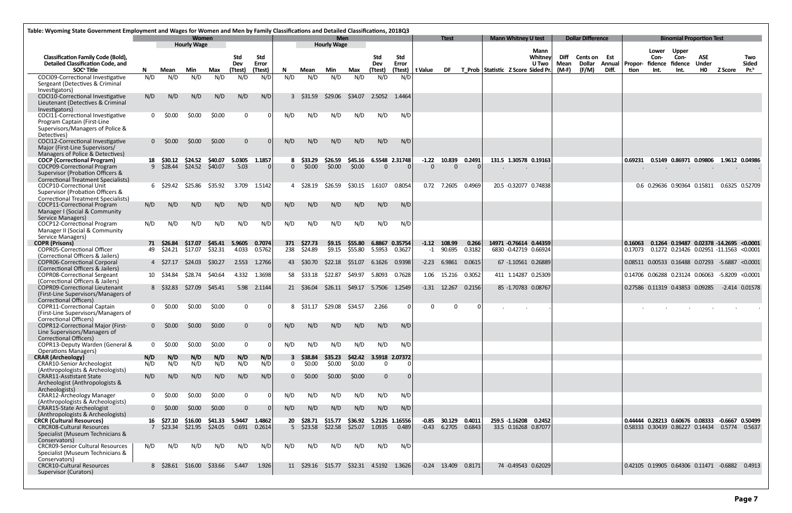| Table: Wyoming State Government Employment and Wages for Women and Men by Family Classifications and Detailed Classifications, 2018Q3 |              |                          |                             |                    |                 |                    |           |                             |                                  |                    |                          |                          |                     |                                        |                 |                                                 |                 |       |                          |       |                    |                 |                                                                                                       |              |                  |                  |
|---------------------------------------------------------------------------------------------------------------------------------------|--------------|--------------------------|-----------------------------|--------------------|-----------------|--------------------|-----------|-----------------------------|----------------------------------|--------------------|--------------------------|--------------------------|---------------------|----------------------------------------|-----------------|-------------------------------------------------|-----------------|-------|--------------------------|-------|--------------------|-----------------|-------------------------------------------------------------------------------------------------------|--------------|------------------|------------------|
|                                                                                                                                       |              |                          | Women<br><b>Hourly Wage</b> |                    |                 |                    |           |                             | <b>Men</b><br><b>Hourly Wage</b> |                    |                          |                          |                     | <b>Ttest</b>                           |                 | <b>Mann Whitney U test</b>                      |                 |       | <b>Dollar Difference</b> |       |                    |                 | <b>Binomial Proportion Test</b>                                                                       |              |                  |                  |
| <b>Classification Family Code (Bold),</b>                                                                                             |              |                          |                             |                    | <b>Std</b>      | Std                |           |                             |                                  |                    | Std                      | <b>Std</b>               |                     |                                        |                 |                                                 | Mann<br>Whitney | Diff  | Cents on                 | Est   |                    | Lower<br>Con-   | <b>Upper</b><br>Con-                                                                                  | ASE          |                  | Two              |
| <b>Detailed Classification Code, and</b>                                                                                              |              |                          |                             |                    | <b>Dev</b>      | Error              |           |                             |                                  |                    | Dev                      | Error                    |                     |                                        |                 |                                                 | <b>U</b> Two    | Mean  | Dollar                   |       | Annual   Propor-   | fidence fidence |                                                                                                       | <b>Under</b> |                  | Sided            |
| SOC <sup>ª</sup> Title                                                                                                                | N.           | Mean                     | Min<br>N/D                  | Max<br>N/D         | (Ttest)         | (Ttest)            | N.<br>N/D | Mean                        | Min<br>N/D                       | Max<br>N/D         | (Ttest)                  | (Ttest)                  | t Value             | DF                                     |                 | T Prob Statistic Z Score Sided Pr.              |                 | (M-F) | (F/M)                    | Diff. | tion               | Int.            | Int.                                                                                                  | HO           | <b>Z Score</b>   | Pr. <sup>b</sup> |
| COCI09-Correctional Investigative<br>Sergeant (Detectives & Criminal                                                                  | N/D          | N/D                      |                             |                    | N/D             | N/D                |           | N/D                         |                                  |                    | N/D                      | N/D                      |                     |                                        |                 |                                                 |                 |       |                          |       |                    |                 |                                                                                                       |              |                  |                  |
| Investigators)                                                                                                                        |              |                          |                             |                    |                 |                    |           |                             |                                  |                    |                          |                          |                     |                                        |                 |                                                 |                 |       |                          |       |                    |                 |                                                                                                       |              |                  |                  |
| COCI10-Correctional Investigative                                                                                                     | N/D          | N/D                      | N/D                         | N/D                | N/D             | N/D                |           | 3 \$31.59                   | \$29.06                          | \$34.07            | 2.5052                   | 1.4464                   |                     |                                        |                 |                                                 |                 |       |                          |       |                    |                 |                                                                                                       |              |                  |                  |
| Lieutenant (Detectives & Criminal                                                                                                     |              |                          |                             |                    |                 |                    |           |                             |                                  |                    |                          |                          |                     |                                        |                 |                                                 |                 |       |                          |       |                    |                 |                                                                                                       |              |                  |                  |
| Investigators)<br>COCI11-Correctional Investigative                                                                                   |              | $0 \quad \text{ } 50.00$ | \$0.00                      | \$0.00             | $\Omega$        |                    | N/D       | N/D                         | N/D                              | N/D                | N/D                      | N/D                      |                     |                                        |                 |                                                 |                 |       |                          |       |                    |                 |                                                                                                       |              |                  |                  |
| Program Captain (First-Line                                                                                                           |              |                          |                             |                    |                 |                    |           |                             |                                  |                    |                          |                          |                     |                                        |                 |                                                 |                 |       |                          |       |                    |                 |                                                                                                       |              |                  |                  |
| Supervisors/Managers of Police &                                                                                                      |              |                          |                             |                    |                 |                    |           |                             |                                  |                    |                          |                          |                     |                                        |                 |                                                 |                 |       |                          |       |                    |                 |                                                                                                       |              |                  |                  |
| Detectives)<br>COCI12-Correctional Investigative                                                                                      |              | $0\quad$ \$0.00          | \$0.00                      | \$0.00             | $\overline{0}$  |                    | N/D       | N/D                         | N/D                              | N/D                | N/D                      | N/D                      |                     |                                        |                 |                                                 |                 |       |                          |       |                    |                 |                                                                                                       |              |                  |                  |
| Major (First-Line Supervisors/                                                                                                        |              |                          |                             |                    |                 |                    |           |                             |                                  |                    |                          |                          |                     |                                        |                 |                                                 |                 |       |                          |       |                    |                 |                                                                                                       |              |                  |                  |
| Managers of Police & Detectives)                                                                                                      |              |                          |                             |                    |                 |                    |           |                             |                                  |                    |                          |                          |                     |                                        |                 |                                                 |                 |       |                          |       |                    |                 |                                                                                                       |              |                  |                  |
| <b>COCP</b> (Correctional Program)<br>COCP09-Correctional Program                                                                     | 18           | \$30.12<br>9 \$28.44     | \$24.52<br>\$24.52          | \$40.07<br>\$40.07 | 5.0305<br>5.03  | 1.1857<br>$\Omega$ |           | 8 \$33.29<br>\$0.00         | \$26.59<br>\$0.00                | \$45.16<br>\$0.00  | 6.5548 2.31748<br>-0     | $\Omega$                 | $-1.22$<br>$\Omega$ | 10.839<br>0                            | 0.2491          | 131.5 1.30578 0.19163                           |                 |       |                          |       | 0.69231            |                 | 0.5149  0.86971  0.09806  1.9612  0.04986                                                             |              |                  |                  |
| Supervisor (Probation Officers &                                                                                                      |              |                          |                             |                    |                 |                    |           |                             |                                  |                    |                          |                          |                     |                                        |                 |                                                 |                 |       |                          |       |                    |                 |                                                                                                       |              |                  |                  |
| <b>Correctional Treatment Specialists)</b>                                                                                            |              |                          |                             |                    |                 |                    |           |                             |                                  |                    |                          |                          |                     |                                        |                 |                                                 |                 |       |                          |       |                    |                 |                                                                                                       |              |                  |                  |
| COCP10-Correctional Unit                                                                                                              |              | 6 \$29.42 \$25.86        |                             | \$35.92            |                 | 3.709 1.5142       |           | 4 \$28.19                   | \$26.59                          | \$30.15            | 1.6107                   | 0.8054                   |                     | 0.72 7.2605                            | 0.4969          | 20.5 -0.32077 0.74838                           |                 |       |                          |       |                    |                 | 0.6 0.29636 0.90364 0.15811 0.6325 0.52709                                                            |              |                  |                  |
| Supervisor (Probation Officers &<br><b>Correctional Treatment Specialists)</b>                                                        |              |                          |                             |                    |                 |                    |           |                             |                                  |                    |                          |                          |                     |                                        |                 |                                                 |                 |       |                          |       |                    |                 |                                                                                                       |              |                  |                  |
| COCP11-Correctional Program                                                                                                           | N/D          | N/D                      | N/D                         | N/D                | N/D             | N/D                | N/D       | N/D                         | N/D                              | N/D                | N/D                      | N/D                      |                     |                                        |                 |                                                 |                 |       |                          |       |                    |                 |                                                                                                       |              |                  |                  |
| Manager I (Social & Community                                                                                                         |              |                          |                             |                    |                 |                    |           |                             |                                  |                    |                          |                          |                     |                                        |                 |                                                 |                 |       |                          |       |                    |                 |                                                                                                       |              |                  |                  |
| Service Managers)<br>COCP12-Correctional Program                                                                                      | N/D          | N/D                      | N/D                         | N/D                | N/D             | N/D                | N/D       | N/D                         | N/D                              | N/D                | N/D                      | N/D                      |                     |                                        |                 |                                                 |                 |       |                          |       |                    |                 |                                                                                                       |              |                  |                  |
| Manager II (Social & Community                                                                                                        |              |                          |                             |                    |                 |                    |           |                             |                                  |                    |                          |                          |                     |                                        |                 |                                                 |                 |       |                          |       |                    |                 |                                                                                                       |              |                  |                  |
| Service Managers)                                                                                                                     |              |                          |                             |                    |                 |                    |           |                             |                                  |                    |                          |                          |                     |                                        |                 |                                                 |                 |       |                          |       |                    |                 |                                                                                                       |              |                  |                  |
| <b>COPR (Prisons)</b><br><b>COPRO5-Correctional Officer</b>                                                                           | 49           | 71 \$26.84<br>\$24.21    | \$17.07<br>\$17.07          | \$45.41<br>\$32.31 | 5.9605<br>4.033 | 0.7074<br>0.5762   | 371       | \$27.73<br>238 \$24.89      | \$9.15<br>\$9.15                 | \$55.80<br>\$55.80 | 5.5953                   | 6.8867 0.35754<br>0.3627 |                     | $-1.12$ 108.99<br>$-1$ 90.695          | 0.266<br>0.3182 | 14971 -0.76614 0.44359<br>6830 -0.42719 0.66924 |                 |       |                          |       | 0.16063<br>0.17073 |                 | 0.1264 0.19487 0.02378 -14.2695 <0.0001<br>0.1272  0.21426  0.02951  -11.1563  <0.0001                |              |                  |                  |
| (Correctional Officers & Jailers)                                                                                                     |              |                          |                             |                    |                 |                    |           |                             |                                  |                    |                          |                          |                     |                                        |                 |                                                 |                 |       |                          |       |                    |                 |                                                                                                       |              |                  |                  |
| <b>COPR06-Correctional Corporal</b>                                                                                                   |              | 4 \$27.17                | \$24.03                     | S30.27             | 2.553           | 1.2766             |           | 43 \$30.70                  | S22.18                           | S51.07             | 6.1626                   | 0.9398                   | $-2.23$             | 6.9861                                 | 0.0615          | 67 -1.10561 0.26889                             |                 |       |                          |       |                    |                 | 0.08511  0.00533  0.16488  0.07293  -5.6887  <0.0001                                                  |              |                  |                  |
| (Correctional Officers & Jailers)<br><b>COPRO8-Correctional Sergeant</b>                                                              | 10           | \$34.84                  | \$28.74                     | \$40.64            | 4.332           | 1.3698             |           | 58 \$33.18                  | \$22.87                          | \$49.97            | 5.8093                   | 0.7628                   | 1.06                | 15.216                                 | 0.3052          | 411 1.14287 0.25309                             |                 |       |                          |       |                    |                 | 0.14706 0.06288 0.23124 0.06063 -5.8209 <0.0001                                                       |              |                  |                  |
| (Correctional Officers & Jailers)                                                                                                     |              |                          |                             |                    |                 |                    |           |                             |                                  |                    |                          |                          |                     |                                        |                 |                                                 |                 |       |                          |       |                    |                 |                                                                                                       |              |                  |                  |
| <b>COPR09-Correctional Lieutenant</b>                                                                                                 |              | 8 \$32.83                | \$27.09                     | \$45.41            | 5.98            | 2.1144             |           | 21 \$36.04                  | \$26.11                          | \$49.17            | 5.7506                   | 1.2549                   |                     | $-1.31$ 12.267                         | 0.2156          | 85 -1.70783 0.08767                             |                 |       |                          |       |                    |                 | 0.27586  0.11319  0.43853  0.09285                                                                    |              | $-2.414$ 0.01578 |                  |
| (First-Line Supervisors/Managers of<br><b>Correctional Officers)</b>                                                                  |              |                          |                             |                    |                 |                    |           |                             |                                  |                    |                          |                          |                     |                                        |                 |                                                 |                 |       |                          |       |                    |                 |                                                                                                       |              |                  |                  |
| <b>COPR11-Correctional Captain</b>                                                                                                    |              | \$0.00                   | \$0.00                      | \$0.00             | $\Omega$        |                    |           | 8 \$31.17                   | \$29.08                          | \$34.57            | 2.266                    | 0                        |                     | $\Omega$                               |                 |                                                 |                 |       |                          |       |                    |                 |                                                                                                       |              |                  |                  |
| (First-Line Supervisors/Managers of                                                                                                   |              |                          |                             |                    |                 |                    |           |                             |                                  |                    |                          |                          |                     |                                        |                 |                                                 |                 |       |                          |       |                    |                 |                                                                                                       |              |                  |                  |
| <b>Correctional Officers)</b><br><b>COPR12-Correctional Major (First-</b>                                                             |              | $0\,$ \$0.00             | \$0.00                      | \$0.00             | $\mathbf{0}$    |                    | N/D       | N/D                         | N/D                              | N/D                | N/D                      | N/D                      |                     |                                        |                 |                                                 |                 |       |                          |       |                    |                 |                                                                                                       |              |                  |                  |
| Line Supervisors/Managers of                                                                                                          |              |                          |                             |                    |                 |                    |           |                             |                                  |                    |                          |                          |                     |                                        |                 |                                                 |                 |       |                          |       |                    |                 |                                                                                                       |              |                  |                  |
| <b>Correctional Officers)</b>                                                                                                         |              |                          |                             |                    |                 |                    |           |                             |                                  |                    |                          |                          |                     |                                        |                 |                                                 |                 |       |                          |       |                    |                 |                                                                                                       |              |                  |                  |
| COPR13-Deputy Warden (General &<br><b>Operations Managers)</b>                                                                        | 0            | \$0.00                   | \$0.00                      | \$0.00             | $\mathbf 0$     |                    | N/D       | N/D                         | N/D                              | N/D                | N/D                      | N/D                      |                     |                                        |                 |                                                 |                 |       |                          |       |                    |                 |                                                                                                       |              |                  |                  |
| <b>CRAR (Archeology)</b>                                                                                                              | N/D          | N/D                      | N/D                         | N/D                | N/D             | N/D                |           | 3 \$38.84                   | \$35.23                          | \$42.42            | 3.5918 2.07372           |                          |                     |                                        |                 |                                                 |                 |       |                          |       |                    |                 |                                                                                                       |              |                  |                  |
| <b>CRAR10-Senior Archeologist</b>                                                                                                     | N/D          | N/D                      | N/D                         | N/D                | N/D             | N/D                | $\Omega$  | \$0.00                      | \$0.00                           | \$0.00             | $\overline{0}$           | $\Omega$                 |                     |                                        |                 |                                                 |                 |       |                          |       |                    |                 |                                                                                                       |              |                  |                  |
| (Anthropologists & Archeologists)<br><b>CRAR11-Asstistant State</b>                                                                   | N/D          | N/D                      | N/D                         | N/D                | N/D             | N/D                | 0         | \$0.00                      | \$0.00                           | \$0.00             | $\mathbf{0}$             | $\Omega$                 |                     |                                        |                 |                                                 |                 |       |                          |       |                    |                 |                                                                                                       |              |                  |                  |
| Archeologist (Anthropologists &                                                                                                       |              |                          |                             |                    |                 |                    |           |                             |                                  |                    |                          |                          |                     |                                        |                 |                                                 |                 |       |                          |       |                    |                 |                                                                                                       |              |                  |                  |
| Archeologists)                                                                                                                        |              |                          |                             |                    |                 |                    |           |                             |                                  |                    |                          |                          |                     |                                        |                 |                                                 |                 |       |                          |       |                    |                 |                                                                                                       |              |                  |                  |
| <b>CRAR12-Archeology Manager</b><br>(Anthropologists & Archeologists)                                                                 | $\mathbf{0}$ | \$0.00                   | \$0.00                      | \$0.00             | $\mathbf 0$     |                    | N/D       | N/D                         | N/D                              | N/D                | N/D                      | N/D                      |                     |                                        |                 |                                                 |                 |       |                          |       |                    |                 |                                                                                                       |              |                  |                  |
| <b>CRAR15-State Archeologist</b>                                                                                                      |              | $0\quad$ \$0.00          | \$0.00                      | \$0.00             | $\mathbf{0}$    |                    | N/D       | N/D                         | N/D                              | N/D                | N/D                      | N/D                      |                     |                                        |                 |                                                 |                 |       |                          |       |                    |                 |                                                                                                       |              |                  |                  |
| (Anthropologists & Archeologists)                                                                                                     |              |                          |                             |                    |                 |                    |           |                             |                                  |                    |                          |                          |                     |                                        |                 |                                                 |                 |       |                          |       |                    |                 |                                                                                                       |              |                  |                  |
| <b>CRCR (Cultural Resources)</b><br><b>CRCR08-Cultural Resources</b>                                                                  | 16           | \$27.10<br>\$23.34       | \$16.00<br>\$21.95          | \$41.33<br>\$24.05 | 5.9447<br>0.691 | 1.4862<br>0.2614   | 20        | \$28.71<br>$5\quad$ \$23.58 | \$15.77<br>\$22.58               | \$36.92<br>\$25.07 | 5.2126 1.16556<br>1.0935 | 0.489                    | $-0.85$             | 30.129 0.4011<br>$-0.43$ 6.2705 0.6843 |                 | 259.5 -1.16208 0.2452<br>33.5 0.16268 0.87077   |                 |       |                          |       |                    |                 | 0.44444 0.28213 0.60676 0.08333 -0.6667 0.50499<br>0.58333  0.30439  0.86227  0.14434  0.5774  0.5637 |              |                  |                  |
| Specialist (Museum Technicians &                                                                                                      |              |                          |                             |                    |                 |                    |           |                             |                                  |                    |                          |                          |                     |                                        |                 |                                                 |                 |       |                          |       |                    |                 |                                                                                                       |              |                  |                  |
| Conservators)                                                                                                                         |              |                          |                             |                    |                 |                    |           |                             |                                  |                    |                          |                          |                     |                                        |                 |                                                 |                 |       |                          |       |                    |                 |                                                                                                       |              |                  |                  |
| <b>CRCR09-Senior Cultural Resources</b><br>Specialist (Museum Technicians &                                                           | N/D          | N/D                      | N/D                         | N/D                | N/D             | N/D                | N/D       | N/D                         | N/D                              | N/D                | N/D                      | N/D                      |                     |                                        |                 |                                                 |                 |       |                          |       |                    |                 |                                                                                                       |              |                  |                  |
| Conservators)                                                                                                                         |              |                          |                             |                    |                 |                    |           |                             |                                  |                    |                          |                          |                     |                                        |                 |                                                 |                 |       |                          |       |                    |                 |                                                                                                       |              |                  |                  |
| <b>CRCR10-Cultural Resources</b>                                                                                                      |              | 8 \$28.61 \$16.00        |                             | \$33.66            | 5.447           | 1.926              |           | 11 \$29.16 \$15.77          |                                  |                    | \$32.31 4.5192 1.3626    |                          |                     | $-0.24$ 13.409 0.8171                  |                 | 74 -0.49543 0.62029                             |                 |       |                          |       |                    |                 | 0.42105  0.19905  0.64306  0.11471  -0.6882                                                           |              |                  | 0.4913           |
| Supervisor (Curators)                                                                                                                 |              |                          |                             |                    |                 |                    |           |                             |                                  |                    |                          |                          |                     |                                        |                 |                                                 |                 |       |                          |       |                    |                 |                                                                                                       |              |                  |                  |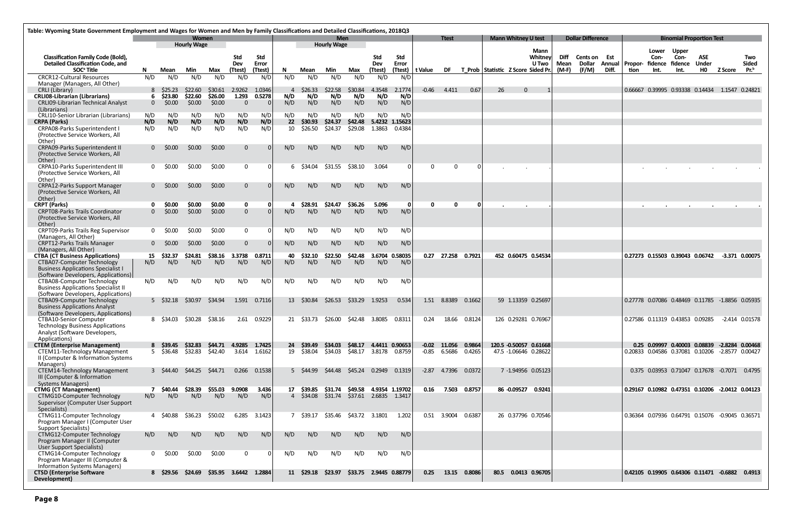| Table: Wyoming State Government Employment and Wages for Women and Men by Family Classifications and Detailed Classifications, 2018Q3 |               |                   |                             |                           |                         |               |            |                |                                           |                       |                        |               |                   |              |                       |                                    |                            |                                 |              |                          |       |                         |                                                      |                                 |                     |                |                    |
|---------------------------------------------------------------------------------------------------------------------------------------|---------------|-------------------|-----------------------------|---------------------------|-------------------------|---------------|------------|----------------|-------------------------------------------|-----------------------|------------------------|---------------|-------------------|--------------|-----------------------|------------------------------------|----------------------------|---------------------------------|--------------|--------------------------|-------|-------------------------|------------------------------------------------------|---------------------------------|---------------------|----------------|--------------------|
|                                                                                                                                       |               |                   | Women<br><b>Hourly Wage</b> |                           |                         |               |            |                | <b>Men</b><br><b>Hourly Wage</b>          |                       |                        |               |                   | <b>Ttest</b> |                       |                                    | <b>Mann Whitney U test</b> |                                 |              | <b>Dollar Difference</b> |       |                         |                                                      | <b>Binomial Proportion Test</b> |                     |                |                    |
| <b>Classification Family Code (Bold),</b><br>Detailed Classification Code, and                                                        |               |                   |                             |                           | Std<br>Dev              | Std<br>Error  |            |                |                                           |                       | Std<br>Dev             | Std<br>Error  |                   |              |                       |                                    |                            | <b>Mann</b><br>Whitney<br>U Two | Diff<br>Mean | Cents on Est<br>Dollar   |       | <b>Annual   Propor-</b> | Lower<br>Con-<br>fidence fidence                     | <b>Upper</b><br>Con-            | <b>ASE</b><br>Under |                | Two<br>Sided       |
| SOC <sup>ª</sup> Title                                                                                                                | N.            | Mean              | Min                         | Max                       | (Ttest)                 | (Ttest)       | N.         | Mean           | Min                                       | Max                   | (Ttest)                |               | (Ttest)   t Value | <b>DF</b>    |                       | T Prob Statistic Z Score Sided Pr. |                            |                                 | $(M-F)$      | (F/M)                    | Diff. | tion                    | Int.                                                 | Int.                            | <b>HO</b>           | <b>Z Score</b> | $Pr^b$             |
| <b>CRCR12-Cultural Resources</b><br>Manager (Managers, All Other)<br>CRLI (Library)                                                   | N/D           | N/D<br>8 \$25.23  | N/D<br>\$22.60              | N/D<br>\$30.61            | N/D<br>2.9262           | N/D<br>1.0346 | N/D<br>4   | N/D<br>\$26.33 | N/D<br>\$22.58                            | N/D<br>\$30.84        | N/D<br>4.3548          | N/D<br>2.1774 | $-0.46$           | 4.411        | 0.67                  | 26                                 | $\Omega$                   |                                 |              |                          |       |                         | 0.66667 0.39995 0.93338 0.14434 1.1547 0.24821       |                                 |                     |                |                    |
| <b>CRLI08-Librarian (Librarians)</b><br><b>CRLI09-Librarian Technical Analyst</b>                                                     | 6<br>$\Omega$ | \$23.80<br>\$0.00 | \$22.60<br>\$0.00           | \$26.00<br>\$0.00         | 1.293<br>$\overline{0}$ | 0.5278        | N/D<br>N/D | N/D<br>N/D     | N/D<br>N/D                                | N/D<br>N/D            | N/D<br>N/D             | N/D<br>N/D    |                   |              |                       |                                    |                            |                                 |              |                          |       |                         |                                                      |                                 |                     |                |                    |
| (Librarians)<br>CRLI10-Senior Librarian (Librarians)                                                                                  | N/D           | N/D               | N/D                         | N/D                       | N/D                     | N/D           | N/D        | N/D            | N/D                                       | N/D                   | N/D                    | N/D           |                   |              |                       |                                    |                            |                                 |              |                          |       |                         |                                                      |                                 |                     |                |                    |
| <b>CRPA (Parks)</b>                                                                                                                   | N/D           | N/D               | N/D                         | N/D                       | N/D                     | N/D           | 22         | \$30.93        | \$24.37                                   | \$42.48               | 5.4232 1.15623         |               |                   |              |                       |                                    |                            |                                 |              |                          |       |                         |                                                      |                                 |                     |                |                    |
| <b>CRPA08-Parks Superintendent I</b><br>(Protective Service Workers, All<br>Other)                                                    | N/D           | N/D               | N/D                         | N/D                       | N/D                     | N/D           | 10         | \$26.50        | \$24.37                                   | \$29.08               | 1.3863                 | 0.4384        |                   |              |                       |                                    |                            |                                 |              |                          |       |                         |                                                      |                                 |                     |                |                    |
| <b>CRPA09-Parks Superintendent II</b><br>(Protective Service Workers, All<br>Other)                                                   | 0             | \$0.00            | <b>SO.00</b>                | \$0.00                    | $\Omega$                |               | N/D        | N/D            | N/D                                       | N/D                   | N/D                    | N/D           |                   |              |                       |                                    |                            |                                 |              |                          |       |                         |                                                      |                                 |                     |                |                    |
| CRPA10-Parks Superintendent III<br>(Protective Service Workers, All<br>Other)                                                         | $\mathbf{0}$  | \$0.00            | \$0.00                      | \$0.00                    | $\overline{0}$          |               |            | 6 \$34.04      | \$31.55                                   | \$38.10               | 3.064                  | . O I         |                   | $\Omega$     |                       |                                    |                            |                                 |              |                          |       |                         |                                                      |                                 |                     |                |                    |
| <b>CRPA12-Parks Support Manager</b><br>(Protective Service Workers, All                                                               |               | $0$ $50.00$       | \$0.00                      | \$0.00                    | $\mathbf{0}$            |               | N/D        | N/D            | N/D                                       | N/D                   | N/D                    | N/D           |                   |              |                       |                                    |                            |                                 |              |                          |       |                         |                                                      |                                 |                     |                |                    |
| Other)<br><b>CRPT (Parks)</b>                                                                                                         |               | \$0.00            | \$0.00                      | \$0.00                    | $\mathbf 0$             |               | 4          | \$28.91        | \$24.47                                   | \$36.26               | 5.096                  | - 0 I         | 0                 | $\mathbf{0}$ | n                     |                                    |                            |                                 |              |                          |       |                         |                                                      |                                 |                     |                |                    |
| <b>CRPT08-Parks Trails Coordinator</b><br>(Protective Service Workers, All<br>Other)                                                  | $\Omega$      | \$0.00            | \$0.00                      | \$0.00                    | $\overline{0}$          |               | N/D        | N/D            | N/D                                       | N/D                   | N/D                    | N/D           |                   |              |                       |                                    |                            |                                 |              |                          |       |                         |                                                      |                                 |                     |                |                    |
| <b>CRPT09-Parks Trails Reg Supervisor</b><br>(Managers, All Other)                                                                    | $\mathbf 0$   | \$0.00            | <b>SO.00</b>                | \$0.00                    | $\mathbf{0}$            |               | N/D        | N/D            | N/D                                       | N/D                   | N/D                    | N/D           |                   |              |                       |                                    |                            |                                 |              |                          |       |                         |                                                      |                                 |                     |                |                    |
| <b>CRPT12-Parks Trails Manager</b><br>(Managers, All Other)                                                                           | $\Omega$      | S0.00             | <b>SO.00</b>                | \$0.00                    | $\mathbf{0}$            |               | N/D        | N/D            | N/D                                       | N/D                   | N/D                    | N/D           |                   |              |                       |                                    |                            |                                 |              |                          |       |                         |                                                      |                                 |                     |                |                    |
| <b>CTBA (CT Business Applications)</b>                                                                                                | 15            | \$32.37           | \$24.81                     | \$38.16                   | 3.3738                  | 0.8711        | 40         | \$32.10        | \$22.50                                   | \$42.48               | 3.6704 0.58035         |               |                   |              | 0.27 27.258 0.7921    |                                    |                            | 452 0.60475 0.54534             |              |                          |       |                         | 0.27273 0.15503 0.39043 0.06742 -3.371 0.00075       |                                 |                     |                |                    |
| <b>CTBA07-Computer Technology</b><br><b>Business Applications Specialist I</b><br>(Software Developers, Applications)                 | N/D           | N/D               | N/D                         | N/D                       | N/D                     | N/D           | N/D        | N/D            | N/D                                       | N/D                   | N/D                    | N/D           |                   |              |                       |                                    |                            |                                 |              |                          |       |                         |                                                      |                                 |                     |                |                    |
| CTBA08-Computer Technology<br><b>Business Applications Specialist II</b>                                                              | N/D           | N/D               | N/D                         | N/D                       | N/D                     | N/D           | N/D        | N/D            | N/D                                       | N/D                   | N/D                    | N/D           |                   |              |                       |                                    |                            |                                 |              |                          |       |                         |                                                      |                                 |                     |                |                    |
| (Software Developers, Applications)<br>CTBA09-Computer Technology<br><b>Business Applications Analyst</b>                             |               | 5 \$32.18         | \$30.97                     | \$34.94                   | 1.591                   | 0.7116        |            | 13 \$30.84     | \$26.53                                   | \$33.29               | 1.9253                 | 0.534         | 1.51              | 8.8389       | 0.1662                |                                    |                            | 59 1.13359 0.25697              |              |                          |       |                         | 0.27778 0.07086 0.48469 0.11785 -1.8856 0.05935      |                                 |                     |                |                    |
| (Software Developers, Applications)<br>CTBA10-Senior Computer                                                                         |               |                   | \$30.28                     |                           |                         |               |            |                |                                           |                       |                        |               |                   |              |                       |                                    |                            | 126 0.29281 0.76967             |              |                          |       |                         | 0.27586 0.11319 0.43853 0.09285                      |                                 |                     |                | $-2.414$ $0.01578$ |
| <b>Technology Business Applications</b><br>Analyst (Software Developers,<br>Applications)                                             |               | 8 \$34.03         |                             | \$38.16                   | 2.61                    | 0.9229        | 21         | \$33.73        | \$26.00                                   | \$42.48               | 3.8085                 | 0.8311        | 0.24              | 18.66        | 0.8124                |                                    |                            |                                 |              |                          |       |                         |                                                      |                                 |                     |                |                    |
| <b>CTEM (Enterprise Management)</b>                                                                                                   |               |                   |                             | 8 \$39.45 \$32.83 \$44.71 | 4.9285 1.7425           |               |            |                | 24 \$39.49 \$34.03 \$48.17 4.4411 0.90653 |                       |                        |               |                   |              | $-0.02$ 11.056 0.9864 |                                    |                            | 120.5 -0.50057 0.61668          |              |                          |       |                         | 0.25 0.09997 0.40003 0.08839 -2.8284 0.00468         |                                 |                     |                |                    |
| <b>CTEM11-Technology Management</b><br>II (Computer & Information Systems<br>Managers)                                                |               |                   |                             | 5 \$36.48 \$32.83 \$42.40 |                         | 3.614 1.6162  |            | 19 \$38.04     | \$34.03                                   | \$48.17 3.8178 0.8759 |                        |               |                   |              | $-0.85$ 6.5686 0.4265 |                                    |                            | 47.5 -1.06646 0.28622           |              |                          |       |                         | 0.20833  0.04586  0.37081  0.10206  -2.8577  0.00427 |                                 |                     |                |                    |
| CTEM14-Technology Management<br>III (Computer & Information<br><b>Systems Managers)</b>                                               |               | 3 \$44.40         | \$44.25 \$44.71             |                           | 0.266                   | 0.1538        |            | 5 \$44.99      | \$44.48 \$45.24 0.2949 0.1319             |                       |                        |               |                   |              | -2.87 4.7396 0.0372   |                                    |                            | 7 -1.94956 0.05123              |              |                          |       |                         | 0.375 0.03953 0.71047 0.17678 -0.7071 0.4795         |                                 |                     |                |                    |
| <b>CTMG (CT Management)</b>                                                                                                           |               | \$40.44           | \$28.39                     | \$55.03                   | 9.0908                  | 3.436         |            | 17 \$39.85     | \$31.74                                   | \$49.58               | 4.9354 1.19702         |               | 0.16              | 7.503        | 0.8757                |                                    |                            | 86 -0.09527 0.9241              |              |                          |       |                         | 0.29167 0.10982 0.47351 0.10206 -2.0412 0.04123      |                                 |                     |                |                    |
| CTMG10-Computer Technology<br>Supervisor (Computer User Support<br>Specialists)                                                       | N/D           | N/D               | N/D                         | N/D                       | N/D                     | N/D           |            | 4 \$34.08      | \$31.74 \$37.61 2.6835 1.3417             |                       |                        |               |                   |              |                       |                                    |                            |                                 |              |                          |       |                         |                                                      |                                 |                     |                |                    |
| CTMG11-Computer Technology<br>Program Manager I (Computer User<br><b>Support Specialists)</b>                                         |               | 4 \$40.88         | \$36.23                     | \$50.02                   | 6.285                   | 3.1423        |            | 7 \$39.17      | \$35.46 \$43.72 3.1801                    |                       |                        | 1.202         |                   | 0.51 3.9004  | 0.6387                |                                    |                            | 26 0.37796 0.70546              |              |                          |       |                         | 0.36364 0.07936 0.64791 0.15076 -0.9045 0.36571      |                                 |                     |                |                    |
| CTMG12-Computer Technology<br>Program Manager II (Computer<br>User Support Specialists)                                               | N/D           | N/D               | N/D                         | N/D                       | N/D                     | N/D           | N/D        | N/D            | N/D                                       | N/D                   | N/D                    | N/D           |                   |              |                       |                                    |                            |                                 |              |                          |       |                         |                                                      |                                 |                     |                |                    |
| CTMG14-Computer Technology<br>Program Manager III (Computer &<br><b>Information Systems Managers)</b>                                 | $\mathbf{0}$  | \$0.00            | \$0.00                      | \$0.00                    | $\mathbf{0}$            |               | N/D        | N/D            | N/D                                       | N/D                   | N/D                    | N/D           |                   |              |                       |                                    |                            |                                 |              |                          |       |                         |                                                      |                                 |                     |                |                    |
| <b>CTSD (Enterprise Software</b><br>Development)                                                                                      |               | 8 \$29.56         | \$24.69                     |                           |                         |               |            |                | 11 \$29.18 \$23.97                        |                       | \$33.75 2.9445 0.88779 |               | 0.25              | 13.15        | 0.8086                |                                    |                            | 80.5 0.0413 0.96705             |              |                          |       |                         | 0.42105  0.19905  0.64306  0.11471  -0.6882          |                                 |                     |                | 0.4913             |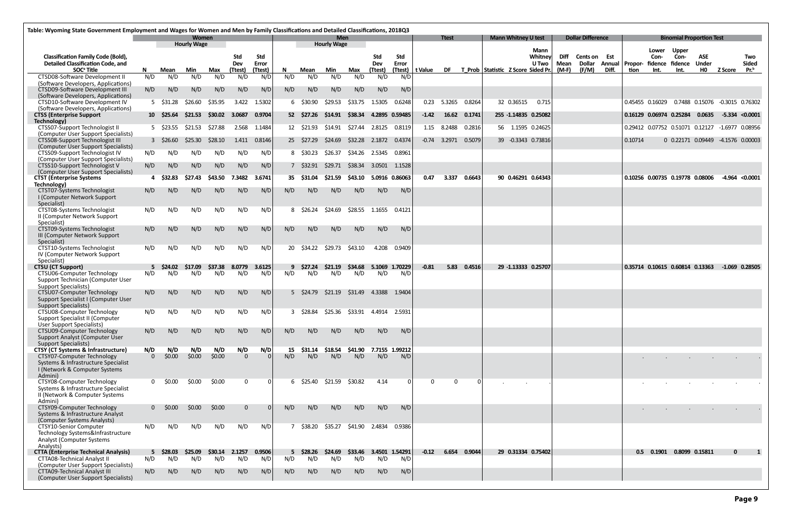| Table: Wyoming State Government Employment and Wages for Women and Men by Family Classifications and Detailed Classifications, 2018Q3 |              |                         |                    |               |                   |              |     |                         |                    |                            |                 |                       |         |                |              |                                       |                            |                  |                     |                                      |       |                             |                         |                                                      |                            |                                   |                  |
|---------------------------------------------------------------------------------------------------------------------------------------|--------------|-------------------------|--------------------|---------------|-------------------|--------------|-----|-------------------------|--------------------|----------------------------|-----------------|-----------------------|---------|----------------|--------------|---------------------------------------|----------------------------|------------------|---------------------|--------------------------------------|-------|-----------------------------|-------------------------|------------------------------------------------------|----------------------------|-----------------------------------|------------------|
|                                                                                                                                       |              |                         | Women              |               |                   |              |     |                         | Men                |                            |                 |                       |         | <b>Ttest</b>   |              |                                       | <b>Mann Whitney U test</b> |                  |                     | <b>Dollar Difference</b>             |       |                             |                         | <b>Binomial Proportion Test</b>                      |                            |                                   |                  |
|                                                                                                                                       |              |                         | <b>Hourly Wage</b> |               |                   |              |     |                         | <b>Hourly Wage</b> |                            |                 |                       |         |                |              |                                       |                            | <b>Mann</b>      |                     |                                      |       |                             | Lower                   | <b>Upper</b>                                         |                            |                                   |                  |
| <b>Classification Family Code (Bold),</b><br><b>Detailed Classification Code, and</b>                                                 |              |                         |                    |               | <b>Std</b><br>Dev | Std<br>Error |     |                         |                    |                            | Std<br>Dev      | Std<br>Error          |         |                |              |                                       |                            | Whitney<br>U Two | <b>Diff</b><br>Mean | <b>Cents on Est</b><br><b>Dollar</b> |       | <b>Annual   Propor-</b>     | Con-<br>fidence fidence | Con-                                                 | <b>ASE</b><br><b>Under</b> |                                   | Two<br>Sided     |
| SOC <sup>ª</sup> Title                                                                                                                | N.           | Mean                    | Min                | Max           | (Ttest)           | (Ttest)      | N.  | Mean                    | Min                | Max                        | (Ttest)         | (Ttest)               | t Value |                |              | DF T Prob Statistic Z Score Sided Pr. |                            |                  | $(M-F)$             | (F/M)                                | Diff. | tion                        | Int.                    | Int.                                                 | H <sub>0</sub>             | Z Score                           | Pr. <sup>b</sup> |
| CTSD08-Software Development II<br>(Software Developers, Applications)                                                                 | N/D          | N/D                     | N/D                | N/D           | N/D               | N/D          | N/D | N/D                     | N/D                | N/D                        | N/D             | N/D                   |         |                |              |                                       |                            |                  |                     |                                      |       |                             |                         |                                                      |                            |                                   |                  |
| CTSD09-Software Development III                                                                                                       | N/D          | N/D                     | N/D                | N/D           | N/D               | N/D          | N/D | N/D                     | N/D                | N/D                        | N/D             | N/D                   |         |                |              |                                       |                            |                  |                     |                                      |       |                             |                         |                                                      |                            |                                   |                  |
| (Software Developers, Applications)<br>CTSD10-Software Development IV                                                                 |              | 5 \$31.28               | \$26.60            | \$35.95       | 3.422             | 1.5302       |     | 6 \$30.90               | S29.53             | \$33.75                    | 1.5305          | 0.6248                | 0.23    | 5.3265         | 0.8264       |                                       | 32 0.36515                 | 0.715            |                     |                                      |       |                             | 0.45455 0.16029         |                                                      |                            | 0.7488  0.15076  -0.3015  0.76302 |                  |
| (Software Developers, Applications)<br><b>CTSS (Enterprise Support</b>                                                                |              | $10 \quad $25.64$       | \$21.53            | \$30.02       | 3.0687            | 0.9704       |     | 52 \$27.26              | \$14.91            | \$38.34                    |                 | 4.2895 0.59485        | $-1.42$ | 16.62          | 0.1741       |                                       | 255 -1.14835 0.25082       |                  |                     |                                      |       | 0.16129   0.06974   0.25284 |                         |                                                      | 0.0635                     |                                   | $-5.334$ <0.0001 |
| Technology)                                                                                                                           |              |                         |                    |               |                   |              |     |                         |                    |                            |                 |                       |         |                |              |                                       |                            |                  |                     |                                      |       |                             |                         |                                                      |                            |                                   |                  |
| CTSS07-Support Technologist II<br>(Computer User Support Specialists)                                                                 |              | 5 \$23.55               | \$21.53            | \$27.88       |                   | 2.568 1.1484 |     | 12 \$21.93              | \$14.91            | \$27.44                    | 2.8125          | 0.8119                |         | 1.15 8.2488    | 0.2816       |                                       | 56 1.1595 0.24625          |                  |                     |                                      |       |                             |                         | 0.29412  0.07752  0.51071  0.12127  -1.6977  0.08956 |                            |                                   |                  |
| CTSS08-Support Technologist III                                                                                                       |              | 3 \$26.60               | \$25.30            | \$28.10       | 1.411             | 0.8146       |     | 25 \$27.29              | \$24.69            | \$32.28                    | 2.1872   0.4374 |                       |         | $-0.74$ 3.2971 | 0.5079       |                                       | 39 -0.3343 0.73816         |                  |                     |                                      |       | 0.10714                     |                         | 0 0.22171 0.09449 -4.1576 0.00003                    |                            |                                   |                  |
| (Computer User Support Specialists)                                                                                                   |              |                         |                    |               |                   |              |     |                         |                    |                            |                 |                       |         |                |              |                                       |                            |                  |                     |                                      |       |                             |                         |                                                      |                            |                                   |                  |
| CTSS09-Support Technologist IV<br>(Computer User Support Specialists)                                                                 | N/D          | N/D                     | N/D                | N/D           | N/D               | N/D          |     | 8 \$30.23               | \$26.37            | \$34.26 2.5345 0.8961      |                 |                       |         |                |              |                                       |                            |                  |                     |                                      |       |                             |                         |                                                      |                            |                                   |                  |
| CTSS10-Support Technologist V<br>(Computer User Support Specialists)                                                                  | N/D          | N/D                     | N/D                | N/D           | N/D               | N/D          |     | 7 \$32.91               | \$29.71            | \$38.34                    |                 | 3.0501 1.1528         |         |                |              |                                       |                            |                  |                     |                                      |       |                             |                         |                                                      |                            |                                   |                  |
| <b>CTST (Enterprise Systems</b>                                                                                                       |              | 4 \$32.83               | \$27.43            | \$43.50       | 7.3482            | 3.6741       | 35. | \$31.04                 | \$21.59            | \$43.10   5.0916   0.86063 |                 |                       | 0.47    | 3.337          | 0.6643       |                                       | 90 0.46291 0.64343         |                  |                     |                                      |       |                             |                         | 0.10256 0.00735 0.19778 0.08006                      |                            | $-4.964$ <0.0001                  |                  |
| Technology)                                                                                                                           | N/D          |                         | N/D                | N/D           |                   |              |     | N/D                     | N/D                | N/D                        |                 | N/D                   |         |                |              |                                       |                            |                  |                     |                                      |       |                             |                         |                                                      |                            |                                   |                  |
| CTST07-Systems Technologist<br>I (Computer Network Support<br>Specialist)                                                             |              | N/D                     |                    |               | N/D               | N/D          | N/D |                         |                    |                            | N/D             |                       |         |                |              |                                       |                            |                  |                     |                                      |       |                             |                         |                                                      |                            |                                   |                  |
| CTST08-Systems Technologist<br>II (Computer Network Support                                                                           | N/D          | N/D                     | N/D                | N/D           | N/D               | N/D          |     | 8 \$26.24               | \$24.69            | \$28.55                    | 1.1655          | 0.4121                |         |                |              |                                       |                            |                  |                     |                                      |       |                             |                         |                                                      |                            |                                   |                  |
| Specialist)<br>CTST09-Systems Technologist                                                                                            | N/D          | N/D                     | N/D                | N/D           | N/D               | N/D          | N/D | N/D                     | N/D                | N/D                        | N/D             | N/D                   |         |                |              |                                       |                            |                  |                     |                                      |       |                             |                         |                                                      |                            |                                   |                  |
| III (Computer Network Support<br>Specialist)                                                                                          |              |                         |                    |               |                   |              |     |                         |                    |                            |                 |                       |         |                |              |                                       |                            |                  |                     |                                      |       |                             |                         |                                                      |                            |                                   |                  |
| CTST10-Systems Technologist<br>IV (Computer Network Support                                                                           | N/D          | N/D                     | N/D                | N/D           | N/D               | N/D          |     | 20 \$34.22              | \$29.73            | \$43.10                    |                 | 4.208 0.9409          |         |                |              |                                       |                            |                  |                     |                                      |       |                             |                         |                                                      |                            |                                   |                  |
| Specialist)<br><b>CTSU (CT Support)</b>                                                                                               | 5            | \$24.02                 | \$17.09            | <b>S37.38</b> | 8.0779            | 3.6125       | 9   | \$27.24                 | \$21.19            | \$34.68                    |                 | 5.1069 1.70229        | $-0.81$ | 5.83           | 0.4516       |                                       | 29 -1.13333 0.25707        |                  |                     |                                      |       |                             |                         | 0.35714 0.10615 0.60814 0.13363                      |                            |                                   | -1.069 0.28505   |
| CTSU06-Computer Technology                                                                                                            | N/D          | N/D                     | N/D                | N/D           | N/D               | N/D          | N/D | N/D                     | N/D                | N/D                        | N/D             | N/D                   |         |                |              |                                       |                            |                  |                     |                                      |       |                             |                         |                                                      |                            |                                   |                  |
| Support Technician (Computer User                                                                                                     |              |                         |                    |               |                   |              |     |                         |                    |                            |                 |                       |         |                |              |                                       |                            |                  |                     |                                      |       |                             |                         |                                                      |                            |                                   |                  |
| <b>Support Specialists)</b><br>CTSU07-Computer Technology                                                                             | N/D          | N/D                     | N/D                | N/D           | N/D               | N/D          |     | $5 \quad $24.79$        | \$21.19            | \$31.49  4.3388  1.9404    |                 |                       |         |                |              |                                       |                            |                  |                     |                                      |       |                             |                         |                                                      |                            |                                   |                  |
| Support Specialist I (Computer User                                                                                                   |              |                         |                    |               |                   |              |     |                         |                    |                            |                 |                       |         |                |              |                                       |                            |                  |                     |                                      |       |                             |                         |                                                      |                            |                                   |                  |
| <b>Support Specialists)</b>                                                                                                           |              |                         |                    |               |                   |              |     |                         |                    |                            |                 |                       |         |                |              |                                       |                            |                  |                     |                                      |       |                             |                         |                                                      |                            |                                   |                  |
| CTSU08-Computer Technology<br>Support Specialist II (Computer                                                                         | N/D          | N/D                     | N/D                | N/D           | N/D               | N/D          |     | 3 \$28.84               | \$25.36            | \$33.91  4.4914  2.5931    |                 |                       |         |                |              |                                       |                            |                  |                     |                                      |       |                             |                         |                                                      |                            |                                   |                  |
| User Support Specialists)                                                                                                             |              |                         |                    |               |                   |              |     |                         |                    |                            |                 |                       |         |                |              |                                       |                            |                  |                     |                                      |       |                             |                         |                                                      |                            |                                   |                  |
| CTSU09-Computer Technology                                                                                                            | N/D          | N/D                     | N/D                | N/D           | N/D               | N/D          | N/D | N/D                     | N/D                | N/D                        | N/D             | N/D                   |         |                |              |                                       |                            |                  |                     |                                      |       |                             |                         |                                                      |                            |                                   |                  |
| Support Analyst (Computer User<br><b>Support Specialists)</b>                                                                         |              |                         |                    |               |                   |              |     |                         |                    |                            |                 |                       |         |                |              |                                       |                            |                  |                     |                                      |       |                             |                         |                                                      |                            |                                   |                  |
| <b>CTSY (CT Systems &amp; Infrastructure)</b>                                                                                         | N/D          | N/D                     | N/D                | N/D           | N/D               | N/D          | 15  | \$31.14                 | \$18.54            | \$41.90                    |                 | 7.7155 1.99212        |         |                |              |                                       |                            |                  |                     |                                      |       |                             |                         |                                                      |                            |                                   |                  |
| CTSY07-Computer Technology                                                                                                            | $\Omega$     | \$0.00                  | \$0.00             | \$0.00        | $\Omega$          |              | N/D | N/D                     | N/D                | N/D                        | N/D             | N/D                   |         |                |              |                                       |                            |                  |                     |                                      |       |                             |                         |                                                      |                            |                                   |                  |
| Systems & Infrastructure Specialist                                                                                                   |              |                         |                    |               |                   |              |     |                         |                    |                            |                 |                       |         |                |              |                                       |                            |                  |                     |                                      |       |                             |                         |                                                      |                            |                                   |                  |
| I (Network & Computer Systems<br>Admini)                                                                                              |              |                         |                    |               |                   |              |     |                         |                    |                            |                 |                       |         |                |              |                                       |                            |                  |                     |                                      |       |                             |                         |                                                      |                            |                                   |                  |
| CTSY08-Computer Technology                                                                                                            | $\mathbf{0}$ | \$0.00                  | \$0.00             | \$0.00        | $\Omega$          |              |     | 6 \$25.40               | \$21.59            | \$30.82                    | 4.14            |                       |         | $\Omega$       | $\Omega$     |                                       |                            |                  |                     |                                      |       |                             |                         |                                                      |                            |                                   |                  |
| Systems & Infrastructure Specialist<br>II (Network & Computer Systems                                                                 |              |                         |                    |               |                   |              |     |                         |                    |                            |                 |                       |         |                |              |                                       |                            |                  |                     |                                      |       |                             |                         |                                                      |                            |                                   |                  |
| Admini)                                                                                                                               |              |                         |                    |               |                   |              |     |                         |                    |                            |                 |                       |         |                |              |                                       |                            |                  |                     |                                      |       |                             |                         |                                                      |                            |                                   |                  |
| CTSY09-Computer Technology                                                                                                            |              | $0\,$ \$0.00            | \$0.00             | \$0.00        | $\Omega$          |              | N/D | N/D                     | N/D                | N/D                        | N/D             | N/D                   |         |                |              |                                       |                            |                  |                     |                                      |       |                             |                         |                                                      |                            |                                   |                  |
| Systems & Infrastructure Analyst                                                                                                      |              |                         |                    |               |                   |              |     |                         |                    |                            |                 |                       |         |                |              |                                       |                            |                  |                     |                                      |       |                             |                         |                                                      |                            |                                   |                  |
| (Computer Systems Analysts)<br>CTSY10-Senior Computer                                                                                 | N/D          | N/D                     | N/D                | N/D           | N/D               | N/D          |     | 7 \$38.20               | \$35.27            |                            | \$41.90 2.4834  | 0.9386                |         |                |              |                                       |                            |                  |                     |                                      |       |                             |                         |                                                      |                            |                                   |                  |
| Technology Systems&Infrastructure<br>Analyst (Computer Systems                                                                        |              |                         |                    |               |                   |              |     |                         |                    |                            |                 |                       |         |                |              |                                       |                            |                  |                     |                                      |       |                             |                         |                                                      |                            |                                   |                  |
| Analysts)                                                                                                                             |              |                         |                    |               |                   |              |     |                         |                    |                            |                 |                       |         |                |              |                                       |                            |                  |                     |                                      |       |                             |                         |                                                      |                            |                                   |                  |
| <b>CTTA (Enterprise Technical Analysis)</b><br><b>CTTA08-Technical Analyst II</b>                                                     | N/D          | $5\quad$ \$28.03<br>N/D | \$25.09<br>N/D     | \$30.14       | 2.1257            | 0.9506       | N/D | $5\quad$ \$28.26<br>N/D | \$24.69<br>N/D     | \$33.46<br>N/D             | N/D             | 3.4501 1.54291<br>N/D | $-0.12$ |                | 6.654 0.9044 |                                       | 29 0.31334 0.75402         |                  |                     |                                      |       |                             |                         | 0.5 0.1901 0.8099 0.15811                            |                            | $\mathbf{0}$                      |                  |
| (Computer User Support Specialists)                                                                                                   |              |                         |                    | N/D           | N/D               | N/D          |     |                         |                    |                            |                 |                       |         |                |              |                                       |                            |                  |                     |                                      |       |                             |                         |                                                      |                            |                                   |                  |
| <b>CTTA09-Technical Analyst III</b>                                                                                                   | N/D          | N/D                     | N/D                | N/D           | N/D               | N/D          | N/D | N/D                     | N/D                | N/D                        | N/D             | N/D                   |         |                |              |                                       |                            |                  |                     |                                      |       |                             |                         |                                                      |                            |                                   |                  |
| (Computer User Support Specialists)                                                                                                   |              |                         |                    |               |                   |              |     |                         |                    |                            |                 |                       |         |                |              |                                       |                            |                  |                     |                                      |       |                             |                         |                                                      |                            |                                   |                  |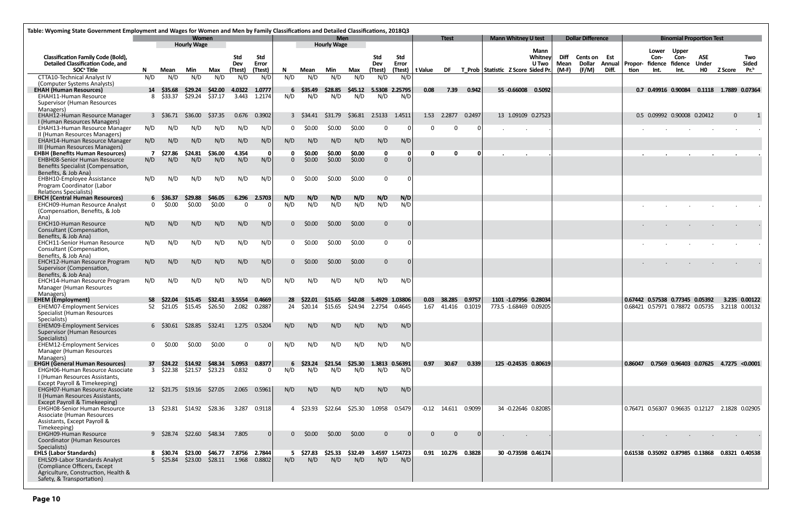| Table: Wyoming State Government Employment and Wages for Women and Men by Family Classifications and Detailed Classifications, 2018Q3 |          |                               |                           |                          |                       |                         |          |                  |                           |                |                       |                       |                                                           |                    |        |                            |                                 |                       |                                 |                                  |         |                       |                                                 |                                         |              |                                         |
|---------------------------------------------------------------------------------------------------------------------------------------|----------|-------------------------------|---------------------------|--------------------------|-----------------------|-------------------------|----------|------------------|---------------------------|----------------|-----------------------|-----------------------|-----------------------------------------------------------|--------------------|--------|----------------------------|---------------------------------|-----------------------|---------------------------------|----------------------------------|---------|-----------------------|-------------------------------------------------|-----------------------------------------|--------------|-----------------------------------------|
|                                                                                                                                       |          |                               | <b>Women</b>              |                          |                       |                         |          |                  | <b>Men</b>                |                |                       |                       |                                                           | <b>Ttest</b>       |        | <b>Mann Whitney U test</b> |                                 |                       | <b>Dollar Difference</b>        |                                  |         |                       | <b>Binomial Proportion Test</b>                 |                                         |              |                                         |
| <b>Classification Family Code (Bold),</b><br><b>Detailed Classification Code, and</b><br>SOC <sup>ª</sup> Title                       | N.       | Mean                          | <b>Hourly Wage</b><br>Min | Max                      | Std<br>Dev<br>(Ttest) | Std<br>Error<br>(Ttest) | N.       | Mean             | <b>Hourly Wage</b><br>Min | Max            | Std<br>Dev<br>(Ttest) | Std<br>Error          | (Ttest)   t Value DF T Prob   Statistic Z Score Sided Pr. |                    |        |                            | <b>Mann</b><br>Whitney<br>U Two | Diff<br>Mean<br>(M-F) | Cents on Est<br>Dollar<br>(F/M) | <b>Annual   Propor-</b><br>Diff. | tion    | Lower<br>Con-<br>Int. | <b>Upper</b><br>Con-<br>fidence fidence<br>Int. | <b>ASE</b><br><b>Under</b><br><b>HO</b> | Z Score      | Two<br><b>Sided</b><br>Pr. <sup>b</sup> |
| <b>CTTA10-Technical Analyst IV</b>                                                                                                    | N/D      | N/D                           | N/D                       | N/D                      | N/D                   | N/D                     | N/D      | N/D              | N/D                       | N/D            | N/D                   | N/D                   |                                                           |                    |        |                            |                                 |                       |                                 |                                  |         |                       |                                                 |                                         |              |                                         |
| (Computer Systems Analysts)                                                                                                           |          |                               |                           |                          |                       |                         |          |                  |                           |                |                       |                       |                                                           |                    |        |                            |                                 |                       |                                 |                                  |         |                       |                                                 |                                         |              |                                         |
| <b>EHAH (Human Resources)</b><br><b>EHAH11-Human Resource</b>                                                                         |          | 14 \$35.68<br>8 \$33.37       | \$29.24<br>\$29.24        | <b>S42.00</b><br>\$37.17 | 4.0322<br>3.443       | 1.0777<br>1.2174        | N/D      | 6 \$35.49<br>N/D | \$28.85<br>N/D            | \$45.12<br>N/D | N/D                   | 5.5308 2.25795<br>N/D | 0.08                                                      | 7.39               | 0.942  |                            | 55 -0.66008 0.5092              |                       |                                 |                                  |         |                       | 0.7 0.49916 0.90084                             |                                         |              | 0.1118 1.7889 0.07364                   |
| Supervisor (Human Resources                                                                                                           |          |                               |                           |                          |                       |                         |          |                  |                           |                |                       |                       |                                                           |                    |        |                            |                                 |                       |                                 |                                  |         |                       |                                                 |                                         |              |                                         |
| Managers)                                                                                                                             |          |                               |                           |                          |                       |                         |          |                  |                           |                |                       |                       |                                                           |                    |        |                            |                                 |                       |                                 |                                  |         |                       |                                                 |                                         |              |                                         |
| EHAH12-Human Resource Manager                                                                                                         |          | 3 \$36.71                     | \$36.00                   | \$37.35                  | 0.676                 | 0.3902                  |          | 3 \$34.41        | \$31.79                   | \$36.81        | 2.5133                | 1.4511                |                                                           | 1.53 2.2877        | 0.2497 |                            | 13 1.09109 0.27523              |                       |                                 |                                  |         |                       | 0.5 0.09992 0.90008 0.20412                     |                                         | $\mathbf{0}$ |                                         |
| I (Human Resources Managers)<br><b>EHAH13-Human Resource Manager</b>                                                                  | N/D      | N/D                           | N/D                       | N/D                      | N/D                   | N/D                     |          | \$0.00           | \$0.00                    | \$0.00         | $\Omega$              |                       |                                                           | $\Omega$           |        |                            |                                 |                       |                                 |                                  |         |                       |                                                 |                                         |              |                                         |
| II (Human Resources Managers)                                                                                                         |          |                               |                           |                          |                       |                         |          |                  |                           |                |                       |                       |                                                           |                    |        |                            |                                 |                       |                                 |                                  |         |                       |                                                 |                                         |              |                                         |
| <b>EHAH14-Human Resource Manager</b>                                                                                                  | N/D      | N/D                           | N/D                       | N/D                      | N/D                   | N/D                     | N/D      | N/D              | N/D                       | N/D            | N/D                   | N/D                   |                                                           |                    |        |                            |                                 |                       |                                 |                                  |         |                       |                                                 |                                         |              |                                         |
| III (Human Resources Managers)<br><b>EHBH (Benefits Human Resources)</b>                                                              |          | \$27.86                       | \$24.81                   | \$36.00                  | 4.354                 | 0                       |          | \$0.00           | \$0.00                    | \$0.00         | $\mathbf 0$           |                       |                                                           | n                  |        |                            |                                 |                       |                                 |                                  |         |                       |                                                 |                                         |              |                                         |
| <b>EHBH08-Senior Human Resource</b>                                                                                                   | N/D      | N/D                           | N/D                       | N/D                      | N/D                   | N/D                     | $\Omega$ | \$0.00           | \$0.00                    | \$0.00         | $\mathbf{0}$          |                       |                                                           |                    |        |                            |                                 |                       |                                 |                                  |         |                       |                                                 |                                         |              |                                         |
| Benefits Specialist (Compensation,                                                                                                    |          |                               |                           |                          |                       |                         |          |                  |                           |                |                       |                       |                                                           |                    |        |                            |                                 |                       |                                 |                                  |         |                       |                                                 |                                         |              |                                         |
| Benefits, & Job Ana)<br><b>EHBH10-Employee Assistance</b>                                                                             | N/D      | N/D                           | N/D                       | N/D                      | N/D                   | N/D                     | $\Omega$ | \$0.00           | \$0.00                    | \$0.00         | $\overline{0}$        | - 0 I                 |                                                           |                    |        |                            |                                 |                       |                                 |                                  |         |                       |                                                 |                                         |              |                                         |
| Program Coordinator (Labor                                                                                                            |          |                               |                           |                          |                       |                         |          |                  |                           |                |                       |                       |                                                           |                    |        |                            |                                 |                       |                                 |                                  |         |                       |                                                 |                                         |              |                                         |
| <b>Relations Specialists)</b><br><b>EHCH (Central Human Resources)</b>                                                                |          | 6 \$36.37                     | \$29.88                   | \$46.05                  | 6.296                 | 2.5703                  | N/D      | N/D              | N/D                       | N/D            | N/D                   | N/D                   |                                                           |                    |        |                            |                                 |                       |                                 |                                  |         |                       |                                                 |                                         |              |                                         |
| <b>EHCHO9-Human Resource Analyst</b>                                                                                                  | $\Omega$ | \$0.00                        | \$0.00                    | \$0.00                   | - 0                   |                         | N/D      | N/D              | N/D                       | N/D            | N/D                   | N/D                   |                                                           |                    |        |                            |                                 |                       |                                 |                                  |         |                       |                                                 |                                         |              |                                         |
| (Compensation, Benefits, & Job<br>Ana)                                                                                                |          |                               |                           |                          |                       |                         |          |                  |                           |                |                       |                       |                                                           |                    |        |                            |                                 |                       |                                 |                                  |         |                       |                                                 |                                         |              |                                         |
| <b>EHCH10-Human Resource</b>                                                                                                          | N/D      | N/D                           | N/D                       | N/D                      | N/D                   | N/D                     | $\Omega$ | \$0.00           | \$0.00                    | \$0.00         | $\Omega$              | $\vert$ 0             |                                                           |                    |        |                            |                                 |                       |                                 |                                  |         |                       |                                                 |                                         |              |                                         |
| Consultant (Compensation,                                                                                                             |          |                               |                           |                          |                       |                         |          |                  |                           |                |                       |                       |                                                           |                    |        |                            |                                 |                       |                                 |                                  |         |                       |                                                 |                                         |              |                                         |
| Benefits, & Job Ana)<br><b>EHCH11-Senior Human Resource</b>                                                                           | N/D      | N/D                           | N/D                       | N/D                      | N/D                   | N/D                     |          | \$0.00           | \$0.00                    | \$0.00         | 0                     | . O I                 |                                                           |                    |        |                            |                                 |                       |                                 |                                  |         |                       |                                                 |                                         |              |                                         |
| Consultant (Compensation,<br>Benefits, & Job Ana)                                                                                     |          |                               |                           |                          |                       |                         |          |                  |                           |                |                       |                       |                                                           |                    |        |                            |                                 |                       |                                 |                                  |         |                       |                                                 |                                         |              |                                         |
| <b>EHCH12-Human Resource Program</b>                                                                                                  | N/D      | N/D                           | N/D                       | N/D                      | N/D                   | N/D                     | $\Omega$ | S0.00            | \$0.00                    | \$0.00         | $\Omega$              | $\Omega$              |                                                           |                    |        |                            |                                 |                       |                                 |                                  |         |                       |                                                 |                                         |              |                                         |
| Supervisor (Compensation,<br>Benefits, & Job Ana)                                                                                     |          |                               |                           |                          |                       |                         |          |                  |                           |                |                       |                       |                                                           |                    |        |                            |                                 |                       |                                 |                                  |         |                       |                                                 |                                         |              |                                         |
| <b>EHCH14-Human Resource Program</b>                                                                                                  | N/D      | N/D                           | N/D                       | N/D                      | N/D                   | N/D                     | N/D      | N/D              | N/D                       | N/D            | N/D                   | N/D                   |                                                           |                    |        |                            |                                 |                       |                                 |                                  |         |                       |                                                 |                                         |              |                                         |
| Manager (Human Resources<br>Managers)                                                                                                 |          |                               |                           |                          |                       |                         |          |                  |                           |                |                       |                       |                                                           |                    |        |                            |                                 |                       |                                 |                                  |         |                       |                                                 |                                         |              |                                         |
| <b>EHEM (Employment)</b>                                                                                                              | 58       | S22.04                        | S15.45                    | S32.41                   | 3.5554                | 0.4669                  | -28      | S22.01           | \$15.65                   | <b>S42.08</b>  |                       | 5.4929 1.03806        |                                                           | 0.03 38.285        | 0.9757 |                            | 1101 -1.07956 0.28034           |                       |                                 |                                  |         |                       | 0.67442 0.57538 0.77345 0.05392                 |                                         |              | 3.235 0.00122                           |
| <b>EHEM07-Employment Services</b><br>Specialist (Human Resources<br>Specialists)                                                      |          | 52 \$21.05                    | \$15.45                   | \$26.50                  | 2.082                 | 0.2887                  |          | 24 \$20.14       | \$15.65                   | \$24.94        | 2.2754                | 0.4645                |                                                           | 1.67 41.416        | 0.1019 |                            | 773.5 -1.68469 0.09205          |                       |                                 |                                  |         |                       | 0.68421 0.57971 0.78872 0.05735                 |                                         |              | 3.2118 0.00132                          |
| EHEM09-Employment Services                                                                                                            |          | 6 \$30.61                     | \$28.85                   | \$32.41                  |                       | 1.275 0.5204            | N/D      | N/D              | N/D                       | N/D            | N/D                   | N/D                   |                                                           |                    |        |                            |                                 |                       |                                 |                                  |         |                       |                                                 |                                         |              |                                         |
| Supervisor (Human Resources<br>Specialists)                                                                                           |          |                               |                           |                          |                       |                         |          |                  |                           |                |                       |                       |                                                           |                    |        |                            |                                 |                       |                                 |                                  |         |                       |                                                 |                                         |              |                                         |
| <b>EHEM12-Employment Services</b><br>Manager (Human Resources<br>Managers)                                                            |          | $0\frac{$0.00}{ }$            | \$0.00                    | \$0.00                   | $\mathbf{0}$          | 0                       | N/D      | N/D              | N/D                       | N/D            | N/D                   | N/D                   |                                                           |                    |        |                            |                                 |                       |                                 |                                  |         |                       |                                                 |                                         |              |                                         |
| <b>EHGH (General Human Resources)</b>                                                                                                 |          | 37 \$24.22                    |                           | \$14.92 \$48.34          | 5.0953                | 0.8377                  |          | $6\quad$ \$23.24 | \$21.54                   | \$25.30        | 1.3813 0.56391        |                       | 0.97                                                      | 30.67              | 0.339  |                            | 125 -0.24535 0.80619            |                       |                                 |                                  | 0.86047 |                       | 0.7569 0.96403 0.07625 4.7275 <0.0001           |                                         |              |                                         |
| <b>EHGH06-Human Resource Associate</b>                                                                                                |          |                               | 3 \$22.38 \$21.57 \$23.23 |                          | 0.832                 | $\mathbf 0$             | N/D      | N/D              | N/D                       | N/D            | N/D                   | N/D                   |                                                           |                    |        |                            |                                 |                       |                                 |                                  |         |                       |                                                 |                                         |              |                                         |
| I (Human Resources Assistants.<br>Except Payroll & Timekeeping)                                                                       |          |                               |                           |                          |                       |                         |          |                  |                           |                |                       |                       |                                                           |                    |        |                            |                                 |                       |                                 |                                  |         |                       |                                                 |                                         |              |                                         |
| <b>EHGH07-Human Resource Associate</b>                                                                                                |          |                               | 12 \$21.75 \$19.16        | \$27.05                  | 2.065                 | 0.5961                  | N/D      | N/D              | N/D                       | N/D            | N/D                   | N/D                   |                                                           |                    |        |                            |                                 |                       |                                 |                                  |         |                       |                                                 |                                         |              |                                         |
| II (Human Resources Assistants,<br>Except Payroll & Timekeeping)                                                                      |          |                               |                           |                          |                       |                         |          |                  |                           |                |                       |                       |                                                           |                    |        |                            |                                 |                       |                                 |                                  |         |                       |                                                 |                                         |              |                                         |
| EHGH08-Senior Human Resource                                                                                                          |          | 13 \$23.81                    | \$14.92 \$28.36           |                          | 3.287                 | 0.9118                  |          | 4 \$23.93        | \$22.64                   | \$25.30        |                       | 1.0958 0.5479         |                                                           | $-0.12$ 14.611     | 0.9099 |                            | 34 -0.22646 0.82085             |                       |                                 |                                  |         |                       | 0.76471 0.56307 0.96635 0.12127                 |                                         |              | 2.1828 0.02905                          |
| Associate (Human Resources                                                                                                            |          |                               |                           |                          |                       |                         |          |                  |                           |                |                       |                       |                                                           |                    |        |                            |                                 |                       |                                 |                                  |         |                       |                                                 |                                         |              |                                         |
| Assistants, Except Payroll &<br>Timekeeping)                                                                                          |          |                               |                           |                          |                       |                         |          |                  |                           |                |                       |                       |                                                           |                    |        |                            |                                 |                       |                                 |                                  |         |                       |                                                 |                                         |              |                                         |
| <b>EHGH09-Human Resource</b>                                                                                                          |          |                               | $9\frac{$28.74}{$22.60}$  | \$48.34                  | 7.805                 | $\mathbf{0}$            | 0        | \$0.00           | \$0.00                    | \$0.00         | $\mathbf{0}$          |                       | 0                                                         | $\Omega$           |        |                            |                                 |                       |                                 |                                  |         |                       |                                                 |                                         |              |                                         |
| Coordinator (Human Resources<br>Specialists)                                                                                          |          |                               |                           |                          |                       |                         |          |                  |                           |                |                       |                       |                                                           |                    |        |                            |                                 |                       |                                 |                                  |         |                       |                                                 |                                         |              |                                         |
| <b>EHLS (Labor Standards)</b><br><b>EHLS09-Labor Standards Analyst</b>                                                                |          | 8 \$30.74<br>$5\quad$ \$25.84 | \$23.00<br>\$23.00        | \$28.11  1.968  0.8802   | \$46.77 7.8756 2.7844 |                         | N/D      | 5 \$27.83<br>N/D | \$25.33                   | \$32.49<br>N/D | N/D                   | 3.4597 1.54723<br>N/D |                                                           | 0.91 10.276 0.3828 |        |                            | 30 -0.73598 0.46174             |                       |                                 |                                  |         |                       | 0.61538 0.35092 0.87985 0.13868                 |                                         |              | 0.8321 0.40538                          |
| (Compliance Officers, Except<br>Agriculture, Construction, Health &<br>Safety, & Transportation)                                      |          |                               |                           |                          |                       |                         |          |                  | N/D                       |                |                       |                       |                                                           |                    |        |                            |                                 |                       |                                 |                                  |         |                       |                                                 |                                         |              |                                         |
|                                                                                                                                       |          |                               |                           |                          |                       |                         |          |                  |                           |                |                       |                       |                                                           |                    |        |                            |                                 |                       |                                 |                                  |         |                       |                                                 |                                         |              |                                         |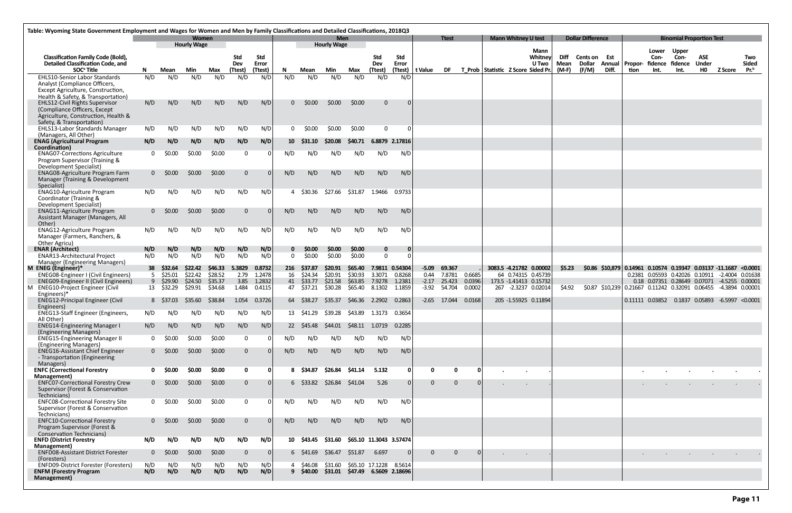| Table: Wyoming State Government Employment and Wages for Women and Men by Family Classifications and Detailed Classifications, 2018Q3 |              |                    |                             |                    |                     |                  |                         |                            |                                  |                                   |                             |                  |                   |                       |                  |                                    |                            |                                              |              |                          |                  |         |                                                                                                          |                      |                                 |         |                  |
|---------------------------------------------------------------------------------------------------------------------------------------|--------------|--------------------|-----------------------------|--------------------|---------------------|------------------|-------------------------|----------------------------|----------------------------------|-----------------------------------|-----------------------------|------------------|-------------------|-----------------------|------------------|------------------------------------|----------------------------|----------------------------------------------|--------------|--------------------------|------------------|---------|----------------------------------------------------------------------------------------------------------|----------------------|---------------------------------|---------|------------------|
|                                                                                                                                       |              |                    | Women<br><b>Hourly Wage</b> |                    |                     |                  |                         |                            | <b>Men</b><br><b>Hourly Wage</b> |                                   |                             |                  |                   | <b>Ttest</b>          |                  |                                    | <b>Mann Whitney U test</b> |                                              |              | <b>Dollar Difference</b> |                  |         |                                                                                                          |                      | <b>Binomial Proportion Test</b> |         |                  |
| <b>Classification Family Code (Bold),</b><br><b>Detailed Classification Code, and</b>                                                 |              |                    |                             |                    | Std<br>Dev          | Std<br>Error     |                         |                            |                                  |                                   | <b>Std</b><br>Dev           | Std<br>Error     |                   |                       |                  |                                    |                            | Mann<br><b>Whitney</b><br>U Two              | Diff<br>Mean | Cents on Est<br>Dollar   | Annual           | Propor- | Lower<br>Con-<br>fidence fidence                                                                         | <b>Upper</b><br>Con- | <b>ASE</b><br>Under             |         | Two<br>Sided     |
| SOC <sup>ª</sup> Title                                                                                                                | N.           | Mean               | Min                         | Max                | (Ttest)             | (Ttest)          | N                       | Mean                       | Min                              | Max                               | (Ttest)                     |                  | (Ttest)   t Value | DF                    |                  | T Prob Statistic Z Score Sided Pr. |                            |                                              | $(M-F)$      | (F/M)                    | Diff.            | tion    | Int.                                                                                                     | Int.                 | HO                              | Z Score | Pr. <sup>b</sup> |
| <b>EHLS10-Senior Labor Standards</b><br>Analyst (Compliance Officers,                                                                 | N/D          | N/D                | N/D                         | N/D                | N/D                 | N/D              | N/D                     | N/D                        | N/D                              | N/D                               | N/D                         | N/D              |                   |                       |                  |                                    |                            |                                              |              |                          |                  |         |                                                                                                          |                      |                                 |         |                  |
| Except Agriculture, Construction,                                                                                                     |              |                    |                             |                    |                     |                  |                         |                            |                                  |                                   |                             |                  |                   |                       |                  |                                    |                            |                                              |              |                          |                  |         |                                                                                                          |                      |                                 |         |                  |
| Health & Safety, & Transportation)<br><b>EHLS12-Civil Rights Supervisor</b>                                                           | N/D          | N/D                | N/D                         | N/D                | N/D                 | N/D              | 0                       | \$0.00                     | \$0.00                           | \$0.00                            | $\overline{0}$              |                  |                   |                       |                  |                                    |                            |                                              |              |                          |                  |         |                                                                                                          |                      |                                 |         |                  |
| (Compliance Officers, Except<br>Agriculture, Construction, Health &<br>Safety, & Transportation)                                      |              |                    |                             |                    |                     |                  |                         |                            |                                  |                                   |                             |                  |                   |                       |                  |                                    |                            |                                              |              |                          |                  |         |                                                                                                          |                      |                                 |         |                  |
| <b>EHLS13-Labor Standards Manager</b>                                                                                                 | N/D          | N/D                | N/D                         | N/D                | N/D                 | N/D              | $\mathbf{0}$            | \$0.00                     | \$0.00                           | \$0.00                            | $\Omega$                    |                  |                   |                       |                  |                                    |                            |                                              |              |                          |                  |         |                                                                                                          |                      |                                 |         |                  |
| (Managers, All Other)<br><b>ENAG (Agricultural Program</b><br>Coordination)                                                           | N/D          | N/D                | N/D                         | N/D                | N/D                 | N/D              |                         | 10 \$31.10                 | \$20.08                          | <b>S40.71</b>                     |                             | 6.8879 2.17816   |                   |                       |                  |                                    |                            |                                              |              |                          |                  |         |                                                                                                          |                      |                                 |         |                  |
| <b>ENAG07-Corrections Agriculture</b><br>Program Supervisor (Training &                                                               | $\Omega$     | \$0.00             | \$0.00                      | \$0.00             | $\mathbf 0$         |                  | N/D                     | N/D                        | N/D                              | N/D                               | N/D                         | N/D              |                   |                       |                  |                                    |                            |                                              |              |                          |                  |         |                                                                                                          |                      |                                 |         |                  |
| Development Specialist)<br><b>ENAG08-Agriculture Program Farm</b><br>Manager (Training & Development                                  |              | $0\quad$ \$0.00    | \$0.00                      | \$0.00             | $\mathbf{0}$        |                  | N/D                     | N/D                        | N/D                              | N/D                               | N/D                         | N/D              |                   |                       |                  |                                    |                            |                                              |              |                          |                  |         |                                                                                                          |                      |                                 |         |                  |
| Specialist)<br><b>ENAG10-Agriculture Program</b><br>Coordinator (Training &                                                           | N/D          | N/D                | N/D                         | N/D                | N/D                 | N/D              |                         | \$30.36                    | \$27.66                          | \$31.87                           | 1.9466                      | 0.9733           |                   |                       |                  |                                    |                            |                                              |              |                          |                  |         |                                                                                                          |                      |                                 |         |                  |
| Development Specialist)<br><b>ENAG11-Agriculture Program</b>                                                                          |              | \$0.00             | \$0.00                      | \$0.00             | $\mathbf{0}$        |                  | N/D                     | N/D                        | N/D                              | N/D                               | N/D                         | N/D              |                   |                       |                  |                                    |                            |                                              |              |                          |                  |         |                                                                                                          |                      |                                 |         |                  |
| Assistant Manager (Managers, All<br>Other)                                                                                            |              |                    |                             | N/D                | N/D                 |                  |                         |                            |                                  | N/D                               | N/D                         |                  |                   |                       |                  |                                    |                            |                                              |              |                          |                  |         |                                                                                                          |                      |                                 |         |                  |
| <b>ENAG12-Agriculture Program</b><br>Manager (Farmers, Ranchers, &<br>Other Agricu)                                                   | N/D          | N/D                | N/D                         |                    |                     | N/D              | N/D                     | N/D                        | N/D                              |                                   |                             | N/D              |                   |                       |                  |                                    |                            |                                              |              |                          |                  |         |                                                                                                          |                      |                                 |         |                  |
| <b>ENAR (Architect)</b>                                                                                                               | N/D<br>N/D   | N/D<br>N/D         | N/D<br>N/D                  | N/D<br>N/D         | N/D<br>N/D          | N/D<br>N/D       | $\mathbf 0$<br>$\Omega$ | \$0.00<br>\$0.00           | \$0.00<br>\$0.00                 | \$0.00<br>\$0.00                  | $\mathbf 0$<br>$\mathbf{0}$ |                  |                   |                       |                  |                                    |                            |                                              |              |                          |                  |         |                                                                                                          |                      |                                 |         |                  |
| <b>ENAR13-Architectural Project</b><br>Manager (Engineering Managers)                                                                 |              |                    |                             |                    |                     |                  |                         |                            |                                  |                                   |                             |                  |                   |                       |                  |                                    |                            |                                              |              |                          |                  |         |                                                                                                          |                      |                                 |         |                  |
| M ENEG (Engineer)*                                                                                                                    |              | 38 \$32.64         | \$22.42                     | \$46.33            | 5.3829              | 0.8732           |                         | 216 \$37.87                | \$20.91                          | \$65.40                           | 7.9811 0.54304              |                  | $-5.09$           | 69.367                |                  |                                    |                            | 3083.5 -4.21782 0.00002                      | <b>S5.23</b> |                          | $$0.86$ \$10,879 |         | 0.14961 0.10574 0.19347 0.03137 -11.1687 <0.0001                                                         |                      |                                 |         |                  |
| ENEG08-Engineer I (Civil Engineers)<br><b>ENEG09-Engineer II (Civil Engineers)</b>                                                    | 5<br>9       | \$25.01<br>\$29.90 | \$22.42<br>\$24.50          | \$28.52<br>\$35.37 | 2.79<br>3.85        | 1.2478<br>1.2832 |                         | 16 \$24.34<br>41 \$33.77   | \$20.91<br>\$21.58               | \$30.93<br>\$63.85                | 3.3071<br>7.9278            | 0.8268<br>1.2381 | $-2.17$           | 0.44 7.8781<br>25.423 | 0.6685<br>0.0396 |                                    |                            | 64 0.74315 0.45739<br>173.5 -1.41413 0.15732 |              |                          |                  |         | 0.2381  0.05593  0.42026  0.10911  -2.4004  0.01638<br>0.18  0.07351  0.28649  0.07071  -4.5255  0.00001 |                      |                                 |         |                  |
| M ENEG10-Project Engineer (Civil                                                                                                      |              | 13 \$32.29         | \$29.91                     | \$34.68            | 1.484               | 0.4115           |                         | 47 \$37.21                 | \$30.28                          | \$65.40                           | 8.1302                      | 1.1859           |                   | $-3.92$ 54.704        | 0.0002           |                                    |                            | 267 -2.3237 0.02014                          | \$4.92       |                          |                  |         | \$0.87 \$10,239 0.21667 0.11242 0.32091 0.06455 -4.3894 0.00001                                          |                      |                                 |         |                  |
| Engineers)*<br><b>ENEG12-Principal Engineer (Civil</b><br>Engineers)                                                                  |              | 8 S37.03           | S35.60                      | \$38.84            | 1.054               | 0.3726           |                         | 64 S38.27                  | S35.37                           | S46.36                            | 2.2902                      | 0.2863           |                   | $-2.65$ 17.044        | 0.0168           |                                    |                            | 205 -1.55925 0.11894                         |              |                          |                  |         | $0.11111$ $0.03852$ $0.1837$ $0.05893$ $-6.5997$ <0.0001                                                 |                      |                                 |         |                  |
| <b>ENEG13-Staff Engineer (Engineers,</b><br>All Other)                                                                                | N/D          | N/D                | N/D                         | N/D                | N/D                 | N/D              | 13                      | \$41.29                    | \$39.28                          | \$43.89                           | 1.3173                      | 0.3654           |                   |                       |                  |                                    |                            |                                              |              |                          |                  |         |                                                                                                          |                      |                                 |         |                  |
| <b>ENEG14-Engineering Manager I</b><br>(Engineering Managers)                                                                         | N/D          | N/D                | N/D                         | N/D                | N/D                 | N/D              |                         | 22 \$45.48                 | S44.01                           |                                   |                             | 0.2285           |                   |                       |                  |                                    |                            |                                              |              |                          |                  |         |                                                                                                          |                      |                                 |         |                  |
| <b>ENEG15-Engineering Manager II</b><br>(Engineering Managers)                                                                        | $\mathbf{0}$ | \$0.00             | \$0.00                      | \$0.00             | $\mathbf 0$         |                  | N/D                     | N/D                        | N/D                              | N/D                               | N/D                         | N/D              |                   |                       |                  |                                    |                            |                                              |              |                          |                  |         |                                                                                                          |                      |                                 |         |                  |
| <b>ENEG16-Assistant Chief Engineer</b><br>- Transportation (Engineering<br>Managers)                                                  |              | $0$ \$0.00         | \$0.00                      | \$0.00             | $\overline{0}$      | $\Omega$         | N/D                     | N/D                        | N/D                              | N/D                               | N/D                         | N/D              |                   |                       |                  |                                    |                            |                                              |              |                          |                  |         |                                                                                                          |                      |                                 |         |                  |
| <b>ENFC (Correctional Forestry</b>                                                                                                    |              | \$0.00             | \$0.00                      | \$0.00             | $\mathbf 0$         | 0                |                         | 8 \$34.87                  | \$26.84                          | \$41.14                           | 5.132                       |                  |                   | $\mathbf{0}$          |                  |                                    |                            |                                              |              |                          |                  |         |                                                                                                          |                      |                                 |         |                  |
| Management)<br><b>ENFC07-Correctional Forestry Crew</b><br>Supervisor (Forest & Conservation                                          |              | $0\quad$ \$0.00    | \$0.00                      | \$0.00             | $\mathbf 0$         | $\Omega$         |                         | $6\quad$ \$33.82           | \$26.84                          | \$41.04                           | 5.26                        |                  | $\mathbf{0}$      | $\overline{0}$        |                  |                                    |                            |                                              |              |                          |                  |         |                                                                                                          |                      |                                 |         |                  |
| Technicians)<br><b>ENFC08-Correctional Forestry Site</b>                                                                              |              | \$0.00             | \$0.00                      | \$0.00             | $\mathbf 0$         |                  | N/D                     | N/D                        | N/D                              | N/D                               | N/D                         | N/D              |                   |                       |                  |                                    |                            |                                              |              |                          |                  |         |                                                                                                          |                      |                                 |         |                  |
| Supervisor (Forest & Conservation<br>Technicians)<br><b>ENFC10-Correctional Forestry</b>                                              |              | $0$ \$0.00         | \$0.00                      | \$0.00             | $\overline{0}$      | $\Omega$         | N/D                     | N/D                        | N/D                              | N/D                               | N/D                         | N/D              |                   |                       |                  |                                    |                            |                                              |              |                          |                  |         |                                                                                                          |                      |                                 |         |                  |
| Program Supervisor (Forest &<br><b>Conservation Technicians)</b>                                                                      |              |                    |                             | N/D                | N/D                 |                  |                         | 10 \$43.45                 |                                  |                                   |                             |                  |                   |                       |                  |                                    |                            |                                              |              |                          |                  |         |                                                                                                          |                      |                                 |         |                  |
| <b>ENFD (District Forestry</b><br>Management)                                                                                         | N/D          | N/D                | N/D                         |                    |                     | N/D              |                         |                            | \$31.60                          | \$65.10 11.3043 3.57474           |                             |                  |                   |                       |                  |                                    |                            |                                              |              |                          |                  |         |                                                                                                          |                      |                                 |         |                  |
| <b>ENFD08-Assistant District Forester</b><br>(Foresters)<br>ENFD09-District Forester (Foresters)                                      | N/D          | \$0.00<br>N/D      | \$0.00<br>N/D               | \$0.00<br>N/D      | $\mathbf{0}$<br>N/D | $\Omega$<br>N/D  |                         | $6\quad $41.69$<br>\$46.08 | \$36.47<br>\$31.60               | \$51.87<br>\$65.10 17.1228 8.5614 | 6.697                       |                  | $\Omega$          | $\Omega$              |                  |                                    | $\sim$                     |                                              |              |                          |                  |         |                                                                                                          |                      |                                 |         |                  |
| <b>ENFM (Forestry Program</b><br>Management)                                                                                          | N/D          | N/D                | N/D                         | N/D                | N/D                 | N/D              |                         | $9\,$ \$40.00              | \$31.01                          | \$47.49 6.5609 2.18696            |                             |                  |                   |                       |                  |                                    |                            |                                              |              |                          |                  |         |                                                                                                          |                      |                                 |         |                  |
|                                                                                                                                       |              |                    |                             |                    |                     |                  |                         |                            |                                  |                                   |                             |                  |                   |                       |                  |                                    |                            |                                              |              |                          |                  |         |                                                                                                          |                      |                                 |         |                  |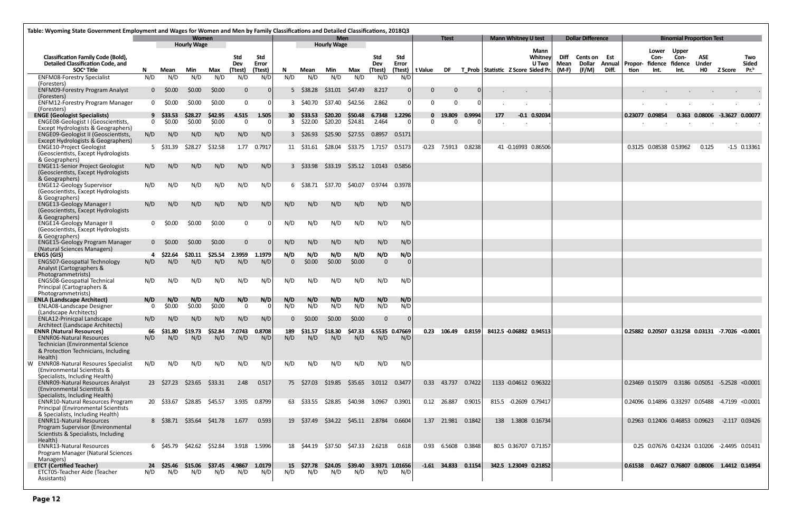|                                                                                       | Table: Wyoming State Government Employment and Wages for Women and Men by Family Classifications and Detailed Classifications, 2018Q3<br><b>Women</b> |                     |                    |                   |                   |                  |            |                         |                                  |                    |                 |                     |                   |                      |                    |                                       |                            |                     |                               |                           |         |                                                 |                                 |                       |                                       |                        |
|---------------------------------------------------------------------------------------|-------------------------------------------------------------------------------------------------------------------------------------------------------|---------------------|--------------------|-------------------|-------------------|------------------|------------|-------------------------|----------------------------------|--------------------|-----------------|---------------------|-------------------|----------------------|--------------------|---------------------------------------|----------------------------|---------------------|-------------------------------|---------------------------|---------|-------------------------------------------------|---------------------------------|-----------------------|---------------------------------------|------------------------|
|                                                                                       |                                                                                                                                                       |                     | <b>Hourly Wage</b> |                   |                   |                  |            |                         | <b>Men</b><br><b>Hourly Wage</b> |                    |                 |                     |                   | <b>Ttest</b>         |                    |                                       | <b>Mann Whitney U test</b> |                     | <b>Dollar Difference</b>      |                           |         |                                                 | <b>Binomial Proportion Test</b> |                       |                                       |                        |
|                                                                                       |                                                                                                                                                       |                     |                    |                   |                   |                  |            |                         |                                  |                    |                 |                     |                   |                      |                    |                                       | Mann                       |                     |                               |                           |         | Lower                                           | <b>Upper</b>                    |                       |                                       |                        |
| <b>Classification Family Code (Bold),</b><br><b>Detailed Classification Code, and</b> | Std                                                                                                                                                   |                     |                    |                   |                   |                  |            |                         |                                  |                    | Std             | <b>Std</b><br>Error |                   |                      |                    |                                       | Whitney<br>U Two           | Diff<br><b>Mean</b> | <b>Cents on Est</b><br>Dollar |                           |         | Con-                                            | Con-                            | ASE<br><b>Under</b>   |                                       | Two                    |
| SOC <sup>ª</sup> Title                                                                | N.                                                                                                                                                    | Mean                | Min                | Max               | Dev<br>(Ttest)    | Error<br>(Ttest) | N.         | Mean                    | Min                              | Max                | Dev<br>(Ttest)  |                     | (Ttest)   t Value |                      |                    | DF T Prob Statistic Z Score Sided Pr. |                            | (M-F)               | (F/M)                         | Annual   Propor-<br>Diff. | tion    | Int.                                            | fidence fidence<br>Int.         | <b>HO</b>             | <b>Z Score</b>                        | <b>Sided</b><br>$Pr^b$ |
| <b>ENFM08-Forestry Specialist</b>                                                     | N/D                                                                                                                                                   | N/D                 | N/D                | N/D               | N/D               | N/D              | N/D        | N/D                     | N/D                              | N/D                | N/D             | N/D                 |                   |                      |                    |                                       |                            |                     |                               |                           |         |                                                 |                                 |                       |                                       |                        |
| (Foresters)                                                                           |                                                                                                                                                       |                     |                    |                   |                   |                  |            |                         |                                  |                    |                 |                     |                   |                      |                    |                                       |                            |                     |                               |                           |         |                                                 |                                 |                       |                                       |                        |
| <b>ENFM09-Forestry Program Analyst</b><br>(Foresters)                                 |                                                                                                                                                       | $0\quad$ \$0.00     | \$0.00             | \$0.00            | $\mathbf{0}$      |                  |            | $5\quad$ \$38.28        | \$31.01                          | \$47.49            | 8.217           | 0                   | $\Omega$          | $\mathbf 0$          | 0                  |                                       |                            |                     |                               |                           |         |                                                 |                                 |                       |                                       |                        |
| <b>ENFM12-Forestry Program Manager</b>                                                |                                                                                                                                                       | \$0.00              | \$0.00             | \$0.00            | $\Omega$          |                  |            | 3 \$40.70               | S37.40                           | \$42.56            | 2.862           | 0 I                 | 0                 | $\Omega$             | 0                  |                                       |                            |                     |                               |                           |         |                                                 |                                 |                       |                                       |                        |
| (Foresters)                                                                           |                                                                                                                                                       |                     |                    |                   |                   |                  |            |                         |                                  |                    |                 |                     |                   |                      |                    |                                       |                            |                     |                               |                           |         |                                                 |                                 |                       |                                       |                        |
| <b>ENGE (Geologist Specialists)</b><br>ENGE08-Geologist I (Geoscientists,             | $\Omega$                                                                                                                                              | 9 \$33.53<br>\$0.00 | \$28.27<br>\$0.00  | \$42.95<br>\$0.00 | 4.515<br>$\Omega$ | 1.505            |            | 30 \$33.53<br>3 \$22.00 | \$20.20<br>\$20.20               | \$50.48<br>\$24.81 | 6.7348<br>2.464 | 1.2296<br>. O I     | $\Omega$          | 0 19.809<br>$\Omega$ | 0.9994<br>$\Omega$ | 177                                   | $-0.1$ 0.92034             |                     |                               |                           |         | 0.23077 0.09854                                 |                                 | 0.363 0.08006 -3.3627 |                                       | 0.00077                |
| Except Hydrologists & Geographers)                                                    |                                                                                                                                                       |                     |                    |                   |                   |                  |            |                         |                                  |                    |                 |                     |                   |                      |                    |                                       |                            |                     |                               |                           |         |                                                 |                                 |                       |                                       |                        |
| ENGE09-Geologist II (Geoscientists,                                                   | N/D                                                                                                                                                   | N/D                 | N/D                | N/D               | N/D               | N/D              |            | $3\quad$ \$26.93        | \$25.90                          | \$27.55            | 0.8957          | 0.5171              |                   |                      |                    |                                       |                            |                     |                               |                           |         |                                                 |                                 |                       |                                       |                        |
| Except Hydrologists & Geographers)<br><b>ENGE10-Project Geologist</b>                 |                                                                                                                                                       | 5 \$31.39           | \$28.27            | \$32.58           | 1.77              | 0.7917           |            | 11 \$31.61              | \$28.04                          | \$33.75            | 1.7157          | 0.5173              | $-0.23$           | 7.5913               | 0.8238             |                                       | 41 -0.16993 0.86506        |                     |                               |                           |         | 0.3125 0.08538 0.53962                          |                                 | 0.125                 |                                       | $-1.5$ 0.13361         |
| (Geoscientists, Except Hydrologists                                                   |                                                                                                                                                       |                     |                    |                   |                   |                  |            |                         |                                  |                    |                 |                     |                   |                      |                    |                                       |                            |                     |                               |                           |         |                                                 |                                 |                       |                                       |                        |
| & Geographers)                                                                        |                                                                                                                                                       |                     |                    |                   |                   |                  |            |                         |                                  |                    |                 |                     |                   |                      |                    |                                       |                            |                     |                               |                           |         |                                                 |                                 |                       |                                       |                        |
| <b>ENGE11-Senior Project Geologist</b>                                                | N/D                                                                                                                                                   | N/D                 | N/D                | N/D               | N/D               | N/D              |            | $3\quad$ \$33.98        | \$33.19                          |                    | \$35.12 1.0143  | 0.5856              |                   |                      |                    |                                       |                            |                     |                               |                           |         |                                                 |                                 |                       |                                       |                        |
| (Geoscientists, Except Hydrologists<br>& Geographers)                                 |                                                                                                                                                       |                     |                    |                   |                   |                  |            |                         |                                  |                    |                 |                     |                   |                      |                    |                                       |                            |                     |                               |                           |         |                                                 |                                 |                       |                                       |                        |
| <b>ENGE12-Geology Supervisor</b>                                                      | N/D                                                                                                                                                   | N/D                 | N/D                | N/D               | N/D               | N/D              |            | 6 \$38.71               | \$37.70                          | \$40.07            | 0.9744          | 0.3978              |                   |                      |                    |                                       |                            |                     |                               |                           |         |                                                 |                                 |                       |                                       |                        |
| (Geoscientists, Except Hydrologists                                                   |                                                                                                                                                       |                     |                    |                   |                   |                  |            |                         |                                  |                    |                 |                     |                   |                      |                    |                                       |                            |                     |                               |                           |         |                                                 |                                 |                       |                                       |                        |
| & Geographers)<br><b>ENGE13-Geology Manager I</b>                                     | N/D                                                                                                                                                   | N/D                 | N/D                | N/D               | N/D               | N/D              | N/D        | N/D                     | N/D                              | N/D                | N/D             | N/D                 |                   |                      |                    |                                       |                            |                     |                               |                           |         |                                                 |                                 |                       |                                       |                        |
| (Geoscientists, Except Hydrologists                                                   |                                                                                                                                                       |                     |                    |                   |                   |                  |            |                         |                                  |                    |                 |                     |                   |                      |                    |                                       |                            |                     |                               |                           |         |                                                 |                                 |                       |                                       |                        |
| & Geographers)                                                                        |                                                                                                                                                       |                     |                    |                   |                   |                  |            |                         |                                  |                    |                 |                     |                   |                      |                    |                                       |                            |                     |                               |                           |         |                                                 |                                 |                       |                                       |                        |
| <b>ENGE14-Geology Manager II</b><br>(Geoscientists, Except Hydrologists               | $\mathbf{0}$                                                                                                                                          | \$0.00              | \$0.00             | \$0.00            | $\mathbf 0$       |                  | N/D        | N/D                     | N/D                              | N/D                | N/D             | N/D                 |                   |                      |                    |                                       |                            |                     |                               |                           |         |                                                 |                                 |                       |                                       |                        |
| & Geographers)                                                                        |                                                                                                                                                       |                     |                    |                   |                   |                  |            |                         |                                  |                    |                 |                     |                   |                      |                    |                                       |                            |                     |                               |                           |         |                                                 |                                 |                       |                                       |                        |
| <b>ENGE15-Geology Program Manager</b>                                                 |                                                                                                                                                       | $0\quad$ \$0.00     | \$0.00             | \$0.00            | $\Omega$          |                  | N/D        | N/D                     | N/D                              | N/D                | N/D             | N/D                 |                   |                      |                    |                                       |                            |                     |                               |                           |         |                                                 |                                 |                       |                                       |                        |
| (Natural Sciences Managers)<br><b>ENGS (GIS)</b>                                      |                                                                                                                                                       | 4 \$22.64           | \$20.11            | \$25.54           | 2.3959            | 1.1979           | N/D        | N/D                     | N/D                              | N/D                | N/D             | N/D                 |                   |                      |                    |                                       |                            |                     |                               |                           |         |                                                 |                                 |                       |                                       |                        |
| <b>ENGS07-Geospatial Technology</b>                                                   | N/D                                                                                                                                                   | N/D                 | N/D                | N/D               | N/D               | N/D              | $\Omega$   | \$0.00                  | \$0.00                           | \$0.00             | $\overline{0}$  | $\Omega$            |                   |                      |                    |                                       |                            |                     |                               |                           |         |                                                 |                                 |                       |                                       |                        |
| Analyst (Cartographers &                                                              |                                                                                                                                                       |                     |                    |                   |                   |                  |            |                         |                                  |                    |                 |                     |                   |                      |                    |                                       |                            |                     |                               |                           |         |                                                 |                                 |                       |                                       |                        |
| Photogrammetrists)<br><b>ENGS08-Geospatial Technical</b>                              | N/D                                                                                                                                                   | N/D                 | N/D                | N/D               | N/D               | N/D              | N/D        | N/D                     | N/D                              | N/D                | N/D             | N/D                 |                   |                      |                    |                                       |                            |                     |                               |                           |         |                                                 |                                 |                       |                                       |                        |
| Principal (Cartographers &                                                            |                                                                                                                                                       |                     |                    |                   |                   |                  |            |                         |                                  |                    |                 |                     |                   |                      |                    |                                       |                            |                     |                               |                           |         |                                                 |                                 |                       |                                       |                        |
| Photogrammetrists)                                                                    |                                                                                                                                                       |                     |                    |                   |                   |                  |            |                         |                                  |                    |                 |                     |                   |                      |                    |                                       |                            |                     |                               |                           |         |                                                 |                                 |                       |                                       |                        |
| <b>ENLA (Landscape Architect)</b><br><b>ENLA08-Landscape Designer</b>                 | N/D<br>0                                                                                                                                              | N/D<br>\$0.00       | N/D<br>\$0.00      | N/D<br>\$0.00     | N/D<br>$\Omega$   | N/D              | N/D<br>N/D | N/D<br>N/D              | N/D<br>N/D                       | N/D<br>N/D         | N/D<br>N/D      | N/D<br>N/D          |                   |                      |                    |                                       |                            |                     |                               |                           |         |                                                 |                                 |                       |                                       |                        |
| (Landscape Architects)                                                                |                                                                                                                                                       |                     |                    |                   |                   |                  |            |                         |                                  |                    |                 |                     |                   |                      |                    |                                       |                            |                     |                               |                           |         |                                                 |                                 |                       |                                       |                        |
| ENLA12-Prinicpal Landscape                                                            | N/D                                                                                                                                                   | N/D                 | N/D                | N/D               | N/D               | N/D              |            | \$0.00                  | \$0.00                           | \$0.00             |                 | $\Omega$            |                   |                      |                    |                                       |                            |                     |                               |                           |         |                                                 |                                 |                       |                                       |                        |
| Architect (Landscape Architects)<br><b>ENNR (Natural Resources)</b>                   | 66                                                                                                                                                    | \$31.80             | \$19.73            | \$52.84           | 7.0743            | 0.8708           | 189        | \$31.57                 | \$18.30                          | \$47.33            | 6.5535 0.47669  |                     |                   | 0.23 106.49 0.8159   |                    |                                       | 8412.5 -0.06882 0.94513    |                     |                               |                           |         | 0.25882 0.20507 0.31258 0.03131 -7.7026 <0.0001 |                                 |                       |                                       |                        |
| <b>ENNR06-Natural Resources</b>                                                       | N/D                                                                                                                                                   | N/D                 | N/D                | N/D               | N/D               | N/D              | N/D        | N/D                     | N/D                              | N/D                | N/D             | N/D                 |                   |                      |                    |                                       |                            |                     |                               |                           |         |                                                 |                                 |                       |                                       |                        |
| Technician (Environmental Science                                                     |                                                                                                                                                       |                     |                    |                   |                   |                  |            |                         |                                  |                    |                 |                     |                   |                      |                    |                                       |                            |                     |                               |                           |         |                                                 |                                 |                       |                                       |                        |
| & Protection Technicians, Including<br>Health)                                        |                                                                                                                                                       |                     |                    |                   |                   |                  |            |                         |                                  |                    |                 |                     |                   |                      |                    |                                       |                            |                     |                               |                           |         |                                                 |                                 |                       |                                       |                        |
| W ENNRO8-Natural Resoures Specialist                                                  | N/D                                                                                                                                                   | N/D                 | N/D                | N/D               | N/D               | N/D              | N/D        | N/D                     | N/D                              | N/D                | N/D             | N/D                 |                   |                      |                    |                                       |                            |                     |                               |                           |         |                                                 |                                 |                       |                                       |                        |
| (Environmental Scientists &                                                           |                                                                                                                                                       |                     |                    |                   |                   |                  |            |                         |                                  |                    |                 |                     |                   |                      |                    |                                       |                            |                     |                               |                           |         |                                                 |                                 |                       |                                       |                        |
| Specialists, Including Health)<br><b>ENNR09-Natural Resources Analyst</b>             |                                                                                                                                                       | 23 \$27.23          | \$23.65            | \$33.31           | 2.48              | 0.517            |            | 75 \$27.03              | \$19.85                          | \$35.65            | 3.0112 0.3477   |                     | 0.33              | 43.737 0.7422        |                    |                                       | 1133 -0.04612 0.96322      |                     |                               |                           |         | 0.23469 0.15079                                 |                                 |                       | 0.3186  0.05051  -5.2528  <0.0001     |                        |
| (Environmental Scientists &                                                           |                                                                                                                                                       |                     |                    |                   |                   |                  |            |                         |                                  |                    |                 |                     |                   |                      |                    |                                       |                            |                     |                               |                           |         |                                                 |                                 |                       |                                       |                        |
| Specialists, Including Health)                                                        |                                                                                                                                                       |                     |                    |                   |                   |                  |            |                         |                                  |                    |                 |                     |                   |                      |                    |                                       |                            |                     |                               |                           |         |                                                 |                                 |                       |                                       |                        |
| <b>ENNR10-Natural Resources Program</b><br>Principal (Environmental Scientists        |                                                                                                                                                       | 20 \$33.67          | \$28.85            | \$45.57           | 3.935             | 0.8799           | 63         | S33.55                  | \$28.85                          | \$40.98            | 3.0967          | 0.3901              |                   | 0.12 26.887          | 0.9015             |                                       | 815.5 -0.2609 0.79417      |                     |                               |                           |         | 0.24096 0.14896 0.33297 0.05488 -4.7199 <0.0001 |                                 |                       |                                       |                        |
| & Specialists, Including Health)                                                      |                                                                                                                                                       |                     |                    |                   |                   |                  |            |                         |                                  |                    |                 |                     |                   |                      |                    |                                       |                            |                     |                               |                           |         |                                                 |                                 |                       |                                       |                        |
| <b>ENNR11-Natural Resources</b>                                                       |                                                                                                                                                       | 8 S38.71            | \$35.64            | \$41.78           | 1.677             | 0.593            |            | 19 \$37.49              | \$34.22                          | \$45.11            | 2.8784          | 0.6604              | 1.37              | 21.981               | 0.1842             | 138                                   | 1.3808 0.16734             |                     |                               |                           |         | 0.2963 0.12406 0.46853 0.09623                  |                                 |                       | $-2.117$ 0.03426                      |                        |
| Program Supervisor (Environmental<br>Scientists & Specialists, Including              |                                                                                                                                                       |                     |                    |                   |                   |                  |            |                         |                                  |                    |                 |                     |                   |                      |                    |                                       |                            |                     |                               |                           |         |                                                 |                                 |                       |                                       |                        |
| Health)                                                                               |                                                                                                                                                       |                     |                    |                   |                   |                  |            |                         |                                  |                    |                 |                     |                   |                      |                    |                                       |                            |                     |                               |                           |         |                                                 |                                 |                       |                                       |                        |
| <b>ENNR13-Natural Resources</b>                                                       |                                                                                                                                                       |                     | 6 \$45.79 \$42.62  | \$52.84           |                   | 3.918 1.5996     |            | 18 \$44.19              | \$37.50                          | S47.33             | 2.6218          | 0.618               | 0.93              | 6.5608               | 0.3848             |                                       | 80.5 0.36707 0.71357       |                     |                               |                           |         | 0.25 0.07676 0.42324 0.10206 -2.4495 0.01431    |                                 |                       |                                       |                        |
| Program Manager (Natural Sciences<br>Managers)                                        |                                                                                                                                                       |                     |                    |                   |                   |                  |            |                         |                                  |                    |                 |                     |                   |                      |                    |                                       |                            |                     |                               |                           |         |                                                 |                                 |                       |                                       |                        |
| <b>ETCT (Certified Teacher)</b>                                                       | 24                                                                                                                                                    | \$25.46             | \$15.06            | \$37.45           | 4.9867            | 1.0179           | 15         | \$27.78                 | \$24.05                          | <b>\$39.40</b>     | 3.9371 1.01656  |                     |                   | $-1.61$ 34.833       | 0.1154             |                                       | 342.5 1.23049 0.21852      |                     |                               |                           | 0.61538 |                                                 |                                 |                       | 0.4627 0.76807 0.08006 1.4412 0.14954 |                        |
| ETCT05-Teacher Aide (Teacher<br>Assistants)                                           | N/D                                                                                                                                                   | N/D                 | N/D                | N/D               | N/D               | N/D              | N/D        | N/D                     | N/D                              | N/D                | N/D             | N/D                 |                   |                      |                    |                                       |                            |                     |                               |                           |         |                                                 |                                 |                       |                                       |                        |
|                                                                                       |                                                                                                                                                       |                     |                    |                   |                   |                  |            |                         |                                  |                    |                 |                     |                   |                      |                    |                                       |                            |                     |                               |                           |         |                                                 |                                 |                       |                                       |                        |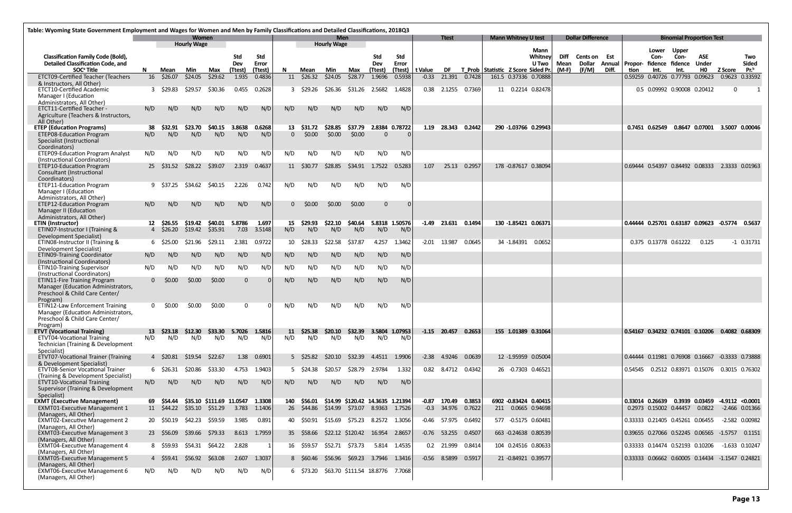| Table: Wyoming State Government Employment and Wages for Women and Men by Family Classifications and Detailed Classifications, 2018Q3 |              |            |                             |                          |               |               |           |                |                                  |                |                       |                     |         |                       |        |                                    |                         |                     |                                      |       |      |                 |                                                         |                     |                                      |                     |
|---------------------------------------------------------------------------------------------------------------------------------------|--------------|------------|-----------------------------|--------------------------|---------------|---------------|-----------|----------------|----------------------------------|----------------|-----------------------|---------------------|---------|-----------------------|--------|------------------------------------|-------------------------|---------------------|--------------------------------------|-------|------|-----------------|---------------------------------------------------------|---------------------|--------------------------------------|---------------------|
|                                                                                                                                       |              |            | Women<br><b>Hourly Wage</b> |                          |               |               |           |                | <b>Men</b><br><b>Hourly Wage</b> |                |                       |                     |         | <b>Ttest</b>          |        | <b>Mann Whitney U test</b>         |                         |                     | <b>Dollar Difference</b>             |       |      |                 | <b>Binomial Proportion Test</b>                         |                     |                                      |                     |
|                                                                                                                                       |              |            |                             |                          |               |               |           |                |                                  |                |                       |                     |         |                       |        |                                    | <b>Mann</b>             |                     |                                      |       |      | Lower           | <b>Upper</b>                                            |                     |                                      |                     |
| <b>Classification Family Code (Bold),</b><br><b>Detailed Classification Code, and</b>                                                 |              |            |                             |                          | Std<br>Dev    | Std<br>Error  |           |                |                                  |                | Std<br>Dev            | Std<br><b>Error</b> |         |                       |        |                                    | Whitney<br><b>U</b> Two | Diff<br><b>Mean</b> | <b>Cents on Est</b><br><b>Dollar</b> |       |      | Con-            | Con-<br>Annual Propor- fidence fidence                  | ASE<br><b>Under</b> |                                      | Two<br><b>Sided</b> |
| SOC <sup>ª</sup> Title                                                                                                                | N.           | Mean       | Min                         | Max                      | (Ttest)       | (Ttest)       | N         | Mean           | Min                              | Max            | (Ttest)               | (Ttest)             | t Value | DF.                   |        | T Prob Statistic Z Score Sided Pr. |                         | (M-F)               | (F/M)                                | Diff. | tion | Int.            | Int.                                                    | HO.                 | <b>Z Score</b>                       | Pr. <sup>b</sup>    |
| <b>ETCT09-Certified Teacher (Teachers</b><br>& Instructors, All Other)                                                                | 16           | \$26.07    | \$24.05                     | \$29.62                  | 1.935         | 0.4836        |           | 11 \$26.32     | \$24.05                          | \$28.77        | 1.9696                | 0.5938              | $-0.33$ | 21.391                | 0.7428 | 161.5 0.37336 0.70888              |                         |                     |                                      |       |      |                 | 0.59259 0.40726 0.77793 0.09623                         |                     | 0.9623 0.33592                       |                     |
| <b>ETCT10-Certified Academic</b>                                                                                                      |              | 3 \$29.83  | \$29.57                     | \$30.36                  | 0.455         | 0.2628        |           | 3 \$29.26      | \$26.36                          |                | \$31.26 2.5682        | 1.4828              |         | 0.38 2.1255           | 0.7369 | 11 0.2214 0.82478                  |                         |                     |                                      |       |      |                 | 0.5 0.09992 0.90008 0.20412                             |                     | $\overline{0}$                       | - 1                 |
| Manager I (Education<br>Administrators, All Other)                                                                                    |              |            |                             |                          |               |               |           |                |                                  |                |                       |                     |         |                       |        |                                    |                         |                     |                                      |       |      |                 |                                                         |                     |                                      |                     |
| <b>ETCT11-Certified Teacher -</b><br>Agriculture (Teachers & Instructors,<br>All Other)                                               | N/D          | N/D        | N/D                         | N/D                      | N/D           | N/D           | N/D       | N/D            | N/D                              | N/D            | N/D                   | N/D                 |         |                       |        |                                    |                         |                     |                                      |       |      |                 |                                                         |                     |                                      |                     |
| <b>ETEP (Education Programs)</b>                                                                                                      | 38           | \$32.91    | \$23.70                     | \$40.15                  | 3.8638        | 0.6268        | 13        | \$31.72        | \$28.85                          | \$37.79        | 2.8384 0.78722        |                     |         | 1.19 28.343 0.2442    |        | 290 -1.03766 0.29943               |                         |                     |                                      |       |      | 0.7451 0.62549  |                                                         |                     | 0.8647 0.07001 3.5007 0.00046        |                     |
| <b>ETEP08-Education Program</b><br>Specialist (Instructional<br>Coordinators)                                                         | N/D          | N/D        | N/D                         | N/D                      | N/D           | N/D           | $\Omega$  | \$0.00         | \$0.00                           | \$0.00         | $\Omega$              |                     |         |                       |        |                                    |                         |                     |                                      |       |      |                 |                                                         |                     |                                      |                     |
| <b>ETEP09-Education Program Analyst</b><br>(Instructional Coordinators)                                                               | N/D          | N/D        | N/D                         | N/D                      | N/D           | N/D           | N/D       | N/D            | N/D                              | N/D            | N/D                   | N/D                 |         |                       |        |                                    |                         |                     |                                      |       |      |                 |                                                         |                     |                                      |                     |
| <b>ETEP10-Education Program</b><br>Consultant (Instructional<br>Coordinators)                                                         | 25           | \$31.52    | \$28.22                     | \$39.07                  | 2.319         | 0.4637        |           | 11 \$30.77     | \$28.85                          | \$34.91        | 1.7522                | 0.5283              | 1.07    | 25.13                 | 0.2957 | 178 -0.87617 0.38094               |                         |                     |                                      |       |      |                 | 0.69444  0.54397  0.84492  0.08333  2.3333  0.01963     |                     |                                      |                     |
| <b>ETEP11-Education Program</b>                                                                                                       |              | 9 \$37.25  | \$34.62                     | \$40.15                  | 2.226         | 0.742         | N/D       | N/D            | N/D                              | N/D            | N/D                   | N/D                 |         |                       |        |                                    |                         |                     |                                      |       |      |                 |                                                         |                     |                                      |                     |
| Manager I (Education<br>Administrators, All Other)                                                                                    |              |            |                             |                          |               |               |           |                |                                  |                |                       |                     |         |                       |        |                                    |                         |                     |                                      |       |      |                 |                                                         |                     |                                      |                     |
| <b>ETEP12-Education Program</b><br>Manager II (Education<br>Administrators, All Other)                                                | N/D          | N/D        | N/D                         | N/D                      | N/D           | N/D           |           | \$0.00         | \$0.00                           | \$0.00         | $\mathbf{0}$          | 0                   |         |                       |        |                                    |                         |                     |                                      |       |      |                 |                                                         |                     |                                      |                     |
| <b>ETIN (Instructor)</b>                                                                                                              |              | 12 \$26.55 | \$19.42                     | \$40.01                  | 5.8786        | 1.697         | 15        | \$29.93        | \$22.10                          | \$40.64        | 5.8318 1.50576        |                     |         | $-1.49$ 23.631 0.1494 |        | 130 -1.85421 0.06371               |                         |                     |                                      |       |      |                 | 0.44444 0.25701 0.63187 0.09623 -0.5774 0.5637          |                     |                                      |                     |
| ETINO7-Instructor I (Training &<br>Development Specialist)                                                                            |              | 4 \$26.20  | \$19.42 \$35.91             |                          | 7.03          | 3.5148        | N/D       | N/D            | N/D                              | N/D            | N/D                   | N/D                 |         |                       |        |                                    |                         |                     |                                      |       |      |                 |                                                         |                     |                                      |                     |
| ETINO8-Instructor II (Training &                                                                                                      |              | 6 \$25.00  | \$21.96                     | \$29.11                  | 2.381         | 0.9722        | 10        | \$28.33        | \$22.58                          | \$37.87        | 4.257                 | 1.3462              | $-2.01$ | 13.987                | 0.0645 | 34 -1.84391 0.0652                 |                         |                     |                                      |       |      |                 | 0.375 0.13778 0.61222                                   | 0.125               |                                      | $-1$ 0.31731        |
| Development Specialist)<br><b>ETINO9-Training Coordinator</b><br>(Instructional Coordinators)                                         | N/D          | N/D        | N/D                         | N/D                      | N/D           | N/D           | N/D       | N/D            | N/D                              | N/D            | N/D                   | N/D                 |         |                       |        |                                    |                         |                     |                                      |       |      |                 |                                                         |                     |                                      |                     |
| <b>ETIN10-Training Supervisor</b><br>(Instructional Coordinators)                                                                     | N/D          | N/D        | N/D                         | N/D                      | N/D           | N/D           | N/D       | N/D            | N/D                              | N/D            | N/D                   | N/D                 |         |                       |        |                                    |                         |                     |                                      |       |      |                 |                                                         |                     |                                      |                     |
| ETIN11-Fire Training Program<br>Manager (Education Administrators,<br>Preschool & Child Care Center/                                  | $\mathbf{0}$ | \$0.00     | \$0.00                      | \$0.00                   | $\mathbf 0$   |               | N/D       | N/D            | N/D                              | N/D            | N/D                   | N/D                 |         |                       |        |                                    |                         |                     |                                      |       |      |                 |                                                         |                     |                                      |                     |
| Program)<br><b>ETIN12-Law Enforcement Training</b><br>Manager (Education Administrators,                                              | 0            | \$0.00     | \$0.00                      | \$0.00                   | $\mathbf 0$   |               | N/D       | N/D            | N/D                              | N/D            | N/D                   | N/D                 |         |                       |        |                                    |                         |                     |                                      |       |      |                 |                                                         |                     |                                      |                     |
| Preschool & Child Care Center/<br>Program)                                                                                            |              |            |                             |                          |               |               |           |                |                                  |                |                       |                     |         |                       |        |                                    |                         |                     |                                      |       |      |                 |                                                         |                     |                                      |                     |
| <b>ETVT (Vocational Training)</b><br><b>ETVT04-Vocational Training</b>                                                                | 13<br>N/D    | N/D        | \$23.18 \$12.30<br>N/D      | \$33.30<br>N/D           | 5.7026<br>N/D | 1.5816<br>N/D | 11<br>N/D | \$25.38<br>N/D | \$20.10<br>N/D                   | \$32.39<br>N/D | 3.5804 1.07953<br>N/D | N/D                 |         | $-1.15$ 20.457        | 0.2653 | 155 1.01389 0.31064                |                         |                     |                                      |       |      |                 | 0.54167  0.34232  0.74101  0.10206  0.4082  0.68309     |                     |                                      |                     |
| Technician (Training & Development<br>Specialist)                                                                                     |              |            |                             |                          |               |               |           |                |                                  |                |                       |                     |         |                       |        |                                    |                         |                     |                                      |       |      |                 |                                                         |                     |                                      |                     |
| ETVT07-Vocational Trainer (Training<br>& Development Specialist)                                                                      |              | 4 \$20.81  | \$19.54                     | \$22.67                  | 1.38          | 0.6901        |           | 5 \$25.82      | \$20.10                          | \$32.39        | 4.4511 1.9906         |                     | $-2.38$ | 4.9246                | 0.0639 | 12 -1.95959 0.05004                |                         |                     |                                      |       |      |                 | 0.44444  0.11981  0.76908  0.16667  -0.3333  0.73888    |                     |                                      |                     |
| <b>ETVT08-Senior Vocational Trainer</b>                                                                                               |              | 6 \$26.31  | \$20.86                     | \$33.30                  | 4.753         | 1.9403        |           | 5 \$24.38      | \$20.57                          | S28.79         | 2.9784                | 1.332               |         | 0.82 8.4712           | 0.4342 | 26 -0.7303 0.46521                 |                         |                     |                                      |       |      |                 | 0.54545   0.2512   0.83971   0.15076   0.3015   0.76302 |                     |                                      |                     |
| (Training & Development Specialist)<br>ETVT10-Vocational Training<br>Supervisor (Training & Development                               | N/D          | N/D        | N/D                         | N/D                      | N/D           | N/D           | N/D       | N/D            | N/D                              | N/D            | N/D                   | N/D                 |         |                       |        |                                    |                         |                     |                                      |       |      |                 |                                                         |                     |                                      |                     |
| Specialist)<br><b>EXMT (Executive Management)</b>                                                                                     |              | 69 \$54.44 |                             | \$35.10 \$111.69 11.0547 |               | 1.3308        | 140       | \$56.01        | \$14.99 \$120.42 14.3635 1.21394 |                |                       |                     | $-0.87$ | 170.49                | 0.3853 | 6902 -0.83424 0.40415              |                         |                     |                                      |       |      | 0.33014 0.26639 |                                                         |                     | $0.3939$ $0.03459$ $-4.9112$ <0.0001 |                     |
| <b>EXMT01-Executive Management 1</b><br>(Managers, All Other)                                                                         |              | 11 \$44.22 |                             | \$35.10 \$51.29          | 3.783         | 1.1406        |           | 26 \$44.86     | \$14.99 \$73.07 8.9363 1.7526    |                |                       |                     |         | $-0.3$ 34.976 0.7622  |        | 211  0.0665  0.94698               |                         |                     |                                      |       |      |                 | 0.2973 0.15002 0.44457                                  | 0.0822              |                                      | $-2.466$ 0.01366    |
| <b>EXMT02-Executive Management 2</b><br>(Managers, All Other)                                                                         |              | 20 \$50.19 | \$42.23                     | \$59.59                  | 3.985         | 0.891         |           | 40 \$50.91     | \$15.69                          | \$75.23        | 8.2572 1.3056         |                     |         | $-0.46$ 57.975        | 0.6492 | 577 -0.5175 0.60481                |                         |                     |                                      |       |      |                 | 0.33333 0.21405 0.45261 0.06455                         |                     |                                      | -2.582 0.00982      |
| <b>EXMT03-Executive Management 3</b><br>(Managers, All Other)                                                                         |              | 23 \$56.09 | \$39.66                     | \$79.33                  |               | 8.613 1.7959  |           | 35 \$58.66     | \$22.12 \$120.42                 |                | 16.954 2.8657         |                     |         | $-0.76$ 53.255 0.4507 |        | 663 -0.24638 0.80539               |                         |                     |                                      |       |      |                 | 0.39655 0.27066 0.52245 0.06565 -1.5757                 |                     |                                      | 0.1151              |
| EXMT04-Executive Management 4                                                                                                         |              | 8 \$59.93  | \$54.31                     | \$64.22                  | 2.828         | -1            |           | 16 \$59.57     | \$52.71 \$73.73                  |                |                       | 5.814 1.4535        |         | 0.2 21.999            | 0.8414 | 104 0.24516 0.80633                |                         |                     |                                      |       |      |                 | 0.33333 0.14474 0.52193 0.10206 -1.633 0.10247          |                     |                                      |                     |
| (Managers, All Other)<br><b>EXMT05-Executive Management 5</b><br>(Managers, All Other)                                                |              | 4 \$59.41  | \$56.92                     | \$63.08                  | 2.607         | 1.3037        |           | 8 \$60.46      | \$56.96                          | \$69.23        | 3.7946 1.3416         |                     |         | $-0.56$ 8.5899        | 0.5917 | 21 -0.84921 0.39577                |                         |                     |                                      |       |      |                 | 0.33333 0.06662 0.60005 0.14434 -1.1547 0.24821         |                     |                                      |                     |
| <b>EXMT06-Executive Management 6</b><br>(Managers, All Other)                                                                         | N/D          | N/D        | N/D                         | N/D                      | N/D           | N/D           |           | 6 \$73.20      | \$63.70 \$111.54 18.8776 7.7068  |                |                       |                     |         |                       |        |                                    |                         |                     |                                      |       |      |                 |                                                         |                     |                                      |                     |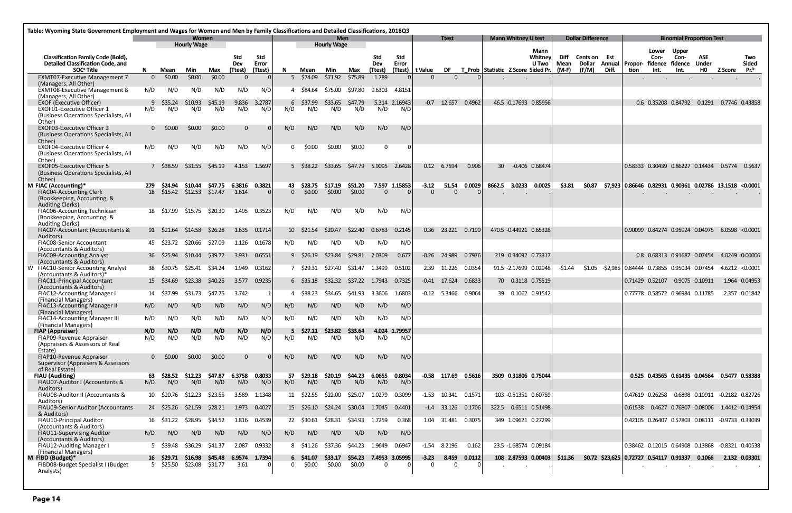|                                                                                                                 | Table: Wyoming State Government Employment and Wages for Women and Men by Family Classifications and Detailed Classifications, 2018Q3 |                         |                             |                            |                              |                                |           |                            |                                  |                   |                              |                      |                     |                |        |                 |                                    |                                 |                              |                                        |       |                                                         |                                          |                                                      |                                  |                     |                                         |
|-----------------------------------------------------------------------------------------------------------------|---------------------------------------------------------------------------------------------------------------------------------------|-------------------------|-----------------------------|----------------------------|------------------------------|--------------------------------|-----------|----------------------------|----------------------------------|-------------------|------------------------------|----------------------|---------------------|----------------|--------|-----------------|------------------------------------|---------------------------------|------------------------------|----------------------------------------|-------|---------------------------------------------------------|------------------------------------------|------------------------------------------------------|----------------------------------|---------------------|-----------------------------------------|
|                                                                                                                 |                                                                                                                                       |                         | Women<br><b>Hourly Wage</b> |                            |                              |                                |           |                            | <b>Men</b><br><b>Hourly Wage</b> |                   |                              |                      |                     | <b>Ttest</b>   |        |                 | <b>Mann Whitney U test</b>         |                                 |                              | <b>Dollar Difference</b>               |       |                                                         |                                          | <b>Binomial Proportion Test</b>                      |                                  |                     |                                         |
| <b>Classification Family Code (Bold),</b><br><b>Detailed Classification Code, and</b><br>SOC <sup>ª</sup> Title | N                                                                                                                                     | Mean                    | Min                         | Max                        | <b>Std</b><br>Dev<br>(Ttest) | <b>Std</b><br>Error<br>(Ttest) | N.        | Mean                       | Min                              | Max               | <b>Std</b><br>Dev<br>(Ttest) | Std<br><b>Error</b>  | (Ttest)   t Value   | DF             |        |                 | T_Prob Statistic Z Score Sided Pr. | Mann<br>Whitney<br><b>U</b> Two | Diff<br><b>Mean</b><br>(M-F) | <b>Cents on Est</b><br>Dollar<br>(F/M) | Diff. | Annual   Propor-<br>tion                                | Lower<br>Con-<br>fidence fidence<br>Int. | <b>Upper</b><br>Con-<br>Int.                         | <b>ASE</b><br>Under<br><b>HO</b> | <b>Z Score</b>      | Two<br><b>Sided</b><br>Pr. <sup>b</sup> |
| <b>EXMT07-Executive Management 7</b>                                                                            | $\Omega$                                                                                                                              | \$0.00                  | \$0.00                      | \$0.00                     | $\Omega$                     |                                | 5         | \$74.09                    | \$71.92                          | \$75.89           | 1.789                        |                      | $\Omega$            | $\Omega$       |        |                 |                                    |                                 |                              |                                        |       |                                                         | $\cdot$                                  | $\blacksquare$                                       |                                  |                     |                                         |
| (Managers, All Other)<br>EXMT08-Executive Management 8                                                          | N/D                                                                                                                                   | N/D                     | N/D                         | N/D                        | N/D                          | N/D                            | 4         | \$84.64                    | S75.00                           | \$97.80           | 9.6303                       | 4.8151               |                     |                |        |                 |                                    |                                 |                              |                                        |       |                                                         |                                          |                                                      |                                  |                     |                                         |
| (Managers, All Other)<br><b>EXOF (Executive Officer)</b>                                                        | q                                                                                                                                     | \$35.24                 | S10.93                      | \$45.19<br>N/D             | 9.836                        | 3.2787                         | 6<br>N/D  | \$37.99                    | \$33.65<br>N/D                   | \$47.79           |                              | 5.314 2.16943        |                     | $-0.7$ 12.657  | 0.4962 |                 | 46.5 -0.17693 0.85956              |                                 |                              |                                        |       |                                                         |                                          | 0.6 0.35208 0.84792 0.1291 0.7746 0.43858            |                                  |                     |                                         |
| <b>EXOF01-Executive Officer 1</b><br>(Business Operations Specialists, All<br>Other)                            | N/D                                                                                                                                   | N/D                     | N/D                         |                            | N/D                          | N/D                            |           | N/D                        |                                  | N/D               | N/D                          | N/D                  |                     |                |        |                 |                                    |                                 |                              |                                        |       |                                                         |                                          |                                                      |                                  |                     |                                         |
| <b>EXOF03-Executive Officer 3</b><br>(Business Operations Specialists, All<br>Other)                            |                                                                                                                                       | \$0.00                  | \$0.00                      | \$0.00                     | $\overline{0}$               |                                | N/D       | N/D                        | N/D                              | N/D               | N/D                          | N/D                  |                     |                |        |                 |                                    |                                 |                              |                                        |       |                                                         |                                          |                                                      |                                  |                     |                                         |
| <b>EXOF04-Executive Officer 4</b><br>(Business Operations Specialists, All<br>Other)                            | N/D                                                                                                                                   | N/D                     | N/D                         | N/D                        | N/D                          | N/D                            | 0.        | \$0.00                     | \$0.00                           | \$0.00            | $\Omega$                     |                      |                     |                |        |                 |                                    |                                 |                              |                                        |       |                                                         |                                          |                                                      |                                  |                     |                                         |
| <b>EXOF05-Executive Officer 5</b><br>(Business Operations Specialists, All<br>Other)                            |                                                                                                                                       | 7 S38.59                | \$31.55                     | S45.19                     | 4.153                        | 1.5697                         |           | 5 \$38.22                  | \$33.65                          | \$47.79           | 5.9095                       | 2.6428               |                     | 0.12 6.7594    | 0.906  | 30 <sup>2</sup> | -0.406 0.68474                     |                                 |                              |                                        |       |                                                         |                                          | 0.58333 0.30439 0.86227 0.14434                      |                                  | 0.5774              | 0.5637                                  |
| M FIAC (Accounting)*                                                                                            |                                                                                                                                       | \$24.94                 | \$10.44                     |                            | \$47.75  6.3816  0.3821      |                                | 43.       | \$28.75                    | \$17.19                          | \$51.20           |                              | 7.597 1.15853        | $-3.12$             | 51.54          | 0.0029 |                 | 8662.5 3.0233                      | 0.0025                          | \$3.81                       | \$0.87                                 |       | \$7,923 0.86646 0.82931 0.90361 0.02786 13.1518 <0.0001 |                                          |                                                      |                                  |                     |                                         |
| <b>FIAC04-Accounting Clerk</b><br>(Bookkeeping, Accounting, &<br><b>Auditing Clerks)</b>                        | 18                                                                                                                                    | \$15.42 \$12.53 \$17.47 |                             |                            | 1.614                        | $\overline{0}$                 | $\Omega$  | \$0.00                     | \$0.00                           | \$0.00            | $\Omega$                     |                      | $\Omega$            | $\Omega$       |        |                 |                                    |                                 |                              |                                        |       |                                                         |                                          |                                                      |                                  |                     |                                         |
| FIAC06-Accounting Technician<br>(Bookkeeping, Accounting, &<br><b>Auditing Clerks)</b>                          |                                                                                                                                       | 18 \$17.99              | \$15.75                     | \$20.30                    | 1.495                        | 0.3523                         | N/D       | N/D                        | N/D                              | N/D               | N/D                          | N/D                  |                     |                |        |                 |                                    |                                 |                              |                                        |       |                                                         |                                          |                                                      |                                  |                     |                                         |
| FIAC07-Accountant (Accountants &<br>Auditors)                                                                   |                                                                                                                                       | 91 S21.64               | S14.58                      | S26.28                     | 1.635                        | 0.1714                         |           | 10 \$21.54                 | S20.47                           | \$22,40           | 0.6783                       | 0.2145               | 0.36                | 23.221         | 0.7199 |                 | 470.5 -0.44921 0.65328             |                                 |                              |                                        |       |                                                         |                                          | 0.90099 0.84274 0.95924 0.04975 8.0598 <0.0001       |                                  |                     |                                         |
| FIAC08-Senior Accountant<br>(Accountants & Auditors)                                                            |                                                                                                                                       | 45 \$23.72              | \$20.66                     | \$27.09                    | 1.126                        | 0.1678                         | N/D       | N/D                        | N/D                              | N/D               | N/D                          | N/D                  |                     |                |        |                 |                                    |                                 |                              |                                        |       |                                                         |                                          |                                                      |                                  |                     |                                         |
| <b>FIAC09-Accounting Analyst</b><br>(Accountants & Auditors)                                                    |                                                                                                                                       | 36 \$25.94              | S10.44                      | S39.72                     | 3.931                        | 0.6551                         |           | $9 \quad $26.19$           | \$23.84                          |                   | \$29.81 2.0309               | 0.677                |                     | $-0.26$ 24.989 | 0.7976 |                 | 219 0.34092 0.73317                |                                 |                              |                                        |       |                                                         |                                          | 0.8 0.68313 0.91687 0.07454                          |                                  | 4.0249 0.00006      |                                         |
| W FIAC10-Senior Accounting Analyst<br>(Accountants & Auditors)*                                                 |                                                                                                                                       | 38 \$30.75              | \$25.41                     | S34.24                     | 1.949                        | 0.3162                         |           | 7 \$29.31                  | \$27.40                          | S31.47            | 1.3499                       | 0.5102               |                     | 2.39 11.226    | 0.0354 |                 | 91.5 -2.17699 0.02948              |                                 | $-51.44$                     | \$1.05                                 |       | -\$2,985 0.84444 0.73855 0.95034 0.07454                |                                          |                                                      |                                  | $4.6212 \le 0.0001$ |                                         |
| FIAC11-Principal Accountant<br>(Accountants & Auditors)                                                         |                                                                                                                                       | 15 \$34.69              | S <sub>23.38</sub>          | S40.25                     | 3.577                        | 0.9235                         |           | $6\quad$ \$35.18           | \$32.32                          | \$37.22           | 1.7943                       | 0.7325               |                     | $-0.41$ 17.624 | 0.6833 |                 | 70  0.3118  0.75519                |                                 |                              |                                        |       | 0.71429 0.52107                                         |                                          | 0.9075 0.10911                                       |                                  |                     | 1.964 0.04953                           |
| FIAC12-Accounting Manager I<br>(Financial Managers)                                                             |                                                                                                                                       | 14 \$37.99              | S31.73                      | S47.75                     | 3.742                        |                                |           | \$38.23                    | S34.65                           | S41.93            | 3.3606                       | 1.6803               |                     | $-0.12$ 5.3466 | 0.9064 |                 | 39  0.1062  0.91542                |                                 |                              |                                        |       |                                                         |                                          | 0.77778 0.58572 0.96984 0.11785                      |                                  |                     | 2.357 0.01842                           |
| FIAC13-Accounting Manager II<br>(Financial Managers)                                                            | N/D                                                                                                                                   | N/D                     | N/D                         | N/D                        | N/D                          | N/D                            | N/D       | N/D                        | N/D                              | N/D               | N/D                          | N/D                  |                     |                |        |                 |                                    |                                 |                              |                                        |       |                                                         |                                          |                                                      |                                  |                     |                                         |
| FIAC14-Accounting Manager III<br>(Financial Managers)                                                           | N/D                                                                                                                                   | N/D                     | N/D                         | N/D                        | N/D                          | N/D                            | N/D       | N/D                        | N/D                              | N/D               | N/D                          | N/D                  |                     |                |        |                 |                                    |                                 |                              |                                        |       |                                                         |                                          |                                                      |                                  |                     |                                         |
| <b>FIAP (Appraiser)</b><br>FIAP09-Revenue Appraiser<br>(Appraisers & Assessors of Real                          | N/D<br>N/D                                                                                                                            | N/D<br>N/D              | N/D<br>N/D                  | N/D<br>N/D                 | N/D<br>N/D                   | N/D<br>N/D                     | 5.<br>N/D | \$27.11<br>N/D             | \$23.82<br>N/D                   | \$33.64<br>N/D    | N/D                          | 4.024 1.79957<br>N/D |                     |                |        |                 |                                    |                                 |                              |                                        |       |                                                         |                                          |                                                      |                                  |                     |                                         |
| Estate)<br>FIAP10-Revenue Appraiser                                                                             | 0                                                                                                                                     | \$0.00                  | \$0.00                      | \$0.00                     | $\overline{0}$               |                                | N/D       | N/D                        | N/D                              | N/D               | N/D                          | N/D                  |                     |                |        |                 |                                    |                                 |                              |                                        |       |                                                         |                                          |                                                      |                                  |                     |                                         |
| Supervisor (Appraisers & Assessors<br>of Real Estate)<br><b>FIAU (Auditing)</b>                                 | 63                                                                                                                                    | \$28.52                 | \$12.23                     | \$47.87                    | 6.3758                       | 0.8033                         | 57        | \$29.18                    | \$20.19                          | \$44.23           | 6.0655                       | 0.8034               |                     | $-0.58$ 117.69 | 0.5616 |                 | 3509 0.31806 0.75044               |                                 |                              |                                        |       |                                                         |                                          | 0.525 0.43565 0.61435 0.04564 0.5477 0.58388         |                                  |                     |                                         |
| FIAU07-Auditor I (Accountants &<br>Auditors)                                                                    | N/D                                                                                                                                   | N/D                     | N/D                         | N/D                        | N/D                          | N/D                            | N/D       | N/D                        | N/D                              | N/D               | N/D                          | N/D                  |                     |                |        |                 |                                    |                                 |                              |                                        |       |                                                         |                                          |                                                      |                                  |                     |                                         |
| FIAU08-Auditor II (Accountants &<br>Auditors)                                                                   |                                                                                                                                       | 10 \$20.76              | \$12.23                     | \$23.55                    | 3.589                        | 1.1348                         |           | 11 \$22.55                 | \$22.00                          | \$25.07           | 1.0279                       | 0.3099               |                     | $-1.53$ 10.341 | 0.1571 |                 | 103 -0.51351 0.60759               |                                 |                              |                                        |       | 0.47619 0.26258                                         |                                          | 0.6898  0.10911  -0.2182  0.82726                    |                                  |                     |                                         |
| FIAU09-Senior Auditor (Accountants<br>& Auditors)                                                               |                                                                                                                                       | 24 \$25.26              | \$21.59                     | \$28.21                    |                              | 1.973 0.4027                   |           | 15 \$26.10                 | \$24.24                          | \$30.04 1.7045    |                              | 0.4401               |                     | $-1.4$ 33.126  | 0.1706 |                 | 322.5  0.6511  0.51498             |                                 |                              |                                        |       | 0.61538                                                 |                                          | 0.4627  0.76807  0.08006  1.4412  0.14954            |                                  |                     |                                         |
| FIAU10-Principal Auditor<br>(Accountants & Auditors)                                                            |                                                                                                                                       | 16 \$31.22              | \$28.95                     | \$34.52                    | 1.816                        | 0.4539                         |           | 22 \$30.61                 | \$28.31                          | \$34.93           | 1.7259                       | 0.368                |                     | 1.04 31.481    | 0.3075 |                 | 349 1.09621 0.27299                |                                 |                              |                                        |       |                                                         |                                          | 0.42105  0.26407  0.57803  0.08111  -0.9733  0.33039 |                                  |                     |                                         |
| FIAU11-Supervising Auditor<br>(Accountants & Auditors)                                                          | N/D                                                                                                                                   | N/D                     | N/D                         | N/D                        | N/D                          | N/D                            | N/D       | N/D                        | N/D                              | N/D               | N/D                          | N/D                  |                     |                |        |                 |                                    |                                 |                              |                                        |       |                                                         |                                          |                                                      |                                  |                     |                                         |
| FIAU12-Auditing Manager I<br>(Financial Managers)                                                               |                                                                                                                                       | 5 \$39.48               | \$36.29                     | \$41.37                    | 2.087                        | 0.9332                         |           | 8 \$41.26                  | \$37.36                          | \$44.23           | 1.9649                       | 0.6947               |                     | $-1.54$ 8.2196 | 0.162  |                 | 23.5 -1.68574 0.09184              |                                 |                              |                                        |       |                                                         |                                          | 0.38462 0.12015 0.64908 0.13868 -0.8321 0.40538      |                                  |                     |                                         |
| M FIBD (Budget)*<br>FIBD08-Budget Specialist I (Budget<br>Analysts)                                             |                                                                                                                                       | 16 \$29.71<br>5 \$25.50 | \$16.98                     | \$45.48<br>\$23.08 \$31.77 | 6.9574 1.7394<br>3.61        | -0                             | 0         | $6\quad$ \$41.07<br>\$0.00 | \$33.17<br>\$0.00                | \$54.23<br>\$0.00 | $\Omega$                     | 7.4953 3.05995       | $-3.23$<br>$\Omega$ | 8.459<br>0     | 0.0112 |                 | 108 2.87593 0.00403<br>$\sim$      |                                 | \$11.36                      |                                        |       | $$0.72$ $$23,625$ 0.72727 0.54117 0.91337               |                                          |                                                      | 0.1066                           |                     | 2.132 0.03301                           |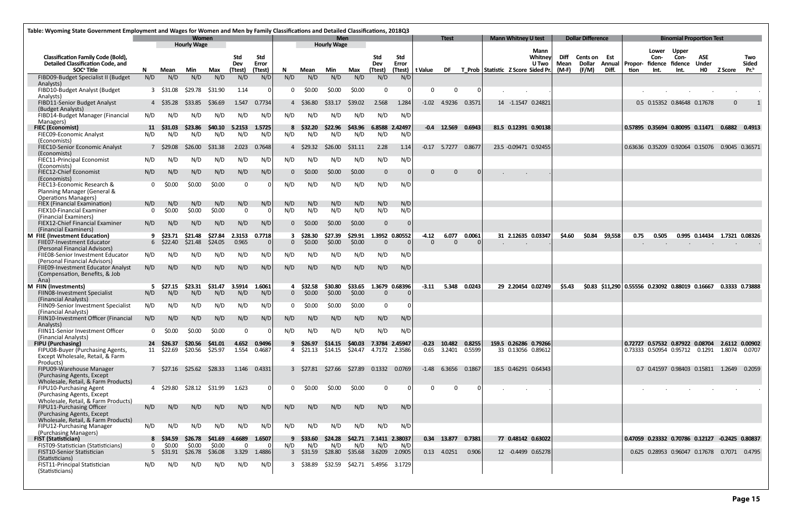|                                                                                       | Table: Wyoming State Government Employment and Wages for Women and Men by Family Classifications and Detailed Classifications, 2018Q3 |                               |                           |                      |                 |                     |          |                         |                                         |                   |                            |               |                     |                       |        |                                    |                  |                     |                                      |         |                                                  |                 |                                                           |                     |                |              |
|---------------------------------------------------------------------------------------|---------------------------------------------------------------------------------------------------------------------------------------|-------------------------------|---------------------------|----------------------|-----------------|---------------------|----------|-------------------------|-----------------------------------------|-------------------|----------------------------|---------------|---------------------|-----------------------|--------|------------------------------------|------------------|---------------------|--------------------------------------|---------|--------------------------------------------------|-----------------|-----------------------------------------------------------|---------------------|----------------|--------------|
|                                                                                       |                                                                                                                                       |                               | <b>Women</b>              |                      |                 |                     |          |                         | <b>Men</b><br><b>Hourly Wage</b>        |                   |                            |               |                     | <b>Ttest</b>          |        | <b>Mann Whitney U test</b>         |                  |                     | <b>Dollar Difference</b>             |         |                                                  |                 | <b>Binomial Proportion Test</b>                           |                     |                |              |
|                                                                                       | <b>Hourly Wage</b>                                                                                                                    |                               |                           |                      |                 |                     |          |                         |                                         |                   |                            |               |                     |                       |        |                                    | <b>Mann</b>      |                     |                                      |         |                                                  | Lower           | <b>Upper</b>                                              |                     |                |              |
| <b>Classification Family Code (Bold),</b><br><b>Detailed Classification Code, and</b> |                                                                                                                                       |                               |                           |                      | Std<br>Dev      | <b>Std</b><br>Error |          |                         |                                         |                   | Std<br>Dev                 | Std<br>Error  |                     |                       |        |                                    | Whitney<br>U Two | <b>Diff</b><br>Mean | <b>Cents on Est</b><br><b>Dollar</b> | Annual  | l Propor-                                        | Con-<br>fidence | Con-<br>fidence                                           | <b>ASE</b><br>Under |                | Two<br>Sided |
| SOC <sup>ª</sup> Title                                                                | N.                                                                                                                                    | Mean                          | Min                       | Max                  | (Ttest)         | (Ttest)             | N.       | Mean                    | Min                                     | Max               | (Ttest)                    |               | (Ttest)   t Value   | DF                    |        | T Prob Statistic Z Score Sided Pr. |                  | $(M-F)$             | (F/M)                                | Diff.   | tion                                             | Int.            | Int.                                                      | <b>HO</b>           | <b>Z Score</b> | $Pr^b$       |
| FIBD09-Budget Specialist II (Budget                                                   | N/D                                                                                                                                   | N/D                           | N/D                       | N/D                  | N/D             | N/D                 | N/D      | N/D                     | N/D                                     | N/D               | N/D                        | N/D           |                     |                       |        |                                    |                  |                     |                                      |         |                                                  |                 |                                                           |                     |                |              |
| Analysts)<br>FIBD10-Budget Analyst (Budget                                            |                                                                                                                                       | 3 \$31.08                     | \$29.78                   | \$31.90              | 1.14            | 0                   |          | <b>SO.00</b>            | \$0.00                                  | \$0.00            | $\mathbf{0}$               | 0             |                     | $\Omega$              |        |                                    |                  |                     |                                      |         |                                                  |                 |                                                           |                     |                |              |
| Analysts)                                                                             |                                                                                                                                       |                               |                           |                      |                 |                     |          |                         |                                         |                   |                            |               |                     |                       |        |                                    |                  |                     |                                      |         |                                                  |                 |                                                           |                     |                |              |
| FIBD11-Senior Budget Analyst<br>(Budget Analysts)                                     |                                                                                                                                       | 4 \$35.28                     | \$33.85                   | \$36.69              | 1.547           | 0.7734              |          | 4 \$36.80               | \$33.17                                 | \$39.02           | 2.568                      | 1.284         | $-1.02$             | 4.9236                | 0.3571 | 14 -1.1547 0.24821                 |                  |                     |                                      |         |                                                  |                 | 0.5 0.15352 0.84648 0.17678                               |                     | 0              |              |
| FIBD14-Budget Manager (Financial                                                      | N/D                                                                                                                                   | N/D                           | N/D                       | N/D                  | N/D             | N/D                 | N/D      | N/D                     | N/D                                     | N/D               | N/D                        | N/D           |                     |                       |        |                                    |                  |                     |                                      |         |                                                  |                 |                                                           |                     |                |              |
| Managers)                                                                             |                                                                                                                                       |                               |                           |                      |                 |                     |          |                         |                                         |                   |                            |               |                     |                       |        |                                    |                  |                     |                                      |         |                                                  |                 |                                                           |                     |                |              |
| <b>FIEC (Economist)</b><br>FIEC09-Economic Analyst                                    | 11<br>N/D                                                                                                                             | \$31.03<br>N/D                | <b>S23.86</b><br>N/D      | <b>S40.10</b><br>N/D | 5.2153<br>N/D   | 1.5725<br>N/D       | 8<br>N/D | \$32.20<br>N/D          | <b>S22.96</b><br>N/D                    | \$43.96<br>N/D    | 6.8588 2.42497<br>N/D      | N/D           |                     | $-0.4$ 12.569         | 0.6943 | 81.5 0.12391 0.90138               |                  |                     |                                      |         |                                                  |                 | 0.57895  0.35694  0.80095  0.11471                        |                     | 0.6882         | 0.4913       |
| (Economists)                                                                          |                                                                                                                                       |                               |                           |                      |                 |                     |          |                         |                                         |                   |                            |               |                     |                       |        |                                    |                  |                     |                                      |         |                                                  |                 |                                                           |                     |                |              |
| FIEC10-Senior Economic Analyst<br>(Economists)                                        |                                                                                                                                       | 7 \$29.08                     | S <sub>26</sub> .00       | \$31.38              | 2.023           | 0.7648              |          | 4 \$29.32               | \$26.00                                 | \$31.11           | 2.28                       | 1.14          |                     | $-0.17$ 5.7277        | 0.8677 | 23.5 -0.09471 0.92455              |                  |                     |                                      |         |                                                  |                 | 0.63636 0.35209 0.92064 0.15076 0.9045 0.36571            |                     |                |              |
| <b>FIEC11-Principal Economist</b>                                                     | N/D                                                                                                                                   | N/D                           | N/D                       | N/D                  | N/D             | N/D                 | N/D      | N/D                     | N/D                                     | N/D               | N/D                        | N/D           |                     |                       |        |                                    |                  |                     |                                      |         |                                                  |                 |                                                           |                     |                |              |
| (Economists)<br>FIEC12-Chief Economist                                                | N/D                                                                                                                                   | N/D                           | N/D                       | N/D                  | N/D             | N/D                 | $\Omega$ | S0.00                   | \$0.00                                  | \$0.00            | $\mathbf{0}$               |               | 0                   | $\Omega$              |        |                                    |                  |                     |                                      |         |                                                  |                 |                                                           |                     |                |              |
| (Economists)                                                                          |                                                                                                                                       |                               |                           |                      |                 |                     |          |                         |                                         |                   |                            |               |                     |                       |        |                                    |                  |                     |                                      |         |                                                  |                 |                                                           |                     |                |              |
| FIEC13-Economic Research &                                                            | $\Omega$                                                                                                                              | \$0.00                        | <b>SO.OO</b>              | \$0.00               | $\mathbf{0}$    |                     | N/D      | N/D                     | N/D                                     | N/D               | N/D                        | N/D           |                     |                       |        |                                    |                  |                     |                                      |         |                                                  |                 |                                                           |                     |                |              |
| Planning Manager (General &<br><b>Operations Managers)</b>                            |                                                                                                                                       |                               |                           |                      |                 |                     |          |                         |                                         |                   |                            |               |                     |                       |        |                                    |                  |                     |                                      |         |                                                  |                 |                                                           |                     |                |              |
| FIEX (Financial Examination)                                                          | N/D                                                                                                                                   | N/D                           | N/D                       | N/D                  | N/D             | N/D                 | N/D      | N/D                     | N/D                                     | N/D               | N/D                        | N/D           |                     |                       |        |                                    |                  |                     |                                      |         |                                                  |                 |                                                           |                     |                |              |
| FIEX10-Financial Examiner<br>(Financial Examiners)                                    | $\Omega$                                                                                                                              | \$0.00                        | \$0.00                    | \$0.00               | $\mathbf{0}$    | 0                   | N/D      | N/D                     | N/D                                     | N/D               | N/D                        | N/D           |                     |                       |        |                                    |                  |                     |                                      |         |                                                  |                 |                                                           |                     |                |              |
| FIEX12-Chief Financial Examiner                                                       | N/D                                                                                                                                   | N/D                           | N/D                       | N/D                  | N/D             | N/D                 | $\Omega$ | S <sub>0.00</sub>       | \$0.00                                  | \$0.00            | $\Omega$                   |               |                     |                       |        |                                    |                  |                     |                                      |         |                                                  |                 |                                                           |                     |                |              |
| (Financial Examiners)                                                                 |                                                                                                                                       |                               | \$21.48                   |                      |                 |                     |          |                         |                                         |                   |                            |               |                     |                       |        |                                    |                  |                     |                                      |         |                                                  |                 |                                                           |                     |                |              |
| M FIIE (Investment Education)<br>FIIE07-Investment Educator                           |                                                                                                                                       | 9 \$23.71<br>$6\quad$ \$22.40 | \$21.48                   | \$27.84<br>\$24.05   | 2.3153<br>0.965 | 0.7718<br>0         | $\Omega$ | 3 \$28.30<br>\$0.00     | \$27.39<br>\$0.00                       | \$29.91<br>\$0.00 | 1.3952 0.80552<br>$\Omega$ |               | $-4.12$<br>$\Omega$ | 6.077<br>$\Omega$     | 0.0061 | 31 2.12635 0.03347<br>$\bullet$    |                  | \$4.60              | \$0.84                               | \$9,558 | 0.75                                             | 0.505           |                                                           | 0.995 0.14434       | 1.7321 0.08326 |              |
| (Personal Financial Advisors)                                                         |                                                                                                                                       |                               |                           |                      |                 |                     |          |                         |                                         |                   |                            |               |                     |                       |        |                                    |                  |                     |                                      |         |                                                  |                 |                                                           |                     |                |              |
| FIIE08-Senior Investment Educator<br>(Personal Financial Advisors)                    | N/D                                                                                                                                   | N/D                           | N/D                       | N/D                  | N/D             | N/D                 | N/D      | N/D                     | N/D                                     | N/D               | N/D                        | N/D           |                     |                       |        |                                    |                  |                     |                                      |         |                                                  |                 |                                                           |                     |                |              |
| FIIE09-Investment Educator Analyst                                                    | N/D                                                                                                                                   | N/D                           | N/D                       | N/D                  | N/D             | N/D                 | N/D      | N/D                     | N/D                                     | N/D               | N/D                        | N/D           |                     |                       |        |                                    |                  |                     |                                      |         |                                                  |                 |                                                           |                     |                |              |
| (Compensation, Benefits, & Job<br>Ana)                                                |                                                                                                                                       |                               |                           |                      |                 |                     |          |                         |                                         |                   |                            |               |                     |                       |        |                                    |                  |                     |                                      |         |                                                  |                 |                                                           |                     |                |              |
| M FIIN (Investments)                                                                  | 5.                                                                                                                                    | \$27.15                       | \$23.31                   | \$31.47              | 3.5914          | 1.6061              | 4        | \$32.58                 | \$30.80                                 | \$33.65           | 1.3679 0.68396             |               | $-3.11$             | 5.348                 | 0.0243 | 29 2.20454 0.02749                 |                  | \$5.43              |                                      |         | $$0.83$ \$11,290 0.55556 0.23092 0.88019 0.16667 |                 |                                                           |                     | 0.3333 0.73888 |              |
| FIIN08-Investment Specialist<br>(Financial Analysts)                                  | N/D                                                                                                                                   | N/D                           | N/D                       | N/D                  | N/D             | N/D                 | $\Omega$ | \$0.00                  | \$0.00                                  | \$0.00            | $\mathbf{0}$               |               |                     |                       |        |                                    |                  |                     |                                      |         |                                                  |                 |                                                           |                     |                |              |
| FIIN09-Senior Investment Specialist                                                   | N/D                                                                                                                                   | N/D                           | N/D                       | N/D                  | N/D             | N/D                 |          | \$0.00                  | \$0.00                                  | \$0.00            | 0                          |               |                     |                       |        |                                    |                  |                     |                                      |         |                                                  |                 |                                                           |                     |                |              |
| (Financial Analysts)                                                                  |                                                                                                                                       |                               |                           |                      |                 |                     |          |                         |                                         |                   |                            |               |                     |                       |        |                                    |                  |                     |                                      |         |                                                  |                 |                                                           |                     |                |              |
| FIIN10-Investment Officer (Financial<br>Analysts)                                     | N/D                                                                                                                                   | N/D                           | N/D                       | N/D                  | N/D             | N/D                 | N/D      | N/D                     | N/D                                     | N/D               | N/D                        | N/D           |                     |                       |        |                                    |                  |                     |                                      |         |                                                  |                 |                                                           |                     |                |              |
| FIIN11-Senior Investment Officer                                                      |                                                                                                                                       | \$0.00                        | \$0.00                    | \$0.00               | $\overline{0}$  |                     | N/D      | N/D                     | N/D                                     | N/D               | N/D                        | N/D           |                     |                       |        |                                    |                  |                     |                                      |         |                                                  |                 |                                                           |                     |                |              |
| (Financial Analysts)<br><b>FIPU (Purchasing)</b>                                      |                                                                                                                                       | 24 \$26.37                    | \$20.56                   | \$41.01              |                 | 4.652 0.9496        |          |                         | 9 \$26.97 \$14.15 \$40.03               |                   | 7.3784 2.45947             |               |                     | $-0.23$ 10.482 0.8255 |        | 159.5 0.26286 0.79266              |                  |                     |                                      |         |                                                  |                 | 0.72727 0.57532 0.87922 0.08704 2.6112 0.00902            |                     |                |              |
| FIPU08-Buyer (Purchasing Agents,                                                      |                                                                                                                                       | 11 \$22.69                    | \$20.56 \$25.97           |                      | 1.554           | 0.4687              |          |                         | 4 \$21.13 \$14.15 \$24.47 4.7172 2.3586 |                   |                            |               |                     | 0.65 3.2401 0.5599    |        | 33 0.13056 0.89612                 |                  |                     |                                      |         |                                                  |                 | 0.73333 0.50954 0.95712 0.1291 1.8074 0.0707              |                     |                |              |
| Except Wholesale, Retail, & Farm<br>Products)                                         |                                                                                                                                       |                               |                           |                      |                 |                     |          |                         |                                         |                   |                            |               |                     |                       |        |                                    |                  |                     |                                      |         |                                                  |                 |                                                           |                     |                |              |
| FIPU09-Warehouse Manager                                                              |                                                                                                                                       |                               | 7 \$27.16 \$25.62 \$28.33 |                      |                 | 1.146 0.4331        |          | 3 \$27.81 \$27.66       |                                         | \$27.89           | $0.1332$ $0.0769$          |               |                     | $-1.48$ 6.3656        | 0.1867 | 18.5 0.46291 0.64343               |                  |                     |                                      |         |                                                  |                 | 0.7 0.41597 0.98403 0.15811 1.2649                        |                     |                | 0.2059       |
| (Purchasing Agents, Except                                                            |                                                                                                                                       |                               |                           |                      |                 |                     |          |                         |                                         |                   |                            |               |                     |                       |        |                                    |                  |                     |                                      |         |                                                  |                 |                                                           |                     |                |              |
| Wholesale, Retail, & Farm Products)<br>FIPU10-Purchasing Agent                        |                                                                                                                                       | 4 \$29.80                     | \$28.12 \$31.99           |                      | 1.623           | 0                   | $\Omega$ | \$0.00                  | \$0.00                                  | \$0.00            | $\mathbf 0$                | . O I         |                     | $\Omega$              | -0     |                                    |                  |                     |                                      |         |                                                  |                 |                                                           |                     |                |              |
| (Purchasing Agents, Except                                                            |                                                                                                                                       |                               |                           |                      |                 |                     |          |                         |                                         |                   |                            |               |                     |                       |        |                                    |                  |                     |                                      |         |                                                  |                 |                                                           |                     |                |              |
| Wholesale, Retail, & Farm Products)<br>FIPU11-Purchasing Officer                      | N/D                                                                                                                                   | N/D                           | N/D                       | N/D                  | N/D             | N/D                 | N/D      | N/D                     | N/D                                     | N/D               | N/D                        | N/D           |                     |                       |        |                                    |                  |                     |                                      |         |                                                  |                 |                                                           |                     |                |              |
| (Purchasing Agents, Except                                                            |                                                                                                                                       |                               |                           |                      |                 |                     |          |                         |                                         |                   |                            |               |                     |                       |        |                                    |                  |                     |                                      |         |                                                  |                 |                                                           |                     |                |              |
| Wholesale, Retail, & Farm Products)<br>FIPU12-Purchasing Manager                      | N/D                                                                                                                                   | N/D                           | N/D                       | N/D                  | N/D             | N/D                 | N/D      | N/D                     | N/D                                     | N/D               | N/D                        | N/D           |                     |                       |        |                                    |                  |                     |                                      |         |                                                  |                 |                                                           |                     |                |              |
| (Purchasing Managers)                                                                 |                                                                                                                                       |                               |                           |                      |                 |                     |          |                         |                                         |                   |                            |               |                     |                       |        |                                    |                  |                     |                                      |         |                                                  |                 |                                                           |                     |                |              |
| <b>FIST (Statistician)</b>                                                            |                                                                                                                                       | 8 \$34.59                     | \$26.78                   | \$41.69              | 4.6689          | 1.6507              |          | 9 \$33.60               | \$24.28                                 |                   | \$42.71 7.1411 2.38037     |               |                     | 0.34 13.877           | 0.7381 | 77 0.48142 0.63022                 |                  |                     |                                      |         |                                                  |                 | 0.47059   0.23332   0.70786   0.12127   -0.2425   0.80837 |                     |                |              |
| FIST09-Statistician (Statisticians)<br>FIST10-Senior Statistician                     |                                                                                                                                       | \$0.00<br>$5\quad$ \$31.91    | \$0.00<br>\$26.78         | \$0.00<br>\$36.08    | - 0<br>3.329    | 1.4886              | N/D      | N/D<br>$3\quad$ \$31.59 | N/D<br>\$28.80                          | N/D<br>\$35.68    | N/D<br>3.6209              | N/D<br>2.0905 |                     | 0.13 4.0251           | 0.906  | 12 -0.4499 0.65278                 |                  |                     |                                      |         |                                                  |                 | 0.625 0.28953 0.96047 0.17678 0.7071 0.4795               |                     |                |              |
| (Statisticians)                                                                       |                                                                                                                                       |                               |                           |                      |                 |                     |          |                         |                                         |                   |                            |               |                     |                       |        |                                    |                  |                     |                                      |         |                                                  |                 |                                                           |                     |                |              |
| FIST11-Principal Statistician<br>(Statisticians)                                      | N/D                                                                                                                                   | N/D                           | N/D                       | N/D                  | N/D             | N/D                 |          | 3 \$38.89               | \$32.59                                 |                   | \$42.71  5.4956  3.1729    |               |                     |                       |        |                                    |                  |                     |                                      |         |                                                  |                 |                                                           |                     |                |              |
|                                                                                       |                                                                                                                                       |                               |                           |                      |                 |                     |          |                         |                                         |                   |                            |               |                     |                       |        |                                    |                  |                     |                                      |         |                                                  |                 |                                                           |                     |                |              |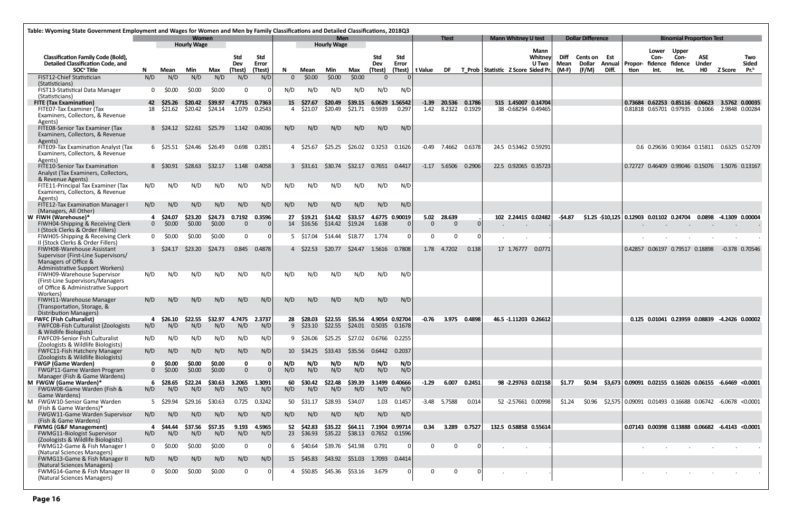| Table: Wyoming State Government Employment and Wages for Women and Men by Family Classifications and Detailed Classifications, 2018Q3 |                |                          |                                    |                    |                   |               |          |                      |                                  |                 |                         |                         |                   |                               |                  |                                    |                                        |              |                          |                         |                                                                                  |                                  |                                               |                     |                        |                     |
|---------------------------------------------------------------------------------------------------------------------------------------|----------------|--------------------------|------------------------------------|--------------------|-------------------|---------------|----------|----------------------|----------------------------------|-----------------|-------------------------|-------------------------|-------------------|-------------------------------|------------------|------------------------------------|----------------------------------------|--------------|--------------------------|-------------------------|----------------------------------------------------------------------------------|----------------------------------|-----------------------------------------------|---------------------|------------------------|---------------------|
|                                                                                                                                       |                |                          | <b>Women</b><br><b>Hourly Wage</b> |                    |                   |               |          |                      | <b>Men</b><br><b>Hourly Wage</b> |                 |                         |                         |                   | <b>Ttest</b>                  |                  | <b>Mann Whitney U test</b>         |                                        |              | <b>Dollar Difference</b> |                         |                                                                                  |                                  | <b>Binomial Proportion Test</b>               |                     |                        |                     |
| <b>Classification Family Code (Bold),</b><br><b>Detailed Classification Code, and</b>                                                 |                |                          |                                    |                    | <b>Std</b><br>Dev | Std<br>Error  |          |                      |                                  |                 | <b>Std</b><br>Dev       | Std<br>Error            |                   |                               |                  |                                    | <b>Mann</b><br>Whitney<br><b>U</b> Two | Diff<br>Mean | Cents on Est<br>Dollar   | <b>Annual   Propor-</b> |                                                                                  | Lower<br>Con-<br>fidence fidence | <b>Upper</b><br>Con-                          | <b>ASE</b><br>Under |                        | Two<br><b>Sided</b> |
| SOC <sup>ª</sup> Title                                                                                                                | N.             | Mean                     | Min                                | Max                | (Ttest)           | (Ttest)       | N.       | Mean                 | Min                              | Max             | (Ttest)                 |                         | (Ttest)   t Value | DF                            |                  | T Prob Statistic Z Score Sided Pr. |                                        | $(M-F)$      | (F/M)                    | Diff.                   | tion                                                                             | Int.                             | Int.                                          | HO l                | <b>Z Score</b>         | $Pr^b$              |
| FIST12-Chief Statistician<br>(Statisticians)                                                                                          | N/D            | N/D                      | N/D                                | N/D                | N/D               | N/D           | $\Omega$ | \$0.00               | \$0.00                           | \$0.00          | $\Omega$                |                         |                   |                               |                  |                                    |                                        |              |                          |                         |                                                                                  |                                  |                                               |                     |                        |                     |
| FIST13-Statistical Data Manager                                                                                                       |                | \$0.00                   | \$0.00                             | \$0.00             | $\Omega$          |               | N/D      | N/D                  | N/D                              | N/D             | N/D                     | N/D                     |                   |                               |                  |                                    |                                        |              |                          |                         |                                                                                  |                                  |                                               |                     |                        |                     |
| (Statisticians)                                                                                                                       |                |                          |                                    |                    |                   | 4.7715 0.7363 |          |                      |                                  | \$39.15         |                         |                         |                   |                               |                  | 515 1.45007 0.14704                |                                        |              |                          |                         |                                                                                  |                                  |                                               |                     |                        |                     |
| <b>FITE (Tax Examination)</b><br>FITE07-Tax Examiner (Tax                                                                             |                | 42 \$25.26<br>18 \$21.62 | \$20.42<br>\$20.42                 | \$39.97<br>\$24.14 | 1.079             | 0.2543        | 15       | \$27.67<br>4 \$21.07 | \$20.49<br>\$20.49               | \$21.71         | 0.5939                  | 6.0629 1.56542<br>0.297 |                   | $-1.39$ 20.536<br>1.42 8.2322 | 0.1786<br>0.1929 | 38 -0.68294 0.49465                |                                        |              |                          |                         | 0.73684  0.62253  0.85116  0.06623  3.5762  0.00035<br>0.81818  0.65701  0.97935 |                                  |                                               |                     | 0.1066 2.9848 0.00284  |                     |
| Examiners, Collectors, & Revenue                                                                                                      |                |                          |                                    |                    |                   |               |          |                      |                                  |                 |                         |                         |                   |                               |                  |                                    |                                        |              |                          |                         |                                                                                  |                                  |                                               |                     |                        |                     |
| Agents)<br>FITE08-Senior Tax Examiner (Tax                                                                                            |                | 8 \$24.12                | \$22.61                            | \$25.79            |                   | 1.142 0.4036  | N/D      | N/D                  | N/D                              | N/D             | N/D                     | N/D                     |                   |                               |                  |                                    |                                        |              |                          |                         |                                                                                  |                                  |                                               |                     |                        |                     |
| Examiners, Collectors, & Revenue                                                                                                      |                |                          |                                    |                    |                   |               |          |                      |                                  |                 |                         |                         |                   |                               |                  |                                    |                                        |              |                          |                         |                                                                                  |                                  |                                               |                     |                        |                     |
| Agents)<br>FITE09-Tax Examination Analyst (Tax                                                                                        |                | 6 \$25.51 \$24.46        |                                    | \$26.49            |                   | 0.698 0.2851  |          | 4 S25.67             | \$25.25                          |                 | \$26.02  0.3253         | 0.1626                  |                   | $-0.49$ 7.4662                | 0.6378           | 24.5 0.53462 0.59291               |                                        |              |                          |                         |                                                                                  |                                  | 0.6 0.29636 0.90364 0.15811 0.6325 0.52709    |                     |                        |                     |
| Examiners, Collectors, & Revenue                                                                                                      |                |                          |                                    |                    |                   |               |          |                      |                                  |                 |                         |                         |                   |                               |                  |                                    |                                        |              |                          |                         |                                                                                  |                                  |                                               |                     |                        |                     |
| Agents)                                                                                                                               |                |                          |                                    |                    |                   |               |          |                      |                                  |                 |                         |                         |                   |                               |                  |                                    |                                        |              |                          |                         |                                                                                  |                                  |                                               |                     |                        |                     |
| <b>FITE10-Senior Tax Examination</b><br>Analyst (Tax Examiners, Collectors,                                                           |                | 8 S30.91                 | \$28.63                            | \$32.17            |                   | 1.148 0.4058  |          | 3 \$31.61            | \$30.74                          | \$32.17         | 0.7651                  | 0.4417                  |                   | $-1.17$ 5.6506                | 0.2906           | 22.5 0.92065 0.35723               |                                        |              |                          |                         | 0.72727 0.46409 0.99046 0.15076 1.5076 0.13167                                   |                                  |                                               |                     |                        |                     |
| & Revenue Agents)                                                                                                                     |                |                          |                                    |                    |                   |               |          |                      |                                  |                 |                         |                         |                   |                               |                  |                                    |                                        |              |                          |                         |                                                                                  |                                  |                                               |                     |                        |                     |
| FITE11-Principal Tax Examiner (Tax<br>Examiners, Collectors, & Revenue                                                                | N/D            | N/D                      | N/D                                | N/D                | N/D               | N/D           | N/D      | N/D                  | N/D                              | N/D             | N/D                     | N/D                     |                   |                               |                  |                                    |                                        |              |                          |                         |                                                                                  |                                  |                                               |                     |                        |                     |
| Agents)                                                                                                                               |                |                          |                                    |                    |                   |               |          |                      |                                  |                 |                         |                         |                   |                               |                  |                                    |                                        |              |                          |                         |                                                                                  |                                  |                                               |                     |                        |                     |
| FITE12-Tax Examination Manager I<br>(Managers, All Other)                                                                             | N/D            | N/D                      | N/D                                | N/D                | N/D               | N/D           | N/D      | N/D                  | N/D                              | N/D             | N/D                     | N/D                     |                   |                               |                  |                                    |                                        |              |                          |                         |                                                                                  |                                  |                                               |                     |                        |                     |
| W FIWH (Warehouse)*                                                                                                                   |                | 4 \$24.07                | \$23.20                            | \$24.73            | 0.7192            | 0.3596        | 27       | S19.21               | \$14.42                          | \$33.57         |                         | 4.6775 0.90019          |                   | 5.02 28.639                   |                  | 102 2.24415 0.02482                |                                        | -\$4.87      |                          |                         | $$1.25$ $$10,125$ 0.12903 0.01102 0.24704                                        |                                  |                                               |                     | 0.0898 -4.1309 0.00004 |                     |
| FIWH04-Shipping & Receiving Clerk                                                                                                     |                | \$0.00                   | \$0.00                             | \$0.00             | $\Omega$          |               | 14       | \$16.56              | \$14.42                          | \$19.24         | 1.638                   |                         | $\Omega$          | $\Omega$                      |                  |                                    |                                        |              |                          |                         |                                                                                  | $\sim$                           | $\sim$                                        |                     | $\sim$                 |                     |
| I (Stock Clerks & Order Fillers)<br>FIWH05-Shipping & Receiving Clerk                                                                 |                | \$0.00                   | \$0.00                             | \$0.00             | $\mathbf{0}$      |               |          | 5 \$17.04            | \$14.44                          | \$18.77         | 1.774                   |                         | $\Omega$          | $\Omega$                      |                  |                                    |                                        |              |                          |                         |                                                                                  |                                  |                                               |                     |                        |                     |
| II (Stock Clerks & Order Fillers)                                                                                                     |                |                          |                                    |                    |                   |               |          |                      |                                  |                 |                         |                         |                   |                               |                  |                                    |                                        |              |                          |                         |                                                                                  |                                  |                                               |                     |                        |                     |
| FIWH08-Warehouse Assistant<br>Supervisor (First-Line Supervisors/                                                                     |                | $3\quad$ \$24.17         | \$23.20                            | \$24.73            | 0.845             | 0.4878        |          | 4 \$22.53            | \$20.77                          | S24.47          | 1.5616                  | 0.7808                  |                   | 1.78 4.7202                   | 0.138            | 17 1.76777                         | 0.0771                                 |              |                          |                         | 0.42857  0.06197  0.79517  0.18898                                               |                                  |                                               |                     |                        | -0.378 0.70546      |
| Managers of Office &                                                                                                                  |                |                          |                                    |                    |                   |               |          |                      |                                  |                 |                         |                         |                   |                               |                  |                                    |                                        |              |                          |                         |                                                                                  |                                  |                                               |                     |                        |                     |
| Administrative Support Workers)<br>FIWH09-Warehouse Supervisor                                                                        | N/D            | N/D                      | N/D                                | N/D                | N/D               | N/D           | N/D      | N/D                  | N/D                              | N/D             | N/D                     | N/D                     |                   |                               |                  |                                    |                                        |              |                          |                         |                                                                                  |                                  |                                               |                     |                        |                     |
| (First-Line Supervisors/Managers)                                                                                                     |                |                          |                                    |                    |                   |               |          |                      |                                  |                 |                         |                         |                   |                               |                  |                                    |                                        |              |                          |                         |                                                                                  |                                  |                                               |                     |                        |                     |
| of Office & Administrative Support<br>Workers)                                                                                        |                |                          |                                    |                    |                   |               |          |                      |                                  |                 |                         |                         |                   |                               |                  |                                    |                                        |              |                          |                         |                                                                                  |                                  |                                               |                     |                        |                     |
| FIWH11-Warehouse Manager                                                                                                              | N/D            | N/D                      | N/D                                | N/D                | N/D               | N/D           | N/D      | N/D                  | N/D                              | N/D             | N/D                     | N/D                     |                   |                               |                  |                                    |                                        |              |                          |                         |                                                                                  |                                  |                                               |                     |                        |                     |
| (Transportation, Storage, &                                                                                                           |                |                          |                                    |                    |                   |               |          |                      |                                  |                 |                         |                         |                   |                               |                  |                                    |                                        |              |                          |                         |                                                                                  |                                  |                                               |                     |                        |                     |
| Distribution Managers)<br><b>FWFC (Fish Culturalist)</b>                                                                              |                | \$26.10                  | \$22.55                            | \$32.97            | 4.7475            | 2.3737        | 28       | \$28.03              | \$22.55                          |                 | \$35.56 4.9054 0.92704  |                         | -0.76             |                               | 3.975 0.4898     | 46.5 -1.11203 0.26612              |                                        |              |                          |                         |                                                                                  |                                  | 0.125 0.01041 0.23959 0.08839 -4.2426 0.00002 |                     |                        |                     |
| FWFC08-Fish Culturalist (Zoologists                                                                                                   | N/D            | N/D                      | N/D                                | N/D                | N/D               | N/D           | 9        | \$23.10              | \$22.55                          |                 | \$24.01  0.5035  0.1678 |                         |                   |                               |                  |                                    |                                        |              |                          |                         |                                                                                  |                                  |                                               |                     |                        |                     |
| & Wildlife Biologists)<br><b>FWFC09-Senior Fish Culturalist</b>                                                                       | N/D            | N/D                      | N/D                                | N/D                | N/D               | N/D           |          | 9 \$26.06            | \$25.25                          |                 |                         | 0.2255                  |                   |                               |                  |                                    |                                        |              |                          |                         |                                                                                  |                                  |                                               |                     |                        |                     |
| (Zoologists & Wildlife Biologists)                                                                                                    |                |                          |                                    |                    |                   |               |          |                      |                                  |                 |                         |                         |                   |                               |                  |                                    |                                        |              |                          |                         |                                                                                  |                                  |                                               |                     |                        |                     |
| FWFC11-Fish Hatchery Manager<br>(Zoologists & Wildlife Biologists)                                                                    | N/D            | N/D                      | N/D                                | N/D                | N/D               | N/D           |          | 10 \$34.25           | \$33.43                          | \$35.56         | 0.6442                  | 0.2037                  |                   |                               |                  |                                    |                                        |              |                          |                         |                                                                                  |                                  |                                               |                     |                        |                     |
| <b>FWGP (Game Warden)</b>                                                                                                             |                | \$0.00                   | \$0.00                             | \$0.00             | $\mathbf 0$       |               | N/D      | N/D                  | N/D                              | N/D             | N/D                     | N/D                     |                   |                               |                  |                                    |                                        |              |                          |                         |                                                                                  |                                  |                                               |                     |                        |                     |
| FWGP11-Game Warden Program<br>Manager (Fish & Game Wardens)                                                                           | $\overline{0}$ | \$0.00                   | \$0.00                             | \$0.00             | $\mathbf{0}$      |               | N/D      | N/D                  | N/D                              | N/D             | N/D                     | N/D                     |                   |                               |                  |                                    |                                        |              |                          |                         |                                                                                  |                                  |                                               |                     |                        |                     |
| M FWGW (Game Warden)*                                                                                                                 | 6.             | \$28.65                  | \$22.24                            | \$30.63            | 3.2065 1.3091     |               | 60       | \$30.42              | \$22.48                          | \$39.39         | 3.1499 0.40666          |                         | $-1.29$           | 6.007                         | 0.2451           | 98 -2.29763 0.02158                |                                        | <b>S1.77</b> | \$0.94                   |                         | $$3,673 0.09091$ 0.02155 0.16026 0.06155 -6.6469 <0.0001                         |                                  |                                               |                     |                        |                     |
| FWGW08-Game Warden (Fish &<br>Game Wardens)                                                                                           | N/D            | N/D                      | N/D                                | N/D                | N/D               | N/D           | N/D      | N/D                  | N/D                              | N/D             | N/D                     | N/D                     |                   |                               |                  |                                    |                                        |              |                          |                         |                                                                                  |                                  |                                               |                     |                        |                     |
| M FWGW10-Senior Game Warden                                                                                                           |                | 5 \$29.94                | \$29.16                            | \$30.63            | 0.725             | 0.3242        | 50       | \$31.17              | \$28.93                          | \$34.07         | 1.03                    | 0.1457                  |                   | $-3.48$ 5.7588                | 0.014            | 52 -2.57661 0.00998                |                                        | S1.24        | S0.96                    |                         | \$2,575 0.09091 0.01493 0.16688 0.06742 -6.0678 <0.0001                          |                                  |                                               |                     |                        |                     |
| (Fish & Game Wardens)*                                                                                                                | N/D            |                          |                                    | N/D                | N/D               |               | N/D      |                      | N/D                              | N/D             | N/D                     | N/D                     |                   |                               |                  |                                    |                                        |              |                          |                         |                                                                                  |                                  |                                               |                     |                        |                     |
| FWGW11-Game Warden Supervisor<br>(Fish & Game Wardens)                                                                                |                | N/D                      | N/D                                |                    |                   | N/D           |          | N/D                  |                                  |                 |                         |                         |                   |                               |                  |                                    |                                        |              |                          |                         |                                                                                  |                                  |                                               |                     |                        |                     |
| <b>FWMG (G&amp;F Management)</b>                                                                                                      |                | \$44.44                  | \$37.56                            | \$57.35            | 9.193             | 4.5965        | 52       | \$42.83              | \$35.22                          |                 | \$64.11 7.1904 0.99714  |                         | 0.34              | 3.289                         | 0.7527           | 132.5 0.58858 0.55614              |                                        |              |                          |                         | 0.07143 0.00398 0.13888 0.06682 -6.4143 <0.0001                                  |                                  |                                               |                     |                        |                     |
| FWMG11-Biologist Supervisor<br>(Zoologists & Wildlife Biologists)                                                                     | N/D            | N/D                      | N/D                                | N/D                | N/D               | N/D           |          | 23 \$36.93           | \$35.22                          | \$38.13         | 0.7652 0.1596           |                         |                   |                               |                  |                                    |                                        |              |                          |                         |                                                                                  |                                  |                                               |                     |                        |                     |
| FWMG12-Game & Fish Manager I                                                                                                          | $\Omega$       | \$0.00                   | \$0.00                             | \$0.00             | $\mathbf{0}$      | $\Omega$      |          | 6 \$40.64            |                                  | \$39.76 \$41.98 | 0.791                   |                         | $\Omega$          | $\Omega$                      |                  |                                    |                                        |              |                          |                         |                                                                                  |                                  |                                               |                     |                        |                     |
| (Natural Sciences Managers)<br>FWMG13-Game & Fish Manager II                                                                          | N/D            | N/D                      | N/D                                | N/D                | N/D               | N/D           |          | 15 \$45.83           | \$43.92                          | \$51.03         | 1.7093                  | 0.4414                  |                   |                               |                  |                                    |                                        |              |                          |                         |                                                                                  |                                  |                                               |                     |                        |                     |
| (Natural Sciences Managers)                                                                                                           |                |                          |                                    |                    |                   |               |          |                      |                                  |                 |                         |                         |                   |                               |                  |                                    |                                        |              |                          |                         |                                                                                  |                                  |                                               |                     |                        |                     |
| FWMG14-Game & Fish Manager III<br>(Natural Sciences Managers)                                                                         |                | \$0.00                   | \$0.00                             | \$0.00             | 0                 |               |          | \$50.85              | \$45.36                          | \$53.16         | 3.679                   |                         | 0                 | 0                             |                  |                                    |                                        |              |                          |                         |                                                                                  |                                  |                                               |                     |                        |                     |
|                                                                                                                                       |                |                          |                                    |                    |                   |               |          |                      |                                  |                 |                         |                         |                   |                               |                  |                                    |                                        |              |                          |                         |                                                                                  |                                  |                                               |                     |                        |                     |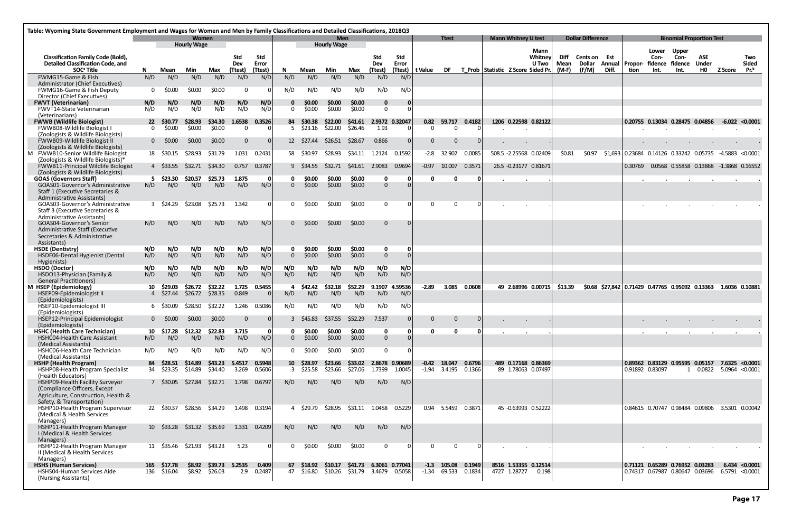| Table: Wyoming State Government Employment and Wages for Women and Men by Family Classifications and Detailed Classifications, 2018Q3 |                             |                            |                    |                    |                 |                     |                |                         |                                  |                    |                                                 |              |                   |                                        |                  |                                    |                            |                                           |              |                               |       |                         |                                  |                                                                    |                            |                                                                            |                     |
|---------------------------------------------------------------------------------------------------------------------------------------|-----------------------------|----------------------------|--------------------|--------------------|-----------------|---------------------|----------------|-------------------------|----------------------------------|--------------------|-------------------------------------------------|--------------|-------------------|----------------------------------------|------------------|------------------------------------|----------------------------|-------------------------------------------|--------------|-------------------------------|-------|-------------------------|----------------------------------|--------------------------------------------------------------------|----------------------------|----------------------------------------------------------------------------|---------------------|
|                                                                                                                                       | Women<br><b>Hourly Wage</b> |                            |                    |                    |                 |                     |                |                         | <b>Men</b><br><b>Hourly Wage</b> |                    |                                                 |              |                   | <b>Ttest</b>                           |                  |                                    | <b>Mann Whitney U test</b> |                                           |              | <b>Dollar Difference</b>      |       |                         |                                  | <b>Binomial Proportion Test</b>                                    |                            |                                                                            |                     |
| <b>Classification Family Code (Bold),</b><br><b>Detailed Classification Code, and</b>                                                 |                             |                            |                    |                    | Std<br>Dev      | <b>Std</b><br>Error |                |                         |                                  |                    | <b>Std</b><br>Dev                               | Std<br>Error |                   |                                        |                  |                                    |                            | Mann<br>Whitney<br>U Two                  | Diff<br>Mean | <b>Cents on Est</b><br>Dollar |       | <b>Annual   Propor-</b> | Lower<br>Con-<br>fidence fidence | <b>Upper</b><br>Con-                                               | <b>ASE</b><br><b>Under</b> |                                                                            | Two<br><b>Sided</b> |
| SOC <sup>ª</sup> Title                                                                                                                | N.                          | Mean                       | Min                | Max                | (Ttest)         | (Ttest)             | N.             | Mean                    | Min                              | Max                | (Ttest)                                         |              | (Ttest)   t Value | DF                                     |                  | T Prob Statistic Z Score Sided Pr. |                            |                                           | $(M-F)$      | (F/M)                         | Diff. | tion                    | Int.                             | Int.                                                               | HO                         | Z Score                                                                    | $Pr^b$              |
| FWMG15-Game & Fish<br>Administrator (Chief Executives)                                                                                | N/D                         | N/D                        | N/D                | N/D                | N/D             | N/D                 | N/D            | N/D                     | N/D                              | N/D                | N/D                                             | N/D          |                   |                                        |                  |                                    |                            |                                           |              |                               |       |                         |                                  |                                                                    |                            |                                                                            |                     |
| FWMG16-Game & Fish Deputy                                                                                                             |                             | \$0.00                     | \$0.00             | \$0.00             | 0               |                     | N/D            | N/D                     | N/D                              | N/D                | N/D                                             | N/D          |                   |                                        |                  |                                    |                            |                                           |              |                               |       |                         |                                  |                                                                    |                            |                                                                            |                     |
| Director (Chief Executives)<br><b>FWVT (Veterinarian)</b>                                                                             | N/D                         | N/D                        | N/D                | N/D                | N/D             | N/D                 | $\mathbf 0$    | \$0.00                  | \$0.00                           | \$0.00             | $\mathbf 0$                                     |              |                   |                                        |                  |                                    |                            |                                           |              |                               |       |                         |                                  |                                                                    |                            |                                                                            |                     |
| <b>FWVT14-State Veterinarian</b>                                                                                                      | N/D                         | N/D                        | N/D                | N/D                | N/D             | N/D                 | $\Omega$       | \$0.00                  | \$0.00                           | \$0.00             | $\Omega$                                        |              |                   |                                        |                  |                                    |                            |                                           |              |                               |       |                         |                                  |                                                                    |                            |                                                                            |                     |
| (Veterinarians)<br><b>FWWB (Wildlife Biologist)</b>                                                                                   | 22 <sub>2</sub>             | <b>S30.77</b>              | \$28.93            | \$34.30            | 1.6538          | 0.3526              | 84             | \$30.38                 | \$22.00                          | \$41.61            | 2.9372 0.32047                                  |              |                   | 0.82 59.717                            | 0.4182           |                                    |                            | 1206 0.22598 0.82122                      |              |                               |       |                         |                                  | 0.20755 0.13034 0.28475 0.04856                                    |                            | $-6.022 < 0.0001$                                                          |                     |
| FWWB08-Wildlife Biologist I                                                                                                           | $\Omega$                    | \$0.00                     | \$0.00             | \$0.00             | $\mathbf{0}$    |                     |                | $5\quad$ \$23.16        | \$22.00                          | \$26.46            | 1.93                                            |              | $\Omega$          | $\Omega$                               |                  |                                    |                            |                                           |              |                               |       |                         |                                  |                                                                    |                            |                                                                            |                     |
| (Zoologists & Wildlife Biologists)<br>FWWB09-Wildlife Biologist II                                                                    | $\Omega$                    | \$0.00                     | \$0.00             | \$0.00             | $\mathbf{0}$    | 0                   |                | 12 \$27.44              | \$26.51                          | \$28.67            | 0.866                                           |              | 0                 |                                        |                  |                                    |                            |                                           |              |                               |       |                         |                                  |                                                                    |                            |                                                                            |                     |
| (Zoologists & Wildlife Biologists)                                                                                                    |                             |                            |                    |                    |                 |                     |                |                         |                                  |                    |                                                 |              |                   |                                        |                  |                                    |                            |                                           |              |                               |       |                         |                                  |                                                                    |                            |                                                                            |                     |
| M FWWB10-Senior Wildlife Biologist<br>(Zoologists & Wildlife Biologists)*                                                             |                             | 18 \$30.15                 | \$28.93            | \$31.79            | 1.031           | 0.2431              |                | 58 \$30.97              | \$28.93                          | \$34.11            | 1.2124                                          | 0.1592       |                   | $-2.8$ 32.902                          | 0.0085           |                                    |                            | 508.5 -2.25568 0.02409                    | \$0.81       | \$0.97                        |       |                         |                                  |                                                                    |                            | $$1,693$ 0.23684 0.14126 0.33242 0.05735 -4.5883 <0.0001                   |                     |
| <b>FWWB11-Principal Wildlife Biologist</b><br>(Zoologists & Wildlife Biologists)                                                      |                             | 4 \$33.55                  | \$32.71            | \$34.30            | 0.757           | 0.3787              |                | 9 \$34.55               | \$32.71                          | \$41.61            | 2.9083                                          | 0.9694       |                   | $-0.97$ 10.007                         | 0.3571           |                                    |                            | 26.5 -0.23177 0.81671                     |              |                               |       | 0.30769                 |                                  |                                                                    |                            | 0.0568  0.55858  0.13868  -1.3868  0.16552                                 |                     |
| <b>GOAS (Governors Staff)</b><br>GOAS01-Governor's Administrative                                                                     | 5.<br>N/D                   | \$23.30<br>N/D             | \$20.57<br>N/D     | \$25.73<br>N/D     | 1.875<br>N/D    | 0<br>N/D            | $\Omega$       | \$0.00<br>\$0.00        | \$0.00<br>\$0.00                 | \$0.00<br>\$0.00   | 0<br>$\mathbf{0}$                               |              | <sup>0</sup>      | $\Omega$                               |                  |                                    |                            |                                           |              |                               |       |                         |                                  |                                                                    |                            |                                                                            |                     |
| Staff 1 (Executive Secretaries &<br><b>Administrative Assistants)</b>                                                                 |                             |                            |                    |                    |                 |                     |                |                         |                                  |                    |                                                 |              |                   |                                        |                  |                                    |                            |                                           |              |                               |       |                         |                                  |                                                                    |                            |                                                                            |                     |
| GOAS03-Governor's Administrative<br>Staff 3 (Executive Secretaries &<br><b>Administrative Assistants)</b>                             |                             | $3\quad$ \$24.29           | \$23.08            | \$25.73            | 1.342           | -01                 | 0              | \$0.00                  | \$0.00                           | \$0.00             | $\bf{0}$                                        |              | 0                 | $\Omega$                               |                  |                                    |                            |                                           |              |                               |       |                         |                                  |                                                                    |                            |                                                                            |                     |
| <b>GOAS04-Governor's Senior</b><br>Administrative Staff (Executive<br>Secretaries & Administrative                                    | N/D                         | N/D                        | N/D                | N/D                | N/D             | N/D                 | $\Omega$       | \$0.00                  | \$0.00                           | \$0.00             | $\Omega$                                        |              |                   |                                        |                  |                                    |                            |                                           |              |                               |       |                         |                                  |                                                                    |                            |                                                                            |                     |
| Assistants)<br><b>HSDE</b> (Dentistry)                                                                                                | N/D                         | N/D                        | N/D                | N/D                | N/D             | N/D                 | 0              | \$0.00                  | \$0.00                           | \$0.00             | $\mathbf 0$                                     | 0            |                   |                                        |                  |                                    |                            |                                           |              |                               |       |                         |                                  |                                                                    |                            |                                                                            |                     |
| HSDE06-Dental Hygienist (Dental                                                                                                       | N/D                         | N/D                        | N/D                | N/D                | N/D             | N/D                 | $\overline{0}$ | \$0.00                  | \$0.00                           | \$0.00             | $\Omega$                                        |              |                   |                                        |                  |                                    |                            |                                           |              |                               |       |                         |                                  |                                                                    |                            |                                                                            |                     |
| Hygienists)<br><b>HSDO (Doctor)</b>                                                                                                   | N/D                         | N/D                        | N/D                | N/D                | N/D             | N/D                 | N/D            | N/D                     | N/D                              | N/D                | N/D                                             | N/D          |                   |                                        |                  |                                    |                            |                                           |              |                               |       |                         |                                  |                                                                    |                            |                                                                            |                     |
| HSDO13-Physician (Family &                                                                                                            | N/D                         | N/D                        | N/D                | N/D                | N/D             | N/D                 | N/D            | N/D                     | N/D                              | N/D                | N/D                                             | N/D          |                   |                                        |                  |                                    |                            |                                           |              |                               |       |                         |                                  |                                                                    |                            |                                                                            |                     |
| <b>General Practitioners)</b><br>M HSEP (Epidemiology)                                                                                | 10                          | \$29.03                    | \$26.72            | \$32.22            | 1.725           | 0.5455              |                | \$42.42                 | \$32.18                          | \$52.29            | 9.1907                                          | 4.59536      | $-2.89$           | 3.085                                  | 0.0608           |                                    |                            | 49 2.68996 0.00715                        | \$13.39      |                               |       |                         |                                  |                                                                    |                            | \$0.68 \$27,842 0.71429 0.47765 0.95092 0.13363 1.6036 0.10881             |                     |
| HSEP09-Epidemiologist II                                                                                                              |                             | 4 \$27.44                  | \$26.72            | \$28.35            | 0.849           |                     | N/D            | N/D                     | N/D                              | N/D                | N/D                                             | N/D          |                   |                                        |                  |                                    |                            |                                           |              |                               |       |                         |                                  |                                                                    |                            |                                                                            |                     |
| (Epidemiologists)<br>HSEP10-Epidemiologist III<br>(Epidemiologists)                                                                   |                             | 6 S30.09                   | \$28.50            | \$32.22            | 1.246           | 0.5086              | N/D            | N/D                     | N/D                              | N/D                | N/D                                             | N/D          |                   |                                        |                  |                                    |                            |                                           |              |                               |       |                         |                                  |                                                                    |                            |                                                                            |                     |
| HSEP12-Principal Epidemiologist                                                                                                       |                             | \$0.00                     | \$0.00             | \$0.00             |                 |                     |                | \$45.83                 | \$37.55                          | \$52.29            | 7.537                                           |              |                   |                                        |                  |                                    |                            |                                           |              |                               |       |                         |                                  |                                                                    |                            |                                                                            |                     |
| (Epidemiologists)<br><b>HSHC (Health Care Technician)</b>                                                                             | 10                          | \$17.28                    | \$12.32            | \$22.83            | 3.715           | - O I               |                | \$0.00                  | \$0.00                           | \$0.00             | 0                                               |              |                   | n                                      |                  |                                    |                            |                                           |              |                               |       |                         |                                  |                                                                    |                            |                                                                            |                     |
| HSHC04-Health Care Assistant                                                                                                          | N/D                         | N/D                        | N/D                | N/D                | N/D             | N/D                 | $\Omega$       | \$0.00                  | \$0.00                           | \$0.00             | $\mathbf{0}$                                    |              |                   |                                        |                  |                                    |                            |                                           |              |                               |       |                         |                                  |                                                                    |                            |                                                                            |                     |
| (Medical Assistants)<br>HSHC06-Health Care Technician                                                                                 | N/D                         | N/D                        | N/D                | N/D                | N/D             | N/D                 | 0              | \$0.00                  | \$0.00                           | \$0.00             | $\Omega$                                        |              |                   |                                        |                  |                                    |                            |                                           |              |                               |       |                         |                                  |                                                                    |                            |                                                                            |                     |
| (Medical Assistants)                                                                                                                  |                             |                            |                    |                    |                 |                     |                |                         |                                  |                    |                                                 |              |                   |                                        |                  |                                    |                            |                                           |              |                               |       |                         |                                  |                                                                    |                            |                                                                            |                     |
| <b>HSHP (Health Program)</b><br>HSHP08-Health Program Specialist                                                                      | 84                          | \$28.51<br>34 \$23.35      | \$14.89<br>\$14.89 | \$43.23<br>\$34.40 | 5.4517<br>3.269 | 0.5948<br>0.5606    |                | 10 \$28.97<br>3 \$25.58 | \$23.66<br>\$23.66               | \$33.02<br>\$27.06 | 2.8678 0.90689<br>1.7399                        | 1.0045       |                   | $-0.42$ 18.047<br>$-1.94$ 3.4195       | 0.6796<br>0.1366 |                                    |                            | 489 0.17168 0.86369<br>89 1.78063 0.07497 |              |                               |       | 0.91892 0.83097         |                                  |                                                                    | 1 0.0822                   | $0.89362$ $0.83129$ $0.95595$ $0.05157$ 7.6325 < 0.0001<br>5.0964 < 0.0001 |                     |
| (Health Educators)<br>HSHP09-Health Facility Surveyor<br>(Compliance Officers, Except                                                 |                             | 7 \$30.05                  | \$27.84            | \$32.71            | 1.798           | 0.6797              | N/D            | N/D                     | N/D                              | N/D                | N/D                                             | N/D          |                   |                                        |                  |                                    |                            |                                           |              |                               |       |                         |                                  |                                                                    |                            |                                                                            |                     |
| Agriculture, Construction, Health &<br>Safety, & Transportation)                                                                      |                             |                            |                    |                    |                 |                     |                |                         |                                  |                    |                                                 |              |                   |                                        |                  |                                    |                            |                                           |              |                               |       |                         |                                  |                                                                    |                            |                                                                            |                     |
| HSHP10-Health Program Supervisor<br>(Medical & Health Services<br>Managers)                                                           |                             | 22 \$30.37                 | \$28.56 \$34.29    |                    |                 | 1.498 0.3194        |                | 4 \$29.79               | \$28.95                          |                    | \$31.11  1.0458  0.5229                         |              |                   | 0.94 5.5459                            | 0.3871           |                                    |                            | 45 -0.63993 0.52222                       |              |                               |       |                         |                                  |                                                                    |                            | 0.84615 0.70747 0.98484 0.09806 3.5301 0.00042                             |                     |
| HSHP11-Health Program Manager<br>I (Medical & Health Services                                                                         |                             | 10 \$33.28                 | \$31.32            | \$35.69            |                 | 1.331 0.4209        | N/D            | N/D                     | N/D                              | N/D                | N/D                                             | N/D          |                   |                                        |                  |                                    |                            |                                           |              |                               |       |                         |                                  |                                                                    |                            |                                                                            |                     |
| Managers)<br>HSHP12-Health Program Manager<br>II (Medical & Health Services                                                           |                             | 11 \$35.46 \$21.93 \$43.23 |                    |                    | 5.23            |                     | $\Omega$       | \$0.00                  | \$0.00                           | \$0.00             | $\mathbf{0}$                                    |              | 0                 | $\Omega$                               |                  |                                    |                            |                                           |              |                               |       |                         |                                  |                                                                    |                            |                                                                            |                     |
| Managers)<br><b>HSHS (Human Services)</b><br><b>HSHS04-Human Services Aide</b>                                                        | 165<br>136                  | \$17.78<br>\$16.04         | \$8.92<br>\$8.92   | \$39.73<br>\$26.03 | 5.2535<br>2.9   | 0.409<br>0.2487     | 47             | \$16.80                 | 67 \$18.92 \$10.17<br>\$10.26    |                    | \$41.73 6.3061 0.77041<br>\$31.79 3.4679 0.5058 |              |                   | $-1.3$ 105.08 0.1949<br>$-1.34$ 69.533 | 0.1834           |                                    | 4727 1.28727               | 8516 1.53355 0.12514<br>0.198             |              |                               |       |                         |                                  | 0.71121 0.65289 0.76952 0.03283<br>0.74317 0.67987 0.80647 0.03696 |                            | 6.434 < 0.0001<br>6.5791 < 0.0001                                          |                     |
| (Nursing Assistants)                                                                                                                  |                             |                            |                    |                    |                 |                     |                |                         |                                  |                    |                                                 |              |                   |                                        |                  |                                    |                            |                                           |              |                               |       |                         |                                  |                                                                    |                            |                                                                            |                     |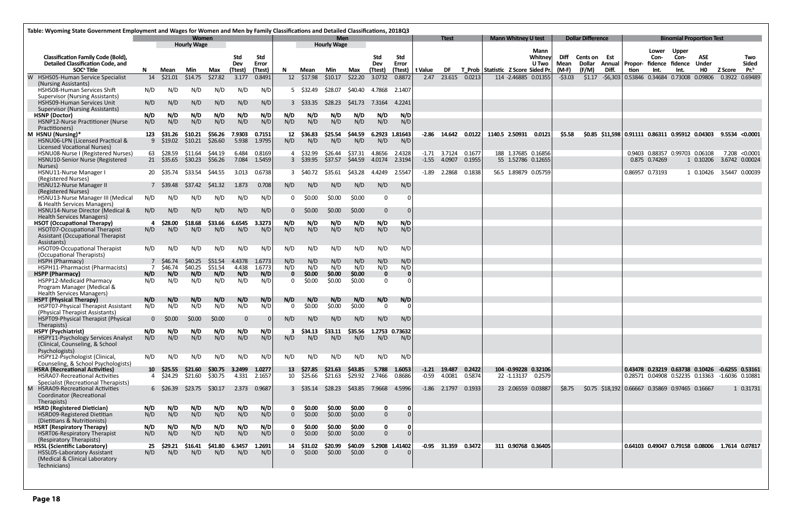| <b>Mann Whitney U test</b><br><b>Dollar Difference</b><br><b>Binomial Proportion Test</b><br>Women<br>Men<br><b>Hourly Wage</b><br><b>Hourly Wage</b><br>Mann<br>Upper<br>Lower<br><b>Std</b><br>Std<br>Whitney<br>Diff<br>ASE<br><b>Classification Family Code (Bold),</b><br>Std<br>Std<br>Con-<br>Con-<br>Cents on Est<br><b>Detailed Classification Code, and</b><br>Error<br>Mean<br>Dollar Annual   Propor- fidence fidence<br><b>Under</b><br>Dev<br>Error<br>Dev<br>U Two<br>Pr. <sup>b</sup><br>SOC <sup>ª</sup> Title<br>(Ttest)<br>(Ttest)<br>(Ttest)<br>DF<br>T Prob Statistic Z Score Sided Pr.<br>$(M-F)$<br>(F/M)<br>Diff.<br>HO.<br>Min<br>(Ttest)<br>Mean<br>Min<br>t Value<br>tion<br>Int.<br>Int.<br>Z Score<br>N.<br>Mean<br>Max<br>-N<br>Max<br>\$27.82<br>0.8491<br>12 \$17.98<br>\$22.20<br>23.615<br>0.0213<br>0.53846  0.34684  0.73008  0.09806<br>\$21.01<br>\$14.75<br>\$10.17<br>3.0732<br>0.8872<br>114 -2.46885 0.01355<br>\$1.17<br>$-56,303$<br>0.3922 0.69489<br>14<br>3.177<br>2.47<br>$-53.03$<br>W HSHS05-Human Service Specialist<br>(Nursing Assistants)<br>HSHS08-Human Services Shift<br>N/D<br>N/D<br>5 \$32.49<br>N/D<br>N/D<br>N/D<br>N/D<br>\$28.07<br>\$40.40<br>4.7868<br>2.1407<br>Supervisor (Nursing Assistants)<br>N/D<br>N/D<br><b>HSHS09-Human Services Unit</b><br>N/D<br>N/D<br>N/D<br>N/D<br>3 \$33.35<br>S <sub>28.23</sub><br>S41.73<br>7.3164<br>4.2241<br><b>Supervisor (Nursing Assistants)</b><br>N/D<br>N/D<br>N/D<br>N/D<br>N/D<br>N/D<br><b>HSNP</b> (Doctor)<br>N/D<br>N/D<br>N/D<br>N/D<br>N/D<br>N/D<br>N/D<br>N/D<br>N/D<br>N/D<br>N/D<br>N/D<br>N/D<br>N/D<br>N/D<br>N/D<br>N/D<br>N/D<br><b>HSNP12-Nurse Practitioner (Nurse</b><br>Practitioners)<br>M HSNU (Nursing)*<br>\$56.26<br>7.9303<br>\$44.59<br>6.2923 1.81643<br>\$31.26<br>\$10.21<br>0.7151<br>\$36.83<br>\$25.54<br>$-2.86$ 14.642<br>0.0122<br>1140.5 2.50931<br>0.0121<br>\$5.58<br>$$0.85$ $$11,598$ 0.91111 0.86311 0.95912 0.04303 9.5534 <0.0001<br>123<br>12<br>\$26.60<br>5.938<br>HSNU06-LPN (Licensed Practical &<br>9 \$19.02<br>\$10.21<br>1.9795<br>N/D<br>N/D<br>N/D<br>N/D<br>N/D<br>N/D<br><b>Licensed Vocational Nurses)</b><br>188 1.37685 0.16856<br>HSNU08-Nurse I (Registered Nurses)<br>63 \$28.59<br>\$44.19<br>6.484<br>0.8169<br>\$26.44<br>\$37.31<br>4.8656<br>$-1.71$ 3.7124<br>0.1677<br>0.9403 0.88357 0.99703 0.06108<br>7.208 < 0.0001<br>\$11.64<br>4 \$32.99<br>2.4328<br>\$56.26<br>7.084<br>HSNU10-Senior Nurse (Registered<br>21 \$35.65<br>\$30.23<br>1.5459<br>3 \$39.95<br>\$37.57<br>\$44.59 4.0174<br>2.3194<br>$-1.55$ 4.0907<br>55 1.52786 0.12655<br>1 0.10206<br>3.6742 0.00024<br>0.1955<br>0.875 0.74269<br>Nurses)<br>HSNU11-Nurse Manager I<br>2.2868<br>0.1838<br>56.5 1.89879 0.05759<br>0.86957 0.73193<br>1 0.10426<br>3.5447 0.00039<br>20 \$35.74<br>\$33.54<br>S44.55<br>3.013<br>0.6738<br>3 S40.72<br>S35.61<br>\$43.28<br>4.4249<br>2.5547<br>-1.89<br>(Registered Nurses)<br>N/D<br>HSNU12-Nurse Manager II<br>N/D<br>7 \$39.48<br>\$37.42<br>\$41.32<br>1.873<br>0.708<br>N/D<br>N/D<br>N/D<br>N/D<br>(Registered Nurses)<br>\$0.00<br>\$0.00<br>N/D<br>N/D<br>N/D<br>N/D<br>\$0.00<br>HSNU13-Nurse Manager III (Medical<br>N/D<br>N/D<br>$\mathbf 0$<br>0<br>& Health Services Managers)<br>HSNU14-Nurse Director (Medical &<br>N/D<br>N/D<br>N/D<br>\$0.00<br>\$0.00<br>$\mathbf{0}$<br>N/D<br>N/D<br>\$0.00<br>N/D<br>$\mathbf{0}$<br><b>Health Services Managers)</b><br>N/D<br>\$18.68<br>\$33.66<br>6.6545<br>N/D<br>N/D<br>N/D<br><b>HSOT (Occupational Therapy)</b><br>\$28.00<br>3.3273<br>N/D<br>N/D<br>N/D<br>N/D<br>N/D<br>N/D<br>HSOT07-Occupational Therapist<br>N/D<br>N/D<br>N/D<br>N/D<br>N/D<br>N/D<br>N/D<br>N/D<br>Assistant (Occupational Therapist<br>Assistants)<br>N/D<br>HSOT09-Occupational Therapist<br>N/D<br>N/D<br>N/D<br>N/D<br>N/D<br>N/D<br>N/D<br>N/D<br>N/D<br>N/D<br>N/D<br>(Occupational Therapists)<br>N/D<br>HSPH (Pharmacy)<br>\$51.54<br>4.4378<br>1.6773<br>N/D<br>N/D<br>N/D<br>\$46.74<br>\$40.25<br>N/D<br>N/D<br>\$51.54<br>N/D<br>HSPH11-Pharmacist (Pharmacists)<br>\$46.74<br>\$40.25<br>4.438<br>1.6773<br>N/D<br>N/D<br>N/D<br>N/D<br>N/D<br>N/D<br>N/D<br>N/D<br><b>HSPP (Pharmacy)</b><br>N/D<br>N/D<br>N/D<br>\$0.00<br>\$0.00<br>\$0.00<br>$\mathbf{0}$<br>$\mathbf 0$<br>$\mathbf{0}$<br>HSPP12-Medicaid Pharmacy<br>N/D<br>N/D<br>N/D<br>N/D<br>N/D<br>N/D<br>\$0.00<br>\$0.00<br>\$0.00<br>0<br>0<br>Program Manager (Medical &<br><b>Health Services Managers)</b><br>N/D<br>N/D<br><b>HSPT (Physical Therapy)</b><br>N/D<br>N/D<br>N/D<br>N/D<br>N/D<br>N/D<br>N/D<br>N/D<br>N/D<br>N/D<br>N/D<br>N/D<br>N/D<br>N/D<br>N/D<br>\$0.00<br>\$0.00<br><b>HSPT07-Physical Therapist Assistant</b><br>N/D<br><b>SO.OO</b><br>$\mathbf{0}$<br>$\Omega$<br>(Physical Therapist Assistants)<br>HSPT09-Physical Therapist (Physical<br>\$0.00<br>\$0.00<br>\$0.00<br>N/D<br>N/D<br>0<br>N/D<br>N/D<br>N/D<br>N/D<br>Therapists)<br><b>HSPY (Psychiatrist)</b><br>N/D<br>N/D<br>N/D<br>N/D<br>N/D<br>N/D<br>\$33.11<br>\$35.56 1.2753 0.73632<br>\$34.13<br>3<br>N/D<br>N/D<br>N/D<br>N/D<br>N/D<br>N/D<br>N/D<br>HSPY11-Psychology Services Analyst<br>N/D<br>N/D<br>N/D<br>N/D<br>N/D<br>(Clinical, Counseling, & School<br>Psychologists)<br>HSPY12-Psychologist (Clinical,<br>N/D<br>N/D<br>N/D<br>N/D<br>N/D<br>N/D<br>N/D<br>N/D<br>N/D<br>N/D<br>N/D<br>N/D<br>Counseling, & School Psychologists)<br><b>HSRA (Recreational Activities)</b><br>\$30.75 3.2499 1.0277<br>\$43.85<br>$-1.21$ 19.487<br>0.2422<br>104 -0.99228 0.32106<br>10 \$25.55 \$21.60<br>13 \$27.85<br>\$21.63<br>5.788<br>1.6053<br>0.43478  0.23219  0.63738  0.10426  -0.6255  0.53161<br>\$30.75<br>\$29.92 2.7466<br>0.8686<br><b>HSRA07-Recreational Activities</b><br>4 \$24.29<br>\$21.60<br>4.331<br>2.1657<br>10 \$25.66<br>\$21.63<br>$-0.59$ 4.0081<br>0.5874<br>22 -1.13137 0.2579<br>0.28571 0.04908 0.52235 0.13363 -1.6036 0.10881<br>Specialist (Recreational Therapists)<br>M HSRA09-Recreational Activities<br>\$23.75<br>\$30.17<br>2.373<br>0.9687<br>\$28.23<br>\$43.85 7.9668<br>4.5996<br>$-1.86$ 2.1797<br>0.1933<br>23 2.06559 0.03887<br>\$8.75<br>\$0.75 \$18,192 0.66667 0.35869 0.97465 0.16667<br>1 0.31731<br>$6\quad$ \$26.39<br>$3\quad$ \$35.14<br>Coordinator (Recreational<br>Therapists)<br><b>HSRD (Registered Dietician)</b><br>N/D<br>N/D<br>N/D<br>N/D<br>\$0.00<br>\$0.00<br>\$0.00<br>N/D<br>N/D<br>N/D<br>$\mathbf 0$<br>- 0<br>0<br>N/D<br>N/D<br>N/D<br>N/D<br>N/D<br>\$0.00<br>\$0.00<br>HSRD09-Registered Dietitian<br>\$0.00<br>$\overline{0}$<br>$\overline{0}$<br>(Dietitians & Nutritionists)<br><b>HSRT (Respiratory Therapy)</b><br>N/D<br>N/D<br>N/D<br>N/D<br>\$0.00<br>N/D<br>N/D<br>\$0.00<br>\$0.00<br>$\mathbf 0$<br>0<br>n<br>N/D<br>N/D<br>N/D<br>N/D<br>N/D<br>N/D<br>\$0.00<br>\$0.00<br>\$0.00<br>$\overline{0}$<br>HSRT06-Respiratory Therapist<br>$\overline{0}$<br>(Respiratory Therapists)<br>5.2908 1.41402<br>$-0.95$ 31.359<br>0.3472<br><b>HSSL (Scientific Laboratory)</b><br>\$29.21<br>\$16.41<br>\$41.80<br>6.3457<br>1.2691<br>14 \$31.02<br>\$20.99<br>\$40.09<br>311 0.90768 0.36405<br>0.64103 0.49047 0.79158 0.08006 1.7614 0.07817<br>25<br>N/D<br>N/D<br>N/D<br>HSSL05-Laboratory Assistant<br>N/D<br>N/D<br>N/D<br>$\mathbf{0}$<br>\$0.00<br>\$0.00<br>\$0.00<br>$\Omega$<br>(Medical & Clinical Laboratory | Table: Wyoming State Government Employment and Wages for Women and Men by Family Classifications and Detailed Classifications, 2018Q3 |  |  |  |  |  |  |  |  |  |  |              |  |  |  |  |  |                     |
|------------------------------------------------------------------------------------------------------------------------------------------------------------------------------------------------------------------------------------------------------------------------------------------------------------------------------------------------------------------------------------------------------------------------------------------------------------------------------------------------------------------------------------------------------------------------------------------------------------------------------------------------------------------------------------------------------------------------------------------------------------------------------------------------------------------------------------------------------------------------------------------------------------------------------------------------------------------------------------------------------------------------------------------------------------------------------------------------------------------------------------------------------------------------------------------------------------------------------------------------------------------------------------------------------------------------------------------------------------------------------------------------------------------------------------------------------------------------------------------------------------------------------------------------------------------------------------------------------------------------------------------------------------------------------------------------------------------------------------------------------------------------------------------------------------------------------------------------------------------------------------------------------------------------------------------------------------------------------------------------------------------------------------------------------------------------------------------------------------------------------------------------------------------------------------------------------------------------------------------------------------------------------------------------------------------------------------------------------------------------------------------------------------------------------------------------------------------------------------------------------------------------------------------------------------------------------------------------------------------------------------------------------------------------------------------------------------------------------------------------------------------------------------------------------------------------------------------------------------------------------------------------------------------------------------------------------------------------------------------------------------------------------------------------------------------------------------------------------------------------------------------------------------------------------------------------------------------------------------------------------------------------------------------------------------------------------------------------------------------------------------------------------------------------------------------------------------------------------------------------------------------------------------------------------------------------------------------------------------------------------------------------------------------------------------------------------------------------------------------------------------------------------------------------------------------------------------------------------------------------------------------------------------------------------------------------------------------------------------------------------------------------------------------------------------------------------------------------------------------------------------------------------------------------------------------------------------------------------------------------------------------------------------------------------------------------------------------------------------------------------------------------------------------------------------------------------------------------------------------------------------------------------------------------------------------------------------------------------------------------------------------------------------------------------------------------------------------------------------------------------------------------------------------------------------------------------------------------------------------------------------------------------------------------------------------------------------------------------------------------------------------------------------------------------------------------------------------------------------------------------------------------------------------------------------------------------------------------------------------------------------------------------------------------------------------------------------------------------------------------------------------------------------------------------------------------------------------------------------------------------------------------------------------------------------------------------------------------------------------------------------------------------------------------------------------------------------------------------------------------------------------------------------------------------------------------------------------------------------------------------------------------------------------------------------------------------------------------------------------------------------------------------------------------------------------------------------------------------------------------------------------------------------------------------------------------------------------------------------------------------------------------------------------------------------------------------------------------------------------------------------------------------------------------------------------------------------------------------------------------------------------------------------------------------------------------------------------------------------------------------------------------------------------------------------------------------------------------------------------------------------------------------------------------------------------------------------------------------------------------------------------------------------------------------------------------------------------------------------------------------------------------------------------------------------------------------------------------------------------------------------------------------------------------------------------------------------------------------------------------------------------------------------------------------------------------------------------------------------------------------------------------------------------------------------|---------------------------------------------------------------------------------------------------------------------------------------|--|--|--|--|--|--|--|--|--|--|--------------|--|--|--|--|--|---------------------|
|                                                                                                                                                                                                                                                                                                                                                                                                                                                                                                                                                                                                                                                                                                                                                                                                                                                                                                                                                                                                                                                                                                                                                                                                                                                                                                                                                                                                                                                                                                                                                                                                                                                                                                                                                                                                                                                                                                                                                                                                                                                                                                                                                                                                                                                                                                                                                                                                                                                                                                                                                                                                                                                                                                                                                                                                                                                                                                                                                                                                                                                                                                                                                                                                                                                                                                                                                                                                                                                                                                                                                                                                                                                                                                                                                                                                                                                                                                                                                                                                                                                                                                                                                                                                                                                                                                                                                                                                                                                                                                                                                                                                                                                                                                                                                                                                                                                                                                                                                                                                                                                                                                                                                                                                                                                                                                                                                                                                                                                                                                                                                                                                                                                                                                                                                                                                                                                                                                                                                                                                                                                                                                                                                                                                                                                                                                                                                                                                                                                                                                                                                                                                                                                                                                                                                                                                                                                                                                                                                                                                                                                                                                                                                                                                                                                                                                                                                                                                                                    |                                                                                                                                       |  |  |  |  |  |  |  |  |  |  | <b>Ttest</b> |  |  |  |  |  |                     |
|                                                                                                                                                                                                                                                                                                                                                                                                                                                                                                                                                                                                                                                                                                                                                                                                                                                                                                                                                                                                                                                                                                                                                                                                                                                                                                                                                                                                                                                                                                                                                                                                                                                                                                                                                                                                                                                                                                                                                                                                                                                                                                                                                                                                                                                                                                                                                                                                                                                                                                                                                                                                                                                                                                                                                                                                                                                                                                                                                                                                                                                                                                                                                                                                                                                                                                                                                                                                                                                                                                                                                                                                                                                                                                                                                                                                                                                                                                                                                                                                                                                                                                                                                                                                                                                                                                                                                                                                                                                                                                                                                                                                                                                                                                                                                                                                                                                                                                                                                                                                                                                                                                                                                                                                                                                                                                                                                                                                                                                                                                                                                                                                                                                                                                                                                                                                                                                                                                                                                                                                                                                                                                                                                                                                                                                                                                                                                                                                                                                                                                                                                                                                                                                                                                                                                                                                                                                                                                                                                                                                                                                                                                                                                                                                                                                                                                                                                                                                                                    |                                                                                                                                       |  |  |  |  |  |  |  |  |  |  |              |  |  |  |  |  | Two<br><b>Sided</b> |
|                                                                                                                                                                                                                                                                                                                                                                                                                                                                                                                                                                                                                                                                                                                                                                                                                                                                                                                                                                                                                                                                                                                                                                                                                                                                                                                                                                                                                                                                                                                                                                                                                                                                                                                                                                                                                                                                                                                                                                                                                                                                                                                                                                                                                                                                                                                                                                                                                                                                                                                                                                                                                                                                                                                                                                                                                                                                                                                                                                                                                                                                                                                                                                                                                                                                                                                                                                                                                                                                                                                                                                                                                                                                                                                                                                                                                                                                                                                                                                                                                                                                                                                                                                                                                                                                                                                                                                                                                                                                                                                                                                                                                                                                                                                                                                                                                                                                                                                                                                                                                                                                                                                                                                                                                                                                                                                                                                                                                                                                                                                                                                                                                                                                                                                                                                                                                                                                                                                                                                                                                                                                                                                                                                                                                                                                                                                                                                                                                                                                                                                                                                                                                                                                                                                                                                                                                                                                                                                                                                                                                                                                                                                                                                                                                                                                                                                                                                                                                                    |                                                                                                                                       |  |  |  |  |  |  |  |  |  |  |              |  |  |  |  |  |                     |
|                                                                                                                                                                                                                                                                                                                                                                                                                                                                                                                                                                                                                                                                                                                                                                                                                                                                                                                                                                                                                                                                                                                                                                                                                                                                                                                                                                                                                                                                                                                                                                                                                                                                                                                                                                                                                                                                                                                                                                                                                                                                                                                                                                                                                                                                                                                                                                                                                                                                                                                                                                                                                                                                                                                                                                                                                                                                                                                                                                                                                                                                                                                                                                                                                                                                                                                                                                                                                                                                                                                                                                                                                                                                                                                                                                                                                                                                                                                                                                                                                                                                                                                                                                                                                                                                                                                                                                                                                                                                                                                                                                                                                                                                                                                                                                                                                                                                                                                                                                                                                                                                                                                                                                                                                                                                                                                                                                                                                                                                                                                                                                                                                                                                                                                                                                                                                                                                                                                                                                                                                                                                                                                                                                                                                                                                                                                                                                                                                                                                                                                                                                                                                                                                                                                                                                                                                                                                                                                                                                                                                                                                                                                                                                                                                                                                                                                                                                                                                                    |                                                                                                                                       |  |  |  |  |  |  |  |  |  |  |              |  |  |  |  |  |                     |
|                                                                                                                                                                                                                                                                                                                                                                                                                                                                                                                                                                                                                                                                                                                                                                                                                                                                                                                                                                                                                                                                                                                                                                                                                                                                                                                                                                                                                                                                                                                                                                                                                                                                                                                                                                                                                                                                                                                                                                                                                                                                                                                                                                                                                                                                                                                                                                                                                                                                                                                                                                                                                                                                                                                                                                                                                                                                                                                                                                                                                                                                                                                                                                                                                                                                                                                                                                                                                                                                                                                                                                                                                                                                                                                                                                                                                                                                                                                                                                                                                                                                                                                                                                                                                                                                                                                                                                                                                                                                                                                                                                                                                                                                                                                                                                                                                                                                                                                                                                                                                                                                                                                                                                                                                                                                                                                                                                                                                                                                                                                                                                                                                                                                                                                                                                                                                                                                                                                                                                                                                                                                                                                                                                                                                                                                                                                                                                                                                                                                                                                                                                                                                                                                                                                                                                                                                                                                                                                                                                                                                                                                                                                                                                                                                                                                                                                                                                                                                                    |                                                                                                                                       |  |  |  |  |  |  |  |  |  |  |              |  |  |  |  |  |                     |
|                                                                                                                                                                                                                                                                                                                                                                                                                                                                                                                                                                                                                                                                                                                                                                                                                                                                                                                                                                                                                                                                                                                                                                                                                                                                                                                                                                                                                                                                                                                                                                                                                                                                                                                                                                                                                                                                                                                                                                                                                                                                                                                                                                                                                                                                                                                                                                                                                                                                                                                                                                                                                                                                                                                                                                                                                                                                                                                                                                                                                                                                                                                                                                                                                                                                                                                                                                                                                                                                                                                                                                                                                                                                                                                                                                                                                                                                                                                                                                                                                                                                                                                                                                                                                                                                                                                                                                                                                                                                                                                                                                                                                                                                                                                                                                                                                                                                                                                                                                                                                                                                                                                                                                                                                                                                                                                                                                                                                                                                                                                                                                                                                                                                                                                                                                                                                                                                                                                                                                                                                                                                                                                                                                                                                                                                                                                                                                                                                                                                                                                                                                                                                                                                                                                                                                                                                                                                                                                                                                                                                                                                                                                                                                                                                                                                                                                                                                                                                                    |                                                                                                                                       |  |  |  |  |  |  |  |  |  |  |              |  |  |  |  |  |                     |
|                                                                                                                                                                                                                                                                                                                                                                                                                                                                                                                                                                                                                                                                                                                                                                                                                                                                                                                                                                                                                                                                                                                                                                                                                                                                                                                                                                                                                                                                                                                                                                                                                                                                                                                                                                                                                                                                                                                                                                                                                                                                                                                                                                                                                                                                                                                                                                                                                                                                                                                                                                                                                                                                                                                                                                                                                                                                                                                                                                                                                                                                                                                                                                                                                                                                                                                                                                                                                                                                                                                                                                                                                                                                                                                                                                                                                                                                                                                                                                                                                                                                                                                                                                                                                                                                                                                                                                                                                                                                                                                                                                                                                                                                                                                                                                                                                                                                                                                                                                                                                                                                                                                                                                                                                                                                                                                                                                                                                                                                                                                                                                                                                                                                                                                                                                                                                                                                                                                                                                                                                                                                                                                                                                                                                                                                                                                                                                                                                                                                                                                                                                                                                                                                                                                                                                                                                                                                                                                                                                                                                                                                                                                                                                                                                                                                                                                                                                                                                                    |                                                                                                                                       |  |  |  |  |  |  |  |  |  |  |              |  |  |  |  |  |                     |
|                                                                                                                                                                                                                                                                                                                                                                                                                                                                                                                                                                                                                                                                                                                                                                                                                                                                                                                                                                                                                                                                                                                                                                                                                                                                                                                                                                                                                                                                                                                                                                                                                                                                                                                                                                                                                                                                                                                                                                                                                                                                                                                                                                                                                                                                                                                                                                                                                                                                                                                                                                                                                                                                                                                                                                                                                                                                                                                                                                                                                                                                                                                                                                                                                                                                                                                                                                                                                                                                                                                                                                                                                                                                                                                                                                                                                                                                                                                                                                                                                                                                                                                                                                                                                                                                                                                                                                                                                                                                                                                                                                                                                                                                                                                                                                                                                                                                                                                                                                                                                                                                                                                                                                                                                                                                                                                                                                                                                                                                                                                                                                                                                                                                                                                                                                                                                                                                                                                                                                                                                                                                                                                                                                                                                                                                                                                                                                                                                                                                                                                                                                                                                                                                                                                                                                                                                                                                                                                                                                                                                                                                                                                                                                                                                                                                                                                                                                                                                                    |                                                                                                                                       |  |  |  |  |  |  |  |  |  |  |              |  |  |  |  |  |                     |
|                                                                                                                                                                                                                                                                                                                                                                                                                                                                                                                                                                                                                                                                                                                                                                                                                                                                                                                                                                                                                                                                                                                                                                                                                                                                                                                                                                                                                                                                                                                                                                                                                                                                                                                                                                                                                                                                                                                                                                                                                                                                                                                                                                                                                                                                                                                                                                                                                                                                                                                                                                                                                                                                                                                                                                                                                                                                                                                                                                                                                                                                                                                                                                                                                                                                                                                                                                                                                                                                                                                                                                                                                                                                                                                                                                                                                                                                                                                                                                                                                                                                                                                                                                                                                                                                                                                                                                                                                                                                                                                                                                                                                                                                                                                                                                                                                                                                                                                                                                                                                                                                                                                                                                                                                                                                                                                                                                                                                                                                                                                                                                                                                                                                                                                                                                                                                                                                                                                                                                                                                                                                                                                                                                                                                                                                                                                                                                                                                                                                                                                                                                                                                                                                                                                                                                                                                                                                                                                                                                                                                                                                                                                                                                                                                                                                                                                                                                                                                                    |                                                                                                                                       |  |  |  |  |  |  |  |  |  |  |              |  |  |  |  |  |                     |
|                                                                                                                                                                                                                                                                                                                                                                                                                                                                                                                                                                                                                                                                                                                                                                                                                                                                                                                                                                                                                                                                                                                                                                                                                                                                                                                                                                                                                                                                                                                                                                                                                                                                                                                                                                                                                                                                                                                                                                                                                                                                                                                                                                                                                                                                                                                                                                                                                                                                                                                                                                                                                                                                                                                                                                                                                                                                                                                                                                                                                                                                                                                                                                                                                                                                                                                                                                                                                                                                                                                                                                                                                                                                                                                                                                                                                                                                                                                                                                                                                                                                                                                                                                                                                                                                                                                                                                                                                                                                                                                                                                                                                                                                                                                                                                                                                                                                                                                                                                                                                                                                                                                                                                                                                                                                                                                                                                                                                                                                                                                                                                                                                                                                                                                                                                                                                                                                                                                                                                                                                                                                                                                                                                                                                                                                                                                                                                                                                                                                                                                                                                                                                                                                                                                                                                                                                                                                                                                                                                                                                                                                                                                                                                                                                                                                                                                                                                                                                                    |                                                                                                                                       |  |  |  |  |  |  |  |  |  |  |              |  |  |  |  |  |                     |
|                                                                                                                                                                                                                                                                                                                                                                                                                                                                                                                                                                                                                                                                                                                                                                                                                                                                                                                                                                                                                                                                                                                                                                                                                                                                                                                                                                                                                                                                                                                                                                                                                                                                                                                                                                                                                                                                                                                                                                                                                                                                                                                                                                                                                                                                                                                                                                                                                                                                                                                                                                                                                                                                                                                                                                                                                                                                                                                                                                                                                                                                                                                                                                                                                                                                                                                                                                                                                                                                                                                                                                                                                                                                                                                                                                                                                                                                                                                                                                                                                                                                                                                                                                                                                                                                                                                                                                                                                                                                                                                                                                                                                                                                                                                                                                                                                                                                                                                                                                                                                                                                                                                                                                                                                                                                                                                                                                                                                                                                                                                                                                                                                                                                                                                                                                                                                                                                                                                                                                                                                                                                                                                                                                                                                                                                                                                                                                                                                                                                                                                                                                                                                                                                                                                                                                                                                                                                                                                                                                                                                                                                                                                                                                                                                                                                                                                                                                                                                                    |                                                                                                                                       |  |  |  |  |  |  |  |  |  |  |              |  |  |  |  |  |                     |
|                                                                                                                                                                                                                                                                                                                                                                                                                                                                                                                                                                                                                                                                                                                                                                                                                                                                                                                                                                                                                                                                                                                                                                                                                                                                                                                                                                                                                                                                                                                                                                                                                                                                                                                                                                                                                                                                                                                                                                                                                                                                                                                                                                                                                                                                                                                                                                                                                                                                                                                                                                                                                                                                                                                                                                                                                                                                                                                                                                                                                                                                                                                                                                                                                                                                                                                                                                                                                                                                                                                                                                                                                                                                                                                                                                                                                                                                                                                                                                                                                                                                                                                                                                                                                                                                                                                                                                                                                                                                                                                                                                                                                                                                                                                                                                                                                                                                                                                                                                                                                                                                                                                                                                                                                                                                                                                                                                                                                                                                                                                                                                                                                                                                                                                                                                                                                                                                                                                                                                                                                                                                                                                                                                                                                                                                                                                                                                                                                                                                                                                                                                                                                                                                                                                                                                                                                                                                                                                                                                                                                                                                                                                                                                                                                                                                                                                                                                                                                                    |                                                                                                                                       |  |  |  |  |  |  |  |  |  |  |              |  |  |  |  |  |                     |
|                                                                                                                                                                                                                                                                                                                                                                                                                                                                                                                                                                                                                                                                                                                                                                                                                                                                                                                                                                                                                                                                                                                                                                                                                                                                                                                                                                                                                                                                                                                                                                                                                                                                                                                                                                                                                                                                                                                                                                                                                                                                                                                                                                                                                                                                                                                                                                                                                                                                                                                                                                                                                                                                                                                                                                                                                                                                                                                                                                                                                                                                                                                                                                                                                                                                                                                                                                                                                                                                                                                                                                                                                                                                                                                                                                                                                                                                                                                                                                                                                                                                                                                                                                                                                                                                                                                                                                                                                                                                                                                                                                                                                                                                                                                                                                                                                                                                                                                                                                                                                                                                                                                                                                                                                                                                                                                                                                                                                                                                                                                                                                                                                                                                                                                                                                                                                                                                                                                                                                                                                                                                                                                                                                                                                                                                                                                                                                                                                                                                                                                                                                                                                                                                                                                                                                                                                                                                                                                                                                                                                                                                                                                                                                                                                                                                                                                                                                                                                                    |                                                                                                                                       |  |  |  |  |  |  |  |  |  |  |              |  |  |  |  |  |                     |
|                                                                                                                                                                                                                                                                                                                                                                                                                                                                                                                                                                                                                                                                                                                                                                                                                                                                                                                                                                                                                                                                                                                                                                                                                                                                                                                                                                                                                                                                                                                                                                                                                                                                                                                                                                                                                                                                                                                                                                                                                                                                                                                                                                                                                                                                                                                                                                                                                                                                                                                                                                                                                                                                                                                                                                                                                                                                                                                                                                                                                                                                                                                                                                                                                                                                                                                                                                                                                                                                                                                                                                                                                                                                                                                                                                                                                                                                                                                                                                                                                                                                                                                                                                                                                                                                                                                                                                                                                                                                                                                                                                                                                                                                                                                                                                                                                                                                                                                                                                                                                                                                                                                                                                                                                                                                                                                                                                                                                                                                                                                                                                                                                                                                                                                                                                                                                                                                                                                                                                                                                                                                                                                                                                                                                                                                                                                                                                                                                                                                                                                                                                                                                                                                                                                                                                                                                                                                                                                                                                                                                                                                                                                                                                                                                                                                                                                                                                                                                                    |                                                                                                                                       |  |  |  |  |  |  |  |  |  |  |              |  |  |  |  |  |                     |
|                                                                                                                                                                                                                                                                                                                                                                                                                                                                                                                                                                                                                                                                                                                                                                                                                                                                                                                                                                                                                                                                                                                                                                                                                                                                                                                                                                                                                                                                                                                                                                                                                                                                                                                                                                                                                                                                                                                                                                                                                                                                                                                                                                                                                                                                                                                                                                                                                                                                                                                                                                                                                                                                                                                                                                                                                                                                                                                                                                                                                                                                                                                                                                                                                                                                                                                                                                                                                                                                                                                                                                                                                                                                                                                                                                                                                                                                                                                                                                                                                                                                                                                                                                                                                                                                                                                                                                                                                                                                                                                                                                                                                                                                                                                                                                                                                                                                                                                                                                                                                                                                                                                                                                                                                                                                                                                                                                                                                                                                                                                                                                                                                                                                                                                                                                                                                                                                                                                                                                                                                                                                                                                                                                                                                                                                                                                                                                                                                                                                                                                                                                                                                                                                                                                                                                                                                                                                                                                                                                                                                                                                                                                                                                                                                                                                                                                                                                                                                                    |                                                                                                                                       |  |  |  |  |  |  |  |  |  |  |              |  |  |  |  |  |                     |
|                                                                                                                                                                                                                                                                                                                                                                                                                                                                                                                                                                                                                                                                                                                                                                                                                                                                                                                                                                                                                                                                                                                                                                                                                                                                                                                                                                                                                                                                                                                                                                                                                                                                                                                                                                                                                                                                                                                                                                                                                                                                                                                                                                                                                                                                                                                                                                                                                                                                                                                                                                                                                                                                                                                                                                                                                                                                                                                                                                                                                                                                                                                                                                                                                                                                                                                                                                                                                                                                                                                                                                                                                                                                                                                                                                                                                                                                                                                                                                                                                                                                                                                                                                                                                                                                                                                                                                                                                                                                                                                                                                                                                                                                                                                                                                                                                                                                                                                                                                                                                                                                                                                                                                                                                                                                                                                                                                                                                                                                                                                                                                                                                                                                                                                                                                                                                                                                                                                                                                                                                                                                                                                                                                                                                                                                                                                                                                                                                                                                                                                                                                                                                                                                                                                                                                                                                                                                                                                                                                                                                                                                                                                                                                                                                                                                                                                                                                                                                                    |                                                                                                                                       |  |  |  |  |  |  |  |  |  |  |              |  |  |  |  |  |                     |
|                                                                                                                                                                                                                                                                                                                                                                                                                                                                                                                                                                                                                                                                                                                                                                                                                                                                                                                                                                                                                                                                                                                                                                                                                                                                                                                                                                                                                                                                                                                                                                                                                                                                                                                                                                                                                                                                                                                                                                                                                                                                                                                                                                                                                                                                                                                                                                                                                                                                                                                                                                                                                                                                                                                                                                                                                                                                                                                                                                                                                                                                                                                                                                                                                                                                                                                                                                                                                                                                                                                                                                                                                                                                                                                                                                                                                                                                                                                                                                                                                                                                                                                                                                                                                                                                                                                                                                                                                                                                                                                                                                                                                                                                                                                                                                                                                                                                                                                                                                                                                                                                                                                                                                                                                                                                                                                                                                                                                                                                                                                                                                                                                                                                                                                                                                                                                                                                                                                                                                                                                                                                                                                                                                                                                                                                                                                                                                                                                                                                                                                                                                                                                                                                                                                                                                                                                                                                                                                                                                                                                                                                                                                                                                                                                                                                                                                                                                                                                                    |                                                                                                                                       |  |  |  |  |  |  |  |  |  |  |              |  |  |  |  |  |                     |
|                                                                                                                                                                                                                                                                                                                                                                                                                                                                                                                                                                                                                                                                                                                                                                                                                                                                                                                                                                                                                                                                                                                                                                                                                                                                                                                                                                                                                                                                                                                                                                                                                                                                                                                                                                                                                                                                                                                                                                                                                                                                                                                                                                                                                                                                                                                                                                                                                                                                                                                                                                                                                                                                                                                                                                                                                                                                                                                                                                                                                                                                                                                                                                                                                                                                                                                                                                                                                                                                                                                                                                                                                                                                                                                                                                                                                                                                                                                                                                                                                                                                                                                                                                                                                                                                                                                                                                                                                                                                                                                                                                                                                                                                                                                                                                                                                                                                                                                                                                                                                                                                                                                                                                                                                                                                                                                                                                                                                                                                                                                                                                                                                                                                                                                                                                                                                                                                                                                                                                                                                                                                                                                                                                                                                                                                                                                                                                                                                                                                                                                                                                                                                                                                                                                                                                                                                                                                                                                                                                                                                                                                                                                                                                                                                                                                                                                                                                                                                                    |                                                                                                                                       |  |  |  |  |  |  |  |  |  |  |              |  |  |  |  |  |                     |
|                                                                                                                                                                                                                                                                                                                                                                                                                                                                                                                                                                                                                                                                                                                                                                                                                                                                                                                                                                                                                                                                                                                                                                                                                                                                                                                                                                                                                                                                                                                                                                                                                                                                                                                                                                                                                                                                                                                                                                                                                                                                                                                                                                                                                                                                                                                                                                                                                                                                                                                                                                                                                                                                                                                                                                                                                                                                                                                                                                                                                                                                                                                                                                                                                                                                                                                                                                                                                                                                                                                                                                                                                                                                                                                                                                                                                                                                                                                                                                                                                                                                                                                                                                                                                                                                                                                                                                                                                                                                                                                                                                                                                                                                                                                                                                                                                                                                                                                                                                                                                                                                                                                                                                                                                                                                                                                                                                                                                                                                                                                                                                                                                                                                                                                                                                                                                                                                                                                                                                                                                                                                                                                                                                                                                                                                                                                                                                                                                                                                                                                                                                                                                                                                                                                                                                                                                                                                                                                                                                                                                                                                                                                                                                                                                                                                                                                                                                                                                                    |                                                                                                                                       |  |  |  |  |  |  |  |  |  |  |              |  |  |  |  |  |                     |
|                                                                                                                                                                                                                                                                                                                                                                                                                                                                                                                                                                                                                                                                                                                                                                                                                                                                                                                                                                                                                                                                                                                                                                                                                                                                                                                                                                                                                                                                                                                                                                                                                                                                                                                                                                                                                                                                                                                                                                                                                                                                                                                                                                                                                                                                                                                                                                                                                                                                                                                                                                                                                                                                                                                                                                                                                                                                                                                                                                                                                                                                                                                                                                                                                                                                                                                                                                                                                                                                                                                                                                                                                                                                                                                                                                                                                                                                                                                                                                                                                                                                                                                                                                                                                                                                                                                                                                                                                                                                                                                                                                                                                                                                                                                                                                                                                                                                                                                                                                                                                                                                                                                                                                                                                                                                                                                                                                                                                                                                                                                                                                                                                                                                                                                                                                                                                                                                                                                                                                                                                                                                                                                                                                                                                                                                                                                                                                                                                                                                                                                                                                                                                                                                                                                                                                                                                                                                                                                                                                                                                                                                                                                                                                                                                                                                                                                                                                                                                                    |                                                                                                                                       |  |  |  |  |  |  |  |  |  |  |              |  |  |  |  |  |                     |
|                                                                                                                                                                                                                                                                                                                                                                                                                                                                                                                                                                                                                                                                                                                                                                                                                                                                                                                                                                                                                                                                                                                                                                                                                                                                                                                                                                                                                                                                                                                                                                                                                                                                                                                                                                                                                                                                                                                                                                                                                                                                                                                                                                                                                                                                                                                                                                                                                                                                                                                                                                                                                                                                                                                                                                                                                                                                                                                                                                                                                                                                                                                                                                                                                                                                                                                                                                                                                                                                                                                                                                                                                                                                                                                                                                                                                                                                                                                                                                                                                                                                                                                                                                                                                                                                                                                                                                                                                                                                                                                                                                                                                                                                                                                                                                                                                                                                                                                                                                                                                                                                                                                                                                                                                                                                                                                                                                                                                                                                                                                                                                                                                                                                                                                                                                                                                                                                                                                                                                                                                                                                                                                                                                                                                                                                                                                                                                                                                                                                                                                                                                                                                                                                                                                                                                                                                                                                                                                                                                                                                                                                                                                                                                                                                                                                                                                                                                                                                                    |                                                                                                                                       |  |  |  |  |  |  |  |  |  |  |              |  |  |  |  |  |                     |
|                                                                                                                                                                                                                                                                                                                                                                                                                                                                                                                                                                                                                                                                                                                                                                                                                                                                                                                                                                                                                                                                                                                                                                                                                                                                                                                                                                                                                                                                                                                                                                                                                                                                                                                                                                                                                                                                                                                                                                                                                                                                                                                                                                                                                                                                                                                                                                                                                                                                                                                                                                                                                                                                                                                                                                                                                                                                                                                                                                                                                                                                                                                                                                                                                                                                                                                                                                                                                                                                                                                                                                                                                                                                                                                                                                                                                                                                                                                                                                                                                                                                                                                                                                                                                                                                                                                                                                                                                                                                                                                                                                                                                                                                                                                                                                                                                                                                                                                                                                                                                                                                                                                                                                                                                                                                                                                                                                                                                                                                                                                                                                                                                                                                                                                                                                                                                                                                                                                                                                                                                                                                                                                                                                                                                                                                                                                                                                                                                                                                                                                                                                                                                                                                                                                                                                                                                                                                                                                                                                                                                                                                                                                                                                                                                                                                                                                                                                                                                                    |                                                                                                                                       |  |  |  |  |  |  |  |  |  |  |              |  |  |  |  |  |                     |
|                                                                                                                                                                                                                                                                                                                                                                                                                                                                                                                                                                                                                                                                                                                                                                                                                                                                                                                                                                                                                                                                                                                                                                                                                                                                                                                                                                                                                                                                                                                                                                                                                                                                                                                                                                                                                                                                                                                                                                                                                                                                                                                                                                                                                                                                                                                                                                                                                                                                                                                                                                                                                                                                                                                                                                                                                                                                                                                                                                                                                                                                                                                                                                                                                                                                                                                                                                                                                                                                                                                                                                                                                                                                                                                                                                                                                                                                                                                                                                                                                                                                                                                                                                                                                                                                                                                                                                                                                                                                                                                                                                                                                                                                                                                                                                                                                                                                                                                                                                                                                                                                                                                                                                                                                                                                                                                                                                                                                                                                                                                                                                                                                                                                                                                                                                                                                                                                                                                                                                                                                                                                                                                                                                                                                                                                                                                                                                                                                                                                                                                                                                                                                                                                                                                                                                                                                                                                                                                                                                                                                                                                                                                                                                                                                                                                                                                                                                                                                                    |                                                                                                                                       |  |  |  |  |  |  |  |  |  |  |              |  |  |  |  |  |                     |
|                                                                                                                                                                                                                                                                                                                                                                                                                                                                                                                                                                                                                                                                                                                                                                                                                                                                                                                                                                                                                                                                                                                                                                                                                                                                                                                                                                                                                                                                                                                                                                                                                                                                                                                                                                                                                                                                                                                                                                                                                                                                                                                                                                                                                                                                                                                                                                                                                                                                                                                                                                                                                                                                                                                                                                                                                                                                                                                                                                                                                                                                                                                                                                                                                                                                                                                                                                                                                                                                                                                                                                                                                                                                                                                                                                                                                                                                                                                                                                                                                                                                                                                                                                                                                                                                                                                                                                                                                                                                                                                                                                                                                                                                                                                                                                                                                                                                                                                                                                                                                                                                                                                                                                                                                                                                                                                                                                                                                                                                                                                                                                                                                                                                                                                                                                                                                                                                                                                                                                                                                                                                                                                                                                                                                                                                                                                                                                                                                                                                                                                                                                                                                                                                                                                                                                                                                                                                                                                                                                                                                                                                                                                                                                                                                                                                                                                                                                                                                                    |                                                                                                                                       |  |  |  |  |  |  |  |  |  |  |              |  |  |  |  |  |                     |
|                                                                                                                                                                                                                                                                                                                                                                                                                                                                                                                                                                                                                                                                                                                                                                                                                                                                                                                                                                                                                                                                                                                                                                                                                                                                                                                                                                                                                                                                                                                                                                                                                                                                                                                                                                                                                                                                                                                                                                                                                                                                                                                                                                                                                                                                                                                                                                                                                                                                                                                                                                                                                                                                                                                                                                                                                                                                                                                                                                                                                                                                                                                                                                                                                                                                                                                                                                                                                                                                                                                                                                                                                                                                                                                                                                                                                                                                                                                                                                                                                                                                                                                                                                                                                                                                                                                                                                                                                                                                                                                                                                                                                                                                                                                                                                                                                                                                                                                                                                                                                                                                                                                                                                                                                                                                                                                                                                                                                                                                                                                                                                                                                                                                                                                                                                                                                                                                                                                                                                                                                                                                                                                                                                                                                                                                                                                                                                                                                                                                                                                                                                                                                                                                                                                                                                                                                                                                                                                                                                                                                                                                                                                                                                                                                                                                                                                                                                                                                                    |                                                                                                                                       |  |  |  |  |  |  |  |  |  |  |              |  |  |  |  |  |                     |
|                                                                                                                                                                                                                                                                                                                                                                                                                                                                                                                                                                                                                                                                                                                                                                                                                                                                                                                                                                                                                                                                                                                                                                                                                                                                                                                                                                                                                                                                                                                                                                                                                                                                                                                                                                                                                                                                                                                                                                                                                                                                                                                                                                                                                                                                                                                                                                                                                                                                                                                                                                                                                                                                                                                                                                                                                                                                                                                                                                                                                                                                                                                                                                                                                                                                                                                                                                                                                                                                                                                                                                                                                                                                                                                                                                                                                                                                                                                                                                                                                                                                                                                                                                                                                                                                                                                                                                                                                                                                                                                                                                                                                                                                                                                                                                                                                                                                                                                                                                                                                                                                                                                                                                                                                                                                                                                                                                                                                                                                                                                                                                                                                                                                                                                                                                                                                                                                                                                                                                                                                                                                                                                                                                                                                                                                                                                                                                                                                                                                                                                                                                                                                                                                                                                                                                                                                                                                                                                                                                                                                                                                                                                                                                                                                                                                                                                                                                                                                                    |                                                                                                                                       |  |  |  |  |  |  |  |  |  |  |              |  |  |  |  |  |                     |
|                                                                                                                                                                                                                                                                                                                                                                                                                                                                                                                                                                                                                                                                                                                                                                                                                                                                                                                                                                                                                                                                                                                                                                                                                                                                                                                                                                                                                                                                                                                                                                                                                                                                                                                                                                                                                                                                                                                                                                                                                                                                                                                                                                                                                                                                                                                                                                                                                                                                                                                                                                                                                                                                                                                                                                                                                                                                                                                                                                                                                                                                                                                                                                                                                                                                                                                                                                                                                                                                                                                                                                                                                                                                                                                                                                                                                                                                                                                                                                                                                                                                                                                                                                                                                                                                                                                                                                                                                                                                                                                                                                                                                                                                                                                                                                                                                                                                                                                                                                                                                                                                                                                                                                                                                                                                                                                                                                                                                                                                                                                                                                                                                                                                                                                                                                                                                                                                                                                                                                                                                                                                                                                                                                                                                                                                                                                                                                                                                                                                                                                                                                                                                                                                                                                                                                                                                                                                                                                                                                                                                                                                                                                                                                                                                                                                                                                                                                                                                                    |                                                                                                                                       |  |  |  |  |  |  |  |  |  |  |              |  |  |  |  |  |                     |
|                                                                                                                                                                                                                                                                                                                                                                                                                                                                                                                                                                                                                                                                                                                                                                                                                                                                                                                                                                                                                                                                                                                                                                                                                                                                                                                                                                                                                                                                                                                                                                                                                                                                                                                                                                                                                                                                                                                                                                                                                                                                                                                                                                                                                                                                                                                                                                                                                                                                                                                                                                                                                                                                                                                                                                                                                                                                                                                                                                                                                                                                                                                                                                                                                                                                                                                                                                                                                                                                                                                                                                                                                                                                                                                                                                                                                                                                                                                                                                                                                                                                                                                                                                                                                                                                                                                                                                                                                                                                                                                                                                                                                                                                                                                                                                                                                                                                                                                                                                                                                                                                                                                                                                                                                                                                                                                                                                                                                                                                                                                                                                                                                                                                                                                                                                                                                                                                                                                                                                                                                                                                                                                                                                                                                                                                                                                                                                                                                                                                                                                                                                                                                                                                                                                                                                                                                                                                                                                                                                                                                                                                                                                                                                                                                                                                                                                                                                                                                                    | Technicians)                                                                                                                          |  |  |  |  |  |  |  |  |  |  |              |  |  |  |  |  |                     |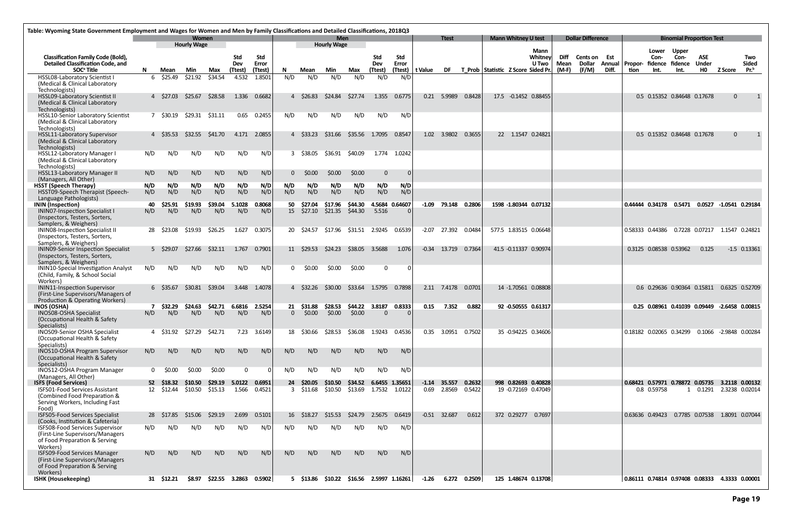| Table: Wyoming State Government Employment and Wages for Women and Men by Family Classifications and Detailed Classifications, 2018Q3                |              |                          |                             |                    |                          |                  |                       |                     |                                  |                         |                |                                 |         |                                                                                                                                                                                                                                |                  |                                    |                            |                                            |              |                                      |                         |         |                                               |              |                                    |                        |                     |
|------------------------------------------------------------------------------------------------------------------------------------------------------|--------------|--------------------------|-----------------------------|--------------------|--------------------------|------------------|-----------------------|---------------------|----------------------------------|-------------------------|----------------|---------------------------------|---------|--------------------------------------------------------------------------------------------------------------------------------------------------------------------------------------------------------------------------------|------------------|------------------------------------|----------------------------|--------------------------------------------|--------------|--------------------------------------|-------------------------|---------|-----------------------------------------------|--------------|------------------------------------|------------------------|---------------------|
|                                                                                                                                                      |              |                          | Women<br><b>Hourly Wage</b> |                    |                          |                  |                       |                     | <b>Men</b><br><b>Hourly Wage</b> |                         |                |                                 |         | <b>Ttest</b>                                                                                                                                                                                                                   |                  |                                    | <b>Mann Whitney U test</b> |                                            |              | <b>Dollar Difference</b>             |                         |         |                                               |              | <b>Binomial Proportion Test</b>    |                        |                     |
|                                                                                                                                                      |              |                          |                             |                    |                          |                  |                       |                     |                                  |                         |                |                                 |         |                                                                                                                                                                                                                                |                  |                                    |                            | Mann                                       |              |                                      |                         |         | Lower                                         | <b>Upper</b> |                                    |                        |                     |
| <b>Classification Family Code (Bold),</b><br><b>Detailed Classification Code, and</b>                                                                |              |                          |                             |                    | <b>Std</b><br><b>Dev</b> | Std<br>Error     |                       |                     |                                  |                         | Std<br>Dev     | Std<br>Error                    |         |                                                                                                                                                                                                                                |                  |                                    |                            | Whitneyl<br><b>U</b> Two                   | Diff<br>Mean | <b>Cents on Est</b><br><b>Dollar</b> | <b>Annual   Propor-</b> |         | Con-<br>fidence fidence                       | Con-         | ASE<br><b>Under</b>                |                        | Two<br><b>Sided</b> |
| SOC <sup>ª</sup> Title                                                                                                                               | N            | Mean                     | Min                         | Max                | (Ttest)                  | (Ttest)          | N                     | Mean                | Min                              | Max                     | (Ttest)        | (Ttest)                         | t Value | DF and the set of the set of the set of the set of the set of the set of the set of the set of the set of the set of the set of the set of the set of the set of the set of the set of the set of the set of the set of the se |                  | T Prob Statistic Z Score Sided Pr. |                            |                                            | $(M-F)$      | (F/M)                                | Diff.                   | tion    | Int.                                          | Int.         | H <sub>0</sub>                     | <b>Z Score</b>         | Pr. <sup>b</sup>    |
| HSSL08-Laboratory Scientist I<br>(Medical & Clinical Laboratory<br>Technologists)                                                                    |              | 6 \$25.49                | \$21.92                     | \$34.54            | 4.532                    | 1.8501           | N/D                   | N/D                 | N/D                              | N/D                     | N/D            | N/D                             |         |                                                                                                                                                                                                                                |                  |                                    |                            |                                            |              |                                      |                         |         |                                               |              |                                    |                        |                     |
| <b>HSSL09-Laboratory Scientist II</b><br>(Medical & Clinical Laboratory<br>Technologists)                                                            |              | 4 \$27.03                | \$25.67                     | \$28.58            | 1.336                    | 0.6682           |                       | 4 \$26.83           | \$24.84                          | \$27.74                 | 1.355          | 0.6775                          |         | 0.21 5.9989                                                                                                                                                                                                                    | 0.8428           |                                    |                            | 17.5 -0.1452 0.88455                       |              |                                      |                         |         | 0.5 0.15352 0.84648 0.17678                   |              |                                    | $\mathbf{0}$           |                     |
| HSSL10-Senior Laboratory Scientist<br>(Medical & Clinical Laboratory<br>Technologists)                                                               |              | 7 \$30.19                | \$29.31                     | \$31.11            | 0.65                     | 0.2455           | N/D                   | N/D                 | N/D                              | N/D                     | N/D            | N/D                             |         |                                                                                                                                                                                                                                |                  |                                    |                            |                                            |              |                                      |                         |         |                                               |              |                                    |                        |                     |
| <b>HSSL11-Laboratory Supervisor</b><br>(Medical & Clinical Laboratory<br>Technologists)                                                              |              | 4 S35.53                 | \$32.55                     | \$41.70            | 4.171                    | 2.0855           |                       | 4 \$33.23           | \$31.66                          | \$35.56                 | 1.7095         | 0.8547                          | 1.02    | 3.9802                                                                                                                                                                                                                         | 0.3655           |                                    | 22 1.1547 0.24821          |                                            |              |                                      |                         |         | 0.5 0.15352 0.84648 0.17678                   |              |                                    | $\mathbf{0}$           |                     |
| <b>HSSL12-Laboratory Manager I</b><br>(Medical & Clinical Laboratory<br>Technologists)                                                               | N/D          | N/D                      | N/D                         | N/D                | N/D                      | N/D              |                       | 3 \$38.05           | \$36.91                          | \$40.09                 | 1.774          | 1.0242                          |         |                                                                                                                                                                                                                                |                  |                                    |                            |                                            |              |                                      |                         |         |                                               |              |                                    |                        |                     |
| <b>HSSL13-Laboratory Manager II</b><br>(Managers, All Other)                                                                                         | N/D          | N/D                      | N/D                         | N/D                | N/D                      | N/D              | $\Omega$              | \$0.00              | \$0.00                           | \$0.00                  | $\mathbf 0$    |                                 |         |                                                                                                                                                                                                                                |                  |                                    |                            |                                            |              |                                      |                         |         |                                               |              |                                    |                        |                     |
| <b>HSST (Speech Therapy)</b><br>HSST09-Speech Therapist (Speech-                                                                                     | N/D<br>N/D   | N/D<br>N/D               | N/D<br>N/D                  | N/D<br>N/D         | N/D<br>N/D               | N/D<br>N/D       | N/D<br>N/D            | N/D<br>N/D          | N/D<br>N/D                       | N/D<br>N/D              | N/D<br>N/D     | N/D<br>N/D                      |         |                                                                                                                                                                                                                                |                  |                                    |                            |                                            |              |                                      |                         |         |                                               |              |                                    |                        |                     |
| Language Pathologists)                                                                                                                               |              |                          |                             |                    |                          |                  |                       |                     |                                  |                         |                |                                 |         |                                                                                                                                                                                                                                |                  |                                    |                            |                                            |              |                                      |                         |         |                                               |              |                                    |                        |                     |
| <b>ININ</b> (Inspection)<br><b>ININO7-Inspection Specialist I</b><br>(Inspectors, Testers, Sorters,<br>Samplers, & Weighers)                         | 40<br>N/D    | \$25.91<br>N/D           | \$19.93<br>N/D              | \$39.04<br>N/D     | 5.1028<br>N/D            | 0.8068<br>N/D    | 50<br>15 <sup>2</sup> | \$27.04<br>\$27.10  | \$17.96<br>\$21.35               | \$44.30<br>\$44.30      | 5.516          | 4.5684 0.64607                  |         | $-1.09$ 79.148 0.2806                                                                                                                                                                                                          |                  |                                    |                            | 1598 -1.80344 0.07132                      |              |                                      |                         |         | 0.44444 0.34178 0.5471 0.0527 -1.0541 0.29184 |              |                                    |                        |                     |
| <b>ININO8-Inspection Specialist II</b><br>(Inspectors, Testers, Sorters,                                                                             | -28          | \$23.08                  | \$19.93                     | \$26.25            | 1.627                    | 0.3075           |                       | 20 \$24.57          | \$17.96                          | \$31.51                 | 2.9245         | 0.6539                          | $-2.07$ | 27.392                                                                                                                                                                                                                         | 0.0484           |                                    |                            | 577.5 1.83515 0.06648                      |              |                                      |                         |         | 0.58333 0.44386                               |              | 0.7228 0.07217 1.1547 0.24821      |                        |                     |
| Samplers, & Weighers)<br><b>ININO9-Senior Inspection Specialist</b><br>(Inspectors, Testers, Sorters,                                                |              | 5 \$29.07                | \$27.66                     | \$32.11            | 1.767                    | 0.7901           |                       | 11 \$29.53          | \$24.23                          | \$38.05                 | 3.5688         | 1.076                           |         | $-0.34$ 13.719                                                                                                                                                                                                                 | 0.7364           |                                    |                            | 41.5 -0.11337 0.90974                      |              |                                      |                         |         | 0.3125 0.08538 0.53962                        |              | 0.125                              |                        | $-1.5$ 0.13361      |
| Samplers, & Weighers)<br>ININ10-Special Investigation Analyst<br>(Child, Family, & School Social<br>Workers)                                         | N/D          | N/D                      | N/D                         | N/D                | N/D                      | N/D              | 0                     | \$0.00              | \$0.00                           | \$0.00                  | $\overline{0}$ | 0                               |         |                                                                                                                                                                                                                                |                  |                                    |                            |                                            |              |                                      |                         |         |                                               |              |                                    |                        |                     |
| <b>ININ11-Inspection Supervisor</b><br>(First-Line Supervisors/Managers of<br>Production & Operating Workers)                                        |              | 6 \$35.67                | \$30.81                     | \$39.04            | 3.448                    | 1.4078           |                       | 4 \$32.26           | \$30.00                          | \$33.64                 | 1.5795 0.7898  |                                 |         | 2.11 7.4178 0.0701                                                                                                                                                                                                             |                  |                                    |                            | 14 -1.70561 0.08808                        |              |                                      |                         |         | 0.6 0.29636 0.90364 0.15811 0.6325 0.52709    |              |                                    |                        |                     |
| <b>INOS (OSHA)</b>                                                                                                                                   |              | \$32.29                  | \$24.63                     | \$42.71            | 6.6816                   | 2.5254           | 21                    | \$31.88             | \$28.53                          | \$44.22                 | 3.8187         | 0.8333                          | 0.15    | 7.352                                                                                                                                                                                                                          | 0.882            |                                    |                            | 92 -0.50555 0.61317                        |              |                                      |                         |         | 0.25 0.08961 0.41039 0.09449 -2.6458 0.00815  |              |                                    |                        |                     |
| INOS08-OSHA Specialist<br>(Occupational Health & Safety<br>Specialists)                                                                              | N/D          | N/D                      | N/D                         | N/D                | N/D                      | N/D              | $\Omega$              | \$0.00              | \$0.00                           | \$0.00                  | $\overline{0}$ | $\Omega$                        |         |                                                                                                                                                                                                                                |                  |                                    |                            |                                            |              |                                      |                         |         |                                               |              |                                    |                        |                     |
| <b>INOS09-Senior OSHA Specialist</b><br>(Occupational Health & Safety<br>Specialists)                                                                | 4            | \$31.92                  | \$27.29                     | \$42.71            | 7.23                     | 3.6149           | 18                    | \$30.66             | \$28.53                          | \$36.08                 | 1.9243         | 0.4536                          | 0.35    | 3.0951                                                                                                                                                                                                                         | 0.7502           |                                    |                            | 35 -0.94225 0.34606                        |              |                                      |                         |         | 0.18182 0.02065 0.34299                       |              |                                    | 0.1066 -2.9848 0.00284 |                     |
| INOS10-OSHA Program Supervisor<br>(Occupational Health & Safety<br>Specialists)                                                                      | N/D          | N/D                      | N/D                         | N/D                | N/D                      | N/D              | N/D                   | N/D                 | N/D                              | N/D                     | N/D            | N/D                             |         |                                                                                                                                                                                                                                |                  |                                    |                            |                                            |              |                                      |                         |         |                                               |              |                                    |                        |                     |
| INOS12-OSHA Program Manager<br>(Managers, All Other)                                                                                                 | $\mathbf{0}$ | \$0.00                   | \$0.00                      | \$0.00             | $\Omega$                 |                  | N/D                   | N/D                 | N/D                              | N/D                     | N/D            | N/D                             |         |                                                                                                                                                                                                                                |                  |                                    |                            |                                            |              |                                      |                         |         |                                               |              |                                    |                        |                     |
| <b>ISFS (Food Services)</b><br><b>ISFS01-Food Services Assistant</b><br>(Combined Food Preparation &<br>Serving Workers, Including Fast              |              | 52 \$18.32<br>12 \$12.44 | \$10.50<br>\$10.50          | \$29.19<br>\$15.13 | 5.0122<br>1.566          | 0.6951<br>0.4521 | 24                    | S20.05<br>3 \$11.68 | \$10.50<br>\$10.50               | \$34.52<br>\$13.69      |                | 6.6455 1.35651<br>1.7532 1.0122 | $-1.14$ | 35.557<br>0.69 2.8569                                                                                                                                                                                                          | 0.2632<br>0.5422 |                                    |                            | 998 0.82693 0.40828<br>19 -0.72169 0.47049 |              |                                      |                         | 0.68421 | 0.57971 0.78872<br>0.8 0.59758                |              | 0.05735<br>1 0.1291 2.3238 0.02014 | 3.2118 0.00132         |                     |
| Food)<br><b>ISFS05-Food Services Specialist</b>                                                                                                      | -28          | \$17.85                  | \$15.06                     | \$29.19            | 2.699                    | 0.5101           | 16                    | S18.27              | \$15.53                          | \$24.79                 | 2.5675         | 0.6419                          |         | $-0.51$ 32.687                                                                                                                                                                                                                 | 0.612            |                                    |                            | 372 0.29277 0.7697                         |              |                                      |                         |         | 0.63636 0.49423                               |              | 0.7785 0.07538 1.8091 0.07044      |                        |                     |
| (Cooks, Institution & Cafeteria)<br>ISFS08-Food Services Supervisor<br>(First-Line Supervisors/Managers<br>of Food Preparation & Serving<br>Workers) | N/D          | N/D                      | N/D                         | N/D                | N/D                      | N/D              | N/D                   | N/D                 | N/D                              | N/D                     | N/D            | N/D                             |         |                                                                                                                                                                                                                                |                  |                                    |                            |                                            |              |                                      |                         |         |                                               |              |                                    |                        |                     |
| <b>ISFS09-Food Services Manager</b><br>(First-Line Supervisors/Managers<br>of Food Preparation & Serving<br>Workers)                                 | N/D          | N/D                      | N/D                         | N/D                | N/D                      | N/D              | N/D                   | N/D                 | N/D                              | N/D                     | N/D            | N/D                             |         |                                                                                                                                                                                                                                |                  |                                    |                            |                                            |              |                                      |                         |         |                                               |              |                                    |                        |                     |
| <b>ISHK (Housekeeping)</b>                                                                                                                           |              | 31 \$12.21               | \$8.97                      |                    | \$22.55 3.2863           | 0.5902           |                       | 5 \$13.86           | \$10.22                          | $$16.56$ 2.5997 1.16261 |                |                                 | $-1.26$ |                                                                                                                                                                                                                                | 6.272 0.2509     |                                    |                            | 125 1.48674 0.13708                        |              |                                      |                         |         | $\vert$ 0.86111 0.74814 0.97408 0.08333       |              |                                    | 4.3333 0.00001         |                     |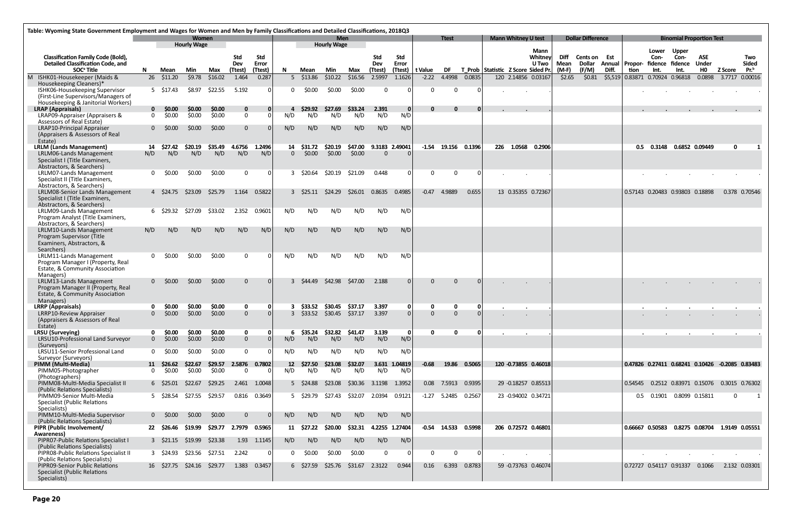|                                                                                       | Table: Wyoming State Government Employment and Wages for Women and Men by Family Classifications and Detailed Classifications, 2018Q3 |                        |                                    |                  |                         |                  |                   |                             |                                  |                            |                       |                   |               |                      |              |                                    |                            |                          |                   |                          |                         |         |                                 |                                                 |                               |                          |                     |
|---------------------------------------------------------------------------------------|---------------------------------------------------------------------------------------------------------------------------------------|------------------------|------------------------------------|------------------|-------------------------|------------------|-------------------|-----------------------------|----------------------------------|----------------------------|-----------------------|-------------------|---------------|----------------------|--------------|------------------------------------|----------------------------|--------------------------|-------------------|--------------------------|-------------------------|---------|---------------------------------|-------------------------------------------------|-------------------------------|--------------------------|---------------------|
|                                                                                       |                                                                                                                                       |                        | <b>Women</b><br><b>Hourly Wage</b> |                  |                         |                  |                   |                             | <b>Men</b><br><b>Hourly Wage</b> |                            |                       |                   |               | <b>Ttest</b>         |              |                                    | <b>Mann Whitney U test</b> |                          |                   | <b>Dollar Difference</b> |                         |         |                                 | <b>Binomial Proportion Test</b>                 |                               |                          |                     |
| <b>Classification Family Code (Bold),</b><br>Detailed Classification Code, and        |                                                                                                                                       |                        |                                    |                  | Std<br>Dev              | Std<br>Error     |                   |                             |                                  |                            | Std<br>Dev            | Std<br>Error      |               |                      |              |                                    |                            | Mann<br>Whitney<br>U Two | Diff<br>Mean      | Cents on Est<br>Dollar   | <b>Annual   Propor-</b> |         | Lower<br>Con-                   | <b>Upper</b><br>Con-<br>fidence fidence         | <b>ASE</b><br><b>Under</b>    |                          | Two<br><b>Sided</b> |
| SOC <sup>ª</sup> Title<br>M ISHK01-Housekeeper (Maids &                               | N.                                                                                                                                    | Mean<br>26 \$11.20     | Min<br>\$9.78                      | Max<br>\$16.02   | (Ttest)<br>1.464        | (Ttest)<br>0.287 | N.                | Mean<br>$5\quad$13.86$      | Min<br>\$10.22                   | Max<br>\$16.56             | (Ttest)<br>2.5997     | (Ttest)<br>1.1626 | t Value       | DF<br>$-2.22$ 4.4998 | 0.0835       | T Prob Statistic Z Score Sided Pr. |                            | 120 2.14856 0.03167      | $(M-F)$<br>\$2.65 | (F/M)<br>\$0.81          | Diff.<br>\$5,519        | tion    | Int.<br>0.83871 0.70924 0.96818 | Int.                                            | <b>HO</b><br>0.0898           | <b>Z Score</b><br>3.7717 | $Pr^b$<br>0.00016   |
| Housekeeping Cleaners)*                                                               |                                                                                                                                       |                        |                                    |                  |                         |                  |                   |                             |                                  |                            |                       |                   |               |                      |              |                                    |                            |                          |                   |                          |                         |         |                                 |                                                 |                               |                          |                     |
| ISHK06-Housekeeping Supervisor                                                        |                                                                                                                                       | 5 \$17.43              | \$8.97                             | \$22.55          | 5.192                   | 0                | 0                 | \$0.00                      | \$0.00                           | \$0.00                     | $\mathbf{0}$          | $\Omega$          | 0             | $\Omega$             | - 0          |                                    |                            |                          |                   |                          |                         |         |                                 |                                                 |                               |                          |                     |
| (First-Line Supervisors/Managers of<br>Housekeeping & Janitorial Workers)             |                                                                                                                                       |                        |                                    |                  |                         |                  |                   |                             |                                  |                            |                       |                   |               |                      |              |                                    |                            |                          |                   |                          |                         |         |                                 |                                                 |                               |                          |                     |
| <b>LRAP</b> (Appraisals)                                                              |                                                                                                                                       | $0$ \$0.00             | \$0.00                             | \$0.00           | $\bf{0}$                | 0                | 4                 | \$29.92                     | \$27.69                          | \$33.24                    | 2.391                 | 0                 | $\mathbf{0}$  | $\Omega$             | $\Omega$     |                                    |                            |                          |                   |                          |                         |         |                                 |                                                 |                               |                          |                     |
| LRAP09-Appraiser (Appraisers &<br>Assessors of Real Estate)                           | $\Omega$                                                                                                                              | \$0.00                 | \$0.00                             | \$0.00           | $\mathbf{0}$            |                  | N/D               | N/D                         | N/D                              | N/D                        | N/D                   | N/D               |               |                      |              |                                    |                            |                          |                   |                          |                         |         |                                 |                                                 |                               |                          |                     |
| LRAP10-Principal Appraiser                                                            | 0                                                                                                                                     | \$0.00                 | \$0.00                             | \$0.00           | $\mathbf{0}$            |                  | N/D               | N/D                         | N/D                              | N/D                        | N/D                   | N/D               |               |                      |              |                                    |                            |                          |                   |                          |                         |         |                                 |                                                 |                               |                          |                     |
| (Appraisers & Assessors of Real<br>Estate)                                            |                                                                                                                                       |                        |                                    |                  |                         |                  |                   |                             |                                  |                            |                       |                   |               |                      |              |                                    |                            |                          |                   |                          |                         |         |                                 |                                                 |                               |                          |                     |
| <b>LRLM (Lands Management)</b>                                                        | 14                                                                                                                                    | \$27.42                | \$20.19                            | \$35.49          | 4.6756                  | 1.2496           |                   | 14 \$31.72                  | \$20.19                          | \$47.00                    | 9.3183 2.49041        |                   |               | $-1.54$ 19.156       | 0.1396       |                                    | 226 1.0568                 | 0.2906                   |                   |                          |                         |         | 0.5 0.3148                      | 0.6852 0.09449                                  |                               | $\mathbf{0}$             |                     |
| LRLM06-Lands Management                                                               | N/D                                                                                                                                   | N/D                    | N/D                                | N/D              | N/D                     | N/D              | $\Omega$          | \$0.00                      | \$0.00                           | \$0.00                     | $\Omega$              |                   |               |                      |              |                                    |                            |                          |                   |                          |                         |         |                                 |                                                 |                               |                          |                     |
| Specialist I (Title Examiners,<br>Abstractors, & Searchers)                           |                                                                                                                                       |                        |                                    |                  |                         |                  |                   |                             |                                  |                            |                       |                   |               |                      |              |                                    |                            |                          |                   |                          |                         |         |                                 |                                                 |                               |                          |                     |
| LRLM07-Lands Management                                                               | 0                                                                                                                                     | \$0.00                 | \$0.00                             | \$0.00           | $\overline{0}$          | $\Omega$         |                   | 3 \$20.64                   | \$20.19                          | \$21.09                    | 0.448                 | - O I             | $\mathbf{0}$  | $\mathbf{0}$         | - 0          |                                    |                            |                          |                   |                          |                         |         |                                 |                                                 |                               |                          |                     |
| Specialist II (Title Examiners,<br>Abstractors, & Searchers)                          |                                                                                                                                       |                        |                                    |                  |                         |                  |                   |                             |                                  |                            |                       |                   |               |                      |              |                                    |                            |                          |                   |                          |                         |         |                                 |                                                 |                               |                          |                     |
| LRLM08-Senior Lands Management                                                        |                                                                                                                                       | 4 \$24.75              | \$23.09                            | \$25.79          | 1.164                   | 0.5822           |                   | 3 S25.11                    | S24.29                           | S26.01                     | 0.8635                | 0.4985            | $-0.47$       | 4.9889               | 0.655        |                                    |                            | 13 0.35355 0.72367       |                   |                          |                         |         |                                 | 0.57143 0.20483 0.93803 0.18898                 |                               |                          | 0.378 0.70546       |
| Specialist I (Title Examiners,                                                        |                                                                                                                                       |                        |                                    |                  |                         |                  |                   |                             |                                  |                            |                       |                   |               |                      |              |                                    |                            |                          |                   |                          |                         |         |                                 |                                                 |                               |                          |                     |
| Abstractors, & Searchers)<br>LRLM09-Lands Management                                  |                                                                                                                                       | 6 \$29.32              | \$27.09                            | \$33.02          | 2.352                   | 0.9601           | N/D               | N/D                         | N/D                              | N/D                        | N/D                   | N/D               |               |                      |              |                                    |                            |                          |                   |                          |                         |         |                                 |                                                 |                               |                          |                     |
| Program Analyst (Title Examiners,                                                     |                                                                                                                                       |                        |                                    |                  |                         |                  |                   |                             |                                  |                            |                       |                   |               |                      |              |                                    |                            |                          |                   |                          |                         |         |                                 |                                                 |                               |                          |                     |
| Abstractors, & Searchers)<br>LRLM10-Lands Management                                  | N/D                                                                                                                                   | N/D                    | N/D                                | N/D              | N/D                     | N/D              | N/D               | N/D                         | N/D                              | N/D                        | N/D                   | N/D               |               |                      |              |                                    |                            |                          |                   |                          |                         |         |                                 |                                                 |                               |                          |                     |
| Program Supervisor (Title                                                             |                                                                                                                                       |                        |                                    |                  |                         |                  |                   |                             |                                  |                            |                       |                   |               |                      |              |                                    |                            |                          |                   |                          |                         |         |                                 |                                                 |                               |                          |                     |
| Examiners, Abstractors, &<br>Searchers)                                               |                                                                                                                                       |                        |                                    |                  |                         |                  |                   |                             |                                  |                            |                       |                   |               |                      |              |                                    |                            |                          |                   |                          |                         |         |                                 |                                                 |                               |                          |                     |
| LRLM11-Lands Management                                                               | $\Omega$                                                                                                                              | \$0.00                 | \$0.00                             | \$0.00           | $\Omega$                |                  | N/D               | N/D                         | N/D                              | N/D                        | N/D                   | N/D               |               |                      |              |                                    |                            |                          |                   |                          |                         |         |                                 |                                                 |                               |                          |                     |
| Program Manager I (Property, Real<br>Estate, & Community Association                  |                                                                                                                                       |                        |                                    |                  |                         |                  |                   |                             |                                  |                            |                       |                   |               |                      |              |                                    |                            |                          |                   |                          |                         |         |                                 |                                                 |                               |                          |                     |
| Managers)<br>LRLM13-Lands Management                                                  | 0                                                                                                                                     | \$0.00                 | \$0.00                             | \$0.00           | $\mathbf{0}$            | $\Omega$         |                   | 3 S44.49                    | \$42.98                          | S47.00                     | 2.188                 | $\Omega$          | 0             | $\Omega$             |              |                                    |                            |                          |                   |                          |                         |         |                                 |                                                 |                               |                          |                     |
| Program Manager II (Property, Real<br>Estate, & Community Association<br>Managers)    |                                                                                                                                       |                        |                                    |                  |                         |                  |                   |                             |                                  |                            |                       |                   |               |                      |              |                                    |                            |                          |                   |                          |                         |         |                                 |                                                 |                               |                          |                     |
| <b>LRRP</b> (Appraisals)<br><b>LRRP10-Review Appraiser</b>                            | $\Omega$                                                                                                                              | <b>SO.00</b><br>\$0.00 | <b>SO.OO</b><br>\$0.00             | \$0.00<br>\$0.00 | $\mathbf 0$<br>$\Omega$ | 0<br>$\Omega$    |                   | \$33.52<br>$3\quad$ \$33.52 | \$30.45                          | \$37.17<br>\$30.45 \$37.17 | 3.397<br>3.397        | 0 I<br>$\Omega$   | O<br>$\Omega$ | $\Omega$<br>$\Omega$ |              |                                    |                            |                          |                   |                          |                         |         |                                 |                                                 |                               |                          |                     |
| (Appraisers & Assessors of Real<br>Estate)                                            |                                                                                                                                       |                        |                                    |                  |                         |                  |                   |                             |                                  |                            |                       |                   |               |                      |              |                                    |                            |                          |                   |                          |                         |         |                                 |                                                 |                               |                          |                     |
| <b>LRSU</b> (Surveying)                                                               | 0                                                                                                                                     | \$0.00                 | \$0.00                             | \$0.00           | $\mathbf 0$             | 0                | 6                 |                             | \$35.24 \$32.82                  | \$41.47                    | 3.139                 | 0                 | $\mathbf{0}$  | $\mathbf{0}$         | - 0          |                                    |                            |                          |                   |                          |                         |         |                                 | $\cdot$                                         |                               |                          |                     |
| LRSU10-Professional Land Surveyor<br>(Surveyors)                                      | $\overline{0}$                                                                                                                        | \$0.00                 | \$0.00                             | \$0.00           | $\mathbf{0}$            |                  | N/D               | N/D                         | N/D                              | N/D                        | N/D                   | N/D               |               |                      |              |                                    |                            |                          |                   |                          |                         |         |                                 |                                                 |                               |                          |                     |
| LRSU11-Senior Professional Land                                                       | $\mathbf 0$                                                                                                                           | \$0.00                 | \$0.00                             | \$0.00           | $\mathbf{0}$            | 0                | N/D               | N/D                         | N/D                              | N/D                        | N/D                   | N/D               |               |                      |              |                                    |                            |                          |                   |                          |                         |         |                                 |                                                 |                               |                          |                     |
| Surveyor (Surveyors)<br>PIMM (Multi-Media)                                            | 11                                                                                                                                    | \$26.62                | \$22.67                            | \$29.57          | 2.5876                  | 0.7802           | $12 \overline{ }$ | \$27.50                     | \$23.08                          | \$32.07                    |                       | 3.631 1.04819     | -0.68         |                      | 19.86 0.5065 |                                    |                            | 120 -0.73855 0.46018     |                   |                          |                         |         |                                 | 0.47826 0.27411 0.68241 0.10426 -0.2085 0.83483 |                               |                          |                     |
| PIMM05-Photographer                                                                   | $\mathbf 0$                                                                                                                           | \$0.00                 | \$0.00                             | \$0.00           | - 0                     | $\Omega$         | N/D               | N/D                         | N/D                              | N/D                        | N/D                   | N/D               |               |                      |              |                                    |                            |                          |                   |                          |                         |         |                                 |                                                 |                               |                          |                     |
| (Photographers)<br>PIMM08-Multi-Media Specialist II                                   |                                                                                                                                       | 6 \$25.01              | \$22.67                            | \$29.25          |                         | 2.461 1.0048     |                   | 5 \$24.88                   | \$23.08                          |                            | \$30.36 3.1198 1.3952 |                   |               | 0.08 7.5913          | 0.9395       |                                    |                            | 29 -0.18257 0.85513      |                   |                          |                         | 0.54545 |                                 | 0.2512 0.83971 0.15076 0.3015 0.76302           |                               |                          |                     |
| (Public Relations Specialists)<br>PIMM09-Senior Multi-Media                           |                                                                                                                                       | 5 \$28.54              | \$27.55                            | \$29.57          |                         | 0.816 0.3649     |                   | 5 \$29.79                   | \$27.43                          | \$32.07                    | 2.0394                | 0.9121            |               | $-1.27$ 5.2485       | 0.2567       |                                    |                            | 23 -0.94002 0.34721      |                   |                          |                         | 0.5     | 0.1901                          | 0.8099 0.15811                                  |                               | 0                        |                     |
| <b>Specialist (Public Relations</b>                                                   |                                                                                                                                       |                        |                                    |                  |                         |                  |                   |                             |                                  |                            |                       |                   |               |                      |              |                                    |                            |                          |                   |                          |                         |         |                                 |                                                 |                               |                          |                     |
| Specialists)<br>PIMM10-Multi-Media Supervisor                                         |                                                                                                                                       | $0\quad$ \$0.00        | \$0.00                             | \$0.00           | $\Omega$                |                  | N/D               | N/D                         | N/D                              | N/D                        | N/D                   | N/D               |               |                      |              |                                    |                            |                          |                   |                          |                         |         |                                 |                                                 |                               |                          |                     |
| (Public Relations Specialists)                                                        |                                                                                                                                       |                        |                                    |                  |                         |                  |                   |                             |                                  |                            |                       |                   |               |                      |              |                                    |                            |                          |                   |                          |                         |         |                                 |                                                 |                               |                          |                     |
| PIPR (Public Involvement/<br>Awareness)                                               |                                                                                                                                       | 22 \$26.46             | \$19.99                            | \$29.77          | 2.7979                  | 0.5965           | 11                | \$27.22                     | \$20.00                          | \$32.31                    |                       | 4.2255 1.27404    | -0.54         | 14.533               | 0.5998       |                                    |                            | 206 0.72572 0.46801      |                   |                          |                         |         | 0.66667 0.50583                 |                                                 | 0.8275 0.08704 1.9149 0.05551 |                          |                     |
| PIPR07-Public Relations Specialist I<br>(Public Relations Specialists)                |                                                                                                                                       | $3\quad$ \$21.15       | \$19.99                            | \$23.38          | 1.93                    | 1.1145           | N/D               | N/D                         | N/D                              | N/D                        | N/D                   | N/D               |               |                      |              |                                    |                            |                          |                   |                          |                         |         |                                 |                                                 |                               |                          |                     |
| PIPRO8-Public Relations Specialist II<br>(Public Relations Specialists)               |                                                                                                                                       | 3 \$24.93              | \$23.56                            | \$27.51          | 2.242                   | 0                | 0                 | \$0.00                      | \$0.00                           | \$0.00                     | $\mathbf 0$           |                   | 0             | $\Omega$             |              |                                    |                            |                          |                   |                          |                         |         |                                 |                                                 |                               |                          |                     |
| PIPR09-Senior Public Relations<br><b>Specialist (Public Relations</b><br>Specialists) |                                                                                                                                       | 16 \$27.75 \$24.16     |                                    | \$29.77          | 1.383                   | 0.3457           |                   | $6\quad$ \$27.59            | \$25.76                          | \$31.67                    | 2.3122                | 0.944             | 0.16          | 6.393                | 0.8783       |                                    |                            | 59 -0.73763 0.46074      |                   |                          |                         |         | 0.72727 0.54117 0.91337         |                                                 | 0.1066                        |                          | 2.132 0.03301       |
|                                                                                       |                                                                                                                                       |                        |                                    |                  |                         |                  |                   |                             |                                  |                            |                       |                   |               |                      |              |                                    |                            |                          |                   |                          |                         |         |                                 |                                                 |                               |                          |                     |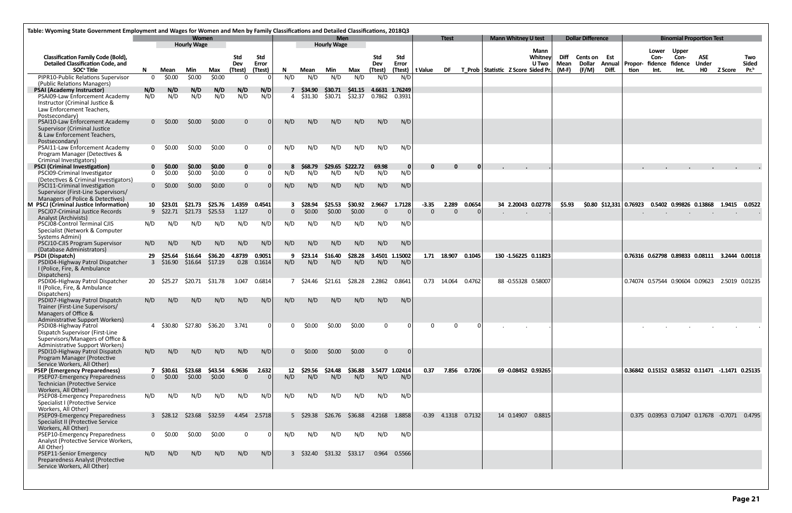| Table: Wyoming State Government Employment and Wages for Women and Men by Family Classifications and Detailed Classifications, 2018Q3                            |                |                                      |                    |                    |                                |                     |                 |                        |                           |                    |                 |                          |                                                           |                  |              |                            |                          |              |                          |       |                         |                                  |                                                      |                            |                |                  |
|------------------------------------------------------------------------------------------------------------------------------------------------------------------|----------------|--------------------------------------|--------------------|--------------------|--------------------------------|---------------------|-----------------|------------------------|---------------------------|--------------------|-----------------|--------------------------|-----------------------------------------------------------|------------------|--------------|----------------------------|--------------------------|--------------|--------------------------|-------|-------------------------|----------------------------------|------------------------------------------------------|----------------------------|----------------|------------------|
|                                                                                                                                                                  |                |                                      | Women              |                    |                                |                     |                 |                        | <b>Men</b>                |                    |                 |                          |                                                           | <b>Ttest</b>     |              | <b>Mann Whitney U test</b> |                          |              | <b>Dollar Difference</b> |       |                         |                                  | <b>Binomial Proportion Test</b>                      |                            |                |                  |
| <b>Classification Family Code (Bold),</b><br><b>Detailed Classification Code, and</b>                                                                            |                |                                      | <b>Hourly Wage</b> |                    | Std<br>Dev                     | <b>Std</b><br>Error |                 |                        | <b>Hourly Wage</b>        |                    | Std<br>Dev      | Std<br>Error             |                                                           |                  |              |                            | Mann<br>Whitney<br>U Two | Diff<br>Mean | Cents on Est<br>Dollar   |       | <b>Annual   Propor-</b> | Lower<br>Con-<br>fidence fidence | <b>Upper</b><br>Con-                                 | <b>ASE</b><br><b>Under</b> |                | Two<br>Sided     |
| SOC <sup>ª</sup> Title<br>PIPR10-Public Relations Supervisor                                                                                                     | N.<br>$\Omega$ | Mean<br>\$0.00                       | Min<br>\$0.00      | Max<br>\$0.00      | (Ttest)<br>- 0                 | (Ttest)             | N.<br>N/D       | Mean<br>N/D            | Min<br>N/D                | Max<br>N/D         | (Ttest)<br>N/D  | N/D                      | (Ttest)   t Value DF T Prob   Statistic Z Score Sided Pr. |                  |              |                            |                          | $(M-F)$      | (F/M)                    | Diff. | tion                    | Int.                             | Int.                                                 | <b>HO</b>                  | Z Score        | Pr. <sup>b</sup> |
| (Public Relations Managers)<br><b>PSAI (Academy Instructor)</b><br>PSAI09-Law Enforcement Academy<br>Instructor (Criminal Justice &<br>Law Enforcement Teachers, | N/D<br>N/D     | N/D<br>N/D                           | N/D<br>N/D         | N/D<br>N/D         | N/D<br>N/D                     | N/D<br>N/D          | 4               | 7 \$34.90<br>\$31.30   | <b>S30.71</b><br>\$30.71  | \$41.15<br>\$32.37 | 0.7862          | 4.6631 1.76249<br>0.3931 |                                                           |                  |              |                            |                          |              |                          |       |                         |                                  |                                                      |                            |                |                  |
| Postsecondary)<br>PSAI10-Law Enforcement Academy<br><b>Supervisor (Criminal Justice</b><br>& Law Enforcement Teachers,                                           | 0              | \$0.00                               | \$0.00             | \$0.00             | $\mathbf{0}$                   | $\Omega$            | N/D             | N/D                    | N/D                       | N/D                | N/D             | N/D                      |                                                           |                  |              |                            |                          |              |                          |       |                         |                                  |                                                      |                            |                |                  |
| Postsecondary)<br><b>PSAI11-Law Enforcement Academy</b><br>Program Manager (Detectives &                                                                         | $\Omega$       | \$0.00                               | \$0.00             | \$0.00             | $\mathbf{0}$                   | 0                   | N/D             | N/D                    | N/D                       | N/D                | N/D             | N/D                      |                                                           |                  |              |                            |                          |              |                          |       |                         |                                  |                                                      |                            |                |                  |
| Criminal Investigators)<br><b>PSCI (Criminal Investigation)</b><br>PSCI09-Criminal Investigator                                                                  | $\Omega$       | \$0.00<br>\$0.00                     | \$0.00<br>\$0.00   | \$0.00<br>\$0.00   | $\mathbf{0}$<br>$\overline{0}$ | 0<br>$\Omega$       | 8<br>N/D        | S68.79<br>N/D          | \$29.65<br>N/D            | \$222.72<br>N/D    | 69.98<br>N/D    | 0<br>N/D                 | 0                                                         |                  |              |                            |                          |              |                          |       |                         |                                  |                                                      |                            |                |                  |
| (Detectives & Criminal Investigators)<br>PSCI11-Criminal Investigation<br>Supervisor (First-Line Supervisors/                                                    | $\Omega$       | \$0.00                               | \$0.00             | \$0.00             | $\overline{0}$                 |                     | N/D             | N/D                    | N/D                       | N/D                | N/D             | N/D                      |                                                           |                  |              |                            |                          |              |                          |       |                         |                                  |                                                      |                            |                |                  |
| Managers of Police & Detectives)<br>M PSCJ (Criminal Justice Information)                                                                                        |                | 10 \$23.01                           | \$21.73            | \$25.76            | 1.4359                         | 0.4541              | 3               | \$28.94                | \$25.53                   | \$30.92            | 2.9667          | 1.7128                   | $-3.35$                                                   | 2.289            | 0.0654       | 34 2.20043 0.02778         |                          | \$5.93       |                          |       | \$0.80 \$12,331 0.76923 |                                  | 0.5402 0.99826 0.13868                               |                            | 1.9415         | 0.0522           |
| PSCJ07-Criminal Justice Records<br>Analyst (Archivists)<br>PSCJ08-Control Terminal CJIS                                                                          | N/D            | $9$ \$22.71<br>N/D                   | \$21.73<br>N/D     | \$25.53<br>N/D     | 1.127<br>N/D                   | $\mathbf{0}$<br>N/D | $\Omega$<br>N/D | \$0.00<br>N/D          | \$0.00<br>N/D             | \$0.00<br>N/D      | $\Omega$<br>N/D | $\Omega$<br>N/D          | $\Omega$                                                  | $\Omega$         |              | $\bullet$                  |                          |              |                          |       |                         |                                  |                                                      |                            |                |                  |
| Specialist (Network & Computer<br>Systems Admini)<br>PSCJ10-CJIS Program Supervisor                                                                              | N/D            | N/D                                  | N/D                | N/D                | N/D                            | N/D                 | N/D             | N/D                    | N/D                       | N/D                | N/D             | N/D                      |                                                           |                  |              |                            |                          |              |                          |       |                         |                                  |                                                      |                            |                |                  |
| (Database Administrators)                                                                                                                                        |                |                                      |                    |                    |                                |                     |                 |                        |                           |                    |                 |                          |                                                           |                  |              |                            |                          |              |                          |       |                         |                                  |                                                      |                            |                |                  |
| PSDI (Dispatch)<br>PSDI04-Highway Patrol Dispatcher<br>I (Police, Fire, & Ambulance<br>Dispatchers)                                                              | 29             | \$25.64<br>$3\quad $16.90$           | \$16.64<br>\$16.64 | \$36.20<br>\$17.19 | 4.8739<br>0.28                 | 0.9051<br>0.1614    | N/D             | \$23.14<br>N/D         | \$16.40<br>N/D            | \$28.28<br>N/D     | N/D             | 3.4501 1.15002<br>N/D    |                                                           | 1.71 18.907      | 0.1045       | 130 -1.56225 0.11823       |                          |              |                          |       |                         |                                  | 0.76316  0.62798  0.89833  0.08111  3.2444  0.00118  |                            |                |                  |
| PSDI06-Highway Patrol Dispatcher<br>II (Police, Fire, & Ambulance<br>Dispatchers)                                                                                |                | 20 \$25.27                           | \$20.71            | \$31.78            | 3.047                          | 0.6814              |                 | 7 \$24.46              | \$21.61                   | \$28.28            | 2.2862          | 0.8641                   |                                                           | 0.73 14.064      | 0.4762       | 88 -0.55328 0.58007        |                          |              |                          |       |                         |                                  | 0.74074 0.57544 0.90604 0.09623                      |                            | 2.5019 0.01235 |                  |
| PSDI07-Highway Patrol Dispatch<br>Trainer (First-Line Supervisors/<br>Managers of Office &<br>Administrative Support Workers)                                    | N/D            | N/D                                  | N/D                | N/D.               | N/D                            | N/D                 | N/D             | N/D                    | N/D                       | N/D                | N/D             | N/D                      |                                                           |                  |              |                            |                          |              |                          |       |                         |                                  |                                                      |                            |                |                  |
| PSDI08-Highway Patrol<br>Dispatch Supervisor (First-Line<br>Supervisors/Managers of Office &                                                                     |                | 4 \$30.80 \$27.80                    |                    | \$36.20            | 3.741                          | $\Omega$            |                 | S0.00                  | \$0.00                    | \$0.00             | $\Omega$        |                          |                                                           |                  | - 0          |                            |                          |              |                          |       |                         |                                  |                                                      |                            |                |                  |
| <b>Administrative Support Workers)</b><br>PSDI10-Highway Patrol Dispatch<br>Program Manager (Protective<br>Service Workers, All Other)                           | N/D            | N/D                                  | N/D                | N/D                | N/D                            | N/D                 |                 | $0 \quad $0.00$        | \$0.00                    | \$0.00             | $\overline{0}$  | -01                      |                                                           |                  |              |                            |                          |              |                          |       |                         |                                  |                                                      |                            |                |                  |
| <b>PSEP (Emergency Preparedness)</b><br>PSEP07-Emergency Preparedness<br>Technician (Protective Service<br>Workers, All Other)                                   |                | 7 \$30.61 \$23.68<br>$0 \quad $0.00$ | \$0.00             | \$43.54<br>\$0.00  | 6.9636<br>$\Omega$             | 2.632<br>$\Omega$   | 12<br>N/D       | \$29.56 \$24.48<br>N/D | N/D                       | \$36.88<br>N/D     | N/D             | 3.5477 1.02414<br>N/D    | 0.37                                                      |                  | 7.856 0.7206 | 69 -0.08452 0.93265        |                          |              |                          |       |                         |                                  | 0.36842  0.15152  0.58532  0.11471  -1.1471  0.25135 |                            |                |                  |
| PSEP08-Emergency Preparedness<br>Specialist I (Protective Service<br>Workers, All Other)                                                                         | N/D            | N/D                                  | N/D                | N/D                | N/D                            | N/D                 | N/D             | N/D                    | N/D                       | N/D                | N/D             | N/D                      |                                                           |                  |              |                            |                          |              |                          |       |                         |                                  |                                                      |                            |                |                  |
| PSEP09-Emergency Preparedness<br>Specialist II (Protective Service<br>Workers, All Other)                                                                        |                | 3 \$28.12 \$23.68                    |                    | \$32.59            |                                | 4.454 2.5718        |                 | 5 \$29.38              | \$26.76                   |                    |                 | \$36.88 4.2168 1.8858    |                                                           | $-0.39$ $4.1318$ | 0.7132       | 14 0.14907                 | 0.8815                   |              |                          |       |                         |                                  | 0.375 0.03953 0.71047 0.17678 -0.7071 0.4795         |                            |                |                  |
| PSEP10-Emergency Preparedness<br>Analyst (Protective Service Workers,<br>All Other)                                                                              | $\mathbf{0}$   | \$0.00                               | \$0.00             | \$0.00             | $\mathbf{0}$                   | 0                   | N/D             | N/D                    | N/D                       | N/D                | N/D             | N/D                      |                                                           |                  |              |                            |                          |              |                          |       |                         |                                  |                                                      |                            |                |                  |
| PSEP11-Senior Emergency<br>Preparedness Analyst (Protective<br>Service Workers, All Other)                                                                       | N/D            | N/D                                  | N/D                | N/D                | N/D                            | N/D                 |                 |                        | 3 \$32.40 \$31.32 \$33.17 |                    |                 | $0.964$ $0.5566$         |                                                           |                  |              |                            |                          |              |                          |       |                         |                                  |                                                      |                            |                |                  |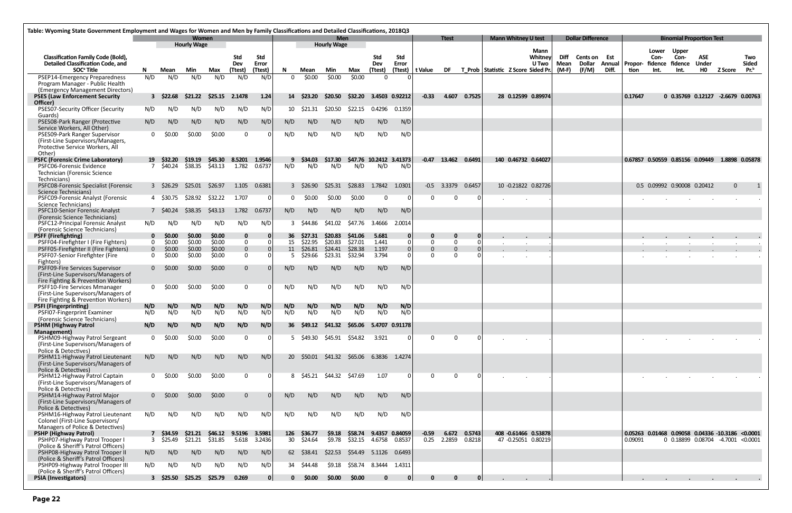|                                                                                                             | Table: Wyoming State Government Employment and Wages for Women and Men by Family Classifications and Detailed Classifications, 2018Q3<br><b>Women</b> |                           |                  |                   |                          |                     |            |                    |                                           |                             |                |                         |               |                       |              |                                                           |                            |                      |              |                               |       |                         |                 |                             |                                                  |                |                     |
|-------------------------------------------------------------------------------------------------------------|-------------------------------------------------------------------------------------------------------------------------------------------------------|---------------------------|------------------|-------------------|--------------------------|---------------------|------------|--------------------|-------------------------------------------|-----------------------------|----------------|-------------------------|---------------|-----------------------|--------------|-----------------------------------------------------------|----------------------------|----------------------|--------------|-------------------------------|-------|-------------------------|-----------------|-----------------------------|--------------------------------------------------|----------------|---------------------|
|                                                                                                             |                                                                                                                                                       |                           |                  |                   |                          |                     |            |                    | <b>Men</b><br><b>Hourly Wage</b>          |                             |                |                         |               | <b>Ttest</b>          |              |                                                           | <b>Mann Whitney U test</b> |                      |              | <b>Dollar Difference</b>      |       |                         |                 |                             | <b>Binomial Proportion Test</b>                  |                |                     |
|                                                                                                             | <b>Hourly Wage</b>                                                                                                                                    |                           |                  |                   |                          |                     |            |                    |                                           |                             |                |                         |               |                       |              |                                                           |                            | Mann                 |              |                               |       |                         | Lower           | <b>Upper</b>                |                                                  |                |                     |
| <b>Classification Family Code (Bold),</b><br>Detailed Classification Code, and                              |                                                                                                                                                       |                           |                  |                   | Std<br>Dev               | <b>Std</b><br>Error |            |                    |                                           |                             | Std<br>Dev     | <b>Std</b><br>Error     |               |                       |              |                                                           |                            | Whitney<br>U Two     | Diff<br>Mean | <b>Cents on Est</b><br>Dollar |       | <b>Annual   Propor-</b> | Con-<br>fidence | Con-<br>fidence             | ASE<br><b>Under</b>                              |                | Two<br><b>Sided</b> |
| SOC <sup>ª</sup> Title                                                                                      | N.                                                                                                                                                    | Mean                      | Min              | Max               | (Ttest)                  | (Ttest)             | N.         | Mean               | Min                                       | Max                         | (Ttest)        |                         |               |                       |              | (Ttest)   t Value DF T_Prob   Statistic Z Score Sided Pr. |                            |                      | (M-F)        | (F/M)                         | Diff. | tion                    | Int.            | Int.                        | <b>HO</b>                                        | <b>Z Score</b> | Pr. <sup>b</sup>    |
| PSEP14-Emergency Preparedness                                                                               | N/D                                                                                                                                                   | N/D                       | N/D              | N/D               | N/D                      | N/D                 | $\Omega$   | \$0.00             | \$0.00                                    | \$0.00                      | $\Omega$       |                         |               |                       |              |                                                           |                            |                      |              |                               |       |                         |                 |                             |                                                  |                |                     |
| Program Manager - Public Health                                                                             |                                                                                                                                                       |                           |                  |                   |                          |                     |            |                    |                                           |                             |                |                         |               |                       |              |                                                           |                            |                      |              |                               |       |                         |                 |                             |                                                  |                |                     |
| (Emergency Management Directors)<br><b>PSES (Law Enforcement Security</b>                                   |                                                                                                                                                       | $3\quad$ \$22.68          | \$21.22          | \$25.15           | 2.1478                   | 1.24                |            | 14 \$23.20         | \$20.50                                   | \$32.20                     |                | 3.4503 0.92212          | $-0.33$       | 4.607                 | 0.7525       |                                                           |                            | 28 0.12599 0.89974   |              |                               |       | 0.17647                 |                 |                             | 0 0.35769 0.12127 -2.6679 0.00763                |                |                     |
| Officer)                                                                                                    |                                                                                                                                                       |                           |                  |                   |                          |                     |            |                    |                                           |                             |                |                         |               |                       |              |                                                           |                            |                      |              |                               |       |                         |                 |                             |                                                  |                |                     |
| PSES07-Security Officer (Security                                                                           | N/D                                                                                                                                                   | N/D                       | N/D              | N/D               | N/D                      | N/D                 |            | 10 \$21.31         | \$20.50                                   | \$22.15                     | 0.4296         | 0.1359                  |               |                       |              |                                                           |                            |                      |              |                               |       |                         |                 |                             |                                                  |                |                     |
| Guards)<br>PSES08-Park Ranger (Protective                                                                   | N/D                                                                                                                                                   | N/D                       | N/D              | N/D               | N/D                      | N/D                 | N/D        | N/D                | N/D                                       | N/D                         | N/D            | N/D                     |               |                       |              |                                                           |                            |                      |              |                               |       |                         |                 |                             |                                                  |                |                     |
| Service Workers, All Other)<br>PSES09-Park Ranger Supervisor                                                | $\Omega$                                                                                                                                              | \$0.00                    | \$0.00           | \$0.00            | $\mathbf 0$              |                     | N/D        | N/D                | N/D                                       | N/D                         | N/D            | N/D                     |               |                       |              |                                                           |                            |                      |              |                               |       |                         |                 |                             |                                                  |                |                     |
| (First-Line Supervisors/Managers,<br>Protective Service Workers, All<br>Other)                              |                                                                                                                                                       |                           |                  |                   |                          |                     |            |                    |                                           |                             |                |                         |               |                       |              |                                                           |                            |                      |              |                               |       |                         |                 |                             |                                                  |                |                     |
| <b>PSFC (Forensic Crime Laboratory)</b>                                                                     |                                                                                                                                                       | 19 S32.20                 | \$19.19          | \$45.30           | 8.5201                   | 1.9546              |            | 9 \$34.03          | \$17.30                                   |                             |                | \$47.76 10.2412 3.41373 |               | $-0.47$ 13.462 0.6491 |              |                                                           |                            | 140 0.46732 0.64027  |              |                               |       |                         |                 |                             | 0.67857 0.50559 0.85156 0.09449 1.8898 0.05878   |                |                     |
| <b>PSFC06-Forensic Evidence</b>                                                                             |                                                                                                                                                       | 7 \$40.24                 |                  | $$38.35$ $$43.13$ | 1.782                    | 0.6737              | N/D        | N/D                | N/D                                       | N/D                         | N/D            | N/D                     |               |                       |              |                                                           |                            |                      |              |                               |       |                         |                 |                             |                                                  |                |                     |
| Technician (Forensic Science<br>Technicians)                                                                |                                                                                                                                                       |                           |                  |                   |                          |                     |            |                    |                                           |                             |                |                         |               |                       |              |                                                           |                            |                      |              |                               |       |                         |                 |                             |                                                  |                |                     |
| PSFC08-Forensic Specialist (Forensic<br>Science Technicians)                                                |                                                                                                                                                       | $3\quad$ \$26.29          | \$25.01          | \$26.97           | 1.105                    | 0.6381              |            | 3 \$26.90          | \$25.31                                   | \$28.83                     | 1.7842 1.0301  |                         |               | $-0.5$ 3.3379         | 0.6457       |                                                           |                            | 10 -0.21822 0.82726  |              |                               |       |                         |                 | 0.5 0.09992 0.90008 0.20412 |                                                  | $\mathbf{0}$   |                     |
| PSFC09-Forensic Analyst (Forensic<br>Science Technicians)                                                   |                                                                                                                                                       | 4 \$30.75                 | \$28.92          | \$32.22           | 1.707                    | $\Omega$            | $\Omega$   | \$0.00             | \$0.00                                    | \$0.00                      | $\mathbf 0$    | $\Omega$                | $\Omega$      | $\Omega$              |              |                                                           |                            |                      |              |                               |       |                         |                 |                             |                                                  |                |                     |
| PSFC10-Senior Forensic Analyst<br>(Forensic Science Technicians)                                            |                                                                                                                                                       | 7 S40.24                  | \$38.35          | \$43.13           | 1.782                    | 0.6737              | N/D        | N/D                | N/D                                       | N/D                         | N/D            | N/D                     |               |                       |              |                                                           |                            |                      |              |                               |       |                         |                 |                             |                                                  |                |                     |
| PSFC12-Principal Forensic Analyst<br>(Forensic Science Technicians)                                         | N/D                                                                                                                                                   | N/D                       | N/D              | N/D               | N/D                      | N/D                 |            | 3 \$44.86          | \$41.02                                   | \$47.76                     | 3.4666         | 2.0014                  |               |                       |              |                                                           |                            |                      |              |                               |       |                         |                 |                             |                                                  |                |                     |
| <b>PSFF (Firefighting)</b>                                                                                  | 0                                                                                                                                                     | \$0.00                    | \$0.00           | \$0.00            | $\bf{0}$                 | 0                   | 36         | \$27.31            | \$20.83                                   | \$41.06                     | 5.681          |                         |               | 0                     | 0            |                                                           |                            |                      |              |                               |       |                         |                 |                             |                                                  |                |                     |
| PSFF04-Firefighter I (Fire Fighters)                                                                        | $\Omega$                                                                                                                                              | \$0.00                    | \$0.00           | \$0.00            | $\mathbf 0$              |                     | 15         | \$22.95            | \$20.83                                   | \$27.01                     | 1.441          | 0I                      | $\Omega$      | $\mathbf{0}$          | $\Omega$     |                                                           |                            |                      |              |                               |       |                         |                 |                             |                                                  |                |                     |
| PSFF05-Firefighter II (Fire Fighters)<br>PSFF07-Senior Firefighter (Fire                                    | $\Omega$<br>$\Omega$                                                                                                                                  | \$0.00<br>\$0.00          | \$0.00<br>\$0.00 | \$0.00<br>\$0.00  | $\mathbf{0}$<br>$\bf{0}$ |                     | 11         | \$26.81<br>\$29.66 | \$24.41<br>\$23.31                        | \$28.38<br>\$32.94          | 1.197<br>3.794 | 0                       | 0<br>$\Omega$ | $\Omega$<br>$\Omega$  |              |                                                           |                            |                      |              |                               |       |                         |                 |                             |                                                  |                |                     |
| Fighters)                                                                                                   |                                                                                                                                                       |                           |                  |                   |                          |                     |            |                    |                                           |                             |                |                         |               |                       |              |                                                           |                            |                      |              |                               |       |                         |                 |                             |                                                  |                |                     |
| PSFF09-Fire Services Supervisor<br>(First-Line Supervisors/Managers of                                      | 0                                                                                                                                                     | \$0.00                    | \$0.00           | \$0.00            | $\mathbf{0}$             |                     | N/D        | N/D                | N/D                                       | N/D                         | N/D            | N/D                     |               |                       |              |                                                           |                            |                      |              |                               |       |                         |                 |                             |                                                  |                |                     |
| Fire Fighting & Prevention Workers)<br>PSFF10-Fire Services Mmanager<br>(First-Line Supervisors/Managers of | $\Omega$                                                                                                                                              | \$0.00                    | \$0.00           | \$0.00            | $\mathbf 0$              |                     | N/D        | N/D                | N/D                                       | N/D                         | N/D            | N/D                     |               |                       |              |                                                           |                            |                      |              |                               |       |                         |                 |                             |                                                  |                |                     |
| Fire Fighting & Prevention Workers)                                                                         |                                                                                                                                                       |                           |                  |                   |                          |                     |            |                    |                                           |                             |                |                         |               |                       |              |                                                           |                            |                      |              |                               |       |                         |                 |                             |                                                  |                |                     |
| <b>PSFI</b> (Fingerprinting)<br>PSFI07-Fingerprint Examiner                                                 | N/D<br>N/D                                                                                                                                            | N/D<br>N/D                | N/D<br>N/D       | N/D<br>N/D        | N/D<br>N/D               | N/D<br>N/D          | N/D<br>N/D | N/D<br>N/D         | N/D<br>N/D                                | N/D<br>N/D                  | N/D<br>N/D     | N/D<br>N/D              |               |                       |              |                                                           |                            |                      |              |                               |       |                         |                 |                             |                                                  |                |                     |
| (Forensic Science Technicians)                                                                              |                                                                                                                                                       |                           |                  |                   |                          |                     |            |                    |                                           |                             |                |                         |               |                       |              |                                                           |                            |                      |              |                               |       |                         |                 |                             |                                                  |                |                     |
| <b>PSHM (Highway Patrol</b><br>Management)                                                                  | N/D                                                                                                                                                   | N/D                       | N/D              | N/D               | N/D                      | N/D                 |            |                    | 36 \$49.12 \$41.32 \$65.06 5.4707 0.91178 |                             |                |                         |               |                       |              |                                                           |                            |                      |              |                               |       |                         |                 |                             |                                                  |                |                     |
| PSHM09-Highway Patrol Sergeant<br>(First-Line Supervisors/Managers of                                       | $\Omega$                                                                                                                                              | \$0.00                    | \$0.00           | \$0.00            | $\overline{0}$           | 0                   |            |                    | 5 \$49.30 \$45.91 \$54.82                 |                             | 3.921          |                         | $\Omega$      | $\Omega$              | 0            |                                                           |                            |                      |              |                               |       |                         |                 |                             |                                                  |                |                     |
| Police & Detectives)                                                                                        |                                                                                                                                                       |                           | N/D              | N/D               |                          | N/D                 |            |                    | 20 \$50.01 \$41.32                        | \$65.06    6.3836    1.4274 |                |                         |               |                       |              |                                                           |                            |                      |              |                               |       |                         |                 |                             |                                                  |                |                     |
| PSHM11-Highway Patrol Lieutenant<br>(First-Line Supervisors/Managers of<br>Police & Detectives)             | N/D                                                                                                                                                   | N/D                       |                  |                   | N/D                      |                     |            |                    |                                           |                             |                |                         |               |                       |              |                                                           |                            |                      |              |                               |       |                         |                 |                             |                                                  |                |                     |
| PSHM12-Highway Patrol Captain<br>(First-Line Supervisors/Managers of                                        |                                                                                                                                                       | $0\frac{$0.00}{ }$        | \$0.00           | \$0.00            | $\mathbf{0}$             | n                   |            | 8 \$45.21 \$44.32  |                                           | \$47.69                     | 1.07           |                         | $\Omega$      | $\Omega$              |              |                                                           |                            |                      |              |                               |       |                         |                 |                             |                                                  |                |                     |
| Police & Detectives)<br>PSHM14-Highway Patrol Major                                                         |                                                                                                                                                       | $0 \quad $0.00$           | \$0.00           | \$0.00            | $\mathbf{0}$             |                     | N/D        | N/D                | N/D                                       | N/D                         | N/D            | N/D                     |               |                       |              |                                                           |                            |                      |              |                               |       |                         |                 |                             |                                                  |                |                     |
| (First-Line Supervisors/Managers of<br>Police & Detectives)                                                 |                                                                                                                                                       |                           |                  |                   |                          |                     |            |                    |                                           |                             |                |                         |               |                       |              |                                                           |                            |                      |              |                               |       |                         |                 |                             |                                                  |                |                     |
| PSHM16-Highway Patrol Lieutenant                                                                            | N/D                                                                                                                                                   | N/D                       | N/D              | N/D               | N/D                      | N/D                 | N/D        | N/D                | N/D                                       | N/D                         | N/D            | N/D                     |               |                       |              |                                                           |                            |                      |              |                               |       |                         |                 |                             |                                                  |                |                     |
| Colonel (First-Line Supervisors/                                                                            |                                                                                                                                                       |                           |                  |                   |                          |                     |            |                    |                                           |                             |                |                         |               |                       |              |                                                           |                            |                      |              |                               |       |                         |                 |                             |                                                  |                |                     |
| Managers of Police & Detectives)<br><b>PSHP (Highway Patrol)</b>                                            |                                                                                                                                                       | 7 \$34.59 \$21.21         |                  | \$46.12           | 9.5196                   | 3.5981              |            | 126 \$36.77        | \$9.18                                    | \$58.74 9.4357 0.84059      |                |                         | $-0.59$       |                       | 6.672 0.5743 |                                                           |                            | 408 -0.61466 0.53878 |              |                               |       |                         |                 |                             | 0.05263 0.01468 0.09058 0.04336 -10.3186 <0.0001 |                |                     |
| PSHP07-Highway Patrol Trooper I                                                                             |                                                                                                                                                       | 3 \$25.49                 | \$21.21          | \$31.85           | 5.618                    | 3.2436              |            | 30 \$24.64         | \$9.78                                    | \$32.15  4.6758  0.8537     |                |                         |               | 0.25 2.2859           | 0.8218       |                                                           |                            | 47 -0.25051 0.80219  |              |                               |       | 0.09091                 |                 |                             | 0 0.18899 0.08704 -4.7001 <0.0001                |                |                     |
| (Police & Sheriff's Patrol Officers)<br>PSHP08-Highway Patrol Trooper II                                    | N/D                                                                                                                                                   | N/D                       | N/D              | N/D               | N/D                      | N/D                 |            | 62 \$38.41         | \$22.53                                   | \$54.49   5.1126   0.6493   |                |                         |               |                       |              |                                                           |                            |                      |              |                               |       |                         |                 |                             |                                                  |                |                     |
| (Police & Sheriff's Patrol Officers)                                                                        |                                                                                                                                                       |                           |                  |                   |                          |                     |            |                    |                                           |                             |                |                         |               |                       |              |                                                           |                            |                      |              |                               |       |                         |                 |                             |                                                  |                |                     |
| PSHP09-Highway Patrol Trooper III<br>(Police & Sheriff's Patrol Officers)                                   | N/D                                                                                                                                                   | N/D                       | N/D              | N/D               | N/D                      | N/D                 |            | 34 \$44.48         | \$9.18                                    | \$58.74 8.3444 1.4311       |                |                         |               |                       |              |                                                           |                            |                      |              |                               |       |                         |                 |                             |                                                  |                |                     |
| <b>PSIA</b> (Investigators)                                                                                 |                                                                                                                                                       | 3 \$25.50 \$25.25 \$25.79 |                  |                   | 0.269                    | 0                   |            | 0, 50.00           | \$0.00                                    | \$0.00                      | 0              | 0                       | 0             | $\mathbf{0}$          | 0            |                                                           |                            |                      |              |                               |       |                         |                 |                             |                                                  |                |                     |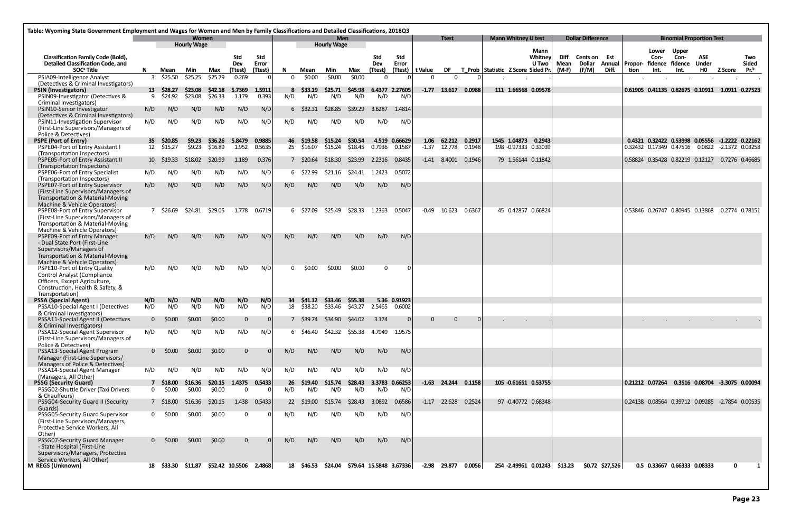| Table: Wyoming State Government Employment and Wages for Women and Men by Family Classifications and Detailed Classifications, 2018Q3                 |          |                       |                   |                    |                        |                     |               |                          |                                    |                         |                       |                         |                   |                       |                  |                                   |                                      |                                 |                            |                               |                 |         |               |                                                                                                  |                            |                |                     |
|-------------------------------------------------------------------------------------------------------------------------------------------------------|----------|-----------------------|-------------------|--------------------|------------------------|---------------------|---------------|--------------------------|------------------------------------|-------------------------|-----------------------|-------------------------|-------------------|-----------------------|------------------|-----------------------------------|--------------------------------------|---------------------------------|----------------------------|-------------------------------|-----------------|---------|---------------|--------------------------------------------------------------------------------------------------|----------------------------|----------------|---------------------|
| <b>Women</b><br><b>Hourly Wage</b>                                                                                                                    |          |                       |                   |                    |                        |                     |               |                          | <b>Men</b><br><b>Hourly Wage</b>   |                         |                       |                         |                   | <b>Ttest</b>          |                  |                                   | <b>Mann Whitney U test</b>           |                                 |                            | <b>Dollar Difference</b>      |                 |         |               | <b>Binomial Proportion Test</b>                                                                  |                            |                |                     |
| <b>Classification Family Code (Bold),</b><br><b>Detailed Classification Code, and</b>                                                                 |          |                       |                   |                    | Std<br>Dev             | <b>Std</b><br>Error |               |                          |                                    |                         | <b>Std</b><br>Dev     | Std<br>Error            |                   |                       |                  |                                   |                                      | Mann<br>Whitney<br><b>U</b> Two | <b>Diff</b><br><b>Mean</b> | <b>Cents on Est</b><br>Dollar | Annual          | Propor- | Lower<br>Con- | <b>Upper</b><br>Con-<br>fidence fidence                                                          | <b>ASE</b><br><b>Under</b> |                | Two<br><b>Sided</b> |
| SOC <sup>ª</sup> Title<br>PSIA09-Intelligence Analyst                                                                                                 | N        | Mean<br>\$25.50       | Min<br>\$25.25    | Max<br>\$25.79     | (Ttest)<br>0.269       | (Ttest)             | N<br>$\Omega$ | Mean<br>\$0.00           | Min<br>\$0.00                      | Max<br>\$0.00           | (Ttest)<br>$\Omega$   |                         | (Ttest)   t Value | <b>DF</b><br>$\Omega$ |                  | T_Prob Statistic ZScore Sided Pr. |                                      |                                 | $(M-F)$                    | (F/M)                         | Diff.           | tion    | Int.          | Int.                                                                                             | HO                         | <b>Z Score</b> | Pr. <sup>b</sup>    |
| (Detectives & Criminal Investigators)<br><b>PSIN (Investigators)</b>                                                                                  |          | 13 \$28.27            | \$23.08           | \$42.18            | 5.7369                 | 1.5911              | 8             | \$33.19                  | \$25.71                            | \$45.98                 | 6.4377 2.27605        |                         |                   | $-1.77$ 13.617        | 0.0988           |                                   | 111 1.66568 0.09578                  |                                 |                            |                               |                 |         |               | 0.61905 0.41135 0.82675 0.10911 1.0911 0.27523                                                   |                            |                |                     |
| PSIN09-Investigator (Detectives &<br>Criminal Investigators)<br>PSIN10-Senior Investigator                                                            | N/D      | 9 \$24.92             | \$23.08           | \$26.33            | 1.179                  | 0.393               | N/D           | N/D<br>6 \$32.31         | N/D                                | N/D                     | N/D                   | N/D                     |                   |                       |                  |                                   |                                      |                                 |                            |                               |                 |         |               |                                                                                                  |                            |                |                     |
| (Detectives & Criminal Investigators)<br>PSIN11-Investigation Supervisor                                                                              | N/D      | N/D<br>N/D            | N/D<br>N/D        | N/D<br>N/D         | N/D<br>N/D             | N/D<br>N/D          | N/D           | N/D                      | \$28.85<br>N/D                     | \$39.29<br>N/D          | 3.6287<br>N/D         | 1.4814<br>N/D           |                   |                       |                  |                                   |                                      |                                 |                            |                               |                 |         |               |                                                                                                  |                            |                |                     |
| (First-Line Supervisors/Managers of<br>Police & Detectives)                                                                                           |          |                       |                   |                    |                        |                     |               |                          |                                    |                         |                       |                         |                   |                       |                  |                                   |                                      |                                 |                            |                               |                 |         |               |                                                                                                  |                            |                |                     |
| <b>PSPE (Port of Entry)</b><br>PSPE04-Port of Entry Assistant I<br>(Transportation Inspectors)                                                        | 35       | \$20.85<br>12 \$15.27 | \$9.23<br>\$9.23  | \$36.26<br>\$16.89 | 5.8479<br>1.952        | 0.9885<br>0.5635    |               | 46 \$19.58<br>25 \$16.07 | \$15.24<br>\$15.24                 | \$30.54<br>\$18.45      | 0.7936                | 4.519 0.66629<br>0.1587 | $-1.37$           | 1.06 62.212<br>12.778 | 0.2917<br>0.1948 |                                   | 1545 1.04873<br>198 -0.97333 0.33039 | 0.2943                          |                            |                               |                 |         |               | 0.4321 0.32422 0.53998 0.05556 -1.2222 0.22162<br>0.32432 0.17349 0.47516 0.0822 -2.1372 0.03258 |                            |                |                     |
| PSPE05-Port of Entry Assistant II<br>(Transportation Inspectors)                                                                                      |          | 10 \$19.33            | \$18.02           | \$20.99            | 1.189                  | 0.376               |               | 7 \$20.64                | \$18.30                            | \$23.99                 | 2.2316                | 0.8435                  |                   | $-1.41$ 8.4001        | 0.1946           |                                   | 79 1.56144 0.11842                   |                                 |                            |                               |                 |         |               | 0.58824  0.35428  0.82219  0.12127                                                               |                            | 0.7276 0.46685 |                     |
| PSPE06-Port of Entry Specialist<br>(Transportation Inspectors)                                                                                        | N/D      | N/D                   | N/D               | N/D                | N/D                    | N/D                 |               | 6 \$22.99                | \$21.16                            | \$24.41                 | 1.2423                | 0.5072                  |                   |                       |                  |                                   |                                      |                                 |                            |                               |                 |         |               |                                                                                                  |                            |                |                     |
| PSPE07-Port of Entry Supervisor<br>(First-Line Supervisors/Managers of<br>Transportation & Material-Moving<br>Machine & Vehicle Operators)            | N/D      | N/D                   | N/D               | N/D                | N/D                    | N/D                 | N/D           | N/D                      | N/D                                | N/D                     | N/D                   | N/D                     |                   |                       |                  |                                   |                                      |                                 |                            |                               |                 |         |               |                                                                                                  |                            |                |                     |
| PSPE08-Port of Entry Supervisor<br>(First-Line Supervisors/Managers of<br><b>Transportation &amp; Material-Moving</b><br>Machine & Vehicle Operators) |          | 7 \$26.69             | \$24.81           | \$29.05            |                        | 1.778  0.6719       |               | 6 \$27.09                | \$25.49                            | \$28.33                 | 1.2363                | 0.5047                  | $-0.49$           | 10.623                | 0.6367           |                                   | 45 0.42857 0.66824                   |                                 |                            |                               |                 |         |               | 0.53846  0.26747  0.80945  0.13868  0.2774  0.78151                                              |                            |                |                     |
| PSPE09-Port of Entry Manager<br>- Dual State Port (First-Line<br>Supervisors/Managers of<br><b>Transportation &amp; Material-Moving</b>               | N/D      | N/D                   | N/D               | N/D                | N/D                    | N/D                 | N/D           | N/D                      | N/D                                | N/D                     | N/D                   | N/D                     |                   |                       |                  |                                   |                                      |                                 |                            |                               |                 |         |               |                                                                                                  |                            |                |                     |
| Machine & Vehicle Operators)<br>PSPE10-Port of Entry Quality                                                                                          | N/D      | N/D                   | N/D               | N/D                | N/D                    | N/D                 | $\Omega$      | \$0.00                   | \$0.00                             | \$0.00                  | $\Omega$              | n                       |                   |                       |                  |                                   |                                      |                                 |                            |                               |                 |         |               |                                                                                                  |                            |                |                     |
| <b>Control Analyst (Compliance</b><br>Officers, Except Agriculture,<br>Construction, Health & Safety, &<br>Transportation)                            |          |                       |                   |                    |                        |                     |               |                          |                                    |                         |                       |                         |                   |                       |                  |                                   |                                      |                                 |                            |                               |                 |         |               |                                                                                                  |                            |                |                     |
| <b>PSSA (Special Agent)</b>                                                                                                                           | N/D      | N/D                   | N/D               | N/D                | N/D                    | N/D                 | -34           | <b>S41.12</b>            | \$33.46                            | \$55.38                 |                       | 5.36 0.91923            |                   |                       |                  |                                   |                                      |                                 |                            |                               |                 |         |               |                                                                                                  |                            |                |                     |
| PSSA10-Special Agent I (Detectives<br>& Criminal Investigators)<br>PSSA11-Special Agent II (Detectives                                                | N/D<br>0 | N/D<br>\$0.00         | N/D<br>\$0.00     | N/D<br>\$0.00      | N/D<br>0               | N/D<br>0 I          |               | 18 \$38.20               | \$33.46 \$43.27<br>\$39.74 \$34.90 | \$44.02                 | 2.5465<br>3.174       | 0.6002                  | 0                 | $\Omega$              |                  |                                   |                                      |                                 |                            |                               |                 |         |               |                                                                                                  |                            |                |                     |
| & Criminal Investigators)<br>PSSA12-Special Agent Supervisor                                                                                          | N/D      | N/D                   | N/D               | N/D                | N/D                    | N/D                 |               | 6 \$46.40                | \$42.32                            | \$55.38  4.7949  1.9575 |                       |                         |                   |                       |                  |                                   |                                      |                                 |                            |                               |                 |         |               |                                                                                                  |                            |                |                     |
| (First-Line Supervisors/Managers of<br>Police & Detectives)                                                                                           |          |                       |                   |                    |                        |                     |               |                          |                                    |                         |                       |                         |                   |                       |                  |                                   |                                      |                                 |                            |                               |                 |         |               |                                                                                                  |                            |                |                     |
| PSSA13-Special Agent Program<br>Manager (First-Line Supervisors/<br>Managers of Police & Detectives)                                                  |          | $0\,$ \$0.00          | \$0.00            | \$0.00             | $\mathbf{0}$           | -01                 | N/D           | N/D                      | N/D                                | N/D                     | N/D                   | N/D                     |                   |                       |                  |                                   |                                      |                                 |                            |                               |                 |         |               |                                                                                                  |                            |                |                     |
| PSSA14-Special Agent Manager<br>(Managers, All Other)                                                                                                 | N/D      | N/D                   | N/D               | N/D                | N/D                    | N/D                 | N/D           | N/D                      | N/D                                |                         |                       |                         |                   |                       |                  |                                   |                                      |                                 |                            |                               |                 |         |               |                                                                                                  |                            |                |                     |
| <b>PSSG (Security Guard)</b><br>PSSG02-Shuttle Driver (Taxi Drivers<br>& Chauffeurs)                                                                  | $\Omega$ | 7 \$18.00<br>\$0.00   | \$16.36<br>\$0.00 | \$20.15<br>\$0.00  | 1.4375<br>$\Omega$     | 0.5433              | 26<br>N/D     | \$19.40<br>N/D           | \$15.74<br>N/D                     | \$28.43<br>N/D          | 3.3783 0.66253<br>N/D | N/D                     |                   | $-1.63$ 24.244 0.1158 |                  |                                   | 105 -0.61651 0.53755                 |                                 |                            |                               |                 |         |               | 0.21212 0.07264 0.3516 0.08704 -3.3075 0.00094                                                   |                            |                |                     |
| PSSG04-Security Guard II (Security<br>Guards)                                                                                                         |          | 7 \$18.00             | \$16.36           | \$20.15            | 1.438                  | 0.5433              |               | 22 \$19.00               | \$15.74                            | \$28.43                 | 3.0892                | 0.6586                  |                   | $-1.17$ 22.628        | 0.2524           |                                   | 97 -0.40772 0.68348                  |                                 |                            |                               |                 |         |               | 0.24138  0.08564  0.39712  0.09285  -2.7854  0.00535                                             |                            |                |                     |
| PSSG05-Security Guard Supervisor<br>(First-Line Supervisors/Managers,<br>Protective Service Workers, All<br>Other)                                    |          | $0\quad$ \$0.00       | \$0.00            | \$0.00             | $\mathbf{0}$           |                     | N/D           | N/D                      | N/D                                | N/D                     | N/D                   | N/D                     |                   |                       |                  |                                   |                                      |                                 |                            |                               |                 |         |               |                                                                                                  |                            |                |                     |
| PSSG07-Security Guard Manager<br>- State Hospital (First-Line<br>Supervisors/Managers, Protective<br>Service Workers, All Other)                      | \$0.00   | $\overline{0}$        | 0 I               | N/D                | N/D                    | N/D                 | N/D           | N/D                      | N/D                                |                         |                       |                         |                   |                       |                  |                                   |                                      |                                 |                            |                               |                 |         |               |                                                                                                  |                            |                |                     |
| M REGS (Unknown)                                                                                                                                      |          | 18 \$33.30            | \$11.87           |                    | \$52.42 10.5506 2.4868 |                     |               | 18 \$46.53 \$24.04       |                                    |                         |                       | \$79.64 15.5848 3.67336 |                   | $-2.98$ 29.877        | 0.0056           |                                   | 254 -2.49961 0.01243 \$13.23         |                                 |                            |                               | \$0.72 \$27,526 |         |               | 0.5 0.33667 0.66333 0.08333                                                                      |                            | $\mathbf 0$    |                     |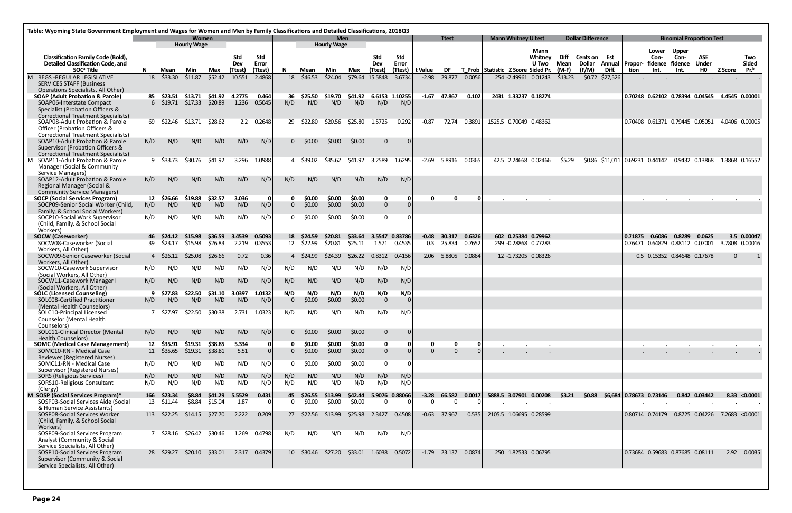|   | Table: Wyoming State Government Employment and Wages for Women and Men by Family Classifications and Detailed Classifications, 2018Q3                     |                                                         |                                 |                                    |                    |                            |                         |                            |                      |                                  |                   |                               |                         |                     |                |        |                                    |                          |                         |                              |                 |                                                                          |                       |                                 |                |                                         |
|---|-----------------------------------------------------------------------------------------------------------------------------------------------------------|---------------------------------------------------------|---------------------------------|------------------------------------|--------------------|----------------------------|-------------------------|----------------------------|----------------------|----------------------------------|-------------------|-------------------------------|-------------------------|---------------------|----------------|--------|------------------------------------|--------------------------|-------------------------|------------------------------|-----------------|--------------------------------------------------------------------------|-----------------------|---------------------------------|----------------|-----------------------------------------|
|   |                                                                                                                                                           |                                                         |                                 | <b>Women</b><br><b>Hourly Wage</b> |                    |                            |                         |                            |                      | <b>Men</b><br><b>Hourly Wage</b> |                   |                               |                         |                     | <b>Ttest</b>   |        | <b>Mann Whitney U test</b>         |                          |                         | <b>Dollar Difference</b>     |                 |                                                                          |                       | <b>Binomial Proportion Test</b> |                |                                         |
|   | <b>Classification Family Code (Bold),</b><br><b>Detailed Classification Code, and</b><br>SOC <sup>ª</sup> Title                                           |                                                         |                                 |                                    | Max                | Std<br>Dev<br>(Ttest)      | Std<br>Error<br>(Ttest) | N.                         | Mean                 | Min                              | Max               | Std<br>Dev<br>(Ttest)         | Std<br>Error<br>(Ttest) | t Value             | <b>DF</b>      |        | T Prob Statistic Z Score Sided Pr. | Mann<br>Whitney<br>U Two | Diff<br>Mean<br>$(M-F)$ | <b>Cents on Est</b><br>(F/M) | Diff.           | Lower<br>Con-<br>Dollar Annual   Propor- fidence fidence<br>Int.<br>tion | Upper<br>Con-<br>Int. | ASE<br><b>Under</b><br>HO       | Z Score        | Two<br><b>Sided</b><br>Pr. <sup>b</sup> |
| M | <b>REGS-REGULAR LEGISLATIVE</b><br><b>SERVICES STAFF (Business</b><br>Operations Specialists, All Other)                                                  | N<br>Min<br>Mean<br>\$33.30<br>\$11.87<br>\$52.42<br>18 |                                 |                                    |                    | 10.551                     | 2.4868                  |                            | 18 \$46.53           | \$24.04                          | \$79.64           | 15.5848                       | 3.6734                  | $-2.98$             | 29.877         | 0.0056 | 254 -2.49961 0.01243               |                          | \$13.23                 |                              | \$0.72 \$27,526 |                                                                          |                       |                                 |                |                                         |
|   | <b>SOAP (Adult Probation &amp; Parole)</b><br>SOAP06-Interstate Compact<br>Specialist (Probation Officers &<br><b>Correctional Treatment Specialists)</b> |                                                         | 85 \$23.51<br>6 \$19.71 \$17.33 | \$13.71                            | \$20.89            | \$41.92    4.2775<br>1.236 | 0.464<br>0.5045         | 36<br>N/D                  | \$25.50<br>N/D       | \$19.70<br>N/D                   | \$41.92<br>N/D    | 6.6153 1.10255<br>N/D         | N/D                     | $-1.67$             | 47.867         | 0.102  | 2431 1.33237 0.18274               |                          |                         |                              |                 | 0.70248  0.62102  0.78394  0.04545  4.4545  0.00001                      |                       |                                 |                |                                         |
|   | SOAP08-Adult Probation & Parole<br><b>Officer (Probation Officers &amp;</b><br><b>Correctional Treatment Specialists)</b>                                 |                                                         | 69 \$22.46                      | \$13.71                            | \$28.62            |                            | 2.2 0.2648              | 29                         | \$22.80              | \$20.56                          | \$25.80           | 1.5725                        | 0.292                   | $-0.87$             | 72.74          | 0.3891 | 1525.5 0.70049 0.48362             |                          |                         |                              |                 | 0.70408  0.61371  0.79445  0.05051                                       |                       |                                 | 4.0406 0.00005 |                                         |
|   | SOAP10-Adult Probation & Parole<br>Supervisor (Probation Officers &<br><b>Correctional Treatment Specialists)</b>                                         | N/D                                                     | N/D                             | N/D                                | N/D                | N/D                        | N/D                     | 0                          | \$0.00               | \$0.00                           | \$0.00            | $\mathbf{0}$                  |                         |                     |                |        |                                    |                          |                         |                              |                 |                                                                          |                       |                                 |                |                                         |
|   | M SOAP11-Adult Probation & Parole<br>Manager (Social & Community<br>Service Managers)                                                                     |                                                         | 9 \$33.73                       | \$30.76                            | \$41.92            | 3.296                      | 1.0988                  |                            | 4 \$39.02            | \$35.62                          | \$41.92           | 3.2589                        | 1.6295                  | $-2.69$             | 5.8916         | 0.0365 | 42.5 2.24668 0.02466               |                          | \$5.29                  |                              |                 | \$0.86 \$11,011 0.69231 0.44142 0.9432 0.13868                           |                       |                                 | 1.3868 0.16552 |                                         |
|   | SOAP12-Adult Probation & Parole<br>Regional Manager (Social &<br><b>Community Service Managers)</b>                                                       | N/D                                                     | N/D                             | N/D                                | N/D                | N/D                        | N/D                     | N/D                        | N/D                  | N/D                              | N/D               | N/D                           | N/D                     |                     |                |        |                                    |                          |                         |                              |                 |                                                                          |                       |                                 |                |                                         |
|   | <b>SOCP (Social Services Program)</b>                                                                                                                     | 12                                                      | \$26.66                         | \$19.88                            | \$32.57            | 3.036                      | - 0                     | 0                          | \$0.00               | \$0.00                           | \$0.00            | $\mathbf 0$                   |                         |                     | 0              |        |                                    |                          |                         |                              |                 |                                                                          |                       |                                 |                |                                         |
|   | SOCP09-Senior Social Worker (Child,<br>Family, & School Social Workers)<br>SOCP10-Social Work Supervisor<br>(Child, Family, & School Social               | N/D<br>N/D                                              | N/D<br>N/D                      | N/D<br>N/D                         | N/D<br>N/D         | N/D<br>N/D                 | N/D<br>N/D              | $\overline{0}$<br>$\Omega$ | \$0.00<br>\$0.00     | \$0.00<br>\$0.00                 | \$0.00<br>\$0.00  | $\overline{0}$<br>$\mathbf 0$ |                         |                     |                |        |                                    |                          |                         |                              |                 |                                                                          |                       |                                 |                |                                         |
|   | Workers)<br><b>SOCW (Caseworker)</b>                                                                                                                      |                                                         | 46 \$24.12                      | \$15.98                            | \$36.59            | 3.4539                     | 0.5093                  |                            | 18 \$24.59           | \$20.81                          | \$33.64           | 3.5547 0.83786                |                         |                     | $-0.48$ 30.317 | 0.6326 | 602 0.25384 0.79962                |                          |                         |                              |                 | 0.71875<br>0.6086                                                        | 0.8289                | 0.0625                          |                | 3.5 0.00047                             |
|   | SOCW08-Caseworker (Social<br>Workers, All Other)                                                                                                          |                                                         | 39 \$23.17                      | \$15.98                            | \$26.83            | 2.219                      | 0.3553                  |                            | 12 \$22.99           | \$20.81                          | \$25.11           | 1.571                         | 0.4535                  |                     | 0.3 25.834     | 0.7652 | 299 -0.28868 0.77283               |                          |                         |                              |                 | 0.76471  0.64829  0.88112  0.07001                                       |                       |                                 | 3.7808 0.00016 |                                         |
|   | SOCW09-Senior Caseworker (Social<br>Workers, All Other)                                                                                                   |                                                         | 4 \$26.12                       | \$25.08                            | \$26.66            | 0.72                       | 0.36                    |                            | 4 \$24.99            | \$24.39                          | \$26.22           | 0.8312                        | 0.4156                  |                     | 2.06 5.8805    | 0.0864 | 12 -1.73205 0.08326                |                          |                         |                              |                 | 0.5 0.15352 0.84648 0.17678                                              |                       |                                 | $\mathbf{0}$   |                                         |
|   | SOCW10-Casework Supervisor<br>(Social Workers, All Other)                                                                                                 | N/D                                                     | N/D                             | N/D                                | N/D                | N/D                        | N/D                     | N/D                        | N/D                  | N/D                              | N/D               | N/D                           | N/D                     |                     |                |        |                                    |                          |                         |                              |                 |                                                                          |                       |                                 |                |                                         |
|   | SOCW11-Casework Manager I<br>(Social Workers, All Other)                                                                                                  | N/D                                                     | N/D                             | N/D                                | N/D                | N/D                        | N/D                     | N/D                        | N/D                  | N/D                              | N/D               | N/D                           | N/D                     |                     |                |        |                                    |                          |                         |                              |                 |                                                                          |                       |                                 |                |                                         |
|   | <b>SOLC (Licensed Counseling)</b><br>SOLC08-Certified Practitioner                                                                                        | N/D                                                     | \$27.83<br>N/D                  | \$22.50<br>N/D                     | \$31.10<br>N/D     | 3.0397<br>N/D              | 1.0132<br>N/D           | N/D<br>$\Omega$            | N/D<br>\$0.00        | N/D<br>\$0.00                    | N/D<br>\$0.00     | N/D<br>$\overline{0}$         | N/D                     |                     |                |        |                                    |                          |                         |                              |                 |                                                                          |                       |                                 |                |                                         |
|   | (Mental Health Counselors)<br>SOLC10-Principal Licensed<br>Counselor (Mental Health                                                                       | $\mathcal{L}$                                           | \$27.97                         | \$22.50                            | \$30.38            | 2.731                      | 1.0323                  | N/D                        | N/D                  | N/D                              | N/D               | N/D                           | N/D                     |                     |                |        |                                    |                          |                         |                              |                 |                                                                          |                       |                                 |                |                                         |
|   | Counselors)<br><b>SOLC11-Clinical Director (Mental</b>                                                                                                    | N/D                                                     | N/D                             | N/D                                | N/D                | N/D                        | N/D                     | 0                          | \$0.00               | \$0.00                           | \$0.00            | $\mathbf{0}$                  |                         |                     |                |        |                                    |                          |                         |                              |                 |                                                                          |                       |                                 |                |                                         |
|   | <b>Health Counselors)</b><br><b>SOMC (Medical Case Management)</b>                                                                                        |                                                         | 12 \$35.91                      | \$19.31                            | \$38.85            | 5.334                      |                         | 0                          | \$0.00               | \$0.00                           | \$0.00            | $\mathbf 0$                   |                         |                     | 0              | 01     |                                    |                          |                         |                              |                 |                                                                          |                       |                                 |                |                                         |
|   | SOMC10-RN - Medical Case<br>Reviewer (Registered Nurses)                                                                                                  |                                                         | 11 \$35.65                      | \$19.31                            | \$38.81            | 5.51                       |                         | $\overline{0}$             | \$0.00               | \$0.00                           | \$0.00            | $\overline{0}$                |                         | $\Omega$            | $\Omega$       |        |                                    |                          |                         |                              |                 |                                                                          |                       |                                 |                |                                         |
|   | SOMC11-RN - Medical Case<br>Supervisor (Registered Nurses)                                                                                                | N/D                                                     | N/D                             | N/D                                | N/D                | N/D                        | N/D                     | $\mathbf{0}$               | \$0.00               | \$0.00                           | \$0.00            | $\mathbf 0$                   |                         |                     |                |        |                                    |                          |                         |                              |                 |                                                                          |                       |                                 |                |                                         |
|   | <b>SORS (Religious Services)</b><br>SORS10-Religious Consultant<br>(Clergy)                                                                               | N/D<br>N/D                                              | N/D<br>N/D                      | N/D<br>N/D                         | N/D<br>N/D         | N/D<br>N/D                 | N/D<br>N/D              | N/D<br>N/D                 | N/D<br>N/D           | N/D<br>N/D                       | N/D<br>N/D        | N/D<br>N/D                    | N/D<br>N/D              |                     |                |        |                                    |                          |                         |                              |                 |                                                                          |                       |                                 |                |                                         |
|   | M SOSP (Social Services Program)*<br>SOSP03-Social Services Aide (Social                                                                                  | 166<br>13                                               | \$23.34<br>\$11.44              | \$8.84<br>\$8.84                   | \$41.29<br>\$15.04 | 5.5529<br>1.87             | 0.431<br>$\overline{0}$ | $\mathbf{0}$               | 45 \$26.55<br>\$0.00 | \$13.99<br>\$0.00                | \$42.44<br>\$0.00 | 5.9076 0.88066<br>$\bf{0}$    |                         | $-3.28$<br>$\Omega$ | 66.582<br>0    | 0.0017 | 5888.5 3.07901 0.00208             |                          | \$3.21                  | \$0.88                       |                 | \$6,684 0.78673 0.73146                                                  |                       | 0.842 0.03442                   |                | $8.33 \times 0.0001$                    |
|   | & Human Service Assistants)<br>SOSP08-Social Services Worker<br>(Child, Family, & School Social<br>Workers)                                               |                                                         | 113 \$22.25                     | \$14.15                            | \$27.70            | 2.222                      | 0.209                   |                            | 27 \$22.56           | \$13.99                          |                   | \$25.98 2.3427                | 0.4508                  |                     | $-0.63$ 37.967 | 0.535  | 2105.5 1.06695 0.28599             |                          |                         |                              |                 | 0.80714 0.74179 0.8725 0.04226 7.2683 <0.0001                            |                       |                                 |                |                                         |
|   | SOSP09-Social Services Program<br>Analyst (Community & Social<br>Service Specialists, All Other)                                                          |                                                         | 7 \$28.16                       | \$26.42                            | \$30.46            | 1.269                      | 0.4798                  | N/D                        | N/D                  | N/D                              | N/D               | N/D                           | N/D                     |                     |                |        |                                    |                          |                         |                              |                 |                                                                          |                       |                                 |                |                                         |
|   | SOSP10-Social Services Program<br>Supervisor (Community & Social<br>Service Specialists, All Other)                                                       |                                                         | 28 \$29.27                      | \$20.10                            | \$33.01            | 2.317                      | 0.4379                  |                            | 10 \$30.46           | \$27.20                          |                   | \$33.01 1.6038                | 0.5072                  |                     | $-1.79$ 23.137 | 0.0874 | 250 1.82533 0.06795                |                          |                         |                              |                 | 0.73684  0.59683  0.87685  0.08111                                       |                       |                                 |                | 2.92 0.0035                             |
|   |                                                                                                                                                           |                                                         |                                 |                                    |                    |                            |                         |                            |                      |                                  |                   |                               |                         |                     |                |        |                                    |                          |                         |                              |                 |                                                                          |                       |                                 |                |                                         |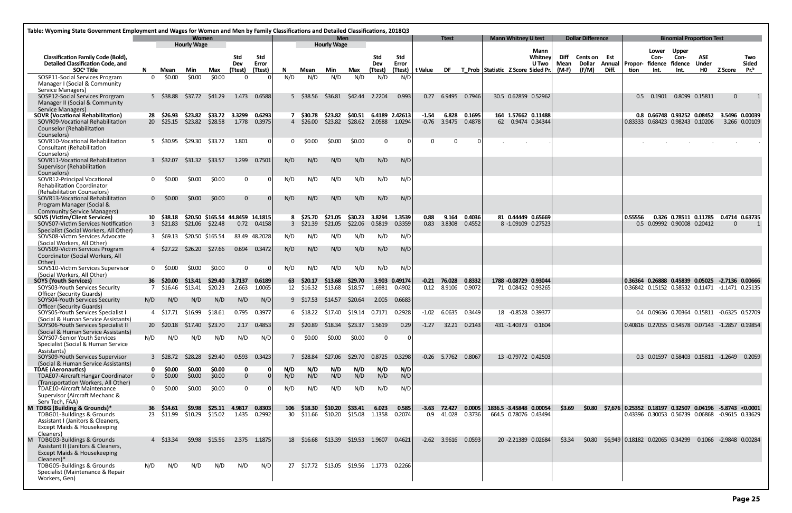|                                                                                                                                                          | Table: Wyoming State Government Employment and Wages for Women and Men by Family Classifications and Detailed Classifications, 2018Q3<br>Women |                                             |                    |                                                                           |                             |                              |            |                                      |                                  |                           |                          |                          |          |                              |                  |                                    |                            |                                                  |              |                               |        |                                                          |               |                             |                                     |                                                        |                     |
|----------------------------------------------------------------------------------------------------------------------------------------------------------|------------------------------------------------------------------------------------------------------------------------------------------------|---------------------------------------------|--------------------|---------------------------------------------------------------------------|-----------------------------|------------------------------|------------|--------------------------------------|----------------------------------|---------------------------|--------------------------|--------------------------|----------|------------------------------|------------------|------------------------------------|----------------------------|--------------------------------------------------|--------------|-------------------------------|--------|----------------------------------------------------------|---------------|-----------------------------|-------------------------------------|--------------------------------------------------------|---------------------|
|                                                                                                                                                          |                                                                                                                                                |                                             | <b>Hourly Wage</b> |                                                                           |                             |                              |            |                                      | <b>Men</b><br><b>Hourly Wage</b> |                           |                          |                          |          | <b>Ttest</b>                 |                  |                                    | <b>Mann Whitney U test</b> |                                                  |              | <b>Dollar Difference</b>      |        |                                                          |               |                             | <b>Binomial Proportion Test</b>     |                                                        |                     |
| <b>Classification Family Code (Bold),</b><br><b>Detailed Classification Code, and</b>                                                                    |                                                                                                                                                |                                             |                    |                                                                           | Std<br>Dev                  | Std<br>Error                 |            |                                      |                                  |                           | <b>Std</b><br>Dev        | Std<br>Error             |          |                              |                  |                                    |                            | Mann<br>Whitney<br>U Two                         | Diff<br>Mean | <b>Cents on Est</b><br>Dollar | Annual | Propor- fidence                                          | Lower<br>Con- | Upper<br>Con-<br>fidence    | ASE<br><b>Under</b>                 |                                                        | Two<br><b>Sided</b> |
| SOC <sup>ª</sup> Title                                                                                                                                   | N.                                                                                                                                             | Mean                                        | Min                | Max                                                                       | (Ttest)                     | (Ttest)                      | N.         | Mean                                 | Min                              | Max                       | (Ttest)                  | (Ttest)                  | t Value  | DF                           |                  | T Prob Statistic Z Score Sided Pr. |                            |                                                  | (M-F)        | (F/M)                         | Diff.  | tion                                                     | Int.          | Int.                        | HO                                  | <b>Z Score</b>                                         | Pr. <sup>b</sup>    |
| SOSP11-Social Services Program<br>Manager I (Social & Community<br>Service Managers)                                                                     | $\Omega$                                                                                                                                       | \$0.00                                      | \$0.00             | \$0.00                                                                    | $\Omega$                    |                              | N/D        | N/D                                  | N/D                              | N/D                       | N/D                      | N/D                      |          |                              |                  |                                    |                            |                                                  |              |                               |        |                                                          |               |                             |                                     |                                                        |                     |
| SOSP12-Social Services Prorgram<br>Manager II (Social & Community<br>Service Managers)                                                                   |                                                                                                                                                | 5 \$38.88 \$37.72 \$41.29                   |                    |                                                                           | 1.473                       | 0.6588                       |            | 5 \$38.56                            | \$36.81                          | \$42.44 2.2204            |                          | 0.993                    | 0.27     | 6.9495                       | 0.7946           |                                    |                            | 30.5 0.62859 0.52962                             |              |                               |        | 0.5                                                      | 0.1901        | 0.8099 0.15811              |                                     | $\mathbf{0}$                                           |                     |
| <b>SOVR (Vocational Rehabilitation)</b><br>SOVR09-Vocational Rehabilitation<br><b>Counselor (Rehabilitation</b><br>Counselors)                           | 28                                                                                                                                             | \$26.93<br>20 \$25.15 \$23.82               | \$23.82            | \$33.72<br>\$28.58                                                        | 3.3299<br>1.778             | 0.6293<br>0.3975             |            | 7 \$30.78<br>$4\quad$ \$26.00        | \$23.82<br>\$23.82               | \$40.51                   | \$28.62 2.0588           | 6.4189 2.42613<br>1.0294 | $-1.54$  | 6.828<br>$-0.76$ 3.9475      | 0.1695<br>0.4878 |                                    |                            | 164 1.57662 0.11488<br>62 0.9474 0.34344         |              |                               |        | 0.83333 0.68423 0.98243 0.10206                          |               | 0.8 0.66748 0.93252 0.08452 |                                     | 3.5496 0.00039<br>3.266 0.00109                        |                     |
| SOVR10-Vocational Rehabilitation<br>Consultant (Rehabilitation<br>Counselors)                                                                            |                                                                                                                                                | 5 \$30.95                                   | \$29.30            | \$33.72                                                                   | 1.801                       | - 0 I                        | 0          | \$0.00                               | \$0.00                           | \$0.00                    | $\Omega$                 |                          | $\Omega$ | 0                            |                  |                                    |                            |                                                  |              |                               |        |                                                          |               |                             |                                     |                                                        |                     |
| SOVR11-Vocational Rehabilitation<br>Supervisor (Rehabilitation<br>Counselors)                                                                            |                                                                                                                                                | 3 \$32.07                                   | \$31.32            | \$33.57                                                                   | 1.299                       | 0.7501                       | N/D        | N/D                                  | N/D                              | N/D                       | N/D                      | N/D                      |          |                              |                  |                                    |                            |                                                  |              |                               |        |                                                          |               |                             |                                     |                                                        |                     |
| SOVR12-Principal Vocational<br><b>Rehabilitation Coordinator</b><br>(Rehabilitation Counselors)                                                          |                                                                                                                                                | $0 \quad $0.00$                             | \$0.00             | \$0.00                                                                    | $\mathbf{0}$                |                              | N/D        | N/D                                  | N/D                              | N/D                       | N/D                      | N/D                      |          |                              |                  |                                    |                            |                                                  |              |                               |        |                                                          |               |                             |                                     |                                                        |                     |
| SOVR13-Vocational Rehabilitation<br>Program Manager (Social &<br><b>Community Service Managers)</b>                                                      |                                                                                                                                                | $0$ \$0.00                                  | \$0.00             | \$0.00                                                                    | $\overline{0}$              |                              | N/D        | N/D                                  | N/D                              | N/D                       | N/D                      | N/D                      |          |                              |                  |                                    |                            |                                                  |              |                               |        |                                                          |               |                             |                                     |                                                        |                     |
| <b>SOVS (Victim/Client Services)</b><br>SOVS07-Victim Services Notification<br>Specialist (Social Workers, All Other)<br>SOVS08-Victim Services Advocate |                                                                                                                                                | 10 \$38.18<br>$3\quad$ \$21.83<br>3 \$69.13 |                    | \$20.50 \$165.54 44.8459 14.1815<br>$$21.06$ $$22.48$<br>\$20.50 \$165.54 |                             | 0.72 0.4158<br>83.49 48.2028 | N/D        | 8 \$25.70<br>$3\quad$ \$21.39<br>N/D | \$21.05<br>\$21.05<br>N/D        | \$30.23<br>\$22.06<br>N/D | 3.8294<br>0.5819<br>N/D  | 1.3539<br>0.3359<br>N/D  | 0.88     | 9.164<br>0.83 3.8308         | 0.4036<br>0.4552 |                                    |                            | 81 0.44449 0.65669<br>8 -1.09109 0.27523         |              |                               |        | 0.55556                                                  |               | 0.5 0.09992 0.90008 0.20412 |                                     | 0.326 0.78511 0.11785 0.4714 0.63735<br>$\overline{0}$ |                     |
| (Social Workers, All Other)<br>SOVS09-Victim Services Program<br>Coordinator (Social Workers, All                                                        |                                                                                                                                                | 4 \$27.22 \$26.20                           |                    | \$27.66                                                                   | 0.694                       | 0.3472                       | N/D        | N/D                                  | N/D                              | N/D                       | N/D                      | N/D                      |          |                              |                  |                                    |                            |                                                  |              |                               |        |                                                          |               |                             |                                     |                                                        |                     |
| Other)<br>SOVS10-Victim Services Supervisor                                                                                                              |                                                                                                                                                | $0$ \$0.00                                  | \$0.00             | \$0.00                                                                    | $\mathbf{0}$                | - 0                          | N/D        | N/D                                  | N/D                              | N/D                       | N/D                      | N/D                      |          |                              |                  |                                    |                            |                                                  |              |                               |        |                                                          |               |                             |                                     |                                                        |                     |
| (Social Workers, All Other)<br><b>SOYS (Youth Services)</b>                                                                                              |                                                                                                                                                | 36 \$20.00                                  | \$13.41            | \$29.40                                                                   | 3.7137                      | 0.6189                       | 63         | \$20.17                              | \$13.68                          | \$29.70                   |                          | 3.903 0.49174            |          | $-0.21$ 76.028               | 0.8332           |                                    |                            | 1788 -0.08729 0.93044                            |              |                               |        |                                                          |               |                             |                                     | 0.36364 0.26888 0.45839 0.05025 -2.7136 0.00666        |                     |
| SOYS03-Youth Services Security<br><b>Officer (Security Guards)</b><br>SOYS04-Youth Services Security                                                     | N/D                                                                                                                                            | 7 \$16.46<br>N/D                            | S13.41<br>N/D      | \$20.23<br>N/D                                                            | 2.663<br>N/D                | 1.0065<br>N/D                |            | 12 \$16.32<br>9 \$17.53              | \$13.68<br>S14.57                | \$18.57<br>\$20.64        | 1.6981<br>2.005          | 0.4902<br>0.6683         |          | 0.12 8.9106                  | 0.9072           |                                    | 71 0.08452 0.93265         |                                                  |              |                               |        |                                                          |               |                             |                                     | 0.36842 0.15152 0.58532 0.11471 -1.1471 0.25135        |                     |
| <b>Officer (Security Guards)</b><br>SOYS05-Youth Services Specialist I                                                                                   |                                                                                                                                                | \$17.71                                     | \$16.99            | \$18.61                                                                   | 0.795                       | 0.3977                       |            | 6 \$18.22                            | \$17.40                          | \$19.14                   | 0.7171                   | 0.2928                   | $-1.02$  | 6.0635                       | 0.3449           |                                    | 18 -0.8528 0.39377         |                                                  |              |                               |        |                                                          |               |                             |                                     | 0.4 0.09636 0.70364 0.15811 -0.6325 0.52709            |                     |
| (Social & Human Service Assistants)<br>SOYS06-Youth Services Specialist II<br>(Social & Human Service Assistants)                                        |                                                                                                                                                | 20 \$20.18 \$17.40                          |                    | \$23.70                                                                   | 2.17                        | 0.4853                       | 29         | \$20.89                              | \$18.34                          | \$23.37                   | 1.5619                   | 0.29                     | $-1.27$  |                              | 32.21 0.2143     |                                    |                            | 431 -1.40373 0.1604                              |              |                               |        |                                                          |               |                             |                                     | 0.40816  0.27055  0.54578  0.07143  -1.2857  0.19854   |                     |
| SOYS07-Senior Youth Services<br>Specialist (Social & Human Service<br>Assistants)                                                                        | N/D                                                                                                                                            | N/D                                         | N/D                | N/D                                                                       | N/D                         | N/D                          |            | \$0.00                               | \$0.00                           | \$0.00                    | $\Omega$                 |                          |          |                              |                  |                                    |                            |                                                  |              |                               |        |                                                          |               |                             |                                     |                                                        |                     |
| SOYS09-Youth Services Supervisor<br>(Social & Human Service Assistants)                                                                                  |                                                                                                                                                | 3 \$28.72                                   | \$28.28            | \$29.40                                                                   | 0.593                       | 0.3423                       |            | \$28.84                              | \$27.06                          | \$29.70                   | 0.8725                   | 0.3298                   |          | $-0.26$ 5.7762 0.8067        |                  |                                    |                            | 13 -0.79772 0.42503                              |              |                               |        |                                                          |               |                             | 0.3 0.01597 0.58403 0.15811 -1.2649 |                                                        | 0.2059              |
| <b>TDAE</b> (Aeronautics)<br><b>TDAE07-Aircraft Hangar Coordinator</b><br>(Transportation Workers, All Other)                                            |                                                                                                                                                | \$0.00<br>$\mathbf{0}$<br>\$0.00            | \$0.00<br>\$0.00   | \$0.00<br>\$0.00                                                          | $\mathbf 0$<br>$\mathbf{0}$ |                              | N/D<br>N/D | N/D<br>N/D                           | N/D<br>N/D                       | N/D<br>N/D                | N/D<br>N/D               | N/D<br>N/D               |          |                              |                  |                                    |                            |                                                  |              |                               |        |                                                          |               |                             |                                     |                                                        |                     |
| TDAE10-Aircraft Maintenance<br>Supervisor (Aircraft Mechanc &<br>Serv Tech, FAA)                                                                         |                                                                                                                                                | \$0.00                                      | \$0.00             | \$0.00                                                                    | $\mathbf{0}$                |                              | N/D        | N/D                                  | N/D                              | N/D                       | N/D                      | N/D                      |          |                              |                  |                                    |                            |                                                  |              |                               |        |                                                          |               |                             |                                     |                                                        |                     |
| M TDBG (Building & Grounds)*<br>TDBG01-Buildings & Grounds<br>Assistant I (Janitors & Cleaners,<br>Except Maids & Housekeeping<br>Cleaners)              |                                                                                                                                                | 36 \$14.61<br>23 \$11.99                    | \$9.98<br>\$10.29  | \$15.02                                                                   | \$25.11 4.9817 0.8303       | 1.435 0.2992                 |            | 106 \$18.30<br>30 \$11.66            | \$10.20<br>\$10.20               | \$33.41                   | 6.023<br>\$15.08  1.1358 | 0.585<br>0.2074          |          | $-3.63$ 72.427<br>0.9 41.028 | 0.0005<br>0.3736 |                                    |                            | 1836.5 -3.45848 0.00054<br>664.5 0.78076 0.43494 | \$3.69       | \$0.80                        |        | $$7,676$ 0.25352 0.18197 0.32507 0.04196 -5.8743 <0.0001 |               |                             |                                     | 0.43396  0.30053  0.56739  0.06868  -0.9615  0.33629   |                     |
| M TDBG03-Buildings & Grounds<br>Assistant II (Janitors & Cleaners,<br>Except Maids & Housekeeping<br>Cleaners)*                                          |                                                                                                                                                | 4 \$13.34                                   | \$9.98             | \$15.56                                                                   |                             | 2.375 1.1875                 |            | 18 \$16.68                           | \$13.39                          | \$19.53 1.9607            |                          | 0.4621                   |          | $-2.62$ 3.9616               | 0.0593           |                                    |                            | 20 -2.21389 0.02684                              | \$3.34       | \$0.80                        |        | \$6,949 0.18182 0.02065 0.34299                          |               |                             |                                     | 0.1066 -2.9848 0.00284                                 |                     |
| TDBG05-Buildings & Grounds<br>Specialist (Maintenance & Repair<br>Workers, Gen)                                                                          | N/D                                                                                                                                            | N/D                                         | N/D                | N/D                                                                       | N/D                         | N/D                          |            |                                      | 27 \$17.72 \$13.05               | \$19.56 1.1773 0.2266     |                          |                          |          |                              |                  |                                    |                            |                                                  |              |                               |        |                                                          |               |                             |                                     |                                                        |                     |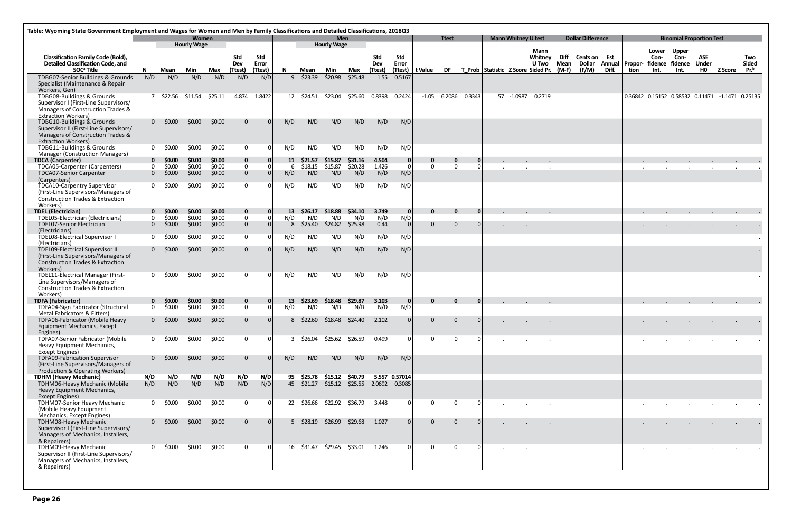|                                                                                       | Table: Wyoming State Government Employment and Wages for Women and Men by Family Classifications and Detailed Classifications, 2018Q3 |                                 |                    |                  |                              |              |           |                  |                    |                               |                   |                     |                 |                |          |            |                                       |              |                               |       |                  |                                                 |                                 |                |         |                     |
|---------------------------------------------------------------------------------------|---------------------------------------------------------------------------------------------------------------------------------------|---------------------------------|--------------------|------------------|------------------------------|--------------|-----------|------------------|--------------------|-------------------------------|-------------------|---------------------|-----------------|----------------|----------|------------|---------------------------------------|--------------|-------------------------------|-------|------------------|-------------------------------------------------|---------------------------------|----------------|---------|---------------------|
|                                                                                       |                                                                                                                                       |                                 | <b>Women</b>       |                  |                              |              |           |                  | <b>Men</b>         |                               |                   |                     |                 | <b>Ttest</b>   |          |            | <b>Mann Whitney U test</b>            |              | <b>Dollar Difference</b>      |       |                  |                                                 | <b>Binomial Proportion Test</b> |                |         |                     |
|                                                                                       |                                                                                                                                       |                                 | <b>Hourly Wage</b> |                  |                              |              |           |                  | <b>Hourly Wage</b> |                               |                   |                     |                 |                |          |            | Mann                                  |              |                               |       |                  | Lower                                           | <b>Upper</b>                    |                |         |                     |
| <b>Classification Family Code (Bold),</b><br><b>Detailed Classification Code, and</b> |                                                                                                                                       |                                 |                    |                  | <b>Std</b><br>Dev            | Std<br>Error |           |                  |                    |                               | <b>Std</b><br>Dev | Std<br>Error        |                 |                |          |            | Whitney<br>U Two                      | Diff<br>Mean | Cents on Est<br><b>Dollar</b> |       | Annual   Propor- | Con-<br>fidence fidence                         | Con-                            | ASE<br>Under   |         | Two<br><b>Sided</b> |
| SOC <sup>ª</sup> Title                                                                | N.                                                                                                                                    | Mean                            | Min                | Max              | (Ttest)                      | (Ttest)      | N.        | Mean             | Min                | Max                           | (Ttest)           |                     | (Ttest) t Value |                |          |            | DF T Prob Statistic Z Score Sided Pr. | (M-F)        | (F/M)                         | Diff. | tion             | Int.                                            | Int.                            | H <sub>0</sub> | Z Score | Pr. <sup>b</sup>    |
| TDBG07-Senior Buildings & Grounds                                                     | N/D                                                                                                                                   | N/D                             | N/D                | N/D              | N/D                          | N/D          |           | $9 \quad $23.39$ | \$20.98            | \$25.48                       | 1.55              | 0.5167              |                 |                |          |            |                                       |              |                               |       |                  |                                                 |                                 |                |         |                     |
| Specialist (Maintenance & Repair<br>Workers, Gen)                                     |                                                                                                                                       |                                 |                    |                  |                              |              |           |                  |                    |                               |                   |                     |                 |                |          |            |                                       |              |                               |       |                  |                                                 |                                 |                |         |                     |
| TDBG08-Buildings & Grounds                                                            |                                                                                                                                       | \$22.56                         | \$11.54            | \$25.11          |                              | 4.874 1.8422 |           | 12 \$24.51       | \$23.04            | \$25.60                       | 0.8398            | 0.2424              | $-1.05$         | 6.2086         | 0.3343   | 57 -1.0987 | 0.2719                                |              |                               |       |                  | 0.36842 0.15152 0.58532 0.11471 -1.1471 0.25135 |                                 |                |         |                     |
| Supervisor I (First-Line Supervisors/                                                 |                                                                                                                                       |                                 |                    |                  |                              |              |           |                  |                    |                               |                   |                     |                 |                |          |            |                                       |              |                               |       |                  |                                                 |                                 |                |         |                     |
| Managers of Construction Trades &                                                     |                                                                                                                                       |                                 |                    |                  |                              |              |           |                  |                    |                               |                   |                     |                 |                |          |            |                                       |              |                               |       |                  |                                                 |                                 |                |         |                     |
| <b>Extraction Workers)</b><br>TDBG10-Buildings & Grounds                              |                                                                                                                                       | $0\quad$ \$0.00                 | \$0.00             | \$0.00           | $\Omega$                     |              | N/D       | N/D              | N/D                | N/D                           | N/D               | N/D                 |                 |                |          |            |                                       |              |                               |       |                  |                                                 |                                 |                |         |                     |
| Supervisor II (First-Line Supervisors/                                                |                                                                                                                                       |                                 |                    |                  |                              |              |           |                  |                    |                               |                   |                     |                 |                |          |            |                                       |              |                               |       |                  |                                                 |                                 |                |         |                     |
| Managers of Construction Trades &                                                     |                                                                                                                                       |                                 |                    |                  |                              |              |           |                  |                    |                               |                   |                     |                 |                |          |            |                                       |              |                               |       |                  |                                                 |                                 |                |         |                     |
| <b>Extraction Workers)</b>                                                            |                                                                                                                                       |                                 |                    |                  |                              |              |           |                  |                    |                               |                   |                     |                 |                |          |            |                                       |              |                               |       |                  |                                                 |                                 |                |         |                     |
| TDBG11-Buildings & Grounds                                                            | $\mathbf{0}$                                                                                                                          | \$0.00                          | \$0.00             | \$0.00           | $\mathbf 0$                  |              | N/D       | N/D              | N/D                | N/D                           | N/D               | N/D                 |                 |                |          |            |                                       |              |                               |       |                  |                                                 |                                 |                |         |                     |
| <b>Manager (Construction Managers)</b><br><b>TDCA</b> (Carpenter)                     | $\mathbf{0}$                                                                                                                          | \$0.00                          | \$0.00             | \$0.00           | $\mathbf 0$                  |              | <b>11</b> | \$21.57          | \$15.87            | \$31.16                       | 4.504             | $\bf{0}$            |                 | $\mathbf 0$    |          |            |                                       |              |                               |       |                  |                                                 |                                 |                |         |                     |
| TDCA05-Carpenter (Carpenters)                                                         | $\Omega$                                                                                                                              | \$0.00                          | \$0.00             | \$0.00           | $\mathbf{0}$                 |              | 6         | \$18.15          | \$15.87            | \$20.28                       | 1.426             | $\Omega$            | $\Omega$        | $\Omega$       | $\Omega$ |            |                                       |              |                               |       |                  |                                                 |                                 |                |         |                     |
| <b>TDCA07-Senior Carpenter</b>                                                        | $\mathbf{0}$                                                                                                                          | \$0.00                          | \$0.00             | \$0.00           | $\mathbf 0$                  |              | N/D       | N/D              | N/D                | N/D                           | N/D               | N/D                 |                 |                |          |            |                                       |              |                               |       |                  |                                                 |                                 |                |         |                     |
| (Carpenters)<br><b>TDCA10-Carpentry Supervisor</b>                                    | $\overline{0}$                                                                                                                        | \$0.00                          | \$0.00             | \$0.00           | $\Omega$                     |              | N/D       | N/D              | N/D                | N/D                           | N/D               | N/D                 |                 |                |          |            |                                       |              |                               |       |                  |                                                 |                                 |                |         |                     |
| (First-Line Supervisors/Managers of                                                   |                                                                                                                                       |                                 |                    |                  |                              |              |           |                  |                    |                               |                   |                     |                 |                |          |            |                                       |              |                               |       |                  |                                                 |                                 |                |         |                     |
| <b>Construction Trades &amp; Extraction</b>                                           |                                                                                                                                       |                                 |                    |                  |                              |              |           |                  |                    |                               |                   |                     |                 |                |          |            |                                       |              |                               |       |                  |                                                 |                                 |                |         |                     |
| Workers)                                                                              |                                                                                                                                       |                                 |                    |                  |                              |              |           |                  |                    |                               |                   |                     |                 |                |          |            |                                       |              |                               |       |                  |                                                 |                                 |                |         |                     |
| <b>TDEL</b> (Electrician)<br>TDEL05-Electrician (Electricians)                        | $\Omega$                                                                                                                              | \$0.00<br>\$0.00                | \$0.00<br>\$0.00   | \$0.00<br>\$0.00 | $\mathbf{0}$<br>$\mathbf{0}$ |              | 13<br>N/D | \$26.17<br>N/D   | \$18.88<br>N/D     | \$34.10<br>N/D                | 3.749<br>N/D      | $\mathbf{0}$<br>N/D | $\mathbf{0}$    | $\mathbf 0$    |          |            |                                       |              |                               |       |                  |                                                 |                                 |                |         |                     |
| <b>TDEL07-Senior Electrician</b>                                                      | $\overline{0}$                                                                                                                        | \$0.00                          | \$0.00             | \$0.00           | $\mathbf 0$                  |              | 8         | \$25.40          | \$24.82            | \$25.98                       | 0.44              |                     | $\Omega$        | $\overline{0}$ |          |            |                                       |              |                               |       |                  |                                                 |                                 |                |         |                     |
| (Electricians)                                                                        |                                                                                                                                       |                                 |                    |                  |                              |              |           |                  |                    |                               |                   |                     |                 |                |          |            |                                       |              |                               |       |                  |                                                 |                                 |                |         |                     |
| TDEL08-Electrical Supervisor I                                                        | $\overline{0}$                                                                                                                        | \$0.00                          | \$0.00             | \$0.00           | $\mathbf 0$                  |              | N/D       | N/D              | N/D                | N/D                           | N/D               | N/D                 |                 |                |          |            |                                       |              |                               |       |                  |                                                 |                                 |                |         |                     |
| (Electricians)<br><b>TDEL09-Electrical Supervisor II</b>                              | $\overline{0}$                                                                                                                        | \$0.00                          | \$0.00             | \$0.00           | $\mathbf 0$                  |              | N/D       | N/D              | N/D                | N/D                           | N/D               | N/D                 |                 |                |          |            |                                       |              |                               |       |                  |                                                 |                                 |                |         |                     |
| (First-Line Supervisors/Managers of                                                   |                                                                                                                                       |                                 |                    |                  |                              |              |           |                  |                    |                               |                   |                     |                 |                |          |            |                                       |              |                               |       |                  |                                                 |                                 |                |         |                     |
| <b>Construction Trades &amp; Extraction</b>                                           |                                                                                                                                       |                                 |                    |                  |                              |              |           |                  |                    |                               |                   |                     |                 |                |          |            |                                       |              |                               |       |                  |                                                 |                                 |                |         |                     |
| Workers)<br>TDEL11-Electrical Manager (First-                                         | $\Omega$                                                                                                                              | \$0.00                          | \$0.00             | \$0.00           | $\overline{0}$               |              | N/D       | N/D              | N/D                | N/D                           | N/D               | N/D                 |                 |                |          |            |                                       |              |                               |       |                  |                                                 |                                 |                |         |                     |
| Line Supervisors/Managers of                                                          |                                                                                                                                       |                                 |                    |                  |                              |              |           |                  |                    |                               |                   |                     |                 |                |          |            |                                       |              |                               |       |                  |                                                 |                                 |                |         |                     |
| <b>Construction Trades &amp; Extraction</b>                                           |                                                                                                                                       |                                 |                    |                  |                              |              |           |                  |                    |                               |                   |                     |                 |                |          |            |                                       |              |                               |       |                  |                                                 |                                 |                |         |                     |
| Workers)                                                                              |                                                                                                                                       |                                 |                    |                  |                              |              |           |                  |                    |                               |                   |                     |                 |                |          |            |                                       |              |                               |       |                  |                                                 |                                 |                |         |                     |
| <b>TDFA (Fabricator)</b><br>TDFA04-Sign Fabricator (Structural                        |                                                                                                                                       | <b>SO.OO</b><br>$0 \quad $0.00$ | \$0.00<br>\$0.00   | \$0.00<br>\$0.00 | $\bf{0}$<br>$\Omega$         |              | 13<br>N/D | \$23.69<br>N/D   | \$18.48<br>N/D     | \$29.87<br>N/D                | 3.103<br>N/D      | $\mathbf{0}$<br>N/D | $\mathbf{0}$    |                | 0        |            |                                       |              |                               |       |                  |                                                 |                                 |                |         |                     |
| Metal Fabricators & Fitters)                                                          |                                                                                                                                       |                                 |                    |                  |                              |              |           |                  |                    |                               |                   |                     |                 |                |          |            |                                       |              |                               |       |                  |                                                 |                                 |                |         |                     |
| TDFA06-Fabricator (Mobile Heavy                                                       | $\overline{\phantom{0}}$                                                                                                              | \$0.00                          | \$0.00             | \$0.00           | $\Omega$                     |              |           | 8 \$22.60        | \$18.48 \$24.40    |                               | 2.102             |                     |                 | - 0            | 0        |            |                                       |              |                               |       |                  |                                                 |                                 |                |         |                     |
| Equipment Mechanics, Except<br>Engines)                                               |                                                                                                                                       |                                 |                    |                  |                              |              |           |                  |                    |                               |                   |                     |                 |                |          |            |                                       |              |                               |       |                  |                                                 |                                 |                |         |                     |
| TDFA07-Senior Fabricator (Mobile                                                      | $\mathbf{0}$                                                                                                                          | \$0.00                          | \$0.00             | \$0.00           | $\Omega$                     |              |           | $3\quad$ \$26.04 | \$25.62            | \$26.59                       | 0.499             |                     | $\Omega$        | - 0            | 0        |            |                                       |              |                               |       |                  |                                                 |                                 |                |         |                     |
| Heavy Equipment Mechanics,                                                            |                                                                                                                                       |                                 |                    |                  |                              |              |           |                  |                    |                               |                   |                     |                 |                |          |            |                                       |              |                               |       |                  |                                                 |                                 |                |         |                     |
| Except Engines)<br><b>TDFA09-Fabrication Supervisor</b>                               |                                                                                                                                       | $0 \quad $0.00$                 | \$0.00             | \$0.00           | $\mathbf 0$                  |              | N/D       | N/D              | N/D                | N/D                           | N/D               | N/D                 |                 |                |          |            |                                       |              |                               |       |                  |                                                 |                                 |                |         |                     |
| (First-Line Supervisors/Managers of                                                   |                                                                                                                                       |                                 |                    |                  |                              |              |           |                  |                    |                               |                   |                     |                 |                |          |            |                                       |              |                               |       |                  |                                                 |                                 |                |         |                     |
| Production & Operating Workers)                                                       |                                                                                                                                       |                                 |                    |                  |                              |              |           |                  |                    |                               |                   |                     |                 |                |          |            |                                       |              |                               |       |                  |                                                 |                                 |                |         |                     |
| <b>TDHM (Heavy Mechanic)</b>                                                          | N/D<br>N/D                                                                                                                            | N/D<br>N/D                      | N/D<br>N/D         | N/D<br>N/D       | N/D<br>N/D                   | N/D<br>N/D   |           | 45 \$21.27       | 95 \$25.78 \$15.12 | \$40.79                       |                   | 5.557 0.57014       |                 |                |          |            |                                       |              |                               |       |                  |                                                 |                                 |                |         |                     |
| TDHM06-Heavy Mechanic (Mobile<br>Heavy Equipment Mechanics,                           |                                                                                                                                       |                                 |                    |                  |                              |              |           |                  |                    | \$15.12 \$25.55 2.0692 0.3085 |                   |                     |                 |                |          |            |                                       |              |                               |       |                  |                                                 |                                 |                |         |                     |
| Except Engines)                                                                       |                                                                                                                                       |                                 |                    |                  |                              |              |           |                  |                    |                               |                   |                     |                 |                |          |            |                                       |              |                               |       |                  |                                                 |                                 |                |         |                     |
| TDHM07-Senior Heavy Mechanic                                                          |                                                                                                                                       | $0 \quad $0.00$                 | \$0.00             | \$0.00           | $\mathbf 0$                  |              |           | 22 \$26.66       | \$22.92 \$36.79    |                               | 3.448             |                     | 0               | $\mathbf 0$    | 0        |            |                                       |              |                               |       |                  |                                                 |                                 |                |         |                     |
| (Mobile Heavy Equipment<br>Mechanics, Except Engines)                                 |                                                                                                                                       |                                 |                    |                  |                              |              |           |                  |                    |                               |                   |                     |                 |                |          |            |                                       |              |                               |       |                  |                                                 |                                 |                |         |                     |
| TDHM08-Heavy Mechanic                                                                 |                                                                                                                                       | $0\,$ \$0.00                    | \$0.00             | \$0.00           | $\mathbf 0$                  |              |           |                  | 5 \$28.19 \$26.99  | \$29.68                       | 1.027             |                     | $\mathbf{0}$    | $\Omega$       |          |            |                                       |              |                               |       |                  |                                                 |                                 |                |         |                     |
| Supervisor I (First-Line Supervisors/                                                 |                                                                                                                                       |                                 |                    |                  |                              |              |           |                  |                    |                               |                   |                     |                 |                |          |            |                                       |              |                               |       |                  |                                                 |                                 |                |         |                     |
| Managers of Mechanics, Installers,<br>& Repairers)                                    |                                                                                                                                       |                                 |                    |                  |                              |              |           |                  |                    |                               |                   |                     |                 |                |          |            |                                       |              |                               |       |                  |                                                 |                                 |                |         |                     |
| TDHM09-Heavy Mechanic                                                                 | $\mathbf{0}$                                                                                                                          | \$0.00                          | \$0.00             | \$0.00           | $\mathbf{0}$                 |              |           | 16 \$31.47       | \$29.45 \$33.01    |                               | 1.246             |                     | $\Omega$        | -0             | 0        |            |                                       |              |                               |       |                  |                                                 |                                 |                |         |                     |
| Supervisor II (First-Line Supervisors/                                                |                                                                                                                                       |                                 |                    |                  |                              |              |           |                  |                    |                               |                   |                     |                 |                |          |            |                                       |              |                               |       |                  |                                                 |                                 |                |         |                     |
| Managers of Mechanics, Installers,                                                    |                                                                                                                                       |                                 |                    |                  |                              |              |           |                  |                    |                               |                   |                     |                 |                |          |            |                                       |              |                               |       |                  |                                                 |                                 |                |         |                     |
| & Repairers)                                                                          |                                                                                                                                       |                                 |                    |                  |                              |              |           |                  |                    |                               |                   |                     |                 |                |          |            |                                       |              |                               |       |                  |                                                 |                                 |                |         |                     |
|                                                                                       |                                                                                                                                       |                                 |                    |                  |                              |              |           |                  |                    |                               |                   |                     |                 |                |          |            |                                       |              |                               |       |                  |                                                 |                                 |                |         |                     |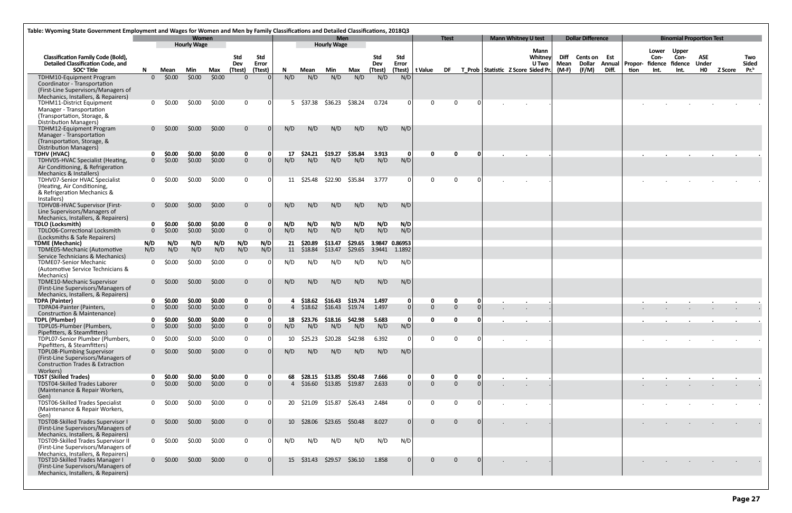| ar Difference                                                |                      |                            | <b>Binomial Proportion Test</b>                                                                                                                                                                                                                                                                                                                                                                     |                                       |                                                                              |                                         |
|--------------------------------------------------------------|----------------------|----------------------------|-----------------------------------------------------------------------------------------------------------------------------------------------------------------------------------------------------------------------------------------------------------------------------------------------------------------------------------------------------------------------------------------------------|---------------------------------------|------------------------------------------------------------------------------|-----------------------------------------|
| Cents on<br>Est<br><b>Dollar</b><br>Annual<br>Diff.<br>(F/M) | tion                 | Lower<br>Con-<br>Int.      | Upper<br>Con-<br>Propor- fidence fidence<br>Int.                                                                                                                                                                                                                                                                                                                                                    | ASE<br><b>Under</b><br>H <sub>0</sub> | Z Score                                                                      | Two<br><b>Sided</b><br>Pr. <sup>b</sup> |
|                                                              |                      |                            |                                                                                                                                                                                                                                                                                                                                                                                                     |                                       |                                                                              |                                         |
|                                                              |                      |                            |                                                                                                                                                                                                                                                                                                                                                                                                     |                                       |                                                                              |                                         |
|                                                              |                      |                            |                                                                                                                                                                                                                                                                                                                                                                                                     |                                       |                                                                              |                                         |
|                                                              | $\bullet$            | $\bullet$                  | $\bullet$                                                                                                                                                                                                                                                                                                                                                                                           | $\bullet$                             | $\bullet$                                                                    |                                         |
|                                                              |                      | $\cdot$                    | $\cdot$                                                                                                                                                                                                                                                                                                                                                                                             | $\cdot$                               |                                                                              |                                         |
|                                                              |                      |                            |                                                                                                                                                                                                                                                                                                                                                                                                     |                                       |                                                                              |                                         |
|                                                              |                      |                            |                                                                                                                                                                                                                                                                                                                                                                                                     |                                       |                                                                              |                                         |
|                                                              |                      |                            |                                                                                                                                                                                                                                                                                                                                                                                                     |                                       |                                                                              |                                         |
|                                                              |                      |                            |                                                                                                                                                                                                                                                                                                                                                                                                     |                                       |                                                                              |                                         |
|                                                              |                      | $\bullet$                  |                                                                                                                                                                                                                                                                                                                                                                                                     | $\bullet$                             |                                                                              |                                         |
|                                                              |                      | ٠                          |                                                                                                                                                                                                                                                                                                                                                                                                     |                                       |                                                                              |                                         |
|                                                              |                      | the company of the company |                                                                                                                                                                                                                                                                                                                                                                                                     |                                       | $\bullet$ . The second state is a second state of $\mathcal{O}(\mathcal{A})$ |                                         |
|                                                              |                      |                            |                                                                                                                                                                                                                                                                                                                                                                                                     |                                       |                                                                              |                                         |
|                                                              |                      |                            |                                                                                                                                                                                                                                                                                                                                                                                                     | ٠                                     |                                                                              |                                         |
|                                                              | $\ddot{\phantom{0}}$ |                            | $\mathbf{r} = \mathbf{r} \times \mathbf{r}$<br>¥,                                                                                                                                                                                                                                                                                                                                                   | $\epsilon$                            |                                                                              |                                         |
|                                                              |                      | <b>Contractor</b>          | $\mathbf{r} = \left\{ \begin{array}{ll} 0 & \mathbf{r} \in \mathbb{R}^n, \ \mathbf{r} \in \mathbb{R}^n, \ \mathbf{r} \in \mathbb{R}^n, \ \mathbf{r} \in \mathbb{R}^n, \ \mathbf{r} \in \mathbb{R}^n, \ \mathbf{r} \in \mathbb{R}^n, \ \mathbf{r} \in \mathbb{R}^n, \ \mathbf{r} \in \mathbb{R}^n, \ \mathbf{r} \in \mathbb{R}^n, \ \mathbf{r} \in \mathbb{R}^n, \ \mathbf{r} \in \mathbb{R}^n, \ \$ |                                       | $\mathbf{r} = \mathbf{r} \times \mathbf{r}$                                  |                                         |
|                                                              |                      | <b>CALL COV</b>            | $\mathbf{r} = \mathbf{r} \times \mathbf{r}$ , where $\mathbf{r} = \mathbf{r}$                                                                                                                                                                                                                                                                                                                       |                                       |                                                                              |                                         |
|                                                              |                      |                            |                                                                                                                                                                                                                                                                                                                                                                                                     |                                       |                                                                              |                                         |

| Table: Wyoming State Government Employment and Wages for Women and Men by Family Classifications and Detailed Classifications, 2018Q3<br><b>Women</b><br><b>Men</b> |              |                  |                    |        |                |                  |                |                 |                    |         |                |                  |                |                |              |  |                                                    |               |                          |       |      |        |                                        |                    |           |                                  |
|---------------------------------------------------------------------------------------------------------------------------------------------------------------------|--------------|------------------|--------------------|--------|----------------|------------------|----------------|-----------------|--------------------|---------|----------------|------------------|----------------|----------------|--------------|--|----------------------------------------------------|---------------|--------------------------|-------|------|--------|----------------------------------------|--------------------|-----------|----------------------------------|
|                                                                                                                                                                     |              |                  | <b>Hourly Wage</b> |        |                |                  |                |                 | <b>Hourly Wage</b> |         |                |                  |                | <b>Ttest</b>   |              |  | <b>Mann Whitney U test</b>                         |               | <b>Dollar Difference</b> |       |      |        | <b>Binomial Proportion Test</b>        |                    |           |                                  |
| <b>Classification Family Code (Bold),</b>                                                                                                                           |              |                  |                    |        | <b>Std</b>     | Std              |                |                 |                    |         | Std            | Std              |                |                |              |  | Mann<br>Whitney                                    | Diff          | Cents on Est             |       |      | Con-   | Lower Upper<br>Con-                    | <b>ASE</b>         |           | Two                              |
| <b>Detailed Classification Code, and</b><br>SOC <sup>ª</sup> Title                                                                                                  | N.           | Mean             | Min                | Max    | Dev<br>(Ttest) | Error<br>(Ttest) | $\mathbf N$    | Mean            | Min                | Max     | Dev<br>(Ttest) | Error<br>(Ttest) | t Value        | <b>DF</b>      |              |  | <b>U</b> Two<br>T Prob Statistic Z Score Sided Pr. | Mean<br>(M-F) | <b>Dollar</b><br>(F/M)   | Diff. | tion | Int.   | Annual Propor- fidence fidence<br>Int. | <b>Under</b><br>HO | Z Score   | <b>Sided</b><br>Pr. <sup>b</sup> |
| TDHM10-Equipment Program                                                                                                                                            |              | $0\quad$ \$0.00  | \$0.00             | \$0.00 | $\Omega$       |                  | N/D            | N/D             | N/D                | N/D     | N/D            | N/D              |                |                |              |  |                                                    |               |                          |       |      |        |                                        |                    |           |                                  |
| Coordinator - Transportation<br>(First-Line Supervisors/Managers of                                                                                                 |              |                  |                    |        |                |                  |                |                 |                    |         |                |                  |                |                |              |  |                                                    |               |                          |       |      |        |                                        |                    |           |                                  |
| Mechanics, Installers, & Repairers)<br>TDHM11-District Equipment                                                                                                    |              | $0 \quad $0.00$  | \$0.00             | \$0.00 | $\mathbf 0$    | $\Omega$         |                | 5 \$37.38       | \$36.23            | \$38.24 | 0.724          | <sup>0</sup>     | $\mathbf 0$    | $\overline{0}$ | $\Omega$     |  |                                                    |               |                          |       |      |        |                                        |                    |           |                                  |
| Manager - Transportation<br>(Transportation, Storage, &<br><b>Distribution Managers)</b>                                                                            |              |                  |                    |        |                |                  |                |                 |                    |         |                |                  |                |                |              |  |                                                    |               |                          |       |      |        |                                        |                    |           |                                  |
| TDHM12-Equipment Program<br>Manager - Transportation                                                                                                                |              | $0 \quad$ \$0.00 | \$0.00             | \$0.00 | $\mathbf{0}$   |                  | N/D            | N/D             | N/D                | N/D     | N/D            | N/D              |                |                |              |  |                                                    |               |                          |       |      |        |                                        |                    |           |                                  |
| (Transportation, Storage, &<br><b>Distribution Managers)</b>                                                                                                        |              |                  |                    |        |                |                  |                |                 |                    |         |                |                  |                |                |              |  |                                                    |               |                          |       |      |        |                                        |                    |           |                                  |
| <b>TDHV (HVAC)</b>                                                                                                                                                  | 0            | \$0.00           | \$0.00             | \$0.00 | $\mathbf 0$    | 0                | 17             | \$24.21         | \$19.27            | \$35.84 | 3.913          | 0                | $\mathbf 0$    | $\mathbf 0$    | $\mathbf{0}$ |  | $\bullet$                                          |               |                          |       |      | $\sim$ |                                        |                    | $\bullet$ |                                  |
| TDHV05-HVAC Specialist (Heating,<br>Air Conditioning, & Refrigeration<br>Mechanics & Installers)                                                                    |              | $0\quad$ \$0.00  | \$0.00             | \$0.00 | $\overline{0}$ |                  | N/D            | N/D             | N/D                | N/D     | N/D            | N/D              |                |                |              |  |                                                    |               |                          |       |      |        |                                        |                    |           |                                  |
| TDHV07-Senior HVAC Specialist<br>(Heating, Air Conditioning,                                                                                                        | 0            | \$0.00           | \$0.00             | \$0.00 | $\mathbf 0$    |                  |                | 11 \$25.48      | \$22.90            | \$35.84 | 3.777          |                  | $\Omega$       | $\Omega$       | $\Omega$     |  |                                                    |               |                          |       |      |        |                                        |                    |           |                                  |
| & Refrigeration Mechanics &<br>Installers)                                                                                                                          |              |                  |                    |        |                |                  |                |                 |                    |         |                |                  |                |                |              |  |                                                    |               |                          |       |      |        |                                        |                    |           |                                  |
| TDHV08-HVAC Supervisor (First-<br>Line Supervisors/Managers of<br>Mechanics, Installers, & Repairers)                                                               |              | $0\quad$ \$0.00  | \$0.00             | \$0.00 | $\overline{0}$ |                  | N/D            | N/D             | N/D                | N/D     | N/D            | N/D              |                |                |              |  |                                                    |               |                          |       |      |        |                                        |                    |           |                                  |
| <b>TDLO (Locksmith)</b>                                                                                                                                             | $\mathbf{0}$ | \$0.00           | \$0.00             | \$0.00 | $\mathbf 0$    | -0               | N/D            | N/D             | N/D                | N/D     | N/D            | N/D              |                |                |              |  |                                                    |               |                          |       |      |        |                                        |                    |           |                                  |
| TDLO06-Correctional Locksmith<br>(Locksmiths & Safe Repairers)                                                                                                      | $\Omega$     | \$0.00           | \$0.00             | \$0.00 | $\overline{0}$ |                  | N/D            | N/D             | N/D                | N/D     | N/D            | N/D              |                |                |              |  |                                                    |               |                          |       |      |        |                                        |                    |           |                                  |
| <b>TDME</b> (Mechanic)                                                                                                                                              | N/D          | N/D              | N/D                | N/D    | N/D            | N/D              | 21             | \$20.89         | \$13.47            | \$29.65 | 3.9847 0.86953 |                  |                |                |              |  |                                                    |               |                          |       |      |        |                                        |                    |           |                                  |
| TDME05-Mechanic (Automotive<br>Service Technicians & Mechanics)                                                                                                     | N/D          | N/D              | N/D                | N/D    | N/D            | N/D              |                | 11 \$18.84      | \$13.47            | \$29.65 | 3.9441         | 1.1892           |                |                |              |  |                                                    |               |                          |       |      |        |                                        |                    |           |                                  |
| <b>TDME07-Senior Mechanic</b><br>(Automotive Service Technicians &<br>Mechanics)                                                                                    | $\Omega$     | \$0.00           | \$0.00             | \$0.00 | $\mathbf 0$    |                  | N/D            | N/D             | N/D                | N/D     | N/D            | N/D              |                |                |              |  |                                                    |               |                          |       |      |        |                                        |                    |           |                                  |
| TDME10-Mechanic Supervisor<br>(First-Line Supervisors/Managers of                                                                                                   |              | $0$ \$0.00       | \$0.00             | \$0.00 | $\mathbf{0}$   |                  | N/D            | N/D             | N/D                | N/D     | N/D            | N/D              |                |                |              |  |                                                    |               |                          |       |      |        |                                        |                    |           |                                  |
| Mechanics, Installers, & Repairers)<br><b>TDPA (Painter)</b>                                                                                                        |              | \$0.00           | \$0.00             | \$0.00 | $\mathbf 0$    | 0                |                | \$18.62         | \$16.43            | \$19.74 | 1.497          |                  | 0              | 0              | 0            |  |                                                    |               |                          |       |      |        |                                        |                    |           |                                  |
| TDPA04-Painter (Painters,                                                                                                                                           | $\Omega$     | \$0.00           | \$0.00             | \$0.00 | $\overline{0}$ |                  |                | 4 \$18.62       | \$16.43            | \$19.74 | 1.497          |                  | $\Omega$       | $\mathbf{0}$   |              |  | $\cdot$                                            |               |                          |       |      |        |                                        |                    |           |                                  |
| Construction & Maintenance)                                                                                                                                         |              |                  |                    |        |                |                  |                |                 |                    |         |                |                  |                |                |              |  |                                                    |               |                          |       |      |        |                                        |                    |           |                                  |
| <b>TDPL (Plumber)</b>                                                                                                                                               | 0            | \$0.00           | \$0.00             | \$0.00 | $\mathbf{0}$   | $\Omega$         | 18             |                 | \$23.76 \$18.16    | \$42.98 | 5.683          | <sup>0</sup>     | $\mathbf{0}$   | $\mathbf{0}$   | n            |  |                                                    |               |                          |       |      |        |                                        |                    |           |                                  |
| TDPL05-Plumber (Plumbers,<br>Pipefitters, & Steamfitters)                                                                                                           | $\Omega$     | \$0.00           | \$0.00             | \$0.00 | $\overline{0}$ |                  | N/D            | N/D             | N/D                | N/D     | N/D            | N/D              |                |                |              |  |                                                    |               |                          |       |      |        |                                        |                    |           |                                  |
| TDPL07-Senior Plumber (Plumbers,<br>Pipefitters, & Steamfitters)                                                                                                    | 0            | \$0.00           | \$0.00             | \$0.00 | $\mathbf{0}$   |                  | 10             | \$25.23         | \$20.28            | \$42.98 | 6.392          |                  | $\mathbf 0$    | $\overline{0}$ | $\Omega$     |  |                                                    |               |                          |       |      |        |                                        |                    |           |                                  |
| TDPL08-Plumbing Supervisor<br>(First-Line Supervisors/Managers of<br><b>Construction Trades &amp; Extraction</b>                                                    |              | $0 \quad $0.00$  | \$0.00             | \$0.00 | $\overline{0}$ |                  | N/D            | N/D             | N/D                | N/D     | N/D            | N/D              |                |                |              |  |                                                    |               |                          |       |      |        |                                        |                    |           |                                  |
| Workers)                                                                                                                                                            |              |                  |                    |        |                |                  |                |                 |                    |         |                |                  |                |                |              |  |                                                    |               |                          |       |      |        |                                        |                    |           |                                  |
| <b>TDST (Skilled Trades)</b>                                                                                                                                        |              | \$0.00           | \$0.00             | \$0.00 | $\mathbf 0$    | 0                | 68             | \$28.15 \$13.85 |                    | \$50.48 | 7.666          |                  | $\mathbf 0$    | $\mathbf 0$    | 0            |  |                                                    |               |                          |       |      |        |                                        |                    |           |                                  |
| TDST04-Skilled Trades Laborer<br>(Maintenance & Repair Workers,<br>Gen)                                                                                             |              | $0\,$ \$0.00     | \$0.00             | \$0.00 | $\overline{0}$ |                  | $\overline{4}$ | \$16.60         | \$13.85 \$19.87    |         | 2.633          | $\Omega$         | $\overline{0}$ | $\Omega$       | $\Omega$     |  |                                                    |               |                          |       |      |        |                                        |                    |           |                                  |
| <b>TDST06-Skilled Trades Specialist</b><br>(Maintenance & Repair Workers,<br>Gen)                                                                                   |              | $0 \quad $0.00$  | \$0.00             | \$0.00 | $\mathbf{0}$   |                  |                | 20 \$21.09      | \$15.87            | \$26.43 | 2.484          |                  | $\mathbf{0}$   | $\mathbf 0$    |              |  |                                                    |               |                          |       |      |        |                                        |                    |           |                                  |
| TDST08-Skilled Trades Supervisor I<br>(First-Line Supervisors/Managers of<br>Mechanics, Installers, & Repairers)                                                    |              | $0\,$ \$0.00     | \$0.00             | \$0.00 | $\mathbf{0}$   |                  |                | 10 \$28.06      | \$23.65            | \$50.48 | 8.027          |                  | $\overline{0}$ | $\overline{0}$ |              |  | $\blacksquare$                                     |               |                          |       |      |        |                                        |                    |           |                                  |
| TDST09-Skilled Trades Supervisor II<br>(First-Line Supervisors/Managers of                                                                                          |              | $0 \quad 50.00$  | \$0.00             | \$0.00 | $\mathbf{0}$   |                  | N/D            | N/D             | N/D                | N/D     | N/D            | N/D              |                |                |              |  |                                                    |               |                          |       |      |        |                                        |                    |           |                                  |
| Mechanics, Installers, & Repairers)<br>TDST10-Skilled Trades Manager I<br>(First-Line Supervisors/Managers of                                                       |              | $0\,$ \$0.00     | \$0.00             | \$0.00 | $\overline{0}$ |                  |                | 15 \$31.43      | \$29.57            | \$36.10 | 1.858          |                  | $\Omega$       | $\overline{0}$ |              |  |                                                    |               |                          |       |      |        |                                        |                    |           |                                  |
| Mechanics, Installers, & Repairers)                                                                                                                                 |              |                  |                    |        |                |                  |                |                 |                    |         |                |                  |                |                |              |  |                                                    |               |                          |       |      |        |                                        |                    |           |                                  |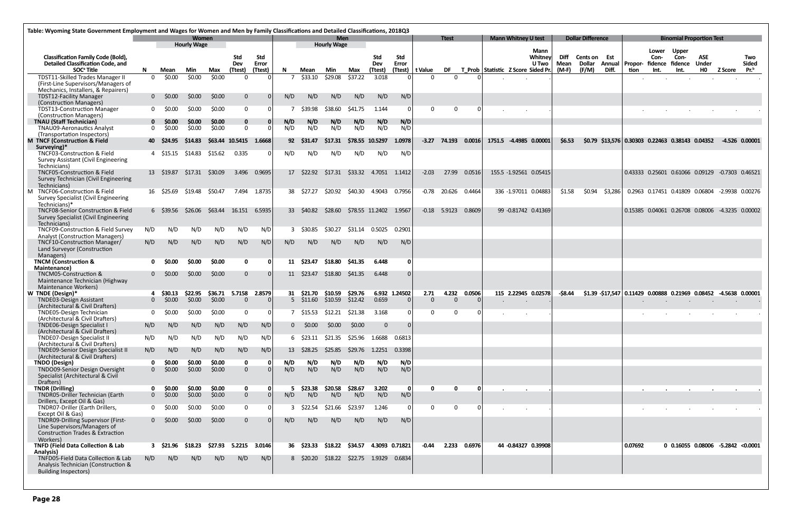|                                                                                                                                                    | Table: Wyoming State Government Employment and Wages for Women and Men by Family Classifications and Detailed Classifications, 2018Q3 |                              |                             |                   |                               |                     |             |                                |                                  |                    |                        |               |                      |                   |        |                                    |                            |                                 |                            |                          |         |         |               |                                                   |                     |                                                                   |                     |
|----------------------------------------------------------------------------------------------------------------------------------------------------|---------------------------------------------------------------------------------------------------------------------------------------|------------------------------|-----------------------------|-------------------|-------------------------------|---------------------|-------------|--------------------------------|----------------------------------|--------------------|------------------------|---------------|----------------------|-------------------|--------|------------------------------------|----------------------------|---------------------------------|----------------------------|--------------------------|---------|---------|---------------|---------------------------------------------------|---------------------|-------------------------------------------------------------------|---------------------|
|                                                                                                                                                    |                                                                                                                                       |                              | Women<br><b>Hourly Wage</b> |                   |                               |                     |             |                                | <b>Men</b><br><b>Hourly Wage</b> |                    |                        |               |                      | <b>Ttest</b>      |        |                                    | <b>Mann Whitney U test</b> |                                 |                            | <b>Dollar Difference</b> |         |         |               | <b>Binomial Proportion Test</b>                   |                     |                                                                   |                     |
| <b>Classification Family Code (Bold),</b><br><b>Detailed Classification Code, and</b>                                                              |                                                                                                                                       |                              |                             |                   | Std<br>Dev                    | <b>Std</b><br>Error |             |                                |                                  |                    | <b>Std</b><br>Dev      | Std<br>Error  |                      |                   |        |                                    |                            | Mann<br>Whitney<br><b>U</b> Two | <b>Diff</b><br><b>Mean</b> | Cents on Est<br>Dollar   | Annual  | Propor- | Lower<br>Con- | <b>Upper</b><br>Con-<br>fidence fidence           | <b>ASE</b><br>Under |                                                                   | Two<br><b>Sided</b> |
| SOC <sup>ª</sup> Title                                                                                                                             | N                                                                                                                                     | Mean                         | Min                         | Max               | (Ttest)                       | (Ttest)             | N           | Mean                           | Min                              | Max                | (Ttest)                |               | (Ttest)   t Value    | DF                |        | T_Prob Statistic Z Score Sided Pr. |                            |                                 | (M-F)                      | (F/M)                    | Diff.   | tion    | Int.          | Int.                                              | H <sub>0</sub>      | <b>Z Score</b>                                                    | Pr. <sup>b</sup>    |
| <b>TDST11-Skilled Trades Manager II</b><br>(First-Line Supervisors/Managers of<br>Mechanics, Installers, & Repairers)                              | $\Omega$                                                                                                                              | \$0.00                       | \$0.00                      | \$0.00            | $\Omega$                      |                     |             | \$33.10                        | \$29.08                          | \$37.22            | 3.018                  |               | $\Omega$             |                   |        |                                    |                            |                                 |                            |                          |         |         |               |                                                   |                     |                                                                   |                     |
| <b>TDST12-Facility Manager</b><br>(Construction Managers)                                                                                          |                                                                                                                                       | $0 \quad$ \$0.00             | \$0.00                      | \$0.00            | $\mathbf{0}$                  |                     | N/D         | N/D                            | N/D                              | N/D                | N/D                    | N/D           |                      |                   |        |                                    |                            |                                 |                            |                          |         |         |               |                                                   |                     |                                                                   |                     |
| TDST13-Construction Manager<br>(Construction Managers)                                                                                             |                                                                                                                                       | \$0.00                       | \$0.00                      | \$0.00            | $\mathbf 0$                   |                     |             | \$39.98                        | \$38.60                          | <b>\$41.75</b>     | 1.144                  |               | $\Omega$             | $\Omega$          |        |                                    |                            |                                 |                            |                          |         |         |               |                                                   |                     |                                                                   |                     |
| <b>TNAU (Staff Technician)</b><br><b>TNAU09-Aeronautics Analyst</b><br>(Transportation Inspectors)                                                 | $\mathbf{0}$                                                                                                                          | \$0.00<br>\$0.00             | \$0.00<br>\$0.00            | \$0.00<br>\$0.00  | $\mathbf 0$<br>$\overline{0}$ | 0                   | N/D<br>N/D  | N/D<br>N/D                     | N/D<br>N/D                       | N/D<br>N/D         | N/D<br>N/D             | N/D<br>N/D    |                      |                   |        |                                    |                            |                                 |                            |                          |         |         |               |                                                   |                     |                                                                   |                     |
| M TNCF (Construction & Field<br>Surveying)*                                                                                                        |                                                                                                                                       | 40 \$24.95                   | \$14.83                     |                   | \$63.44 10.5415               | 1.6668              | 92          | S31.47                         | S17.31                           |                    | \$78.55 10.5297        | 1.0978        | $-3.27$              | 74.193            | 0.0016 |                                    |                            | 1751.5 -4.4985 0.00001          | \$6.53                     |                          |         |         |               | $$0.79$ $$13,576$ 0.30303 0.22463 0.38143 0.04352 |                     | -4.526 0.00001                                                    |                     |
| TNCF03-Construction & Field<br><b>Survey Assistant (Civil Engineering</b><br>Technicians)                                                          |                                                                                                                                       | 4 \$15.15                    | \$14.83                     | \$15.62           | 0.335                         |                     | N/D         | N/D                            | N/D                              | N/D                | N/D                    | N/D           |                      |                   |        |                                    |                            |                                 |                            |                          |         |         |               |                                                   |                     |                                                                   |                     |
| <b>TNCF05-Construction &amp; Field</b><br>Survey Technician (Civil Engineering<br>Technicians)                                                     |                                                                                                                                       | 13 \$19.87                   | \$17.31                     | \$30.09           | 3.496                         | 0.9695              | 17          | \$22.92                        | \$17.31                          |                    | \$33.32 4.7051         | 1.1412        | $-2.03$              | 27.99             | 0.0516 |                                    |                            | 155.5 -1.92561 0.05415          |                            |                          |         |         |               |                                                   |                     | 0.43333  0.25601  0.61066  0.09129  -0.7303  0.46521              |                     |
| M TNCF06-Construction & Field<br><b>Survey Specialist (Civil Engineering</b><br>Technicians)*                                                      |                                                                                                                                       | 16 \$25.69                   | \$19.48                     | \$50.47           |                               | 7.494 1.8735        | 38          | \$27.27                        | \$20.92                          |                    | \$40.30 4.9043         | 0.7956        | $-0.78$              | 20.626            | 0.4464 |                                    |                            | 336 -1.97011 0.04883            | \$1.58                     | \$0.94                   | \$3,286 |         |               |                                                   |                     | 0.2963 0.17451 0.41809 0.06804 -2.9938 0.00276                    |                     |
| <b>TNCF08-Senior Construction &amp; Field</b><br><b>Survey Specialist (Civil Engineering</b><br>Technicians)                                       |                                                                                                                                       | 6 S39.56                     | \$26.06                     | \$63.44           | 16.151                        | 6.5935              |             | 33 \$40.82                     | \$28.60                          |                    | \$78.55 11.2402        | 1.9567        |                      | $-0.18$ 5.9123    | 0.8609 |                                    |                            | 99 -0.81742 0.41369             |                            |                          |         |         |               |                                                   |                     | 0.15385  0.04061  0.26708  0.08006  -4.3235  0.00002              |                     |
| TNCF09-Construction & Field Survey<br><b>Analyst (Construction Managers)</b>                                                                       | N/D                                                                                                                                   | N/D                          | N/D                         | N/D               | N/D                           | N/D                 | 3           | \$30.85                        | \$30.27                          | \$31.14            | 0.5025                 | 0.2901        |                      |                   |        |                                    |                            |                                 |                            |                          |         |         |               |                                                   |                     |                                                                   |                     |
| TNCF10-Construction Manager/<br>Land Surveyor (Construction<br>Managers)                                                                           | N/D                                                                                                                                   | N/D                          | N/D                         | N/D               | N/D                           | N/D                 | N/D         | N/D                            | N/D                              | N/D                | N/D                    | N/D           |                      |                   |        |                                    |                            |                                 |                            |                          |         |         |               |                                                   |                     |                                                                   |                     |
| <b>TNCM (Construction &amp;</b><br><b>Maintenance)</b>                                                                                             |                                                                                                                                       | <b>SO.00</b>                 | \$0.00                      | \$0.00            | $\mathbf 0$                   | 0                   |             | 11 \$23.47                     | \$18.80                          | \$41.35            | 6.448                  |               |                      |                   |        |                                    |                            |                                 |                            |                          |         |         |               |                                                   |                     |                                                                   |                     |
| TNCM05-Construction &<br>Maintenance Technician (Highway<br>Maintenance Workers)                                                                   |                                                                                                                                       | $0$ \$0.00                   | \$0.00                      | \$0.00            | $\Omega$                      |                     |             | 11 \$23.47                     | \$18.80                          | \$41.35            | 6.448                  | $\Omega$      |                      |                   |        |                                    |                            |                                 |                            |                          |         |         |               |                                                   |                     |                                                                   |                     |
| W TNDE (Design)*<br><b>TNDE03-Design Assistant</b><br>(Architectural & Civil Drafters)                                                             | 0                                                                                                                                     | 4 \$30.13<br>\$0.00          | \$22.95<br>\$0.00           | \$36.71<br>\$0.00 | 5.7158<br>$\overline{0}$      | 2.8579              |             | 31 \$21.70<br>$5\quad$ \$11.60 | \$10.59<br>\$10.59               | \$29.76<br>\$12.42 | 0.659                  | 6.932 1.24502 | 2.71<br>$\mathbf{0}$ | 4.232<br>$\Omega$ | 0.0506 |                                    |                            | 115 2.22945 0.02578             | -\$8.44                    |                          |         |         |               |                                                   |                     | $$1.39$ $$17,547$ 0.11429 0.00888 0.21969 0.08452 -4.5638 0.00001 |                     |
| TNDE05-Design Technician<br>(Architectural & Civil Drafters)                                                                                       | $\mathbf{0}$                                                                                                                          | \$0.00                       | \$0.00                      | \$0.00            | $\mathbf{0}$                  |                     | $7^{\circ}$ | \$15.53                        | \$12.21                          | \$21.38            | 3.168                  |               | $\Omega$             | $\Omega$          |        |                                    | $\sim$                     |                                 |                            |                          |         |         |               |                                                   |                     |                                                                   |                     |
| TNDE06-Design Specialist I<br>(Architectural & Civil Drafters)                                                                                     | N/D                                                                                                                                   | N/D                          | N/D                         | N/D               | N/D                           | N/D                 | 0           | \$0.00                         | \$0.00                           | \$0.00             | $\mathbf{0}$           | $\Omega$      |                      |                   |        |                                    |                            |                                 |                            |                          |         |         |               |                                                   |                     |                                                                   |                     |
| <b>TNDE07-Design Specialist II</b><br>(Architectural & Civil Drafters)                                                                             | N/D                                                                                                                                   | N/D                          | N/D                         | N/D               | N/D                           | N/D                 |             |                                | 6 \$23.11 \$21.35                |                    | \$25.96 1.6688 0.6813  |               |                      |                   |        |                                    |                            |                                 |                            |                          |         |         |               |                                                   |                     |                                                                   |                     |
| TNDE09-Senior Design Specialist II<br>(Architectural & Civil Drafters)                                                                             | N/D                                                                                                                                   | N/D                          | N/D                         | N/D               | N/D                           | N/D                 | 13          | \$28.25                        | \$25.85                          | \$29.76            | 1.2251                 | 0.3398        |                      |                   |        |                                    |                            |                                 |                            |                          |         |         |               |                                                   |                     |                                                                   |                     |
| <b>TNDO (Design)</b><br>TNDO09-Senior Design Oversight<br>Specialist (Architectural & Civil<br>Drafters)                                           | 0<br>$\Omega$                                                                                                                         | \$0.00<br>\$0.00             | \$0.00<br>\$0.00            | \$0.00<br>\$0.00  | $\mathbf 0$<br>$\overline{0}$ | 0                   | N/D<br>N/D  | N/D<br>N/D                     | N/D<br>N/D                       | N/D<br>N/D         | N/D<br>N/D             | N/D<br>N/D    |                      |                   |        |                                    |                            |                                 |                            |                          |         |         |               |                                                   |                     |                                                                   |                     |
| <b>TNDR (Drilling)</b><br>TNDR05-Driller Technician (Earth                                                                                         | 0                                                                                                                                     | \$0.00<br>$0\frac{$0.00}{ }$ | \$0.00<br>\$0.00            | \$0.00<br>\$0.00  | $\mathbf 0$<br>$\mathbf{0}$   | - 0 I<br>$\Omega$   | 5<br>N/D    | \$23.38<br>N/D                 | \$20.58<br>N/D                   | \$28.67<br>N/D     | 3.202<br>N/D           | - 0<br>N/D    | <sup>n</sup>         | $\mathbf{0}$      | - 0    |                                    |                            |                                 |                            |                          |         |         |               |                                                   |                     |                                                                   |                     |
| Drillers, Except Oil & Gas)<br>TNDR07-Driller (Earth Drillers,                                                                                     |                                                                                                                                       | \$0.00                       | \$0.00                      | \$0.00            | $\mathbf 0$                   | 0                   | 3           | \$22.54                        | \$21.66                          | \$23.97            | 1.246                  |               | $\Omega$             | $\Omega$          |        |                                    |                            |                                 |                            |                          |         |         |               |                                                   |                     |                                                                   |                     |
| Except Oil & Gas)<br>TNDR09-Drilling Supervisor (First-<br>Line Supervisors/Managers of<br><b>Construction Trades &amp; Extraction</b><br>Workers) |                                                                                                                                       | $0 \quad$ \$0.00             | \$0.00                      | \$0.00            | $\mathbf{0}$                  |                     | N/D         | N/D                            | N/D                              | N/D                | N/D                    | N/D           |                      |                   |        |                                    |                            |                                 |                            |                          |         |         |               |                                                   |                     |                                                                   |                     |
| <b>TNFD (Field Data Collection &amp; Lab</b><br>Analysis)                                                                                          |                                                                                                                                       | $3\quad$ \$21.96             | \$18.23                     | \$27.93           | 5.2215                        | 3.0146              |             | 36 \$23.33                     | \$18.22                          |                    | \$34.57 4.3093 0.71821 |               | -0.44                | 2.233             | 0.6976 |                                    |                            | 44 -0.84327 0.39908             |                            |                          |         | 0.07692 |               |                                                   |                     | 0 0.16055 0.08006 -5.2842 < 0.0001                                |                     |
| TNFD05-Field Data Collection & Lab<br>Analysis Technician (Construction &<br><b>Building Inspectors)</b>                                           | N/D                                                                                                                                   | N/D                          | N/D                         | N/D               | N/D                           | N/D                 |             | 8 \$20.20                      | \$18.22                          |                    | \$22.75 1.9329         | 0.6834        |                      |                   |        |                                    |                            |                                 |                            |                          |         |         |               |                                                   |                     |                                                                   |                     |
|                                                                                                                                                    |                                                                                                                                       |                              |                             |                   |                               |                     |             |                                |                                  |                    |                        |               |                      |                   |        |                                    |                            |                                 |                            |                          |         |         |               |                                                   |                     |                                                                   |                     |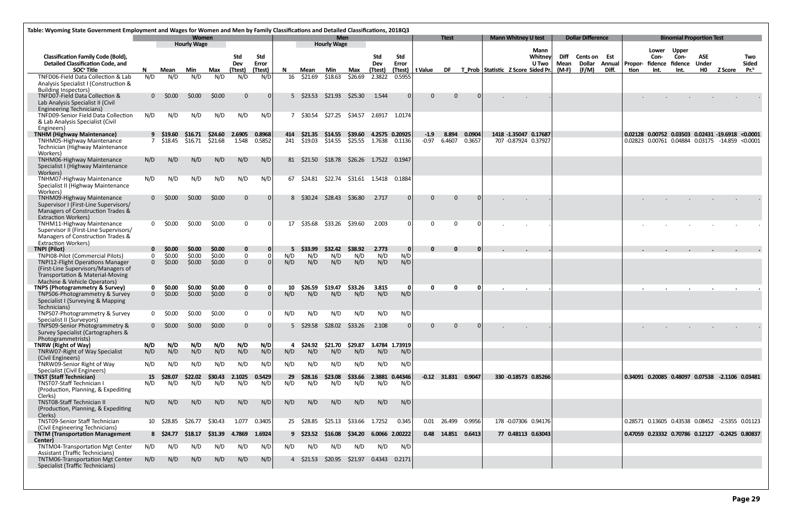|                                                                                       | Table: Wyoming State Government Employment and Wages for Women and Men by Family Classifications and Detailed Classifications, 2018Q3 |                  |                                    |                  |                                    |               |            |                     |                                  |                         |            |                     |              |                       |          |                                       |                            |                         |              |                          |       |         |                                                      |                                          |                     |                |                  |
|---------------------------------------------------------------------------------------|---------------------------------------------------------------------------------------------------------------------------------------|------------------|------------------------------------|------------------|------------------------------------|---------------|------------|---------------------|----------------------------------|-------------------------|------------|---------------------|--------------|-----------------------|----------|---------------------------------------|----------------------------|-------------------------|--------------|--------------------------|-------|---------|------------------------------------------------------|------------------------------------------|---------------------|----------------|------------------|
|                                                                                       |                                                                                                                                       |                  | <b>Women</b><br><b>Hourly Wage</b> |                  |                                    |               |            |                     | <b>Men</b><br><b>Hourly Wage</b> |                         |            |                     |              | <b>Ttest</b>          |          |                                       | <b>Mann Whitney U test</b> |                         |              | <b>Dollar Difference</b> |       |         |                                                      | <b>Binomial Proportion Test</b>          |                     |                |                  |
|                                                                                       |                                                                                                                                       |                  |                                    |                  |                                    |               |            |                     |                                  |                         |            |                     |              |                       |          |                                       |                            | Mann                    |              |                          |       |         | Lower                                                | <b>Upper</b>                             |                     |                |                  |
| <b>Classification Family Code (Bold),</b><br><b>Detailed Classification Code, and</b> |                                                                                                                                       |                  |                                    |                  | <b>Std</b><br>Dev                  | Std<br>Error  |            |                     |                                  |                         | Std<br>Dev | <b>Std</b><br>Error |              |                       |          |                                       |                            | Whitney<br><b>U</b> Two | Diff<br>Mean | Cents on<br>Dollar       | Est   |         | Con-<br>Annual Propor- fidence fidence               | Con-                                     | ASE<br><b>Under</b> |                | Two<br>Sided     |
| SOC <sup>ª</sup> Title                                                                | N.                                                                                                                                    | Mean             | Min                                | Max              | (Ttest)                            | (Ttest)       | N.         | Mean                | Min                              | Max                     | (Ttest)    | (Ttest)             | t Value      |                       |          | DF T Prob Statistic Z Score Sided Pr. |                            |                         | (M-F)        | (F/M)                    | Diff. | tion    | Int.                                                 | Int.                                     | H <sub>0</sub>      | <b>Z Score</b> | Pr. <sup>b</sup> |
| TNFD06-Field Data Collection & Lab                                                    | N/D                                                                                                                                   | N/D              | N/D                                | N/D              | N/D                                | N/D           |            | 16 \$21.69          | \$18.63                          | \$26.69                 | 2.3822     | 0.5955              |              |                       |          |                                       |                            |                         |              |                          |       |         |                                                      |                                          |                     |                |                  |
| Analysis Specialist I (Construction &                                                 |                                                                                                                                       |                  |                                    |                  |                                    |               |            |                     |                                  |                         |            |                     |              |                       |          |                                       |                            |                         |              |                          |       |         |                                                      |                                          |                     |                |                  |
| <b>Building Inspectors)</b><br>TNFD07-Field Data Collection &                         |                                                                                                                                       | $0\quad$ \$0.00  | \$0.00                             | \$0.00           | $\Omega$                           |               |            | 5 \$23.53           | \$21.93                          | \$25.30                 | 1.544      | $\Omega$            | $\Omega$     | $\mathbf{0}$          | - 0 I    |                                       |                            |                         |              |                          |       |         |                                                      |                                          |                     |                |                  |
| Lab Analysis Specialist II (Civil                                                     |                                                                                                                                       |                  |                                    |                  |                                    |               |            |                     |                                  |                         |            |                     |              |                       |          |                                       |                            |                         |              |                          |       |         |                                                      |                                          |                     |                |                  |
| <b>Engineering Technicians)</b>                                                       |                                                                                                                                       |                  |                                    |                  |                                    |               |            |                     |                                  |                         |            |                     |              |                       |          |                                       |                            |                         |              |                          |       |         |                                                      |                                          |                     |                |                  |
| TNFD09-Senior Field Data Collection                                                   | N/D                                                                                                                                   | N/D              | N/D                                | N/D              | N/D                                | N/D           |            | 7 \$30.54           | \$27.25                          | \$34.57                 |            | 2.6917 1.0174       |              |                       |          |                                       |                            |                         |              |                          |       |         |                                                      |                                          |                     |                |                  |
| & Lab Analysis Specialist (Civil<br>Engineers)                                        |                                                                                                                                       |                  |                                    |                  |                                    |               |            |                     |                                  |                         |            |                     |              |                       |          |                                       |                            |                         |              |                          |       |         |                                                      |                                          |                     |                |                  |
| <b>TNHM (Highway Maintenance)</b>                                                     |                                                                                                                                       | 9 S19.60         | S16.71                             | \$24.60          | 2.6905                             | 0.8968        | 414        | \$21.35             | \$14.55                          | \$39.60                 |            | 4.2575 0.20925      | $-1.9$       | 8.894                 | 0.0904   |                                       |                            | 1418 -1.35047 0.17687   |              |                          |       | 0.02128 |                                                      | 0.00752 0.03503 0.02431 -19.6918 <0.0001 |                     |                |                  |
| <b>TNHM05-Highway Maintenance</b>                                                     |                                                                                                                                       | \$18.45          | \$16.71                            | \$21.68          | 1.548                              | 0.5852        | 241        | \$19.03             | \$14.55                          | \$25.55                 | 1.7638     | 0.1136              | $-0.97$      | 6.4607                | 0.3657   |                                       |                            | 707 -0.87924 0.37927    |              |                          |       |         | 0.02823 0.00761 0.04884 0.03175 -14.859 <0.0001      |                                          |                     |                |                  |
| Technician (Highway Maintenance<br>Workers)                                           |                                                                                                                                       |                  |                                    |                  |                                    |               |            |                     |                                  |                         |            |                     |              |                       |          |                                       |                            |                         |              |                          |       |         |                                                      |                                          |                     |                |                  |
| <b>TNHM06-Highway Maintenance</b>                                                     | N/D                                                                                                                                   | N/D              | N/D                                | N/D              | N/D                                | N/D           | 81         | \$21.50             | \$18.78                          | \$26.26                 |            | 1.7522 0.1947       |              |                       |          |                                       |                            |                         |              |                          |       |         |                                                      |                                          |                     |                |                  |
| Specialist I (Highway Maintenance                                                     |                                                                                                                                       |                  |                                    |                  |                                    |               |            |                     |                                  |                         |            |                     |              |                       |          |                                       |                            |                         |              |                          |       |         |                                                      |                                          |                     |                |                  |
| Workers)<br><b>TNHM07-Highway Maintenance</b>                                         | N/D                                                                                                                                   | N/D              | N/D                                | N/D              | N/D                                | N/D           | 67         | \$24.81             | \$22.74                          | \$31.61  1.5418  0.1884 |            |                     |              |                       |          |                                       |                            |                         |              |                          |       |         |                                                      |                                          |                     |                |                  |
| Specialist II (Highway Maintenance                                                    |                                                                                                                                       |                  |                                    |                  |                                    |               |            |                     |                                  |                         |            |                     |              |                       |          |                                       |                            |                         |              |                          |       |         |                                                      |                                          |                     |                |                  |
| Workers)                                                                              |                                                                                                                                       |                  |                                    |                  |                                    |               |            |                     |                                  |                         |            |                     |              |                       |          |                                       |                            |                         |              |                          |       |         |                                                      |                                          |                     |                |                  |
| TNHM09-Highway Maintenance<br>Supervisor I (First-Line Supervisors/                   |                                                                                                                                       | $0\quad$ \$0.00  | \$0.00                             | \$0.00           | $\Omega$                           |               |            | 8 \$30.24           | \$28.43                          | \$36.80                 | 2.717      | $\overline{0}$      | $\Omega$     | $\Omega$              | $\Omega$ |                                       |                            |                         |              |                          |       |         |                                                      |                                          |                     |                |                  |
| Managers of Construction Trades &                                                     |                                                                                                                                       |                  |                                    |                  |                                    |               |            |                     |                                  |                         |            |                     |              |                       |          |                                       |                            |                         |              |                          |       |         |                                                      |                                          |                     |                |                  |
| <b>Extraction Workers)</b>                                                            |                                                                                                                                       |                  |                                    |                  |                                    |               |            |                     |                                  |                         |            |                     |              |                       |          |                                       |                            |                         |              |                          |       |         |                                                      |                                          |                     |                |                  |
| <b>TNHM11-Highway Maintenance</b>                                                     |                                                                                                                                       | $0\quad$ \$0.00  | \$0.00                             | \$0.00           | $\Omega$                           |               | 17         | \$35.68             | \$33.26                          | \$39.60                 | 2.003      | $\Omega$            | $\Omega$     | $\Omega$              |          |                                       |                            |                         |              |                          |       |         |                                                      |                                          |                     |                |                  |
| Supervisor II (First-Line Supervisors/<br>Managers of Construction Trades &           |                                                                                                                                       |                  |                                    |                  |                                    |               |            |                     |                                  |                         |            |                     |              |                       |          |                                       |                            |                         |              |                          |       |         |                                                      |                                          |                     |                |                  |
| <b>Extraction Workers)</b>                                                            |                                                                                                                                       |                  |                                    |                  |                                    |               |            |                     |                                  |                         |            |                     |              |                       |          |                                       |                            |                         |              |                          |       |         |                                                      |                                          |                     |                |                  |
| <b>TNPI (Pilot)</b>                                                                   |                                                                                                                                       | \$0.00           | \$0.00                             | \$0.00           | $\mathbf 0$                        |               |            | \$33.99             | \$32.42                          | \$38.92                 | 2.773      | 0                   | $\mathbf{0}$ | $\bf{0}$              | 0        |                                       |                            |                         |              |                          |       |         |                                                      |                                          |                     |                |                  |
| <b>TNPI08-Pilot (Commercial Pilots)</b><br><b>TNPI12-Flight Operations Manager</b>    | $\mathbf{0}$<br>$\mathbf{0}$                                                                                                          | \$0.00<br>\$0.00 | \$0.00<br>\$0.00                   | \$0.00<br>\$0.00 | $\boldsymbol{0}$<br>$\overline{0}$ |               | N/D<br>N/D | N/D<br>N/D          | N/D<br>N/D                       | N/D<br>N/D              | N/D<br>N/D | N/D<br>N/D          |              |                       |          |                                       |                            |                         |              |                          |       |         |                                                      |                                          |                     |                |                  |
| (First-Line Supervisors/Managers of                                                   |                                                                                                                                       |                  |                                    |                  |                                    |               |            |                     |                                  |                         |            |                     |              |                       |          |                                       |                            |                         |              |                          |       |         |                                                      |                                          |                     |                |                  |
| Transportation & Material-Moving                                                      |                                                                                                                                       |                  |                                    |                  |                                    |               |            |                     |                                  |                         |            |                     |              |                       |          |                                       |                            |                         |              |                          |       |         |                                                      |                                          |                     |                |                  |
| Machine & Vehicle Operators)<br><b>TNPS (Photogrammetry &amp; Survey)</b>             |                                                                                                                                       | \$0.00           | \$0.00                             | \$0.00           | $\mathbf 0$                        |               | 10         | \$26.59             | \$19.47                          | \$33.26                 | 3.815      | -O I                | $\mathbf{0}$ | 0                     | n        |                                       |                            |                         |              |                          |       |         |                                                      |                                          |                     |                |                  |
| TNPS06-Photogrammetry & Survey                                                        | $\mathbf{0}$                                                                                                                          | \$0.00           | \$0.00                             | \$0.00           | $\overline{0}$                     |               | N/D        | N/D                 | N/D                              | N/D                     | N/D        | N/D                 |              |                       |          |                                       |                            |                         |              |                          |       |         |                                                      |                                          |                     |                |                  |
| Specialist I (Surveying & Mapping                                                     |                                                                                                                                       |                  |                                    |                  |                                    |               |            |                     |                                  |                         |            |                     |              |                       |          |                                       |                            |                         |              |                          |       |         |                                                      |                                          |                     |                |                  |
| Technicians)<br>TNPS07-Photogrammetry & Survey                                        | 0                                                                                                                                     | \$0.00           | \$0.00                             | \$0.00           | $\Omega$                           |               | N/D        | N/D                 | N/D                              | N/D                     | N/D        | N/D                 |              |                       |          |                                       |                            |                         |              |                          |       |         |                                                      |                                          |                     |                |                  |
| Specialist II (Surveyors)                                                             |                                                                                                                                       |                  |                                    |                  |                                    |               |            |                     |                                  |                         |            |                     |              |                       |          |                                       |                            |                         |              |                          |       |         |                                                      |                                          |                     |                |                  |
| TNPS09-Senior Photogrammetry &                                                        |                                                                                                                                       | $0\quad$ \$0.00  | \$0.00                             | \$0.00           | $\Omega$                           |               |            | $5\frac{$29.58}{ }$ | \$28.02                          | \$33.26                 | 2.108      | $\overline{0}$      | $\Omega$     | $\Omega$              | - 0 I    |                                       |                            |                         |              |                          |       |         |                                                      |                                          |                     |                |                  |
| Survey Specialist (Cartographers &<br>Photogrammetrists)                              |                                                                                                                                       |                  |                                    |                  |                                    |               |            |                     |                                  |                         |            |                     |              |                       |          |                                       |                            |                         |              |                          |       |         |                                                      |                                          |                     |                |                  |
| TNRW (Right of Way)                                                                   | N/D                                                                                                                                   | N/D              | N/D                                | N/D              | N/D                                | N/D           | 4          | \$24.92             | \$21.70                          | \$29.87                 |            | 3.4784 1.73919      |              |                       |          |                                       |                            |                         |              |                          |       |         |                                                      |                                          |                     |                |                  |
| TNRW07-Right of Way Specialist                                                        | N/D                                                                                                                                   | N/D              | N/D                                | N/D              | N/D                                | N/D           | N/D        | N/D                 | N/D                              | N/D                     | N/D        | N/D                 |              |                       |          |                                       |                            |                         |              |                          |       |         |                                                      |                                          |                     |                |                  |
| (Civil Engineers)<br>TNRW09-Senior Right of Way                                       | N/D                                                                                                                                   | N/D              | N/D                                | N/D              | N/D                                | N/D           | N/D        | N/D                 | N/D                              | N/D                     | N/D        | N/D                 |              |                       |          |                                       |                            |                         |              |                          |       |         |                                                      |                                          |                     |                |                  |
| Specialist (Civil Engineers)                                                          |                                                                                                                                       |                  |                                    |                  |                                    |               |            |                     |                                  |                         |            |                     |              |                       |          |                                       |                            |                         |              |                          |       |         |                                                      |                                          |                     |                |                  |
| <b>TNST (Staff Technician)</b><br>TNST07-Staff Technician I                           | 15                                                                                                                                    | \$28.07          | \$22.02                            | \$30.43          | 2.1025                             | 0.5429<br>N/D | 29         | \$28.16             | \$23.08                          | \$33.66                 |            | 2.3881 0.44346      |              | $-0.12$ 31.831 0.9047 |          |                                       |                            | 330 -0.18573 0.85266    |              |                          |       |         | 0.34091  0.20085  0.48097  0.07538  -2.1106  0.03481 |                                          |                     |                |                  |
| (Production, Planning, & Expediting                                                   | N/D                                                                                                                                   | N/D              | N/D                                | N/D              | N/D                                |               | N/D        | N/D                 | N/D                              | N/D                     | N/D        | N/D                 |              |                       |          |                                       |                            |                         |              |                          |       |         |                                                      |                                          |                     |                |                  |
| Clerks)                                                                               |                                                                                                                                       |                  |                                    |                  |                                    |               |            |                     |                                  |                         |            |                     |              |                       |          |                                       |                            |                         |              |                          |       |         |                                                      |                                          |                     |                |                  |
| <b>TNST08-Staff Technician II</b>                                                     | N/D                                                                                                                                   | N/D              | N/D                                | N/D              | N/D                                | N/D           | N/D        | N/D                 | N/D                              | N/D                     | N/D        | N/D                 |              |                       |          |                                       |                            |                         |              |                          |       |         |                                                      |                                          |                     |                |                  |
| (Production, Planning, & Expediting<br>Clerks)                                        |                                                                                                                                       |                  |                                    |                  |                                    |               |            |                     |                                  |                         |            |                     |              |                       |          |                                       |                            |                         |              |                          |       |         |                                                      |                                          |                     |                |                  |
| TNST09-Senior Staff Technician                                                        |                                                                                                                                       | 10 \$28.85       | \$26.77                            | \$30.43          | 1.077                              | 0.3405        |            | 25 \$28.85          | \$25.13                          | \$33.66                 | 1.7252     | 0.345               | $0.01\,$     | 26.499                | 0.9956   |                                       |                            | 178 -0.07306 0.94176    |              |                          |       |         | 0.28571 0.13605 0.43538 0.08452 -2.5355 0.01123      |                                          |                     |                |                  |
| (Civil Engineering Technicians)<br><b>TNTM (Transportation Management</b>             |                                                                                                                                       | 8 \$24.77        | \$18.17                            | \$31.39          | 4.7869                             | 1.6924        |            | 9 \$23.52           | \$16.08                          | \$34.20                 |            | 6.0066 2.00222      |              | 0.48 14.851 0.6413    |          |                                       |                            | 77 0.48113 0.63043      |              |                          |       |         | 0.47059 0.23332 0.70786 0.12127 -0.2425 0.80837      |                                          |                     |                |                  |
| Center)                                                                               |                                                                                                                                       |                  |                                    |                  |                                    |               |            |                     |                                  |                         |            |                     |              |                       |          |                                       |                            |                         |              |                          |       |         |                                                      |                                          |                     |                |                  |
| <b>TNTM04-Transportation Mgt Center</b>                                               | N/D                                                                                                                                   | N/D              | N/D                                | N/D              | N/D                                | N/D           | N/D        | N/D                 | N/D                              | N/D                     | N/D        | N/D                 |              |                       |          |                                       |                            |                         |              |                          |       |         |                                                      |                                          |                     |                |                  |
| <b>Assistant (Traffic Technicians)</b><br>TNTM06-Transportation Mgt Center            | N/D                                                                                                                                   | N/D              | N/D                                | N/D              | N/D                                | N/D           |            | 4 \$21.53           | \$20.95                          | \$21.97                 | 0.4343     | 0.2171              |              |                       |          |                                       |                            |                         |              |                          |       |         |                                                      |                                          |                     |                |                  |
| Specialist (Traffic Technicians)                                                      |                                                                                                                                       |                  |                                    |                  |                                    |               |            |                     |                                  |                         |            |                     |              |                       |          |                                       |                            |                         |              |                          |       |         |                                                      |                                          |                     |                |                  |
|                                                                                       |                                                                                                                                       |                  |                                    |                  |                                    |               |            |                     |                                  |                         |            |                     |              |                       |          |                                       |                            |                         |              |                          |       |         |                                                      |                                          |                     |                |                  |